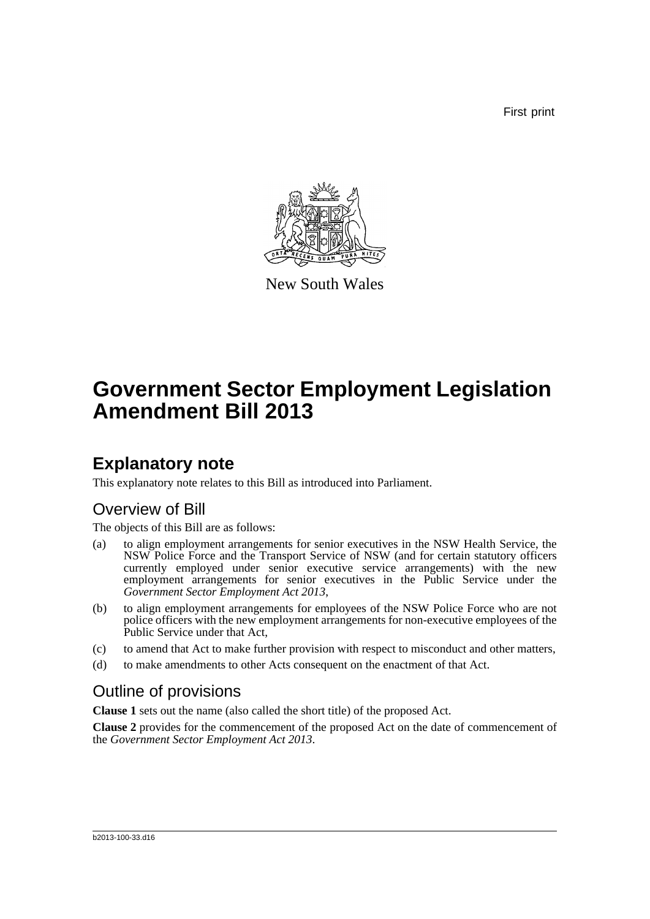First print



New South Wales

# **Government Sector Employment Legislation Amendment Bill 2013**

## **Explanatory note**

This explanatory note relates to this Bill as introduced into Parliament.

## Overview of Bill

The objects of this Bill are as follows:

- (a) to align employment arrangements for senior executives in the NSW Health Service, the NSW Police Force and the Transport Service of NSW (and for certain statutory officers currently employed under senior executive service arrangements) with the new employment arrangements for senior executives in the Public Service under the *Government Sector Employment Act 2013*,
- (b) to align employment arrangements for employees of the NSW Police Force who are not police officers with the new employment arrangements for non-executive employees of the Public Service under that Act,
- (c) to amend that Act to make further provision with respect to misconduct and other matters,
- (d) to make amendments to other Acts consequent on the enactment of that Act.

## Outline of provisions

**Clause 1** sets out the name (also called the short title) of the proposed Act.

**Clause 2** provides for the commencement of the proposed Act on the date of commencement of the *Government Sector Employment Act 2013*.

#### b2013-100-33.d16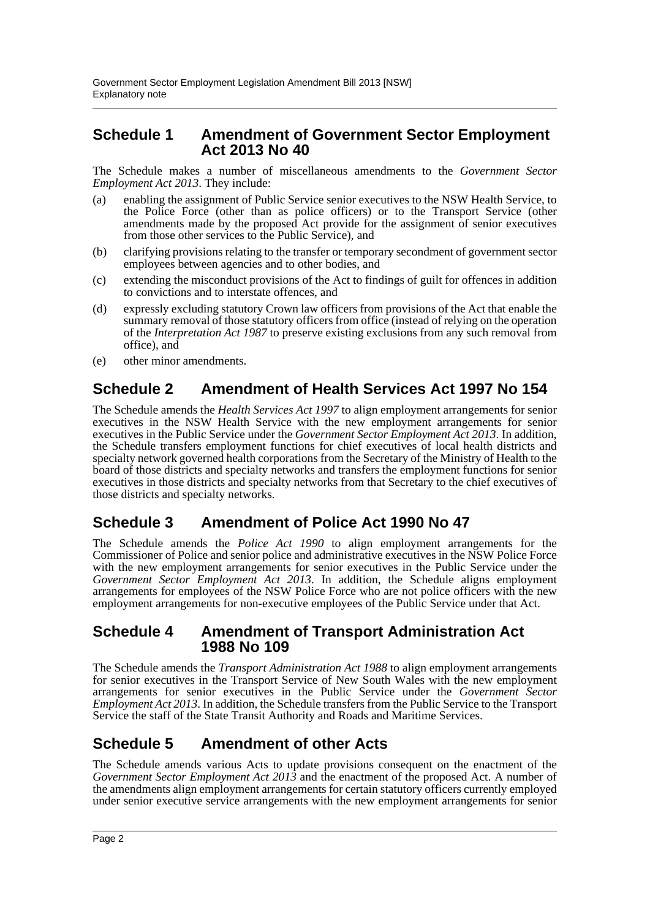### **Schedule 1 Amendment of Government Sector Employment Act 2013 No 40**

The Schedule makes a number of miscellaneous amendments to the *Government Sector Employment Act 2013*. They include:

- (a) enabling the assignment of Public Service senior executives to the NSW Health Service, to the Police Force (other than as police officers) or to the Transport Service (other amendments made by the proposed Act provide for the assignment of senior executives from those other services to the Public Service), and
- (b) clarifying provisions relating to the transfer or temporary secondment of government sector employees between agencies and to other bodies, and
- (c) extending the misconduct provisions of the Act to findings of guilt for offences in addition to convictions and to interstate offences, and
- (d) expressly excluding statutory Crown law officers from provisions of the Act that enable the summary removal of those statutory officers from office (instead of relying on the operation of the *Interpretation Act 1987* to preserve existing exclusions from any such removal from office), and
- (e) other minor amendments.

### **Schedule 2 Amendment of Health Services Act 1997 No 154**

The Schedule amends the *Health Services Act 1997* to align employment arrangements for senior executives in the NSW Health Service with the new employment arrangements for senior executives in the Public Service under the *Government Sector Employment Act 2013*. In addition, the Schedule transfers employment functions for chief executives of local health districts and specialty network governed health corporations from the Secretary of the Ministry of Health to the board of those districts and specialty networks and transfers the employment functions for senior executives in those districts and specialty networks from that Secretary to the chief executives of those districts and specialty networks.

### **Schedule 3 Amendment of Police Act 1990 No 47**

The Schedule amends the *Police Act 1990* to align employment arrangements for the Commissioner of Police and senior police and administrative executives in the NSW Police Force with the new employment arrangements for senior executives in the Public Service under the *Government Sector Employment Act 2013*. In addition, the Schedule aligns employment arrangements for employees of the NSW Police Force who are not police officers with the new employment arrangements for non-executive employees of the Public Service under that Act.

### **Schedule 4 Amendment of Transport Administration Act 1988 No 109**

The Schedule amends the *Transport Administration Act 1988* to align employment arrangements for senior executives in the Transport Service of New South Wales with the new employment arrangements for senior executives in the Public Service under the *Government Sector Employment Act 2013*. In addition, the Schedule transfers from the Public Service to the Transport Service the staff of the State Transit Authority and Roads and Maritime Services.

## **Schedule 5 Amendment of other Acts**

The Schedule amends various Acts to update provisions consequent on the enactment of the *Government Sector Employment Act 2013* and the enactment of the proposed Act. A number of the amendments align employment arrangements for certain statutory officers currently employed under senior executive service arrangements with the new employment arrangements for senior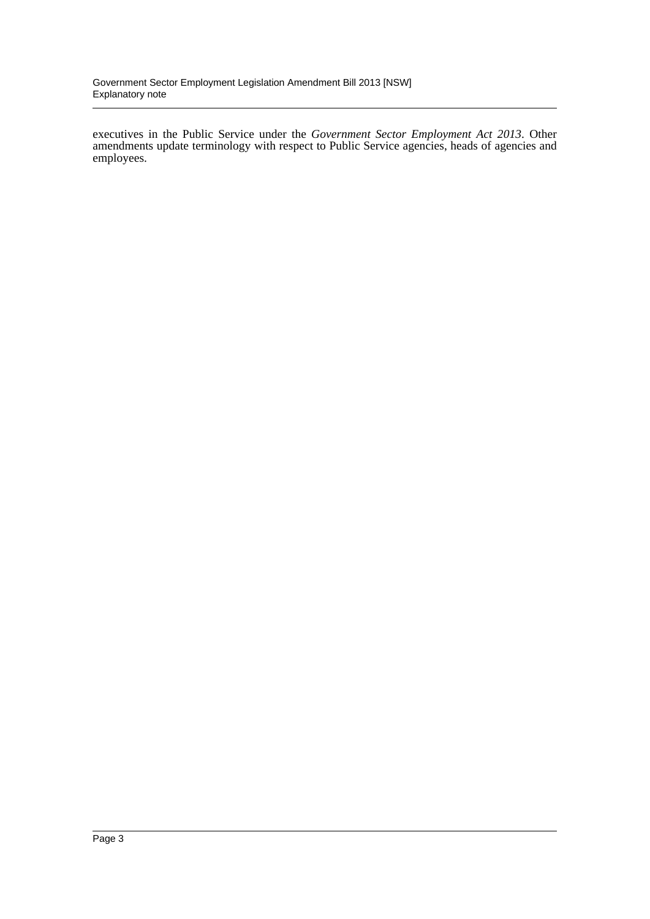executives in the Public Service under the *Government Sector Employment Act 2013*. Other amendments update terminology with respect to Public Service agencies, heads of agencies and employees.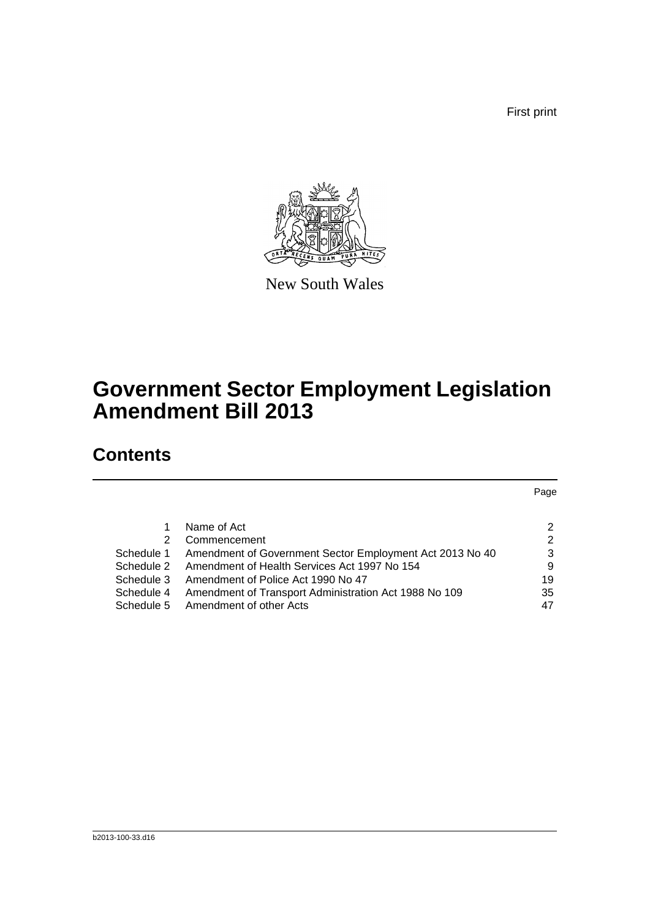First print



New South Wales

# **Government Sector Employment Legislation Amendment Bill 2013**

## **Contents**

|            |                                                          | Page |
|------------|----------------------------------------------------------|------|
|            |                                                          |      |
|            | Name of Act                                              | 2    |
| 2          | Commencement                                             | 2    |
| Schedule 1 | Amendment of Government Sector Employment Act 2013 No 40 | 3    |
| Schedule 2 | Amendment of Health Services Act 1997 No 154             | 9    |
| Schedule 3 | Amendment of Police Act 1990 No 47                       | 19   |
| Schedule 4 | Amendment of Transport Administration Act 1988 No 109    | 35   |
| Schedule 5 | Amendment of other Acts                                  | 47   |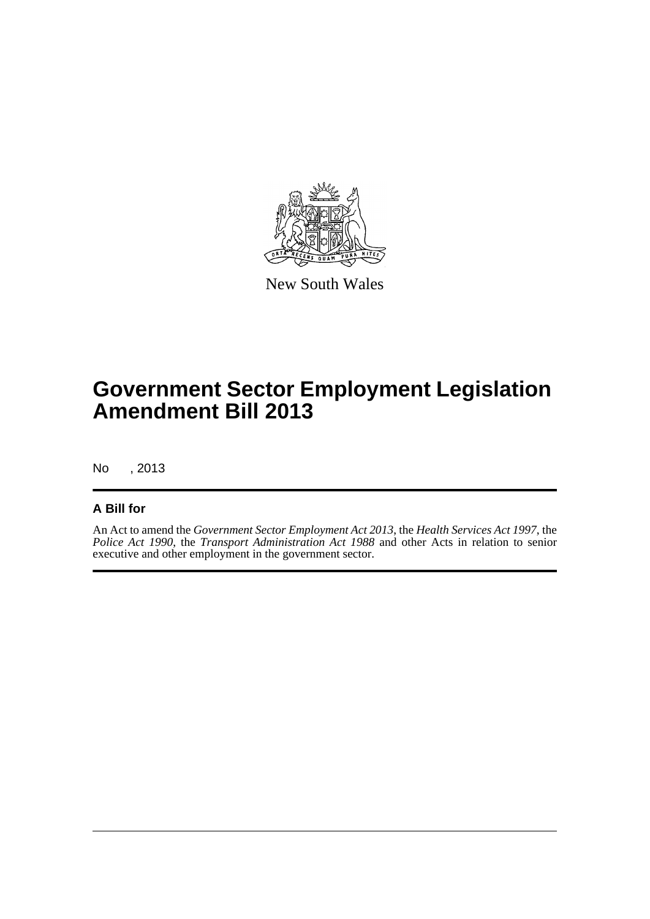

New South Wales

# **Government Sector Employment Legislation Amendment Bill 2013**

No , 2013

### **A Bill for**

An Act to amend the *Government Sector Employment Act 2013*, the *Health Services Act 1997*, the *Police Act 1990*, the *Transport Administration Act 1988* and other Acts in relation to senior executive and other employment in the government sector.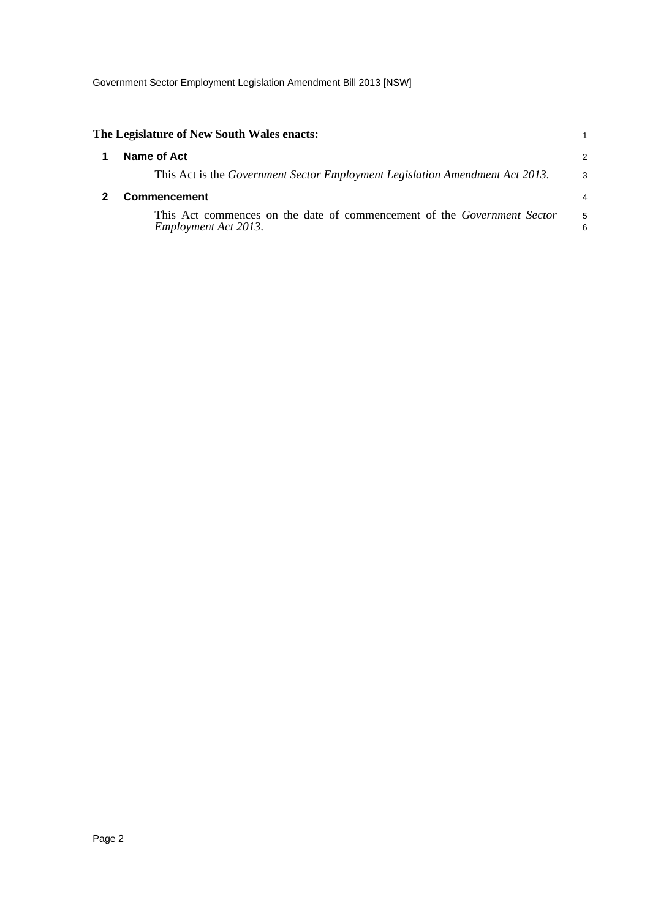<span id="page-5-1"></span><span id="page-5-0"></span>

| The Legislature of New South Wales enacts:                                                             |                |
|--------------------------------------------------------------------------------------------------------|----------------|
| Name of Act                                                                                            | 2              |
| This Act is the <i>Government Sector Employment Legislation Amendment Act 2013</i> .                   | 3              |
| <b>Commencement</b>                                                                                    | $\overline{4}$ |
| This Act commences on the date of commencement of the <i>Government Sector</i><br>Employment Act 2013. | 5<br>6         |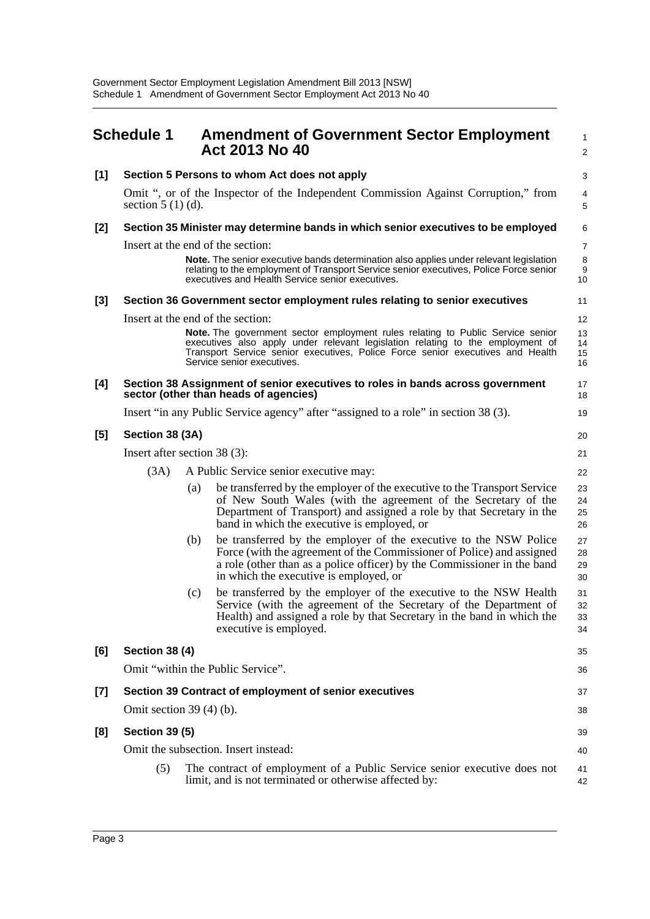<span id="page-6-0"></span>

|       | <b>Schedule 1</b>            |     | <b>Amendment of Government Sector Employment</b><br>Act 2013 No 40                                                                                                                                                                                                               | 1<br>$\overline{2}$  |  |
|-------|------------------------------|-----|----------------------------------------------------------------------------------------------------------------------------------------------------------------------------------------------------------------------------------------------------------------------------------|----------------------|--|
| [1]   |                              |     | Section 5 Persons to whom Act does not apply                                                                                                                                                                                                                                     | 3                    |  |
|       | section $5(1)(d)$ .          |     | Omit ", or of the Inspector of the Independent Commission Against Corruption," from                                                                                                                                                                                              | 4<br>5               |  |
| [2]   |                              |     | Section 35 Minister may determine bands in which senior executives to be employed                                                                                                                                                                                                | 6                    |  |
|       |                              |     | Insert at the end of the section:                                                                                                                                                                                                                                                | $\overline{7}$       |  |
|       |                              |     | Note. The senior executive bands determination also applies under relevant legislation<br>relating to the employment of Transport Service senior executives, Police Force senior<br>executives and Health Service senior executives.                                             | 8<br>9<br>10         |  |
| $[3]$ |                              |     | Section 36 Government sector employment rules relating to senior executives                                                                                                                                                                                                      | 11                   |  |
|       |                              |     | Insert at the end of the section:                                                                                                                                                                                                                                                | 12                   |  |
|       |                              |     | Note. The government sector employment rules relating to Public Service senior<br>executives also apply under relevant legislation relating to the employment of<br>Transport Service senior executives, Police Force senior executives and Health<br>Service senior executives. | 13<br>14<br>15<br>16 |  |
| [4]   |                              |     | Section 38 Assignment of senior executives to roles in bands across government<br>sector (other than heads of agencies)                                                                                                                                                          | 17<br>18             |  |
|       |                              |     | Insert "in any Public Service agency" after "assigned to a role" in section 38 (3).                                                                                                                                                                                              | 19                   |  |
| [5]   | Section 38 (3A)              |     |                                                                                                                                                                                                                                                                                  |                      |  |
|       | Insert after section 38 (3): |     |                                                                                                                                                                                                                                                                                  | 21                   |  |
|       | (3A)                         |     | A Public Service senior executive may:                                                                                                                                                                                                                                           | 22                   |  |
|       |                              | (a) | be transferred by the employer of the executive to the Transport Service<br>of New South Wales (with the agreement of the Secretary of the<br>Department of Transport) and assigned a role by that Secretary in the<br>band in which the executive is employed, or               | 23<br>24<br>25<br>26 |  |
|       |                              | (b) | be transferred by the employer of the executive to the NSW Police<br>Force (with the agreement of the Commissioner of Police) and assigned<br>a role (other than as a police officer) by the Commissioner in the band<br>in which the executive is employed, or                  | 27<br>28<br>29<br>30 |  |
|       |                              | (c) | be transferred by the employer of the executive to the NSW Health<br>Service (with the agreement of the Secretary of the Department of<br>Health) and assigned a role by that Secretary in the band in which the<br>executive is employed.                                       | 31<br>32<br>33<br>34 |  |
| [6]   | <b>Section 38 (4)</b>        |     |                                                                                                                                                                                                                                                                                  | 35                   |  |
|       |                              |     | Omit "within the Public Service".                                                                                                                                                                                                                                                | 36                   |  |
| $[7]$ |                              |     | Section 39 Contract of employment of senior executives                                                                                                                                                                                                                           | 37                   |  |
|       | Omit section $39(4)(b)$ .    |     |                                                                                                                                                                                                                                                                                  | 38                   |  |
| [8]   | <b>Section 39 (5)</b>        |     |                                                                                                                                                                                                                                                                                  | 39                   |  |
|       |                              |     | Omit the subsection. Insert instead:                                                                                                                                                                                                                                             | 40                   |  |
|       | (5)                          |     | The contract of employment of a Public Service senior executive does not<br>limit, and is not terminated or otherwise affected by:                                                                                                                                               | 41<br>42             |  |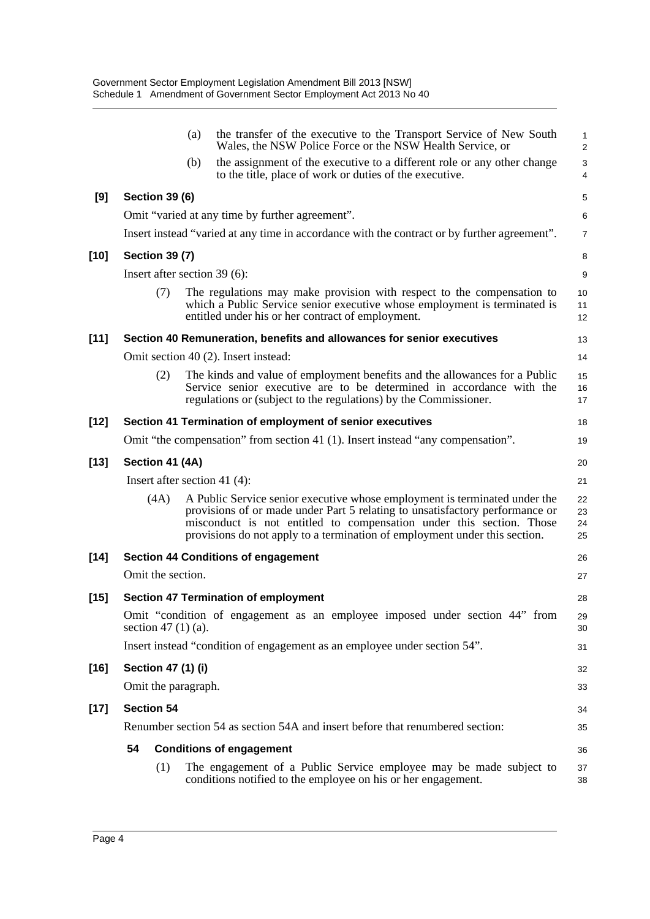|        |                       | the transfer of the executive to the Transport Service of New South<br>(a)<br>Wales, the NSW Police Force or the NSW Health Service, or                                                                                                                                                                          | $\mathbf{1}$<br>$\overline{2}$ |
|--------|-----------------------|------------------------------------------------------------------------------------------------------------------------------------------------------------------------------------------------------------------------------------------------------------------------------------------------------------------|--------------------------------|
|        |                       | the assignment of the executive to a different role or any other change<br>(b)<br>to the title, place of work or duties of the executive.                                                                                                                                                                        | 3<br>4                         |
| [9]    | <b>Section 39 (6)</b> |                                                                                                                                                                                                                                                                                                                  | 5                              |
|        |                       | Omit "varied at any time by further agreement".                                                                                                                                                                                                                                                                  | 6                              |
|        |                       | Insert instead "varied at any time in accordance with the contract or by further agreement".                                                                                                                                                                                                                     | $\overline{7}$                 |
| $[10]$ | <b>Section 39 (7)</b> |                                                                                                                                                                                                                                                                                                                  | 8                              |
|        |                       | Insert after section 39 (6):                                                                                                                                                                                                                                                                                     | 9                              |
|        | (7)                   | The regulations may make provision with respect to the compensation to<br>which a Public Service senior executive whose employment is terminated is<br>entitled under his or her contract of employment.                                                                                                         | 10<br>11<br>12                 |
| $[11]$ |                       | Section 40 Remuneration, benefits and allowances for senior executives                                                                                                                                                                                                                                           | 13                             |
|        |                       | Omit section 40 (2). Insert instead:                                                                                                                                                                                                                                                                             | 14                             |
|        | (2)                   | The kinds and value of employment benefits and the allowances for a Public<br>Service senior executive are to be determined in accordance with the<br>regulations or (subject to the regulations) by the Commissioner.                                                                                           | 15<br>16<br>17                 |
| $[12]$ |                       | Section 41 Termination of employment of senior executives                                                                                                                                                                                                                                                        | 18                             |
|        |                       | Omit "the compensation" from section 41 (1). Insert instead "any compensation".                                                                                                                                                                                                                                  | 19                             |
| $[13]$ | Section 41 (4A)       |                                                                                                                                                                                                                                                                                                                  | 20                             |
|        |                       | Insert after section 41 $(4)$ :                                                                                                                                                                                                                                                                                  | 21                             |
|        | (4A)                  | A Public Service senior executive whose employment is terminated under the<br>provisions of or made under Part 5 relating to unsatisfactory performance or<br>misconduct is not entitled to compensation under this section. Those<br>provisions do not apply to a termination of employment under this section. | 22<br>23<br>24<br>25           |
| $[14]$ |                       | <b>Section 44 Conditions of engagement</b>                                                                                                                                                                                                                                                                       | 26                             |
|        | Omit the section.     |                                                                                                                                                                                                                                                                                                                  | 27                             |
| $[15]$ |                       | <b>Section 47 Termination of employment</b>                                                                                                                                                                                                                                                                      | 28                             |
|        | section 47 $(1)(a)$ . | Omit "condition of engagement as an employee imposed under section 44" from                                                                                                                                                                                                                                      | 29<br>30                       |
|        |                       | Insert instead "condition of engagement as an employee under section 54".                                                                                                                                                                                                                                        | 31                             |
| $[16]$ | Section 47 (1) (i)    |                                                                                                                                                                                                                                                                                                                  | 32                             |
|        | Omit the paragraph.   |                                                                                                                                                                                                                                                                                                                  | 33                             |
| $[17]$ | <b>Section 54</b>     |                                                                                                                                                                                                                                                                                                                  | 34                             |
|        |                       | Renumber section 54 as section 54A and insert before that renumbered section:                                                                                                                                                                                                                                    | 35                             |
|        | 54                    | <b>Conditions of engagement</b>                                                                                                                                                                                                                                                                                  | 36                             |
|        | (1)                   | The engagement of a Public Service employee may be made subject to<br>conditions notified to the employee on his or her engagement.                                                                                                                                                                              | 37<br>38                       |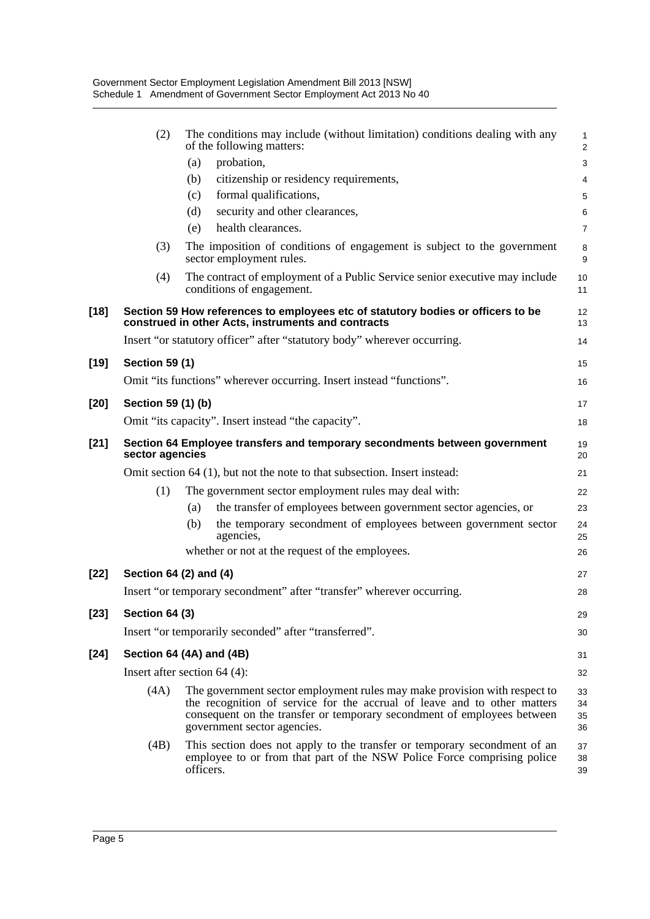|        | (2)                    | The conditions may include (without limitation) conditions dealing with any<br>of the following matters:                                                                                                                                                        | $\mathbf{1}$<br>$\overline{2}$ |
|--------|------------------------|-----------------------------------------------------------------------------------------------------------------------------------------------------------------------------------------------------------------------------------------------------------------|--------------------------------|
|        |                        | probation,<br>(a)                                                                                                                                                                                                                                               | 3                              |
|        |                        | citizenship or residency requirements,<br>(b)                                                                                                                                                                                                                   | 4                              |
|        |                        | formal qualifications,<br>(c)                                                                                                                                                                                                                                   | 5                              |
|        |                        | security and other clearances,<br>(d)                                                                                                                                                                                                                           | 6                              |
|        |                        | health clearances.<br>(e)                                                                                                                                                                                                                                       | $\overline{7}$                 |
|        | (3)                    | The imposition of conditions of engagement is subject to the government<br>sector employment rules.                                                                                                                                                             | 8<br>9                         |
|        | (4)                    | The contract of employment of a Public Service senior executive may include<br>conditions of engagement.                                                                                                                                                        | 10<br>11                       |
| $[18]$ |                        | Section 59 How references to employees etc of statutory bodies or officers to be<br>construed in other Acts, instruments and contracts                                                                                                                          | 12<br>13                       |
|        |                        | Insert "or statutory officer" after "statutory body" wherever occurring.                                                                                                                                                                                        | 14                             |
| $[19]$ | <b>Section 59 (1)</b>  |                                                                                                                                                                                                                                                                 | 15                             |
|        |                        | Omit "its functions" wherever occurring. Insert instead "functions".                                                                                                                                                                                            | 16                             |
|        |                        |                                                                                                                                                                                                                                                                 |                                |
| $[20]$ | Section 59 (1) (b)     |                                                                                                                                                                                                                                                                 | 17                             |
|        |                        | Omit "its capacity". Insert instead "the capacity".                                                                                                                                                                                                             | 18                             |
| $[21]$ | sector agencies        | Section 64 Employee transfers and temporary secondments between government                                                                                                                                                                                      | 19<br>20                       |
|        |                        | Omit section 64 (1), but not the note to that subsection. Insert instead:                                                                                                                                                                                       | 21                             |
|        | (1)                    | The government sector employment rules may deal with:                                                                                                                                                                                                           | 22                             |
|        |                        | the transfer of employees between government sector agencies, or<br>(a)                                                                                                                                                                                         | 23                             |
|        |                        | the temporary secondment of employees between government sector<br>(b)<br>agencies,                                                                                                                                                                             | 24<br>25                       |
|        |                        | whether or not at the request of the employees.                                                                                                                                                                                                                 | 26                             |
| $[22]$ | Section 64 (2) and (4) |                                                                                                                                                                                                                                                                 | 27                             |
|        |                        | Insert "or temporary secondment" after "transfer" wherever occurring.                                                                                                                                                                                           | 28                             |
| $[23]$ | Section 64 (3)         |                                                                                                                                                                                                                                                                 | 29                             |
|        |                        | Insert "or temporarily seconded" after "transferred".                                                                                                                                                                                                           | 30                             |
| $[24]$ |                        | Section 64 (4A) and (4B)                                                                                                                                                                                                                                        | 31                             |
|        |                        | Insert after section $64$ (4):                                                                                                                                                                                                                                  | 32                             |
|        | (4A)                   | The government sector employment rules may make provision with respect to<br>the recognition of service for the accrual of leave and to other matters<br>consequent on the transfer or temporary secondment of employees between<br>government sector agencies. | 33<br>34<br>35<br>36           |
|        | (4B)                   | This section does not apply to the transfer or temporary secondment of an<br>employee to or from that part of the NSW Police Force comprising police<br>officers.                                                                                               | 37<br>38<br>39                 |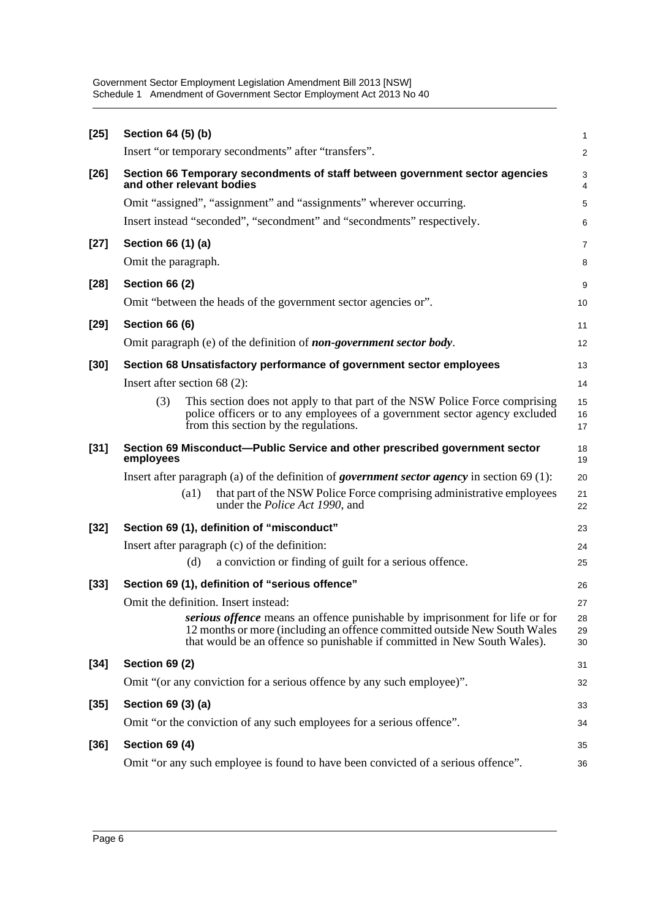Government Sector Employment Legislation Amendment Bill 2013 [NSW] Schedule 1 Amendment of Government Sector Employment Act 2013 No 40

| $[25]$ | Section 64 (5) (b)                                                                                                                                                                                                                          | 1              |
|--------|---------------------------------------------------------------------------------------------------------------------------------------------------------------------------------------------------------------------------------------------|----------------|
|        | Insert "or temporary secondments" after "transfers".                                                                                                                                                                                        | $\overline{a}$ |
| $[26]$ | Section 66 Temporary secondments of staff between government sector agencies<br>and other relevant bodies                                                                                                                                   | 3<br>4         |
|        | Omit "assigned", "assignment" and "assignments" wherever occurring.                                                                                                                                                                         | 5              |
|        | Insert instead "seconded", "secondment" and "secondments" respectively.                                                                                                                                                                     | 6              |
| $[27]$ | Section 66 (1) (a)                                                                                                                                                                                                                          | 7              |
|        | Omit the paragraph.                                                                                                                                                                                                                         | 8              |
| $[28]$ | <b>Section 66 (2)</b>                                                                                                                                                                                                                       | 9              |
|        | Omit "between the heads of the government sector agencies or".                                                                                                                                                                              | 10             |
| $[29]$ | <b>Section 66 (6)</b>                                                                                                                                                                                                                       | 11             |
|        | Omit paragraph (e) of the definition of <b>non-government sector body</b> .                                                                                                                                                                 | 12             |
| $[30]$ | Section 68 Unsatisfactory performance of government sector employees                                                                                                                                                                        | 13             |
|        | Insert after section $68(2)$ :                                                                                                                                                                                                              | 14             |
|        | (3)<br>This section does not apply to that part of the NSW Police Force comprising<br>police officers or to any employees of a government sector agency excluded<br>from this section by the regulations.                                   | 15<br>16<br>17 |
| $[31]$ | Section 69 Misconduct--Public Service and other prescribed government sector<br>employees                                                                                                                                                   | 18<br>19       |
|        | Insert after paragraph (a) of the definition of <i>government sector agency</i> in section $69(1)$ :                                                                                                                                        | 20             |
|        | that part of the NSW Police Force comprising administrative employees<br>(a1)<br>under the <i>Police Act 1990</i> , and                                                                                                                     | 21<br>22       |
| $[32]$ | Section 69 (1), definition of "misconduct"                                                                                                                                                                                                  | 23             |
|        | Insert after paragraph (c) of the definition:                                                                                                                                                                                               | 24             |
|        | a conviction or finding of guilt for a serious offence.<br>(d)                                                                                                                                                                              | 25             |
| $[33]$ | Section 69 (1), definition of "serious offence"                                                                                                                                                                                             | 26             |
|        | Omit the definition. Insert instead:                                                                                                                                                                                                        | 27             |
|        | <i>serious offence</i> means an offence punishable by imprisonment for life or for<br>12 months or more (including an offence committed outside New South Wales<br>that would be an offence so punishable if committed in New South Wales). | 28<br>29<br>30 |
| $[34]$ | <b>Section 69 (2)</b>                                                                                                                                                                                                                       | 31             |
|        | Omit "(or any conviction for a serious offence by any such employee)".                                                                                                                                                                      | 32             |
| $[35]$ | Section 69 (3) (a)                                                                                                                                                                                                                          | 33             |
|        | Omit "or the conviction of any such employees for a serious offence".                                                                                                                                                                       | 34             |
| $[36]$ | Section 69 (4)                                                                                                                                                                                                                              | 35             |
|        | Omit "or any such employee is found to have been convicted of a serious offence".                                                                                                                                                           | 36             |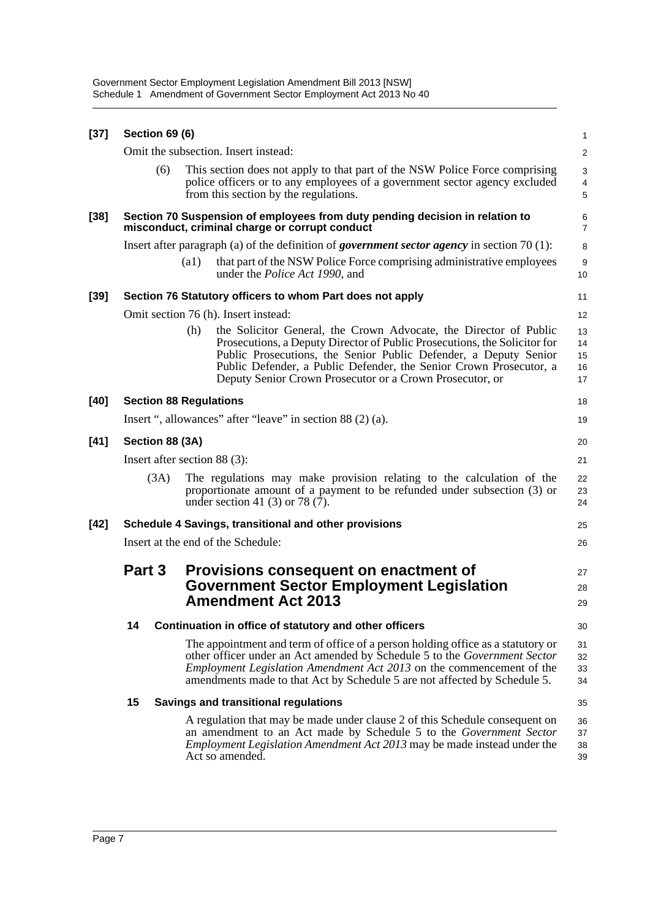| $[37]$ | <b>Section 69 (6)</b>                    |      |                                                                                                                                                                                                                                                                                                                                                      | $\mathbf{1}$               |  |  |  |
|--------|------------------------------------------|------|------------------------------------------------------------------------------------------------------------------------------------------------------------------------------------------------------------------------------------------------------------------------------------------------------------------------------------------------------|----------------------------|--|--|--|
|        |                                          |      | Omit the subsection. Insert instead:                                                                                                                                                                                                                                                                                                                 | $\overline{\mathbf{c}}$    |  |  |  |
|        | (6)                                      |      | This section does not apply to that part of the NSW Police Force comprising<br>police officers or to any employees of a government sector agency excluded<br>from this section by the regulations.                                                                                                                                                   | 3<br>4<br>5                |  |  |  |
| $[38]$ |                                          |      | Section 70 Suspension of employees from duty pending decision in relation to<br>misconduct, criminal charge or corrupt conduct                                                                                                                                                                                                                       | 6<br>$\overline{7}$        |  |  |  |
|        |                                          |      | Insert after paragraph (a) of the definition of <i>government sector agency</i> in section 70 $(1)$ :                                                                                                                                                                                                                                                | 8                          |  |  |  |
|        |                                          | (a1) | that part of the NSW Police Force comprising administrative employees<br>under the <i>Police Act 1990</i> , and                                                                                                                                                                                                                                      | 9<br>10                    |  |  |  |
| $[39]$ |                                          |      | Section 76 Statutory officers to whom Part does not apply                                                                                                                                                                                                                                                                                            | 11                         |  |  |  |
|        |                                          |      | Omit section 76 (h). Insert instead:                                                                                                                                                                                                                                                                                                                 | 12                         |  |  |  |
|        |                                          | (h)  | the Solicitor General, the Crown Advocate, the Director of Public<br>Prosecutions, a Deputy Director of Public Prosecutions, the Solicitor for<br>Public Prosecutions, the Senior Public Defender, a Deputy Senior<br>Public Defender, a Public Defender, the Senior Crown Prosecutor, a<br>Deputy Senior Crown Prosecutor or a Crown Prosecutor, or | 13<br>14<br>15<br>16<br>17 |  |  |  |
| $[40]$ | <b>Section 88 Regulations</b>            |      |                                                                                                                                                                                                                                                                                                                                                      | 18                         |  |  |  |
|        |                                          |      | Insert ", allowances" after "leave" in section 88 (2) (a).                                                                                                                                                                                                                                                                                           | 19                         |  |  |  |
| $[41]$ | Section 88 (3A)                          |      |                                                                                                                                                                                                                                                                                                                                                      | 20                         |  |  |  |
|        | Insert after section $88(3)$ :           |      |                                                                                                                                                                                                                                                                                                                                                      |                            |  |  |  |
|        | (3A)                                     |      | The regulations may make provision relating to the calculation of the<br>proportionate amount of a payment to be refunded under subsection (3) or<br>under section 41 (3) or 78 (7).                                                                                                                                                                 | 22<br>23<br>24             |  |  |  |
| $[42]$ |                                          |      | Schedule 4 Savings, transitional and other provisions                                                                                                                                                                                                                                                                                                | 25                         |  |  |  |
|        | Insert at the end of the Schedule:<br>26 |      |                                                                                                                                                                                                                                                                                                                                                      |                            |  |  |  |
|        | Part 3                                   |      | Provisions consequent on enactment of<br><b>Government Sector Employment Legislation</b><br><b>Amendment Act 2013</b>                                                                                                                                                                                                                                | 27<br>28<br>29             |  |  |  |
|        | 14                                       |      | Continuation in office of statutory and other officers                                                                                                                                                                                                                                                                                               | 30                         |  |  |  |
|        |                                          |      | The appointment and term of office of a person holding office as a statutory or<br>other officer under an Act amended by Schedule 5 to the Government Sector<br>Employment Legislation Amendment Act 2013 on the commencement of the<br>amendments made to that Act by Schedule 5 are not affected by Schedule 5.                                    | 31<br>32<br>33<br>34       |  |  |  |
|        | 15                                       |      | <b>Savings and transitional regulations</b>                                                                                                                                                                                                                                                                                                          | 35                         |  |  |  |
|        |                                          |      | A regulation that may be made under clause 2 of this Schedule consequent on<br>an amendment to an Act made by Schedule 5 to the Government Sector<br>Employment Legislation Amendment Act 2013 may be made instead under the<br>Act so amended.                                                                                                      | 36<br>37<br>38<br>39       |  |  |  |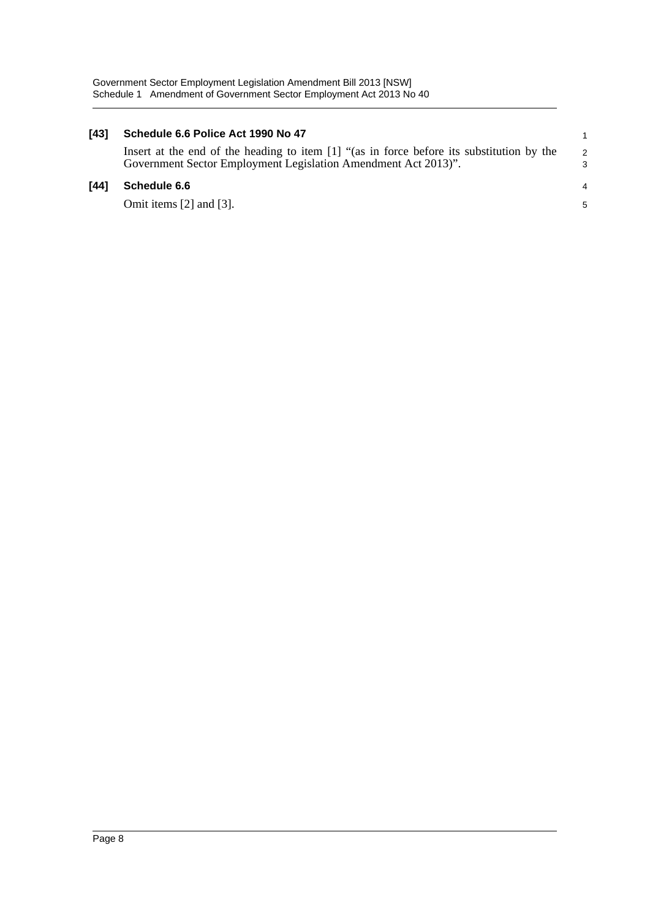#### **[43] Schedule 6.6 Police Act 1990 No 47**

Insert at the end of the heading to item [1] "(as in force before its substitution by the Government Sector Employment Legislation Amendment Act 2013)".

### **[44] Schedule 6.6**

Omit items [2] and [3].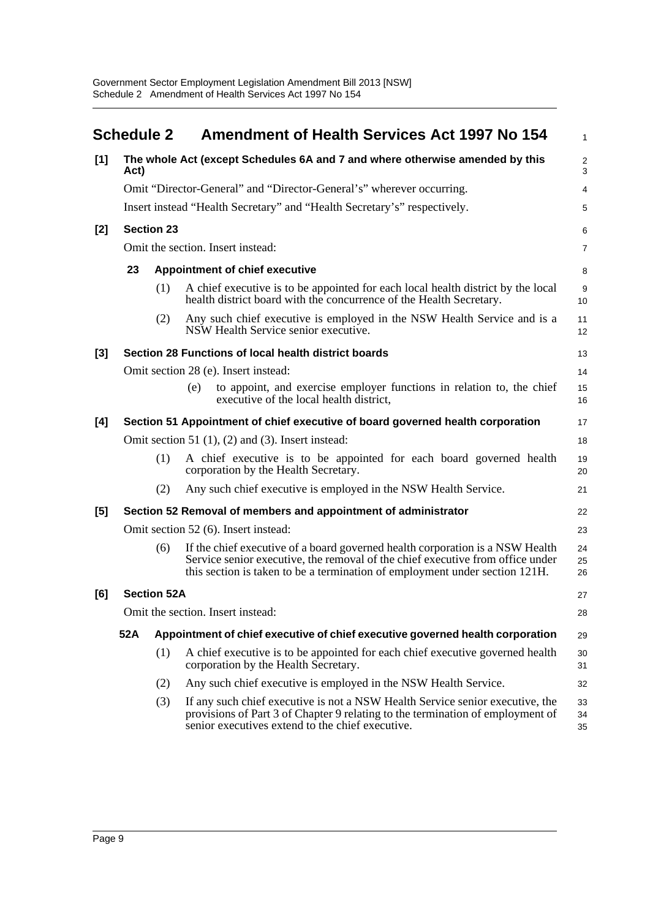<span id="page-12-0"></span>

|     | <b>Schedule 2</b> |                    | <b>Amendment of Health Services Act 1997 No 154</b>                                                                                                                                                                                            | 1                            |
|-----|-------------------|--------------------|------------------------------------------------------------------------------------------------------------------------------------------------------------------------------------------------------------------------------------------------|------------------------------|
| [1] | Act)              |                    | The whole Act (except Schedules 6A and 7 and where otherwise amended by this                                                                                                                                                                   | $\overline{\mathbf{c}}$<br>3 |
|     |                   |                    | Omit "Director-General" and "Director-General's" wherever occurring.                                                                                                                                                                           | 4                            |
|     |                   |                    | Insert instead "Health Secretary" and "Health Secretary's" respectively.                                                                                                                                                                       | 5                            |
| [2] |                   | <b>Section 23</b>  |                                                                                                                                                                                                                                                | 6                            |
|     |                   |                    | Omit the section. Insert instead:                                                                                                                                                                                                              | 7                            |
|     | 23                |                    | <b>Appointment of chief executive</b>                                                                                                                                                                                                          | 8                            |
|     |                   | (1)                | A chief executive is to be appointed for each local health district by the local<br>health district board with the concurrence of the Health Secretary.                                                                                        | 9<br>10                      |
|     |                   | (2)                | Any such chief executive is employed in the NSW Health Service and is a<br>NSW Health Service senior executive.                                                                                                                                | 11<br>12                     |
| [3] |                   |                    | Section 28 Functions of local health district boards                                                                                                                                                                                           | 13                           |
|     |                   |                    | Omit section 28 (e). Insert instead:                                                                                                                                                                                                           | 14                           |
|     |                   |                    | to appoint, and exercise employer functions in relation to, the chief<br>(e)<br>executive of the local health district,                                                                                                                        | 15<br>16                     |
| [4] |                   |                    | Section 51 Appointment of chief executive of board governed health corporation                                                                                                                                                                 | 17                           |
|     |                   |                    | Omit section 51 $(1)$ , $(2)$ and $(3)$ . Insert instead:                                                                                                                                                                                      | 18                           |
|     |                   | (1)                | A chief executive is to be appointed for each board governed health<br>corporation by the Health Secretary.                                                                                                                                    | 19<br>20                     |
|     |                   | (2)                | Any such chief executive is employed in the NSW Health Service.                                                                                                                                                                                | 21                           |
| [5] |                   |                    | Section 52 Removal of members and appointment of administrator                                                                                                                                                                                 | 22                           |
|     |                   |                    | Omit section 52 (6). Insert instead:                                                                                                                                                                                                           | 23                           |
|     |                   | (6)                | If the chief executive of a board governed health corporation is a NSW Health<br>Service senior executive, the removal of the chief executive from office under<br>this section is taken to be a termination of employment under section 121H. | 24<br>25<br>26               |
| [6] |                   | <b>Section 52A</b> |                                                                                                                                                                                                                                                | 27                           |
|     |                   |                    | Omit the section. Insert instead:                                                                                                                                                                                                              | 28                           |
|     | 52A               |                    | Appointment of chief executive of chief executive governed health corporation                                                                                                                                                                  | 29                           |
|     |                   | (1)                | A chief executive is to be appointed for each chief executive governed health<br>corporation by the Health Secretary.                                                                                                                          | 30<br>31                     |
|     |                   | (2)                | Any such chief executive is employed in the NSW Health Service.                                                                                                                                                                                | 32                           |
|     |                   | (3)                | If any such chief executive is not a NSW Health Service senior executive, the<br>provisions of Part 3 of Chapter 9 relating to the termination of employment of<br>senior executives extend to the chief executive.                            | 33<br>34<br>35               |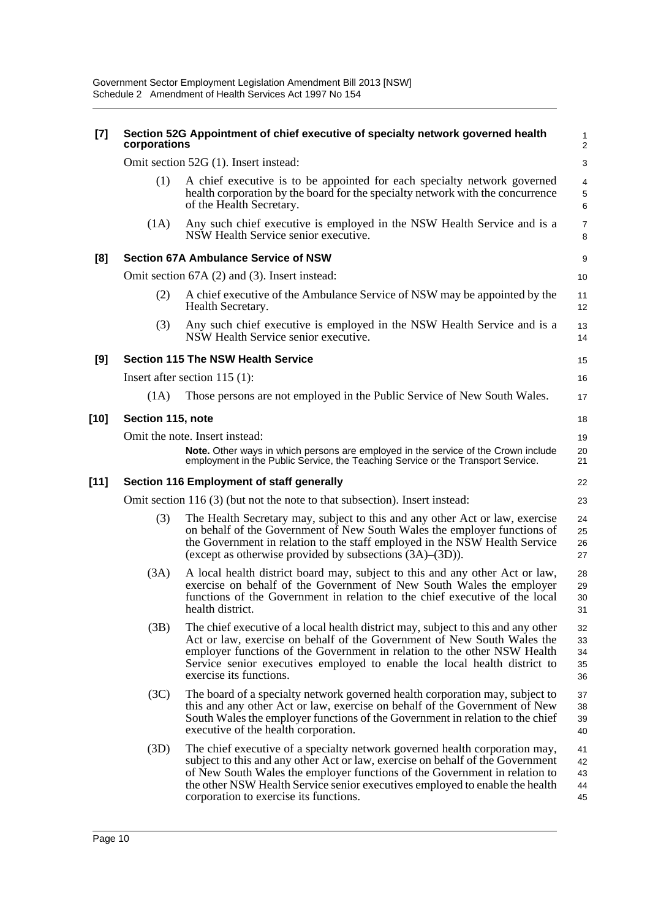| $[7]$  | corporations      | Section 52G Appointment of chief executive of specialty network governed health                                                                                                                                                                                                                                                                                       | 1<br>$\overline{\mathbf{c}}$ |
|--------|-------------------|-----------------------------------------------------------------------------------------------------------------------------------------------------------------------------------------------------------------------------------------------------------------------------------------------------------------------------------------------------------------------|------------------------------|
|        |                   | Omit section 52G (1). Insert instead:                                                                                                                                                                                                                                                                                                                                 | 3                            |
|        | (1)               | A chief executive is to be appointed for each specialty network governed<br>health corporation by the board for the specialty network with the concurrence<br>of the Health Secretary.                                                                                                                                                                                | 4<br>5<br>6                  |
|        | (1A)              | Any such chief executive is employed in the NSW Health Service and is a<br>NSW Health Service senior executive.                                                                                                                                                                                                                                                       | 7<br>8                       |
| [8]    |                   | <b>Section 67A Ambulance Service of NSW</b>                                                                                                                                                                                                                                                                                                                           | 9                            |
|        |                   | Omit section 67A (2) and (3). Insert instead:                                                                                                                                                                                                                                                                                                                         | 10                           |
|        | (2)               | A chief executive of the Ambulance Service of NSW may be appointed by the<br>Health Secretary.                                                                                                                                                                                                                                                                        | 11<br>12                     |
|        | (3)               | Any such chief executive is employed in the NSW Health Service and is a<br>NSW Health Service senior executive.                                                                                                                                                                                                                                                       | 13<br>14                     |
| [9]    |                   | <b>Section 115 The NSW Health Service</b>                                                                                                                                                                                                                                                                                                                             | 15                           |
|        |                   | Insert after section $115$ (1):                                                                                                                                                                                                                                                                                                                                       | 16                           |
|        | (1A)              | Those persons are not employed in the Public Service of New South Wales.                                                                                                                                                                                                                                                                                              | 17                           |
| [10]   | Section 115, note |                                                                                                                                                                                                                                                                                                                                                                       | 18                           |
|        |                   | Omit the note. Insert instead:<br>Note. Other ways in which persons are employed in the service of the Crown include<br>employment in the Public Service, the Teaching Service or the Transport Service.                                                                                                                                                              | 19<br>20<br>21               |
| $[11]$ |                   | Section 116 Employment of staff generally                                                                                                                                                                                                                                                                                                                             | 22                           |
|        |                   | Omit section 116 (3) (but not the note to that subsection). Insert instead:                                                                                                                                                                                                                                                                                           | 23                           |
|        | (3)               | The Health Secretary may, subject to this and any other Act or law, exercise<br>on behalf of the Government of New South Wales the employer functions of<br>the Government in relation to the staff employed in the NSW Health Service<br>(except as otherwise provided by subsections (3A)–(3D)).                                                                    | 24<br>25<br>26<br>27         |
|        | (3A)              | A local health district board may, subject to this and any other Act or law,<br>exercise on behalf of the Government of New South Wales the employer<br>functions of the Government in relation to the chief executive of the local<br>health district.                                                                                                               | 28<br>29<br>30<br>31         |
|        | (3B)              | The chief executive of a local health district may, subject to this and any other<br>Act or law, exercise on behalf of the Government of New South Wales the<br>employer functions of the Government in relation to the other NSW Health<br>Service senior executives employed to enable the local health district to<br>exercise its functions.                      | 32<br>33<br>34<br>35<br>36   |
|        | (3C)              | The board of a specialty network governed health corporation may, subject to<br>this and any other Act or law, exercise on behalf of the Government of New<br>South Wales the employer functions of the Government in relation to the chief<br>executive of the health corporation.                                                                                   | 37<br>38<br>39<br>40         |
|        | (3D)              | The chief executive of a specialty network governed health corporation may,<br>subject to this and any other Act or law, exercise on behalf of the Government<br>of New South Wales the employer functions of the Government in relation to<br>the other NSW Health Service senior executives employed to enable the health<br>corporation to exercise its functions. | 41<br>42<br>43<br>44<br>45   |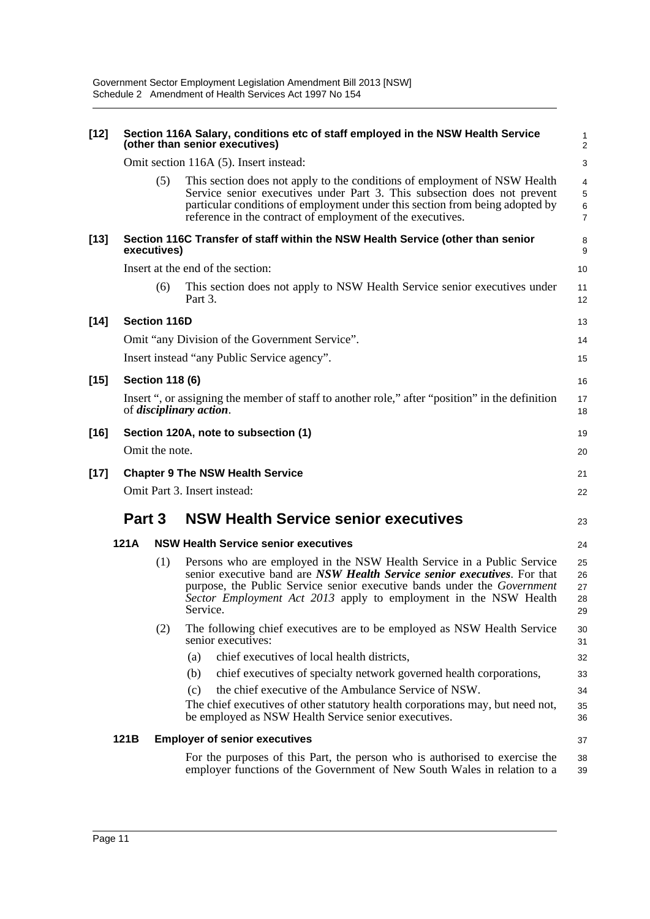| $[12]$ |        |                        | Section 116A Salary, conditions etc of staff employed in the NSW Health Service<br>(other than senior executives)                                                                                                                                                                                             | 1<br>$\overline{2}$                           |
|--------|--------|------------------------|---------------------------------------------------------------------------------------------------------------------------------------------------------------------------------------------------------------------------------------------------------------------------------------------------------------|-----------------------------------------------|
|        |        |                        | Omit section 116A (5). Insert instead:                                                                                                                                                                                                                                                                        | 3                                             |
|        |        | (5)                    | This section does not apply to the conditions of employment of NSW Health<br>Service senior executives under Part 3. This subsection does not prevent<br>particular conditions of employment under this section from being adopted by<br>reference in the contract of employment of the executives.           | 4<br>$\,$ 5 $\,$<br>$\,6\,$<br>$\overline{7}$ |
| $[13]$ |        | executives)            | Section 116C Transfer of staff within the NSW Health Service (other than senior                                                                                                                                                                                                                               | 8<br>9                                        |
|        |        |                        | Insert at the end of the section:                                                                                                                                                                                                                                                                             | 10                                            |
|        |        | (6)                    | This section does not apply to NSW Health Service senior executives under<br>Part 3.                                                                                                                                                                                                                          | 11<br>12                                      |
| $[14]$ |        | <b>Section 116D</b>    |                                                                                                                                                                                                                                                                                                               | 13                                            |
|        |        |                        | Omit "any Division of the Government Service".                                                                                                                                                                                                                                                                | 14                                            |
|        |        |                        | Insert instead "any Public Service agency".                                                                                                                                                                                                                                                                   | 15                                            |
| $[15]$ |        | <b>Section 118 (6)</b> |                                                                                                                                                                                                                                                                                                               | 16                                            |
|        |        |                        | Insert ", or assigning the member of staff to another role," after "position" in the definition<br>of <i>disciplinary action</i> .                                                                                                                                                                            | 17<br>18                                      |
| $[16]$ |        |                        | Section 120A, note to subsection (1)                                                                                                                                                                                                                                                                          | 19                                            |
|        |        | Omit the note.         |                                                                                                                                                                                                                                                                                                               | 20                                            |
| $[17]$ |        |                        | <b>Chapter 9 The NSW Health Service</b>                                                                                                                                                                                                                                                                       | 21                                            |
|        |        |                        | Omit Part 3. Insert instead:                                                                                                                                                                                                                                                                                  | 22                                            |
|        | Part 3 |                        | <b>NSW Health Service senior executives</b>                                                                                                                                                                                                                                                                   | 23                                            |
|        | 121A   |                        | <b>NSW Health Service senior executives</b>                                                                                                                                                                                                                                                                   | 24                                            |
|        |        | (1)                    | Persons who are employed in the NSW Health Service in a Public Service<br>senior executive band are NSW Health Service senior executives. For that<br>purpose, the Public Service senior executive bands under the Government<br>Sector Employment Act 2013 apply to employment in the NSW Health<br>Service. | 25<br>26<br>27<br>28<br>29                    |
|        |        | (2)                    | The following chief executives are to be employed as NSW Health Service<br>senior executives:                                                                                                                                                                                                                 | 30<br>31                                      |
|        |        |                        | chief executives of local health districts,<br>(a)                                                                                                                                                                                                                                                            | 32                                            |
|        |        |                        | chief executives of specialty network governed health corporations,<br>(b)                                                                                                                                                                                                                                    | 33                                            |
|        |        |                        | the chief executive of the Ambulance Service of NSW.<br>(c)                                                                                                                                                                                                                                                   | 34                                            |
|        |        |                        | The chief executives of other statutory health corporations may, but need not,<br>be employed as NSW Health Service senior executives.                                                                                                                                                                        | 35<br>36                                      |
|        | 121B   |                        | <b>Employer of senior executives</b>                                                                                                                                                                                                                                                                          | 37                                            |
|        |        |                        | For the purposes of this Part, the person who is authorised to exercise the<br>employer functions of the Government of New South Wales in relation to a                                                                                                                                                       | 38<br>39                                      |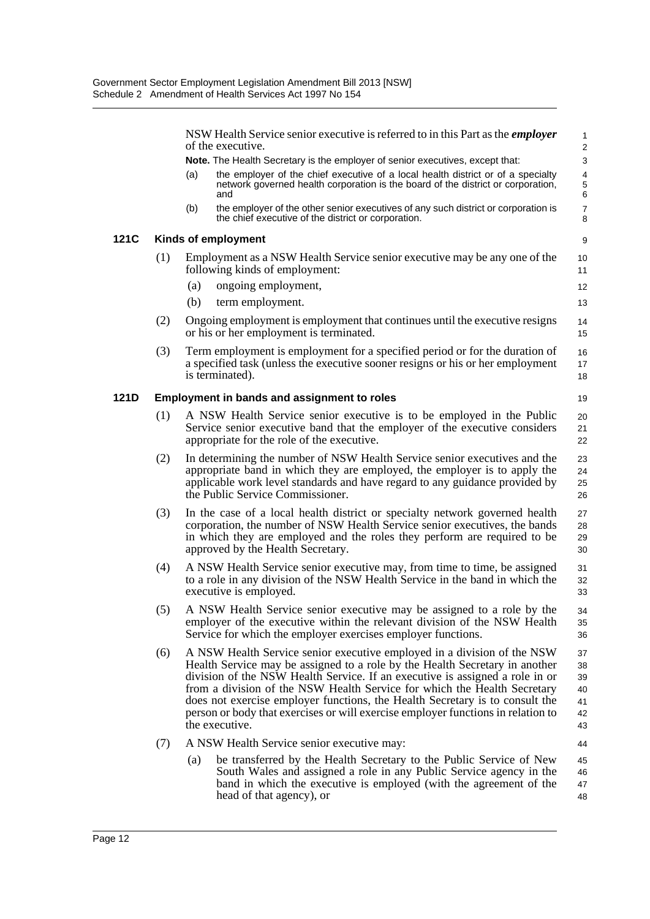NSW Health Service senior executive is referred to in this Part as the *employer* of the executive. **Note.** The Health Secretary is the employer of senior executives, except that: (a) the employer of the chief executive of a local health district or of a specialty network governed health corporation is the board of the district or corporation, and (b) the employer of the other senior executives of any such district or corporation is the chief executive of the district or corporation. **121C Kinds of employment** (1) Employment as a NSW Health Service senior executive may be any one of the following kinds of employment: (a) ongoing employment, (b) term employment. (2) Ongoing employment is employment that continues until the executive resigns or his or her employment is terminated. (3) Term employment is employment for a specified period or for the duration of a specified task (unless the executive sooner resigns or his or her employment is terminated). **121D Employment in bands and assignment to roles** (1) A NSW Health Service senior executive is to be employed in the Public Service senior executive band that the employer of the executive considers appropriate for the role of the executive. (2) In determining the number of NSW Health Service senior executives and the appropriate band in which they are employed, the employer is to apply the applicable work level standards and have regard to any guidance provided by the Public Service Commissioner. (3) In the case of a local health district or specialty network governed health corporation, the number of NSW Health Service senior executives, the bands in which they are employed and the roles they perform are required to be approved by the Health Secretary. (4) A NSW Health Service senior executive may, from time to time, be assigned to a role in any division of the NSW Health Service in the band in which the executive is employed. (5) A NSW Health Service senior executive may be assigned to a role by the employer of the executive within the relevant division of the NSW Health Service for which the employer exercises employer functions. (6) A NSW Health Service senior executive employed in a division of the NSW Health Service may be assigned to a role by the Health Secretary in another division of the NSW Health Service. If an executive is assigned a role in or from a division of the NSW Health Service for which the Health Secretary does not exercise employer functions, the Health Secretary is to consult the person or body that exercises or will exercise employer functions in relation to the executive. (7) A NSW Health Service senior executive may: (a) be transferred by the Health Secretary to the Public Service of New South Wales and assigned a role in any Public Service agency in the band in which the executive is employed (with the agreement of the 1 2  $\overline{3}$ 4 5 6 7 8 9 10 11 12 13 14 15 16 17 18 19 20 21 22 23 24 25 26 27 28 29 30 31 32 33  $34$ 35 36 37 38 39  $40$ 41 42 43 44 45 46

head of that agency), or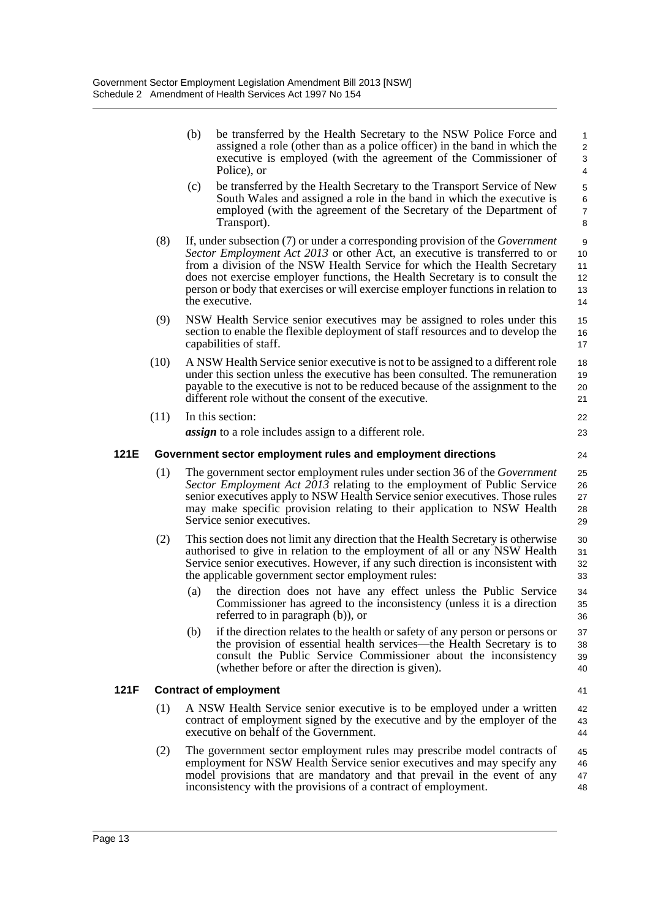|      |      | (b) | be transferred by the Health Secretary to the NSW Police Force and<br>assigned a role (other than as a police officer) in the band in which the<br>executive is employed (with the agreement of the Commissioner of<br>Police), or                                                                                                                                                                                                   | $\mathbf{1}$<br>2<br>3<br>4            |
|------|------|-----|--------------------------------------------------------------------------------------------------------------------------------------------------------------------------------------------------------------------------------------------------------------------------------------------------------------------------------------------------------------------------------------------------------------------------------------|----------------------------------------|
|      |      | (c) | be transferred by the Health Secretary to the Transport Service of New<br>South Wales and assigned a role in the band in which the executive is<br>employed (with the agreement of the Secretary of the Department of<br>Transport).                                                                                                                                                                                                 | $\sqrt{5}$<br>6<br>$\overline{7}$<br>8 |
|      | (8)  |     | If, under subsection (7) or under a corresponding provision of the <i>Government</i><br>Sector Employment Act 2013 or other Act, an executive is transferred to or<br>from a division of the NSW Health Service for which the Health Secretary<br>does not exercise employer functions, the Health Secretary is to consult the<br>person or body that exercises or will exercise employer functions in relation to<br>the executive. | 9<br>10<br>11<br>12<br>13<br>14        |
|      | (9)  |     | NSW Health Service senior executives may be assigned to roles under this<br>section to enable the flexible deployment of staff resources and to develop the<br>capabilities of staff.                                                                                                                                                                                                                                                | 15<br>16<br>17                         |
|      | (10) |     | A NSW Health Service senior executive is not to be assigned to a different role<br>under this section unless the executive has been consulted. The remuneration<br>payable to the executive is not to be reduced because of the assignment to the<br>different role without the consent of the executive.                                                                                                                            | 18<br>19<br>20<br>21                   |
|      | (11) |     | In this section:                                                                                                                                                                                                                                                                                                                                                                                                                     | 22                                     |
|      |      |     | <i>assign</i> to a role includes assign to a different role.                                                                                                                                                                                                                                                                                                                                                                         | 23                                     |
| 121E |      |     | Government sector employment rules and employment directions                                                                                                                                                                                                                                                                                                                                                                         | 24                                     |
|      | (1)  |     | The government sector employment rules under section 36 of the <i>Government</i><br>Sector Employment Act 2013 relating to the employment of Public Service<br>senior executives apply to NSW Health Service senior executives. Those rules<br>may make specific provision relating to their application to NSW Health<br>Service senior executives.                                                                                 | 25<br>26<br>27<br>28<br>29             |
|      | (2)  |     | This section does not limit any direction that the Health Secretary is otherwise<br>authorised to give in relation to the employment of all or any NSW Health<br>Service senior executives. However, if any such direction is inconsistent with<br>the applicable government sector employment rules:                                                                                                                                | 30<br>31<br>32<br>33                   |
|      |      | (a) | the direction does not have any effect unless the Public Service<br>Commissioner has agreed to the inconsistency (unless it is a direction<br>referred to in paragraph (b)), or                                                                                                                                                                                                                                                      | 34<br>35<br>36                         |
|      |      | (b) | if the direction relates to the health or safety of any person or persons or<br>the provision of essential health services—the Health Secretary is to<br>consult the Public Service Commissioner about the inconsistency<br>(whether before or after the direction is given).                                                                                                                                                        | 37<br>38<br>39<br>40                   |
| 121F |      |     | <b>Contract of employment</b>                                                                                                                                                                                                                                                                                                                                                                                                        | 41                                     |
|      | (1)  |     | A NSW Health Service senior executive is to be employed under a written<br>contract of employment signed by the executive and by the employer of the<br>executive on behalf of the Government.                                                                                                                                                                                                                                       | 42<br>43<br>44                         |
|      | (2)  |     | The government sector employment rules may prescribe model contracts of<br>employment for NSW Health Service senior executives and may specify any<br>model provisions that are mandatory and that prevail in the event of any<br>inconsistency with the provisions of a contract of employment.                                                                                                                                     | 45<br>46<br>47<br>48                   |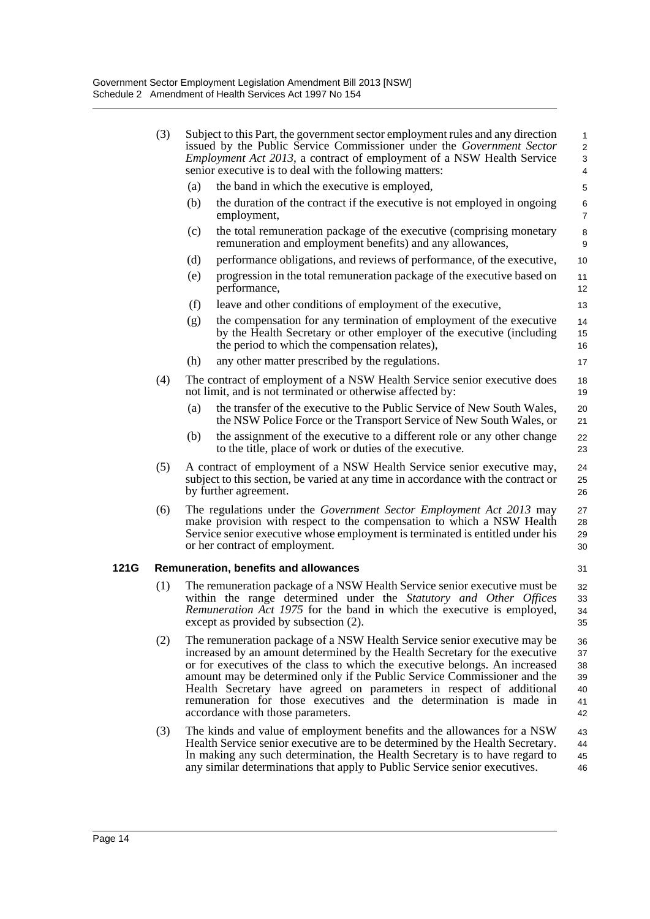|      | (3) |     | Subject to this Part, the government sector employment rules and any direction<br>issued by the Public Service Commissioner under the Government Sector<br>Employment Act 2013, a contract of employment of a NSW Health Service<br>senior executive is to deal with the following matters:                                                                                                                                                                                                          | $\mathbf{1}$<br>$\overline{2}$<br>3<br>$\overline{4}$ |
|------|-----|-----|------------------------------------------------------------------------------------------------------------------------------------------------------------------------------------------------------------------------------------------------------------------------------------------------------------------------------------------------------------------------------------------------------------------------------------------------------------------------------------------------------|-------------------------------------------------------|
|      |     | (a) | the band in which the executive is employed,                                                                                                                                                                                                                                                                                                                                                                                                                                                         | $\mathbf 5$                                           |
|      |     | (b) | the duration of the contract if the executive is not employed in ongoing<br>employment,                                                                                                                                                                                                                                                                                                                                                                                                              | 6<br>$\overline{7}$                                   |
|      |     | (c) | the total remuneration package of the executive (comprising monetary<br>remuneration and employment benefits) and any allowances,                                                                                                                                                                                                                                                                                                                                                                    | 8<br>9                                                |
|      |     | (d) | performance obligations, and reviews of performance, of the executive,                                                                                                                                                                                                                                                                                                                                                                                                                               | 10                                                    |
|      |     | (e) | progression in the total remuneration package of the executive based on<br>performance,                                                                                                                                                                                                                                                                                                                                                                                                              | 11<br>12                                              |
|      |     | (f) | leave and other conditions of employment of the executive,                                                                                                                                                                                                                                                                                                                                                                                                                                           | 13                                                    |
|      |     | (g) | the compensation for any termination of employment of the executive<br>by the Health Secretary or other employer of the executive (including<br>the period to which the compensation relates),                                                                                                                                                                                                                                                                                                       | 14<br>15<br>16                                        |
|      |     | (h) | any other matter prescribed by the regulations.                                                                                                                                                                                                                                                                                                                                                                                                                                                      | 17                                                    |
|      | (4) |     | The contract of employment of a NSW Health Service senior executive does<br>not limit, and is not terminated or otherwise affected by:                                                                                                                                                                                                                                                                                                                                                               | 18<br>19                                              |
|      |     | (a) | the transfer of the executive to the Public Service of New South Wales,<br>the NSW Police Force or the Transport Service of New South Wales, or                                                                                                                                                                                                                                                                                                                                                      | 20<br>21                                              |
|      |     | (b) | the assignment of the executive to a different role or any other change<br>to the title, place of work or duties of the executive.                                                                                                                                                                                                                                                                                                                                                                   | 22<br>23                                              |
|      | (5) |     | A contract of employment of a NSW Health Service senior executive may,<br>subject to this section, be varied at any time in accordance with the contract or<br>by further agreement.                                                                                                                                                                                                                                                                                                                 | 24<br>25<br>26                                        |
|      | (6) |     | The regulations under the <i>Government Sector Employment Act 2013</i> may<br>make provision with respect to the compensation to which a NSW Health<br>Service senior executive whose employment is terminated is entitled under his<br>or her contract of employment.                                                                                                                                                                                                                               | 27<br>28<br>29<br>30                                  |
| 121G |     |     | Remuneration, benefits and allowances                                                                                                                                                                                                                                                                                                                                                                                                                                                                | 31                                                    |
|      | (1) |     | The remuneration package of a NSW Health Service senior executive must be<br>within the range determined under the <i>Statutory and Other Offices</i><br>Remuneration Act 1975 for the band in which the executive is employed,<br>except as provided by subsection (2).                                                                                                                                                                                                                             | 32<br>33<br>34<br>35                                  |
|      | (2) |     | The remuneration package of a NSW Health Service senior executive may be<br>increased by an amount determined by the Health Secretary for the executive<br>or for executives of the class to which the executive belongs. An increased<br>amount may be determined only if the Public Service Commissioner and the<br>Health Secretary have agreed on parameters in respect of additional<br>remuneration for those executives and the determination is made in<br>accordance with those parameters. | 36<br>37<br>38<br>39<br>40<br>41<br>42                |
|      | (3) |     | The kinds and value of employment benefits and the allowances for a NSW<br>Health Service senior executive are to be determined by the Health Secretary.<br>In making any such determination, the Health Secretary is to have regard to<br>any similar determinations that apply to Public Service senior executives.                                                                                                                                                                                | 43<br>44<br>45<br>46                                  |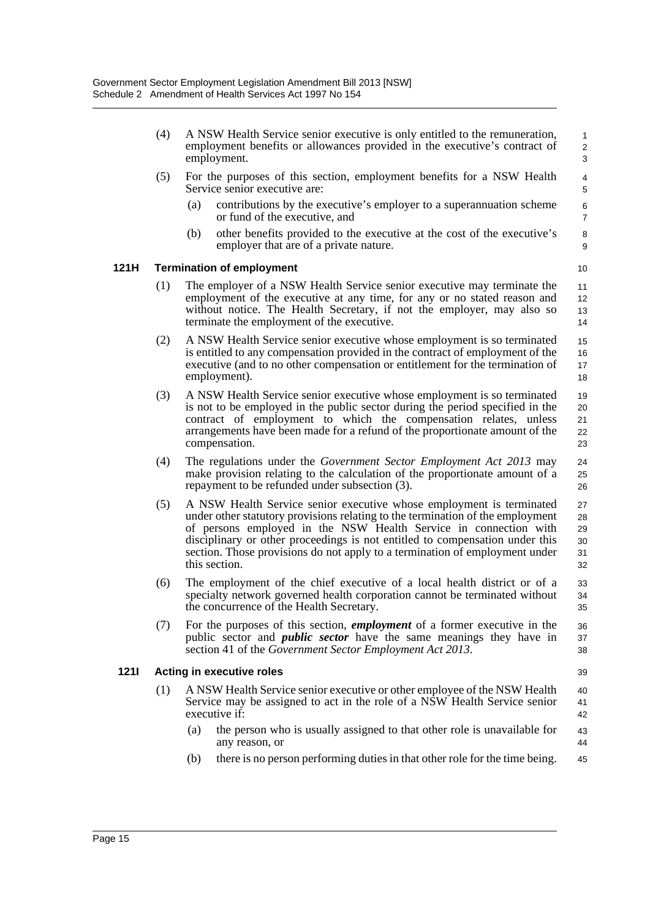|      | (4) | A NSW Health Service senior executive is only entitled to the remuneration,<br>employment benefits or allowances provided in the executive's contract of<br>employment.                                                                                                                                                                                                                                    | $\mathbf{1}$<br>$\overline{2}$<br>3 |
|------|-----|------------------------------------------------------------------------------------------------------------------------------------------------------------------------------------------------------------------------------------------------------------------------------------------------------------------------------------------------------------------------------------------------------------|-------------------------------------|
|      | (5) | For the purposes of this section, employment benefits for a NSW Health<br>Service senior executive are:                                                                                                                                                                                                                                                                                                    | 4<br>5                              |
|      |     | contributions by the executive's employer to a superannuation scheme<br>(a)<br>or fund of the executive, and                                                                                                                                                                                                                                                                                               | 6<br>$\overline{7}$                 |
|      |     | (b)<br>other benefits provided to the executive at the cost of the executive's<br>employer that are of a private nature.                                                                                                                                                                                                                                                                                   | 8<br>9                              |
| 121H |     | <b>Termination of employment</b>                                                                                                                                                                                                                                                                                                                                                                           | 10                                  |
|      | (1) | The employer of a NSW Health Service senior executive may terminate the<br>employment of the executive at any time, for any or no stated reason and<br>without notice. The Health Secretary, if not the employer, may also so<br>terminate the employment of the executive.                                                                                                                                | 11<br>12<br>13<br>14                |
|      | (2) | A NSW Health Service senior executive whose employment is so terminated<br>is entitled to any compensation provided in the contract of employment of the<br>executive (and to no other compensation or entitlement for the termination of<br>employment).                                                                                                                                                  | 15<br>16<br>17<br>18                |
|      | (3) | A NSW Health Service senior executive whose employment is so terminated<br>is not to be employed in the public sector during the period specified in the<br>contract of employment to which the compensation relates, unless<br>arrangements have been made for a refund of the proportionate amount of the<br>compensation.                                                                               | 19<br>20<br>21<br>22<br>23          |
|      | (4) | The regulations under the <i>Government Sector Employment Act 2013</i> may<br>make provision relating to the calculation of the proportionate amount of a<br>repayment to be refunded under subsection (3).                                                                                                                                                                                                | 24<br>25<br>26                      |
|      | (5) | A NSW Health Service senior executive whose employment is terminated<br>under other statutory provisions relating to the termination of the employment<br>of persons employed in the NSW Health Service in connection with<br>disciplinary or other proceedings is not entitled to compensation under this<br>section. Those provisions do not apply to a termination of employment under<br>this section. | 27<br>28<br>29<br>30<br>31<br>32    |
|      | (6) | The employment of the chief executive of a local health district or of a<br>specialty network governed health corporation cannot be terminated without<br>the concurrence of the Health Secretary.                                                                                                                                                                                                         | 33<br>34<br>35                      |
|      | (7) | For the purposes of this section, <i>employment</i> of a former executive in the<br>public sector and <i>public sector</i> have the same meanings they have in<br>section 41 of the <i>Government Sector Employment Act 2013</i> .                                                                                                                                                                         | 36<br>37<br>38                      |
| 1211 |     | Acting in executive roles                                                                                                                                                                                                                                                                                                                                                                                  | 39                                  |
|      | (1) | A NSW Health Service senior executive or other employee of the NSW Health<br>Service may be assigned to act in the role of a NSW Health Service senior<br>executive if:                                                                                                                                                                                                                                    | 40<br>41<br>42                      |
|      |     | the person who is usually assigned to that other role is unavailable for<br>(a)<br>any reason, or                                                                                                                                                                                                                                                                                                          | 43<br>44                            |
|      |     | there is no person performing duties in that other role for the time being.<br>(b)                                                                                                                                                                                                                                                                                                                         | 45                                  |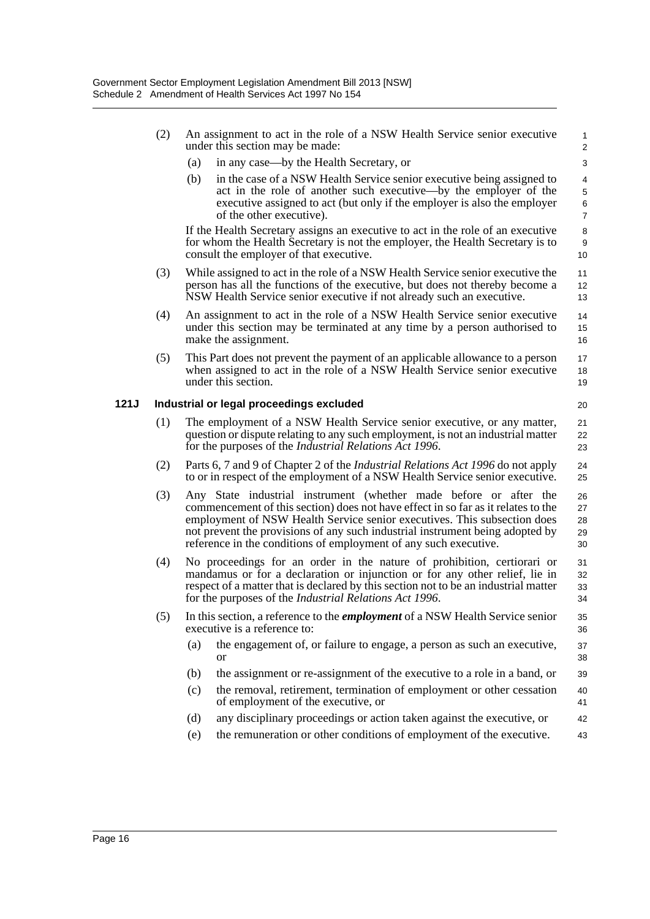|      | (2) |                                          | An assignment to act in the role of a NSW Health Service senior executive<br>under this section may be made:                                                                                                                                                                                                                                                                            | 1<br>2                        |  |  |  |
|------|-----|------------------------------------------|-----------------------------------------------------------------------------------------------------------------------------------------------------------------------------------------------------------------------------------------------------------------------------------------------------------------------------------------------------------------------------------------|-------------------------------|--|--|--|
|      |     | (a)                                      | in any case—by the Health Secretary, or                                                                                                                                                                                                                                                                                                                                                 | 3                             |  |  |  |
|      |     | (b)                                      | in the case of a NSW Health Service senior executive being assigned to<br>act in the role of another such executive—by the employer of the<br>executive assigned to act (but only if the employer is also the employer<br>of the other executive).                                                                                                                                      | 4<br>5<br>6<br>$\overline{7}$ |  |  |  |
|      |     |                                          | If the Health Secretary assigns an executive to act in the role of an executive<br>for whom the Health Secretary is not the employer, the Health Secretary is to<br>consult the employer of that executive.                                                                                                                                                                             | 8<br>9<br>10                  |  |  |  |
|      | (3) |                                          | While assigned to act in the role of a NSW Health Service senior executive the<br>person has all the functions of the executive, but does not thereby become a<br>NSW Health Service senior executive if not already such an executive.                                                                                                                                                 | 11<br>12 <sup>2</sup><br>13   |  |  |  |
|      | (4) |                                          | An assignment to act in the role of a NSW Health Service senior executive<br>under this section may be terminated at any time by a person authorised to<br>make the assignment.                                                                                                                                                                                                         | 14<br>15<br>16                |  |  |  |
|      | (5) |                                          | This Part does not prevent the payment of an applicable allowance to a person<br>when assigned to act in the role of a NSW Health Service senior executive<br>under this section.                                                                                                                                                                                                       | 17<br>18<br>19                |  |  |  |
| 121J |     | Industrial or legal proceedings excluded |                                                                                                                                                                                                                                                                                                                                                                                         |                               |  |  |  |
|      | (1) |                                          | The employment of a NSW Health Service senior executive, or any matter,<br>question or dispute relating to any such employment, is not an industrial matter<br>for the purposes of the <i>Industrial Relations Act 1996</i> .                                                                                                                                                           | 21<br>22<br>23                |  |  |  |
|      | (2) |                                          | Parts 6, 7 and 9 of Chapter 2 of the <i>Industrial Relations Act 1996</i> do not apply<br>to or in respect of the employment of a NSW Health Service senior executive.                                                                                                                                                                                                                  | 24<br>25                      |  |  |  |
|      | (3) |                                          | Any State industrial instrument (whether made before or after the<br>commencement of this section) does not have effect in so far as it relates to the<br>employment of NSW Health Service senior executives. This subsection does<br>not prevent the provisions of any such industrial instrument being adopted by<br>reference in the conditions of employment of any such executive. | 26<br>27<br>28<br>29<br>30    |  |  |  |
|      | (4) |                                          | No proceedings for an order in the nature of prohibition, certiorari or<br>mandamus or for a declaration or injunction or for any other relief, lie in<br>respect of a matter that is declared by this section not to be an industrial matter<br>for the purposes of the Industrial Relations Act 1996.                                                                                 | 31<br>32<br>33<br>34          |  |  |  |
|      | (5) |                                          | In this section, a reference to the <i>employment</i> of a NSW Health Service senior<br>executive is a reference to:                                                                                                                                                                                                                                                                    | 35<br>36                      |  |  |  |
|      |     | (a)                                      | the engagement of, or failure to engage, a person as such an executive,<br><b>or</b>                                                                                                                                                                                                                                                                                                    | 37<br>38                      |  |  |  |
|      |     | (b)                                      | the assignment or re-assignment of the executive to a role in a band, or                                                                                                                                                                                                                                                                                                                | 39                            |  |  |  |
|      |     | (c)                                      | the removal, retirement, termination of employment or other cessation<br>of employment of the executive, or                                                                                                                                                                                                                                                                             | 40<br>41                      |  |  |  |
|      |     | (d)                                      | any disciplinary proceedings or action taken against the executive, or                                                                                                                                                                                                                                                                                                                  | 42                            |  |  |  |
|      |     | (e)                                      | the remuneration or other conditions of employment of the executive.                                                                                                                                                                                                                                                                                                                    | 43                            |  |  |  |
|      |     |                                          |                                                                                                                                                                                                                                                                                                                                                                                         |                               |  |  |  |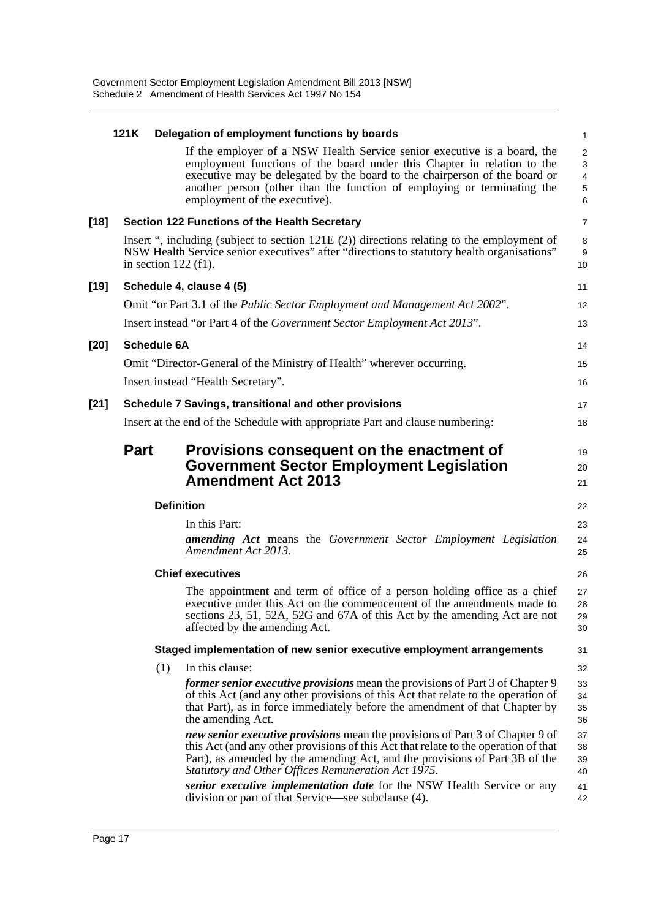|        | 121K                   | Delegation of employment functions by boards                                                                                                                                                                                                                                                                                                  | $\mathbf{1}$                                              |
|--------|------------------------|-----------------------------------------------------------------------------------------------------------------------------------------------------------------------------------------------------------------------------------------------------------------------------------------------------------------------------------------------|-----------------------------------------------------------|
|        |                        | If the employer of a NSW Health Service senior executive is a board, the<br>employment functions of the board under this Chapter in relation to the<br>executive may be delegated by the board to the chairperson of the board or<br>another person (other than the function of employing or terminating the<br>employment of the executive). | $\overline{c}$<br>3<br>$\overline{4}$<br>$\mathbf 5$<br>6 |
| $[18]$ |                        | <b>Section 122 Functions of the Health Secretary</b>                                                                                                                                                                                                                                                                                          | $\overline{7}$                                            |
|        | in section $122$ (f1). | Insert ", including (subject to section $121E(2)$ ) directions relating to the employment of<br>NSW Health Service senior executives" after "directions to statutory health organisations"                                                                                                                                                    | 8<br>9<br>10                                              |
| $[19]$ |                        | Schedule 4, clause 4 (5)                                                                                                                                                                                                                                                                                                                      | 11                                                        |
|        |                        | Omit "or Part 3.1 of the <i>Public Sector Employment and Management Act 2002</i> ".                                                                                                                                                                                                                                                           | 12                                                        |
|        |                        | Insert instead "or Part 4 of the <i>Government Sector Employment Act 2013</i> ".                                                                                                                                                                                                                                                              | 13                                                        |
| $[20]$ | <b>Schedule 6A</b>     |                                                                                                                                                                                                                                                                                                                                               | 14                                                        |
|        |                        | Omit "Director-General of the Ministry of Health" wherever occurring.                                                                                                                                                                                                                                                                         | 15                                                        |
|        |                        | Insert instead "Health Secretary".                                                                                                                                                                                                                                                                                                            | 16                                                        |
| $[21]$ |                        | Schedule 7 Savings, transitional and other provisions                                                                                                                                                                                                                                                                                         | 17                                                        |
|        |                        | Insert at the end of the Schedule with appropriate Part and clause numbering:                                                                                                                                                                                                                                                                 | 18                                                        |
|        | <b>Part</b>            | Provisions consequent on the enactment of<br><b>Government Sector Employment Legislation</b><br><b>Amendment Act 2013</b>                                                                                                                                                                                                                     | 19<br>20<br>21                                            |
|        |                        | <b>Definition</b>                                                                                                                                                                                                                                                                                                                             | 22                                                        |
|        |                        | In this Part:<br><b>amending Act</b> means the Government Sector Employment Legislation<br>Amendment Act 2013.                                                                                                                                                                                                                                | 23<br>24<br>25                                            |
|        |                        | <b>Chief executives</b>                                                                                                                                                                                                                                                                                                                       | 26                                                        |
|        |                        | The appointment and term of office of a person holding office as a chief<br>executive under this Act on the commencement of the amendments made to<br>sections 23, 51, 52A, 52G and 67A of this Act by the amending Act are not<br>affected by the amending Act.                                                                              | 27<br>28<br>29<br>30                                      |
|        |                        | Staged implementation of new senior executive employment arrangements                                                                                                                                                                                                                                                                         | 31                                                        |
|        | (1)                    | In this clause:                                                                                                                                                                                                                                                                                                                               | 32                                                        |
|        |                        | <i>former senior executive provisions</i> mean the provisions of Part 3 of Chapter 9<br>of this Act (and any other provisions of this Act that relate to the operation of<br>that Part), as in force immediately before the amendment of that Chapter by<br>the amending Act.                                                                 | 33<br>34<br>35<br>36                                      |
|        |                        | new senior executive provisions mean the provisions of Part 3 of Chapter 9 of<br>this Act (and any other provisions of this Act that relate to the operation of that<br>Part), as amended by the amending Act, and the provisions of Part 3B of the<br>Statutory and Other Offices Remuneration Act 1975.                                     | 37<br>38<br>39<br>40                                      |
|        |                        |                                                                                                                                                                                                                                                                                                                                               |                                                           |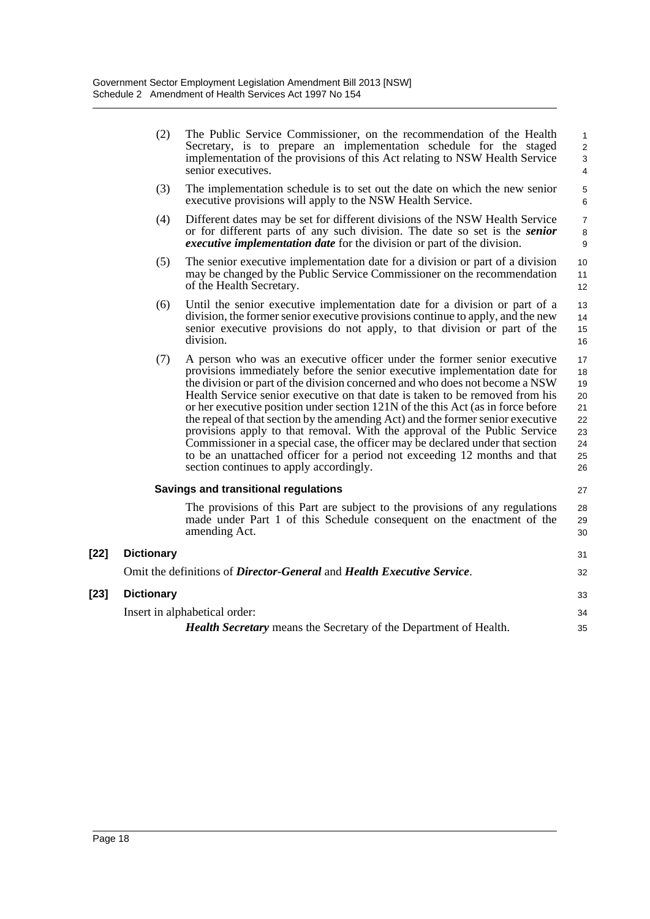|        | (2)               | The Public Service Commissioner, on the recommendation of the Health<br>Secretary, is to prepare an implementation schedule for the staged<br>implementation of the provisions of this Act relating to NSW Health Service<br>senior executives.                                                                                                                                                                                                                                                                                                                                                                                                                                                                                                                                     | $\mathbf{1}$<br>$\overline{2}$<br>3<br>$\overline{4}$    |
|--------|-------------------|-------------------------------------------------------------------------------------------------------------------------------------------------------------------------------------------------------------------------------------------------------------------------------------------------------------------------------------------------------------------------------------------------------------------------------------------------------------------------------------------------------------------------------------------------------------------------------------------------------------------------------------------------------------------------------------------------------------------------------------------------------------------------------------|----------------------------------------------------------|
|        | (3)               | The implementation schedule is to set out the date on which the new senior<br>executive provisions will apply to the NSW Health Service.                                                                                                                                                                                                                                                                                                                                                                                                                                                                                                                                                                                                                                            | 5<br>$\,6\,$                                             |
|        | (4)               | Different dates may be set for different divisions of the NSW Health Service<br>or for different parts of any such division. The date so set is the <i>senior</i><br><i>executive implementation date</i> for the division or part of the division.                                                                                                                                                                                                                                                                                                                                                                                                                                                                                                                                 | $\overline{7}$<br>$\bf 8$<br>9                           |
|        | (5)               | The senior executive implementation date for a division or part of a division<br>may be changed by the Public Service Commissioner on the recommendation<br>of the Health Secretary.                                                                                                                                                                                                                                                                                                                                                                                                                                                                                                                                                                                                | 10<br>11<br>12                                           |
|        | (6)               | Until the senior executive implementation date for a division or part of a<br>division, the former senior executive provisions continue to apply, and the new<br>senior executive provisions do not apply, to that division or part of the<br>division.                                                                                                                                                                                                                                                                                                                                                                                                                                                                                                                             | 13<br>14<br>15<br>16                                     |
|        | (7)               | A person who was an executive officer under the former senior executive<br>provisions immediately before the senior executive implementation date for<br>the division or part of the division concerned and who does not become a NSW<br>Health Service senior executive on that date is taken to be removed from his<br>or her executive position under section 121N of the this Act (as in force before<br>the repeal of that section by the amending Act) and the former senior executive<br>provisions apply to that removal. With the approval of the Public Service<br>Commissioner in a special case, the officer may be declared under that section<br>to be an unattached officer for a period not exceeding 12 months and that<br>section continues to apply accordingly. | 17<br>18<br>19<br>20<br>21<br>22<br>23<br>24<br>25<br>26 |
|        |                   | <b>Savings and transitional regulations</b>                                                                                                                                                                                                                                                                                                                                                                                                                                                                                                                                                                                                                                                                                                                                         | 27                                                       |
|        |                   | The provisions of this Part are subject to the provisions of any regulations<br>made under Part 1 of this Schedule consequent on the enactment of the<br>amending Act.                                                                                                                                                                                                                                                                                                                                                                                                                                                                                                                                                                                                              | 28<br>29<br>30                                           |
| $[22]$ | <b>Dictionary</b> |                                                                                                                                                                                                                                                                                                                                                                                                                                                                                                                                                                                                                                                                                                                                                                                     | 31                                                       |
|        |                   | Omit the definitions of Director-General and Health Executive Service.                                                                                                                                                                                                                                                                                                                                                                                                                                                                                                                                                                                                                                                                                                              | 32                                                       |
| $[23]$ | <b>Dictionary</b> |                                                                                                                                                                                                                                                                                                                                                                                                                                                                                                                                                                                                                                                                                                                                                                                     | 33                                                       |
|        |                   | Insert in alphabetical order:                                                                                                                                                                                                                                                                                                                                                                                                                                                                                                                                                                                                                                                                                                                                                       | 34                                                       |

| <b>Health Secretary</b> means the Secretary of the Department of Health. | 35 |
|--------------------------------------------------------------------------|----|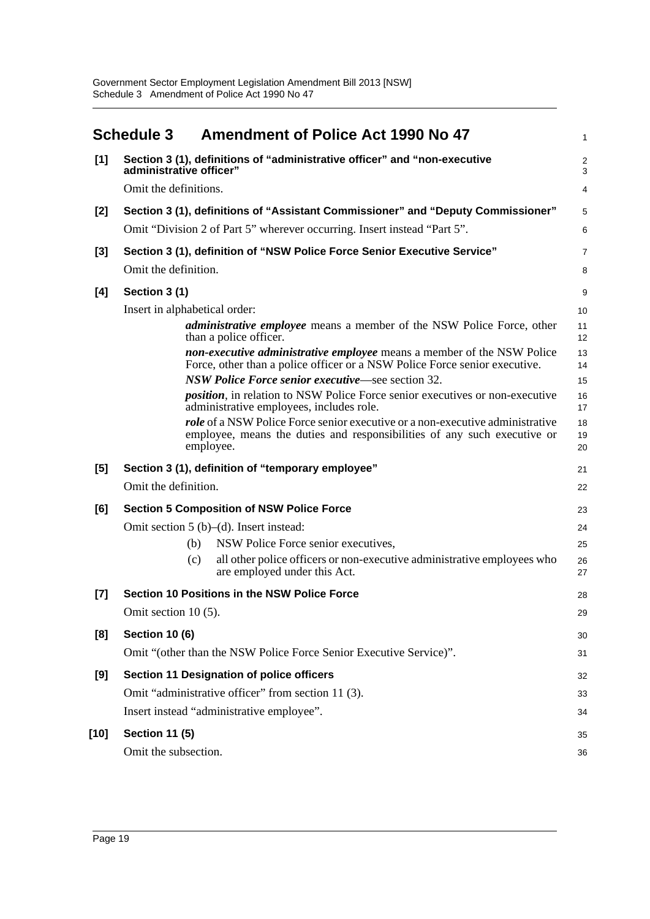<span id="page-22-0"></span>

|       | <b>Schedule 3</b>             | <b>Amendment of Police Act 1990 No 47</b>                                                                                                                                     | 1                            |
|-------|-------------------------------|-------------------------------------------------------------------------------------------------------------------------------------------------------------------------------|------------------------------|
| [1]   | administrative officer"       | Section 3 (1), definitions of "administrative officer" and "non-executive                                                                                                     | $\overline{\mathbf{c}}$<br>3 |
|       | Omit the definitions.         |                                                                                                                                                                               | 4                            |
| [2]   |                               | Section 3 (1), definitions of "Assistant Commissioner" and "Deputy Commissioner"                                                                                              | 5                            |
|       |                               | Omit "Division 2 of Part 5" wherever occurring. Insert instead "Part 5".                                                                                                      | 6                            |
| $[3]$ |                               | Section 3 (1), definition of "NSW Police Force Senior Executive Service"                                                                                                      | 7                            |
|       | Omit the definition.          |                                                                                                                                                                               | 8                            |
| [4]   | Section 3 (1)                 |                                                                                                                                                                               | 9                            |
|       | Insert in alphabetical order: |                                                                                                                                                                               | 10                           |
|       |                               | <i>administrative employee</i> means a member of the NSW Police Force, other<br>than a police officer.                                                                        | 11<br>12                     |
|       |                               | non-executive administrative employee means a member of the NSW Police<br>Force, other than a police officer or a NSW Police Force senior executive.                          | 13<br>14                     |
|       |                               | NSW Police Force senior executive—see section 32.                                                                                                                             | 15                           |
|       |                               | <i>position</i> , in relation to NSW Police Force senior executives or non-executive<br>administrative employees, includes role.                                              | 16<br>17                     |
|       |                               | <i>role</i> of a NSW Police Force senior executive or a non-executive administrative<br>employee, means the duties and responsibilities of any such executive or<br>employee. | 18<br>19<br>20               |
| [5]   |                               | Section 3 (1), definition of "temporary employee"                                                                                                                             | 21                           |
|       | Omit the definition.          |                                                                                                                                                                               | 22                           |
| [6]   |                               | <b>Section 5 Composition of NSW Police Force</b>                                                                                                                              | 23                           |
|       |                               | Omit section $5(b)$ –(d). Insert instead:                                                                                                                                     | 24                           |
|       | (b)                           | NSW Police Force senior executives,                                                                                                                                           | 25                           |
|       | (c)                           | all other police officers or non-executive administrative employees who<br>are employed under this Act.                                                                       | 26<br>27                     |
| $[7]$ |                               | <b>Section 10 Positions in the NSW Police Force</b>                                                                                                                           | 28                           |
|       | Omit section 10 (5).          |                                                                                                                                                                               | 29                           |
| [8]   | <b>Section 10 (6)</b>         |                                                                                                                                                                               | 30                           |
|       |                               | Omit "(other than the NSW Police Force Senior Executive Service)".                                                                                                            | 31                           |
| [9]   |                               | Section 11 Designation of police officers                                                                                                                                     | 32                           |
|       |                               | Omit "administrative officer" from section 11 (3).                                                                                                                            | 33                           |
|       |                               | Insert instead "administrative employee".                                                                                                                                     | 34                           |
| [10]  | <b>Section 11 (5)</b>         |                                                                                                                                                                               | 35                           |
|       | Omit the subsection.          |                                                                                                                                                                               | 36                           |
|       |                               |                                                                                                                                                                               |                              |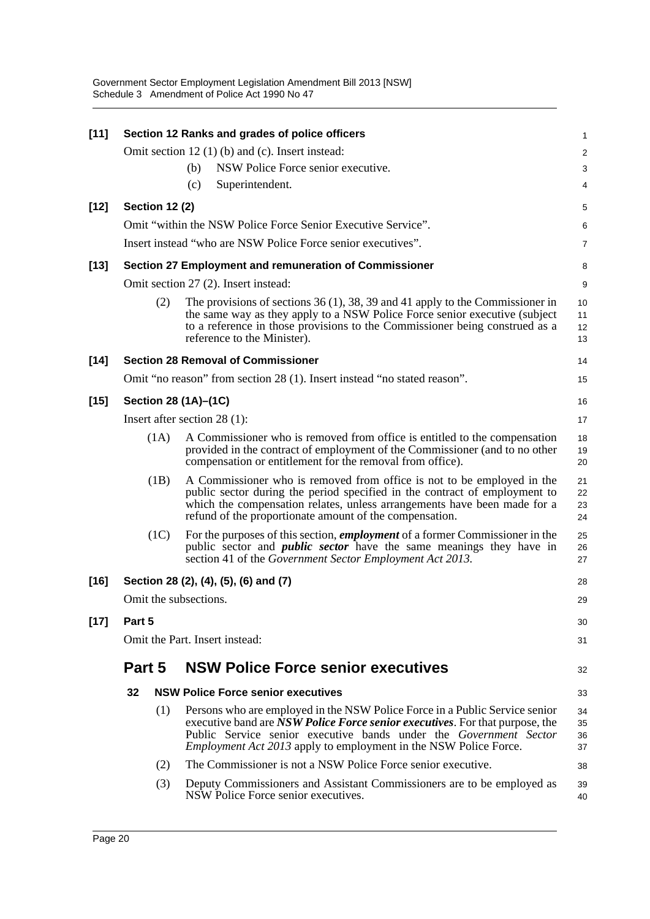| $[11]$ |        |                       | Section 12 Ranks and grades of police officers                                                                                                                                                                                                                                                              | 1                    |
|--------|--------|-----------------------|-------------------------------------------------------------------------------------------------------------------------------------------------------------------------------------------------------------------------------------------------------------------------------------------------------------|----------------------|
|        |        |                       | Omit section $12(1)$ (b) and (c). Insert instead:                                                                                                                                                                                                                                                           | $\overline{2}$       |
|        |        |                       | NSW Police Force senior executive.<br>(b)                                                                                                                                                                                                                                                                   | 3                    |
|        |        |                       | Superintendent.<br>(c)                                                                                                                                                                                                                                                                                      | 4                    |
| $[12]$ |        | <b>Section 12 (2)</b> |                                                                                                                                                                                                                                                                                                             | 5                    |
|        |        |                       | Omit "within the NSW Police Force Senior Executive Service".                                                                                                                                                                                                                                                | 6                    |
|        |        |                       | Insert instead "who are NSW Police Force senior executives".                                                                                                                                                                                                                                                | 7                    |
| $[13]$ |        |                       | Section 27 Employment and remuneration of Commissioner                                                                                                                                                                                                                                                      | 8                    |
|        |        |                       | Omit section 27 (2). Insert instead:                                                                                                                                                                                                                                                                        | 9                    |
|        |        | (2)                   | The provisions of sections 36 (1), 38, 39 and 41 apply to the Commissioner in<br>the same way as they apply to a NSW Police Force senior executive (subject<br>to a reference in those provisions to the Commissioner being construed as a<br>reference to the Minister).                                   | 10<br>11<br>12<br>13 |
| $[14]$ |        |                       | <b>Section 28 Removal of Commissioner</b>                                                                                                                                                                                                                                                                   | 14                   |
|        |        |                       | Omit "no reason" from section 28 (1). Insert instead "no stated reason".                                                                                                                                                                                                                                    | 15                   |
| $[15]$ |        |                       | Section 28 (1A)–(1C)                                                                                                                                                                                                                                                                                        | 16                   |
|        |        |                       | Insert after section $28(1)$ :                                                                                                                                                                                                                                                                              | 17                   |
|        |        | (1A)                  | A Commissioner who is removed from office is entitled to the compensation<br>provided in the contract of employment of the Commissioner (and to no other<br>compensation or entitlement for the removal from office).                                                                                       | 18<br>19<br>20       |
|        |        | (1B)                  | A Commissioner who is removed from office is not to be employed in the<br>public sector during the period specified in the contract of employment to<br>which the compensation relates, unless arrangements have been made for a<br>refund of the proportionate amount of the compensation.                 | 21<br>22<br>23<br>24 |
|        |        | (1C)                  | For the purposes of this section, <i>employment</i> of a former Commissioner in the<br>public sector and <i>public sector</i> have the same meanings they have in<br>section 41 of the Government Sector Employment Act 2013.                                                                               | 25<br>26<br>27       |
| $[16]$ |        |                       | Section 28 (2), (4), (5), (6) and (7)                                                                                                                                                                                                                                                                       | 28                   |
|        |        |                       | Omit the subsections.                                                                                                                                                                                                                                                                                       | 29                   |
| $[17]$ | Part 5 |                       |                                                                                                                                                                                                                                                                                                             | 30                   |
|        |        |                       | Omit the Part. Insert instead:                                                                                                                                                                                                                                                                              | 31                   |
|        | Part 5 |                       | <b>NSW Police Force senior executives</b>                                                                                                                                                                                                                                                                   | 32                   |
|        | 32     |                       | <b>NSW Police Force senior executives</b>                                                                                                                                                                                                                                                                   | 33                   |
|        |        | (1)                   | Persons who are employed in the NSW Police Force in a Public Service senior<br>executive band are NSW Police Force senior executives. For that purpose, the<br>Public Service senior executive bands under the Government Sector<br><i>Employment Act 2013</i> apply to employment in the NSW Police Force. | 34<br>35<br>36<br>37 |
|        |        | (2)                   | The Commissioner is not a NSW Police Force senior executive.                                                                                                                                                                                                                                                | 38                   |
|        |        | (3)                   | Deputy Commissioners and Assistant Commissioners are to be employed as<br>NSW Police Force senior executives.                                                                                                                                                                                               | 39<br>40             |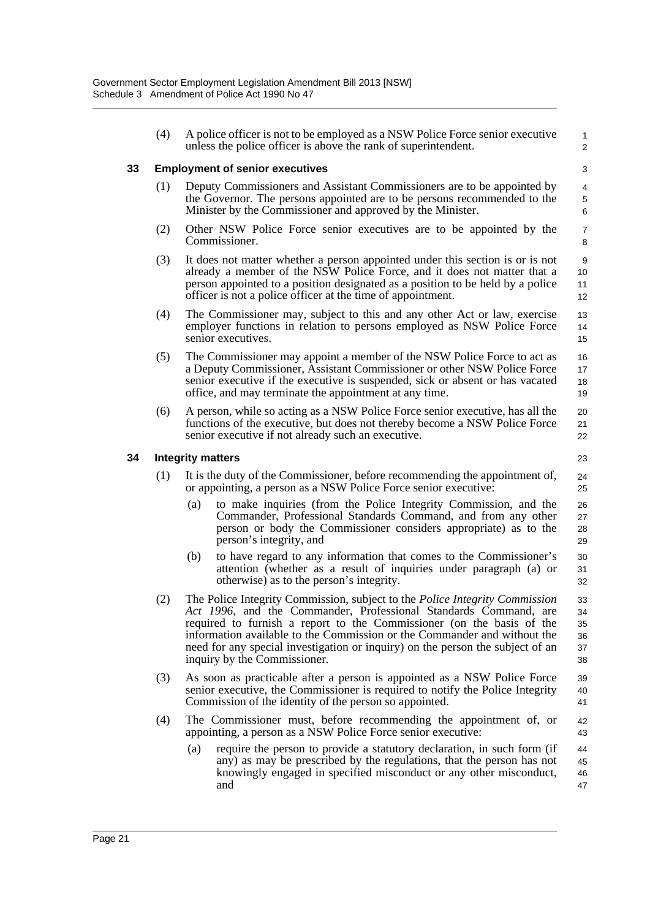|    | (4) | A police officer is not to be employed as a NSW Police Force senior executive<br>unless the police officer is above the rank of superintendent.                                                                                                                                                                                                                                                                               | $\mathbf{1}$<br>$\overline{2}$   |
|----|-----|-------------------------------------------------------------------------------------------------------------------------------------------------------------------------------------------------------------------------------------------------------------------------------------------------------------------------------------------------------------------------------------------------------------------------------|----------------------------------|
| 33 |     | <b>Employment of senior executives</b>                                                                                                                                                                                                                                                                                                                                                                                        | 3                                |
|    | (1) | Deputy Commissioners and Assistant Commissioners are to be appointed by<br>the Governor. The persons appointed are to be persons recommended to the<br>Minister by the Commissioner and approved by the Minister.                                                                                                                                                                                                             | 4<br>5<br>6                      |
|    | (2) | Other NSW Police Force senior executives are to be appointed by the<br>Commissioner.                                                                                                                                                                                                                                                                                                                                          | $\overline{7}$<br>8              |
|    | (3) | It does not matter whether a person appointed under this section is or is not<br>already a member of the NSW Police Force, and it does not matter that a<br>person appointed to a position designated as a position to be held by a police<br>officer is not a police officer at the time of appointment.                                                                                                                     | 9<br>10<br>11<br>12              |
|    | (4) | The Commissioner may, subject to this and any other Act or law, exercise<br>employer functions in relation to persons employed as NSW Police Force<br>senior executives.                                                                                                                                                                                                                                                      | 13<br>14<br>15                   |
|    | (5) | The Commissioner may appoint a member of the NSW Police Force to act as<br>a Deputy Commissioner, Assistant Commissioner or other NSW Police Force<br>senior executive if the executive is suspended, sick or absent or has vacated<br>office, and may terminate the appointment at any time.                                                                                                                                 | 16<br>17<br>18<br>19             |
|    | (6) | A person, while so acting as a NSW Police Force senior executive, has all the<br>functions of the executive, but does not thereby become a NSW Police Force<br>senior executive if not already such an executive.                                                                                                                                                                                                             | 20<br>21<br>22                   |
| 34 |     | <b>Integrity matters</b>                                                                                                                                                                                                                                                                                                                                                                                                      | 23                               |
|    | (1) | It is the duty of the Commissioner, before recommending the appointment of,<br>or appointing, a person as a NSW Police Force senior executive:                                                                                                                                                                                                                                                                                | 24<br>25                         |
|    |     | to make inquiries (from the Police Integrity Commission, and the<br>(a)<br>Commander, Professional Standards Command, and from any other<br>person or body the Commissioner considers appropriate) as to the<br>person's integrity, and                                                                                                                                                                                       | 26<br>27<br>28<br>29             |
|    |     | to have regard to any information that comes to the Commissioner's<br>(b)<br>attention (whether as a result of inquiries under paragraph (a) or<br>otherwise) as to the person's integrity.                                                                                                                                                                                                                                   | 30<br>31<br>32                   |
|    | (2) | The Police Integrity Commission, subject to the <i>Police Integrity Commission</i><br>Act 1996, and the Commander, Professional Standards Command, are<br>required to furnish a report to the Commissioner (on the basis of the<br>information available to the Commission or the Commander and without the<br>need for any special investigation or inquiry) on the person the subject of an<br>inquiry by the Commissioner. | 33<br>34<br>35<br>36<br>37<br>38 |
|    | (3) | As soon as practicable after a person is appointed as a NSW Police Force<br>senior executive, the Commissioner is required to notify the Police Integrity<br>Commission of the identity of the person so appointed.                                                                                                                                                                                                           | 39<br>40<br>41                   |
|    | (4) | The Commissioner must, before recommending the appointment of, or<br>appointing, a person as a NSW Police Force senior executive:                                                                                                                                                                                                                                                                                             | 42<br>43                         |
|    |     | (a)<br>require the person to provide a statutory declaration, in such form (if<br>any) as may be prescribed by the regulations, that the person has not<br>knowingly engaged in specified misconduct or any other misconduct,<br>and                                                                                                                                                                                          | 44<br>45<br>46<br>47             |

**34 Integrity matters**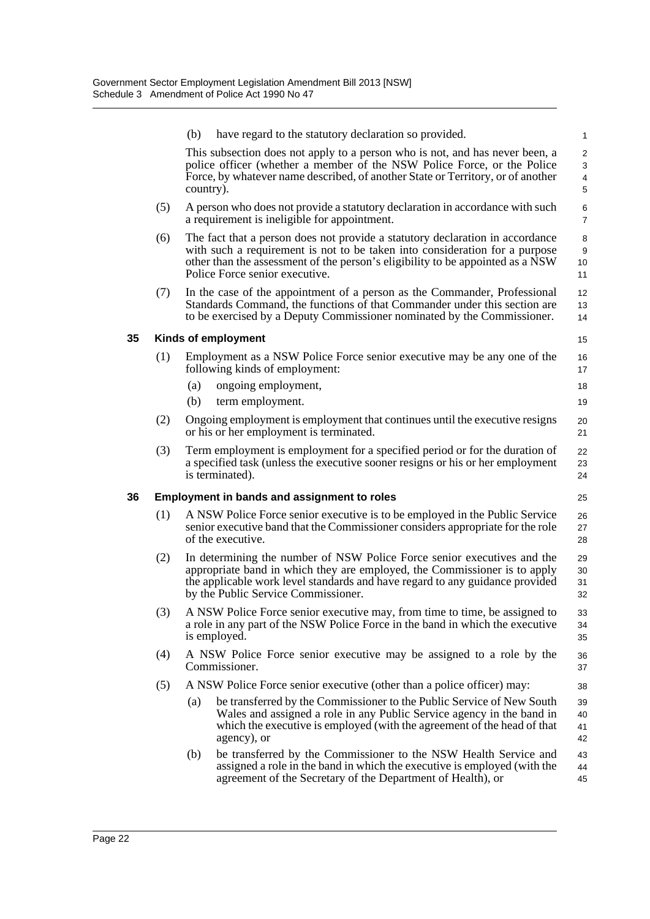|    |                                                    | (b)       | have regard to the statutory declaration so provided.                                                                                                                                                                                                                            | $\mathbf{1}$                  |  |  |  |
|----|----------------------------------------------------|-----------|----------------------------------------------------------------------------------------------------------------------------------------------------------------------------------------------------------------------------------------------------------------------------------|-------------------------------|--|--|--|
|    |                                                    | country). | This subsection does not apply to a person who is not, and has never been, a<br>police officer (whether a member of the NSW Police Force, or the Police<br>Force, by whatever name described, of another State or Territory, or of another                                       | $\overline{2}$<br>3<br>4<br>5 |  |  |  |
|    | (5)                                                |           | A person who does not provide a statutory declaration in accordance with such<br>a requirement is ineligible for appointment.                                                                                                                                                    | 6<br>$\overline{7}$           |  |  |  |
|    | (6)                                                |           | The fact that a person does not provide a statutory declaration in accordance<br>with such a requirement is not to be taken into consideration for a purpose<br>other than the assessment of the person's eligibility to be appointed as a NSW<br>Police Force senior executive. | 8<br>9<br>10<br>11            |  |  |  |
|    | (7)                                                |           | In the case of the appointment of a person as the Commander, Professional<br>Standards Command, the functions of that Commander under this section are<br>to be exercised by a Deputy Commissioner nominated by the Commissioner.                                                | 12<br>13<br>14                |  |  |  |
| 35 |                                                    |           | Kinds of employment                                                                                                                                                                                                                                                              | 15                            |  |  |  |
|    | (1)                                                |           | Employment as a NSW Police Force senior executive may be any one of the<br>following kinds of employment:                                                                                                                                                                        | 16<br>17                      |  |  |  |
|    |                                                    | (a)       | ongoing employment,                                                                                                                                                                                                                                                              | 18                            |  |  |  |
|    |                                                    | (b)       | term employment.                                                                                                                                                                                                                                                                 | 19                            |  |  |  |
|    | (2)                                                |           | Ongoing employment is employment that continues until the executive resigns<br>or his or her employment is terminated.                                                                                                                                                           | 20<br>21                      |  |  |  |
|    | (3)                                                |           | Term employment is employment for a specified period or for the duration of<br>a specified task (unless the executive sooner resigns or his or her employment<br>is terminated).                                                                                                 | 22<br>23<br>24                |  |  |  |
| 36 | <b>Employment in bands and assignment to roles</b> |           |                                                                                                                                                                                                                                                                                  |                               |  |  |  |
|    | (1)                                                |           | A NSW Police Force senior executive is to be employed in the Public Service<br>senior executive band that the Commissioner considers appropriate for the role<br>of the executive.                                                                                               | 26<br>27<br>28                |  |  |  |
|    | (2)                                                |           | In determining the number of NSW Police Force senior executives and the<br>appropriate band in which they are employed, the Commissioner is to apply<br>the applicable work level standards and have regard to any guidance provided<br>by the Public Service Commissioner.      | 29<br>30<br>31<br>32          |  |  |  |
|    | (3)                                                |           | A NSW Police Force senior executive may, from time to time, be assigned to<br>a role in any part of the NSW Police Force in the band in which the executive<br>is employed.                                                                                                      | 33<br>34<br>35                |  |  |  |
|    | (4)                                                |           | A NSW Police Force senior executive may be assigned to a role by the<br>Commissioner.                                                                                                                                                                                            | 36<br>37                      |  |  |  |
|    | (5)                                                |           | A NSW Police Force senior executive (other than a police officer) may:                                                                                                                                                                                                           | 38                            |  |  |  |
|    |                                                    | (a)       | be transferred by the Commissioner to the Public Service of New South<br>Wales and assigned a role in any Public Service agency in the band in<br>which the executive is employed (with the agreement of the head of that<br>agency), or                                         | 39<br>40<br>41<br>42          |  |  |  |
|    |                                                    | (b)       | be transferred by the Commissioner to the NSW Health Service and<br>assigned a role in the band in which the executive is employed (with the<br>agreement of the Secretary of the Department of Health), or                                                                      | 43<br>44<br>45                |  |  |  |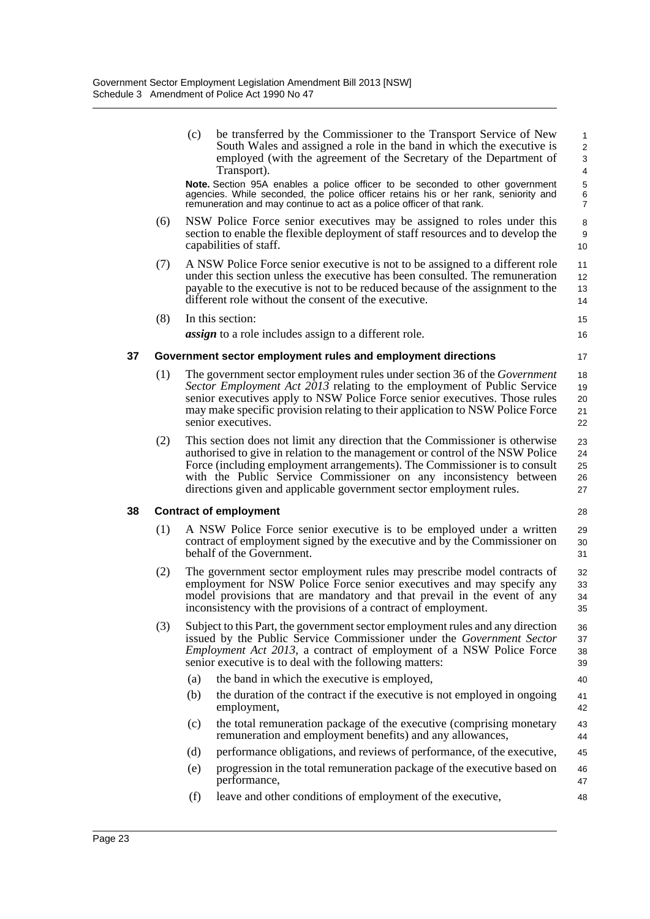|    |     | (c) | be transferred by the Commissioner to the Transport Service of New<br>South Wales and assigned a role in the band in which the executive is<br>employed (with the agreement of the Secretary of the Department of<br>Transport).                                                                                                                                                       | 1<br>$\overline{c}$<br>3<br>4      |
|----|-----|-----|----------------------------------------------------------------------------------------------------------------------------------------------------------------------------------------------------------------------------------------------------------------------------------------------------------------------------------------------------------------------------------------|------------------------------------|
|    |     |     | Note. Section 95A enables a police officer to be seconded to other government<br>agencies. While seconded, the police officer retains his or her rank, seniority and<br>remuneration and may continue to act as a police officer of that rank.                                                                                                                                         | $\mathbf 5$<br>6<br>$\overline{7}$ |
|    | (6) |     | NSW Police Force senior executives may be assigned to roles under this<br>section to enable the flexible deployment of staff resources and to develop the<br>capabilities of staff.                                                                                                                                                                                                    | 8<br>9<br>10 <sup>1</sup>          |
|    | (7) |     | A NSW Police Force senior executive is not to be assigned to a different role<br>under this section unless the executive has been consulted. The remuneration<br>payable to the executive is not to be reduced because of the assignment to the<br>different role without the consent of the executive.                                                                                | 11<br>12 <sup>°</sup><br>13<br>14  |
|    | (8) |     | In this section:                                                                                                                                                                                                                                                                                                                                                                       | 15                                 |
|    |     |     | <i>assign</i> to a role includes assign to a different role.                                                                                                                                                                                                                                                                                                                           | 16                                 |
| 37 |     |     | Government sector employment rules and employment directions                                                                                                                                                                                                                                                                                                                           | 17                                 |
|    | (1) |     | The government sector employment rules under section 36 of the <i>Government</i><br>Sector Employment Act 2013 relating to the employment of Public Service<br>senior executives apply to NSW Police Force senior executives. Those rules<br>may make specific provision relating to their application to NSW Police Force<br>senior executives.                                       | 18<br>19<br>20<br>21<br>22         |
|    | (2) |     | This section does not limit any direction that the Commissioner is otherwise<br>authorised to give in relation to the management or control of the NSW Police<br>Force (including employment arrangements). The Commissioner is to consult<br>with the Public Service Commissioner on any inconsistency between<br>directions given and applicable government sector employment rules. | 23<br>24<br>25<br>26<br>27         |
| 38 |     |     | <b>Contract of employment</b>                                                                                                                                                                                                                                                                                                                                                          | 28                                 |
|    | (1) |     | A NSW Police Force senior executive is to be employed under a written<br>contract of employment signed by the executive and by the Commissioner on<br>behalf of the Government.                                                                                                                                                                                                        | 29<br>30<br>31                     |
|    | (2) |     | The government sector employment rules may prescribe model contracts of<br>employment for NSW Police Force senior executives and may specify any<br>model provisions that are mandatory and that prevail in the event of any<br>inconsistency with the provisions of a contract of employment.                                                                                         | 32<br>33<br>34<br>35               |
|    | (3) |     | Subject to this Part, the government sector employment rules and any direction<br>issued by the Public Service Commissioner under the Government Sector<br><i>Employment Act 2013</i> , a contract of employment of a NSW Police Force<br>senior executive is to deal with the following matters:                                                                                      | 36<br>37<br>38<br>39               |
|    |     | (a) | the band in which the executive is employed,                                                                                                                                                                                                                                                                                                                                           | 40                                 |
|    |     | (b) | the duration of the contract if the executive is not employed in ongoing<br>employment,                                                                                                                                                                                                                                                                                                | 41<br>42                           |
|    |     | (c) | the total remuneration package of the executive (comprising monetary<br>remuneration and employment benefits) and any allowances,                                                                                                                                                                                                                                                      | 43<br>44                           |
|    |     | (d) | performance obligations, and reviews of performance, of the executive,                                                                                                                                                                                                                                                                                                                 | 45                                 |
|    |     | (e) | progression in the total remuneration package of the executive based on<br>performance,                                                                                                                                                                                                                                                                                                | 46<br>47                           |
|    |     | (f) | leave and other conditions of employment of the executive,                                                                                                                                                                                                                                                                                                                             | 48                                 |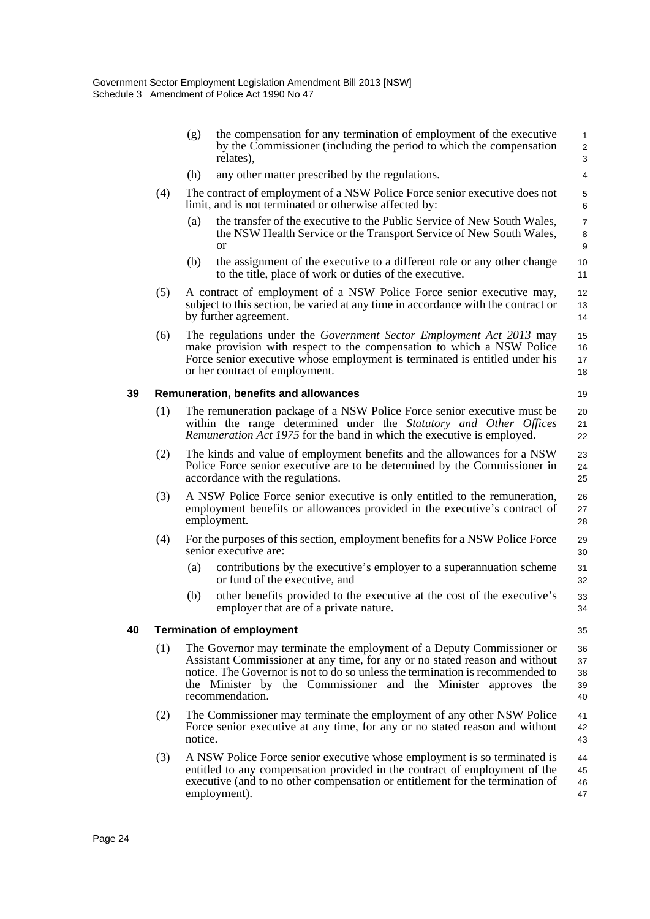|    |     | (g)     | the compensation for any termination of employment of the executive<br>by the Commissioner (including the period to which the compensation<br>relates),                                                                                                                                                                    | $\mathbf{1}$<br>$\overline{2}$<br>3 |
|----|-----|---------|----------------------------------------------------------------------------------------------------------------------------------------------------------------------------------------------------------------------------------------------------------------------------------------------------------------------------|-------------------------------------|
|    |     | (h)     | any other matter prescribed by the regulations.                                                                                                                                                                                                                                                                            | 4                                   |
|    | (4) |         | The contract of employment of a NSW Police Force senior executive does not<br>limit, and is not terminated or otherwise affected by:                                                                                                                                                                                       | $\mathbf 5$<br>6                    |
|    |     | (a)     | the transfer of the executive to the Public Service of New South Wales,<br>the NSW Health Service or the Transport Service of New South Wales,<br>or                                                                                                                                                                       | $\overline{7}$<br>8<br>9            |
|    |     | (b)     | the assignment of the executive to a different role or any other change<br>to the title, place of work or duties of the executive.                                                                                                                                                                                         | 10<br>11                            |
|    | (5) |         | A contract of employment of a NSW Police Force senior executive may,<br>subject to this section, be varied at any time in accordance with the contract or<br>by further agreement.                                                                                                                                         | $12 \overline{ }$<br>13<br>14       |
|    | (6) |         | The regulations under the Government Sector Employment Act 2013 may<br>make provision with respect to the compensation to which a NSW Police<br>Force senior executive whose employment is terminated is entitled under his<br>or her contract of employment.                                                              | 15<br>16<br>17<br>18                |
| 39 |     |         | <b>Remuneration, benefits and allowances</b>                                                                                                                                                                                                                                                                               | 19                                  |
|    | (1) |         | The remuneration package of a NSW Police Force senior executive must be<br>within the range determined under the Statutory and Other Offices<br><i>Remuneration Act 1975</i> for the band in which the executive is employed.                                                                                              | 20<br>21<br>22                      |
|    | (2) |         | The kinds and value of employment benefits and the allowances for a NSW<br>Police Force senior executive are to be determined by the Commissioner in<br>accordance with the regulations.                                                                                                                                   | 23<br>24<br>25                      |
|    | (3) |         | A NSW Police Force senior executive is only entitled to the remuneration,<br>employment benefits or allowances provided in the executive's contract of<br>employment.                                                                                                                                                      | 26<br>27<br>28                      |
|    | (4) |         | For the purposes of this section, employment benefits for a NSW Police Force<br>senior executive are:                                                                                                                                                                                                                      | 29<br>30                            |
|    |     | (a)     | contributions by the executive's employer to a superannuation scheme<br>or fund of the executive, and                                                                                                                                                                                                                      | 31<br>32                            |
|    |     | (b)     | other benefits provided to the executive at the cost of the executive's<br>employer that are of a private nature.                                                                                                                                                                                                          | 33<br>34                            |
| 40 |     |         | <b>Termination of employment</b>                                                                                                                                                                                                                                                                                           | 35                                  |
|    | (1) |         | The Governor may terminate the employment of a Deputy Commissioner or<br>Assistant Commissioner at any time, for any or no stated reason and without<br>notice. The Governor is not to do so unless the termination is recommended to<br>the Minister by the Commissioner and the Minister approves the<br>recommendation. | 36<br>37<br>38<br>39<br>40          |
|    | (2) | notice. | The Commissioner may terminate the employment of any other NSW Police<br>Force senior executive at any time, for any or no stated reason and without                                                                                                                                                                       | 41<br>42<br>43                      |
|    | (3) |         | A NSW Police Force senior executive whose employment is so terminated is<br>entitled to any compensation provided in the contract of employment of the<br>executive (and to no other compensation or entitlement for the termination of<br>employment).                                                                    | 44<br>45<br>46<br>47                |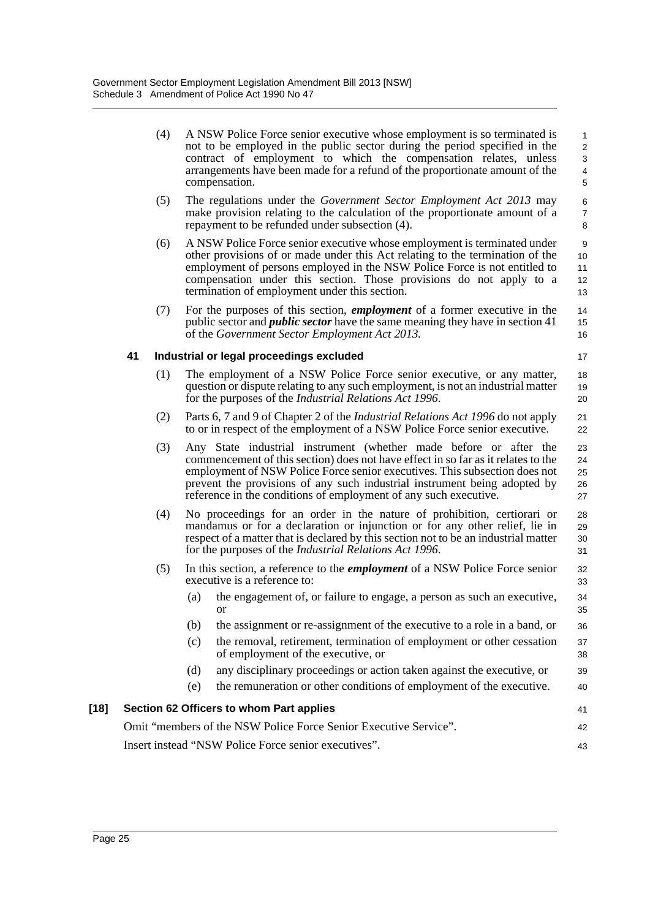(4) A NSW Police Force senior executive whose employment is so terminated is not to be employed in the public sector during the period specified in the contract of employment to which the compensation relates, unless arrangements have been made for a refund of the proportionate amount of the compensation.

17

21 22

 $34$ 35 36

- (5) The regulations under the *Government Sector Employment Act 2013* may make provision relating to the calculation of the proportionate amount of a repayment to be refunded under subsection (4).
- (6) A NSW Police Force senior executive whose employment is terminated under other provisions of or made under this Act relating to the termination of the employment of persons employed in the NSW Police Force is not entitled to compensation under this section. Those provisions do not apply to a termination of employment under this section.
- (7) For the purposes of this section, *employment* of a former executive in the public sector and *public sector* have the same meaning they have in section 41 of the *Government Sector Employment Act 2013.*

### **41 Industrial or legal proceedings excluded**

- (1) The employment of a NSW Police Force senior executive, or any matter, question or dispute relating to any such employment, is not an industrial matter for the purposes of the *Industrial Relations Act 1996*. 18 19 20
- (2) Parts 6, 7 and 9 of Chapter 2 of the *Industrial Relations Act 1996* do not apply to or in respect of the employment of a NSW Police Force senior executive.
- (3) Any State industrial instrument (whether made before or after the commencement of this section) does not have effect in so far as it relates to the employment of NSW Police Force senior executives. This subsection does not prevent the provisions of any such industrial instrument being adopted by reference in the conditions of employment of any such executive. 23  $24$ 25 26 27
- (4) No proceedings for an order in the nature of prohibition, certiorari or mandamus or for a declaration or injunction or for any other relief, lie in respect of a matter that is declared by this section not to be an industrial matter for the purposes of the *Industrial Relations Act 1996*. 28 29 30 31
- (5) In this section, a reference to the *employment* of a NSW Police Force senior executive is a reference to: 32 33
	- (a) the engagement of, or failure to engage, a person as such an executive, or
	- (b) the assignment or re-assignment of the executive to a role in a band, or
	- (c) the removal, retirement, termination of employment or other cessation of employment of the executive, or 37 38
	- (d) any disciplinary proceedings or action taken against the executive, or 39
	- (e) the remuneration or other conditions of employment of the executive. 40

#### **[18] Section 62 Officers to whom Part applies** Omit "members of the NSW Police Force Senior Executive Service". 41 42 43

Insert instead "NSW Police Force senior executives".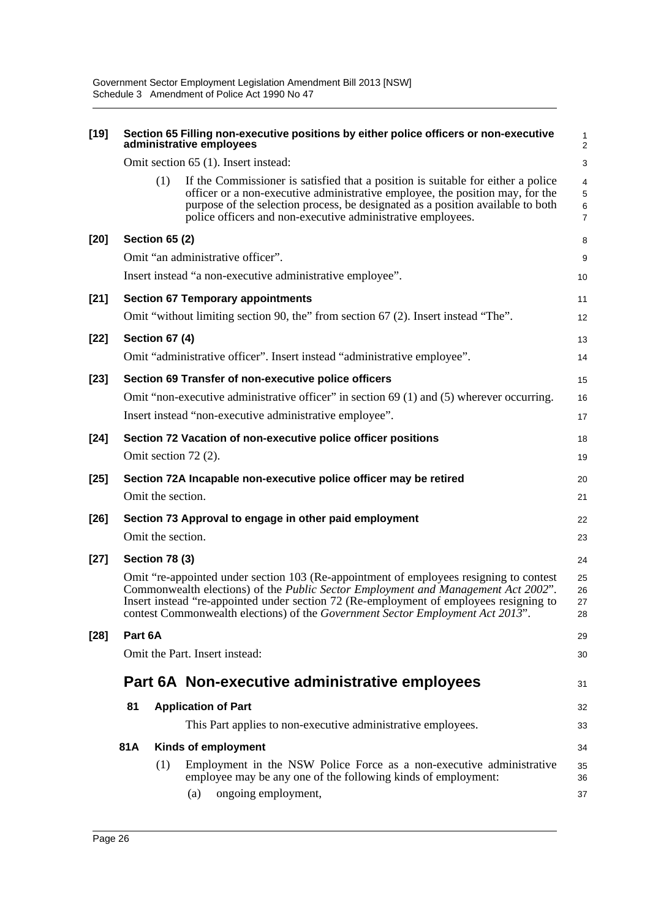| $[19]$ |         | Section 65 Filling non-executive positions by either police officers or non-executive<br>administrative employees                                                                                                                                                                                                                                              | 1<br>$\overline{\mathbf{c}}$  |
|--------|---------|----------------------------------------------------------------------------------------------------------------------------------------------------------------------------------------------------------------------------------------------------------------------------------------------------------------------------------------------------------------|-------------------------------|
|        |         | Omit section 65 (1). Insert instead:                                                                                                                                                                                                                                                                                                                           | 3                             |
|        |         | If the Commissioner is satisfied that a position is suitable for either a police<br>(1)<br>officer or a non-executive administrative employee, the position may, for the<br>purpose of the selection process, be designated as a position available to both<br>police officers and non-executive administrative employees.                                     | 4<br>5<br>6<br>$\overline{7}$ |
| $[20]$ |         | <b>Section 65 (2)</b>                                                                                                                                                                                                                                                                                                                                          | 8                             |
|        |         | Omit "an administrative officer".                                                                                                                                                                                                                                                                                                                              | 9                             |
|        |         | Insert instead "a non-executive administrative employee".                                                                                                                                                                                                                                                                                                      | 10                            |
| $[21]$ |         | <b>Section 67 Temporary appointments</b>                                                                                                                                                                                                                                                                                                                       | 11                            |
|        |         | Omit "without limiting section 90, the" from section 67 (2). Insert instead "The".                                                                                                                                                                                                                                                                             | 12                            |
| $[22]$ |         | <b>Section 67 (4)</b>                                                                                                                                                                                                                                                                                                                                          | 13                            |
|        |         | Omit "administrative officer". Insert instead "administrative employee".                                                                                                                                                                                                                                                                                       | 14                            |
| $[23]$ |         | Section 69 Transfer of non-executive police officers                                                                                                                                                                                                                                                                                                           | 15                            |
|        |         | Omit "non-executive administrative officer" in section 69 (1) and (5) wherever occurring.                                                                                                                                                                                                                                                                      | 16                            |
|        |         | Insert instead "non-executive administrative employee".                                                                                                                                                                                                                                                                                                        | 17                            |
| $[24]$ |         | Section 72 Vacation of non-executive police officer positions                                                                                                                                                                                                                                                                                                  | 18                            |
|        |         | Omit section 72 (2).                                                                                                                                                                                                                                                                                                                                           | 19                            |
| $[25]$ |         | Section 72A Incapable non-executive police officer may be retired                                                                                                                                                                                                                                                                                              | 20                            |
|        |         | Omit the section.                                                                                                                                                                                                                                                                                                                                              | 21                            |
| $[26]$ |         | Section 73 Approval to engage in other paid employment                                                                                                                                                                                                                                                                                                         | 22                            |
|        |         | Omit the section.                                                                                                                                                                                                                                                                                                                                              | 23                            |
| $[27]$ |         | Section 78 (3)                                                                                                                                                                                                                                                                                                                                                 | 24                            |
|        |         | Omit "re-appointed under section 103 (Re-appointment of employees resigning to contest<br>Commonwealth elections) of the <i>Public Sector Employment and Management Act 2002</i> ".<br>Insert instead "re-appointed under section 72 (Re-employment of employees resigning to<br>contest Commonwealth elections) of the Government Sector Employment Act 2013" | 25<br>26<br>27<br>28          |
| $[28]$ | Part 6A |                                                                                                                                                                                                                                                                                                                                                                | 29                            |
|        |         | Omit the Part. Insert instead:                                                                                                                                                                                                                                                                                                                                 | 30                            |
|        |         | Part 6A Non-executive administrative employees                                                                                                                                                                                                                                                                                                                 | 31                            |
|        | 81      | <b>Application of Part</b>                                                                                                                                                                                                                                                                                                                                     | 32                            |
|        |         | This Part applies to non-executive administrative employees.                                                                                                                                                                                                                                                                                                   | 33                            |
|        | 81A     | Kinds of employment                                                                                                                                                                                                                                                                                                                                            | 34                            |
|        |         | Employment in the NSW Police Force as a non-executive administrative<br>(1)<br>employee may be any one of the following kinds of employment:<br>ongoing employment,<br>(a)                                                                                                                                                                                     | 35<br>36<br>37                |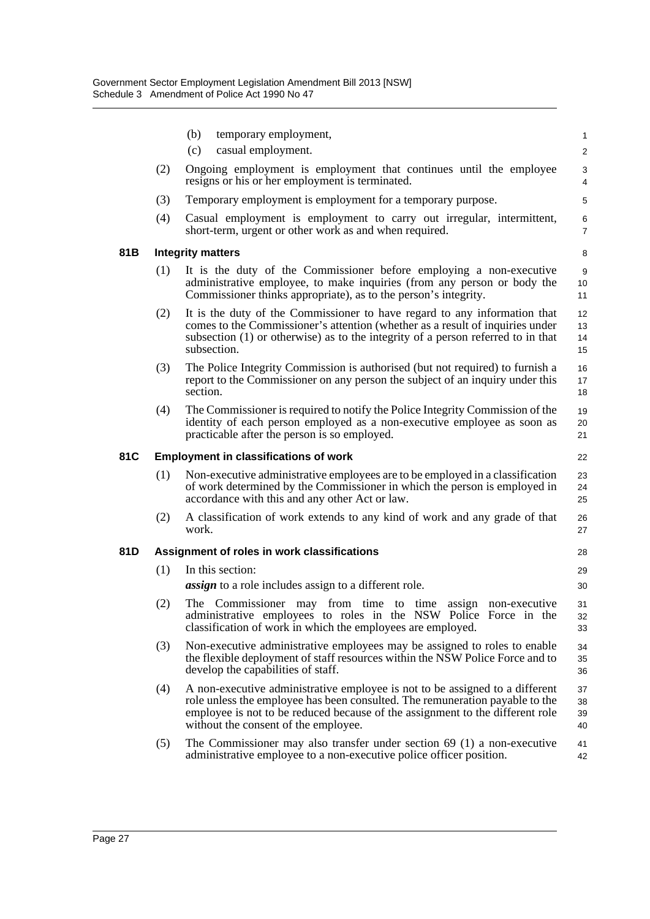|      |                                                    | (b)<br>temporary employment,                                                                                                                                                                                                                                                          | $\mathbf{1}$         |  |
|------|----------------------------------------------------|---------------------------------------------------------------------------------------------------------------------------------------------------------------------------------------------------------------------------------------------------------------------------------------|----------------------|--|
|      |                                                    | (c)<br>casual employment.                                                                                                                                                                                                                                                             | $\overline{2}$       |  |
|      | (2)                                                | Ongoing employment is employment that continues until the employee<br>resigns or his or her employment is terminated.                                                                                                                                                                 | 3<br>4               |  |
|      | (3)                                                | Temporary employment is employment for a temporary purpose.                                                                                                                                                                                                                           | 5                    |  |
|      | (4)                                                | Casual employment is employment to carry out irregular, intermittent,<br>short-term, urgent or other work as and when required.                                                                                                                                                       | 6<br>$\overline{7}$  |  |
| 81 B |                                                    | <b>Integrity matters</b>                                                                                                                                                                                                                                                              | 8                    |  |
|      | (1)                                                | It is the duty of the Commissioner before employing a non-executive<br>administrative employee, to make inquiries (from any person or body the<br>Commissioner thinks appropriate), as to the person's integrity.                                                                     | 9<br>10<br>11        |  |
|      | (2)                                                | It is the duty of the Commissioner to have regard to any information that<br>comes to the Commissioner's attention (whether as a result of inquiries under<br>subsection (1) or otherwise) as to the integrity of a person referred to in that<br>subsection.                         | 12<br>13<br>14<br>15 |  |
|      | (3)                                                | The Police Integrity Commission is authorised (but not required) to furnish a<br>report to the Commissioner on any person the subject of an inquiry under this<br>section.                                                                                                            | 16<br>17<br>18       |  |
|      | (4)                                                | The Commissioner is required to notify the Police Integrity Commission of the<br>identity of each person employed as a non-executive employee as soon as<br>practicable after the person is so employed.                                                                              | 19<br>20<br>21       |  |
| 81C  | <b>Employment in classifications of work</b><br>22 |                                                                                                                                                                                                                                                                                       |                      |  |
|      | (1)                                                | Non-executive administrative employees are to be employed in a classification<br>of work determined by the Commissioner in which the person is employed in                                                                                                                            | 23                   |  |
|      |                                                    | accordance with this and any other Act or law.                                                                                                                                                                                                                                        | 24<br>25             |  |
|      | (2)                                                | A classification of work extends to any kind of work and any grade of that<br>work.                                                                                                                                                                                                   | 26<br>27             |  |
| 81D  |                                                    | Assignment of roles in work classifications                                                                                                                                                                                                                                           | 28                   |  |
|      | (1)                                                | In this section:                                                                                                                                                                                                                                                                      | 29                   |  |
|      |                                                    | <i>assign</i> to a role includes assign to a different role.                                                                                                                                                                                                                          | 30                   |  |
|      | (2)                                                | The Commissioner may from time to time assign non-executive<br>administrative employees to roles in the NSW Police Force in the<br>classification of work in which the employees are employed.                                                                                        | 31<br>32<br>33       |  |
|      | (3)                                                | Non-executive administrative employees may be assigned to roles to enable<br>the flexible deployment of staff resources within the NSW Police Force and to<br>develop the capabilities of staff.                                                                                      | 34<br>35<br>36       |  |
|      | (4)                                                | A non-executive administrative employee is not to be assigned to a different<br>role unless the employee has been consulted. The remuneration payable to the<br>employee is not to be reduced because of the assignment to the different role<br>without the consent of the employee. | 37<br>38<br>39<br>40 |  |
|      | (5)                                                | The Commissioner may also transfer under section $69(1)$ a non-executive<br>administrative employee to a non-executive police officer position.                                                                                                                                       | 41<br>42             |  |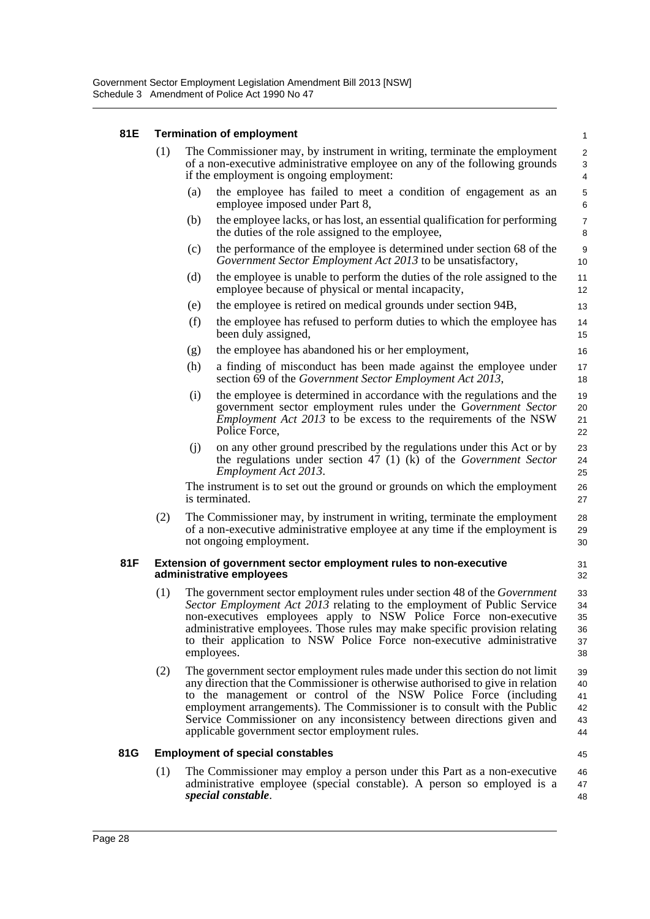### **81E Termination of employment**

| 81E |                                                                                              |                                                                                                                                                                                                                                                                                                                                                                                                                                           | <b>Termination of employment</b>                                                                                                                                                                                                   | $\mathbf{1}$                     |  |
|-----|----------------------------------------------------------------------------------------------|-------------------------------------------------------------------------------------------------------------------------------------------------------------------------------------------------------------------------------------------------------------------------------------------------------------------------------------------------------------------------------------------------------------------------------------------|------------------------------------------------------------------------------------------------------------------------------------------------------------------------------------------------------------------------------------|----------------------------------|--|
|     | (1)                                                                                          | The Commissioner may, by instrument in writing, terminate the employment<br>of a non-executive administrative employee on any of the following grounds<br>if the employment is ongoing employment:                                                                                                                                                                                                                                        |                                                                                                                                                                                                                                    |                                  |  |
|     |                                                                                              | (a)                                                                                                                                                                                                                                                                                                                                                                                                                                       | the employee has failed to meet a condition of engagement as an<br>employee imposed under Part 8,                                                                                                                                  | 5<br>6                           |  |
|     |                                                                                              | (b)                                                                                                                                                                                                                                                                                                                                                                                                                                       | the employee lacks, or has lost, an essential qualification for performing<br>the duties of the role assigned to the employee,                                                                                                     | $\overline{7}$<br>8              |  |
|     |                                                                                              | (c)                                                                                                                                                                                                                                                                                                                                                                                                                                       | the performance of the employee is determined under section 68 of the<br>Government Sector Employment Act 2013 to be unsatisfactory,                                                                                               | $\boldsymbol{9}$<br>10           |  |
|     |                                                                                              | (d)                                                                                                                                                                                                                                                                                                                                                                                                                                       | the employee is unable to perform the duties of the role assigned to the<br>employee because of physical or mental incapacity,                                                                                                     | 11<br>12                         |  |
|     |                                                                                              | (e)                                                                                                                                                                                                                                                                                                                                                                                                                                       | the employee is retired on medical grounds under section 94B,                                                                                                                                                                      | 13                               |  |
|     |                                                                                              | (f)                                                                                                                                                                                                                                                                                                                                                                                                                                       | the employee has refused to perform duties to which the employee has<br>been duly assigned,                                                                                                                                        | 14<br>15                         |  |
|     |                                                                                              | (g)                                                                                                                                                                                                                                                                                                                                                                                                                                       | the employee has abandoned his or her employment,                                                                                                                                                                                  | 16                               |  |
|     |                                                                                              | (h)                                                                                                                                                                                                                                                                                                                                                                                                                                       | a finding of misconduct has been made against the employee under<br>section 69 of the Government Sector Employment Act 2013,                                                                                                       | 17<br>18                         |  |
|     |                                                                                              | (i)                                                                                                                                                                                                                                                                                                                                                                                                                                       | the employee is determined in accordance with the regulations and the<br>government sector employment rules under the Government Sector<br><i>Employment Act 2013</i> to be excess to the requirements of the NSW<br>Police Force, | 19<br>20<br>21<br>22             |  |
|     |                                                                                              | (i)                                                                                                                                                                                                                                                                                                                                                                                                                                       | on any other ground prescribed by the regulations under this Act or by<br>the regulations under section 47 (1) (k) of the <i>Government Sector</i><br>Employment Act 2013.                                                         | 23<br>24<br>25                   |  |
|     |                                                                                              |                                                                                                                                                                                                                                                                                                                                                                                                                                           | The instrument is to set out the ground or grounds on which the employment<br>is terminated.                                                                                                                                       | 26<br>27                         |  |
|     | (2)                                                                                          | The Commissioner may, by instrument in writing, terminate the employment<br>of a non-executive administrative employee at any time if the employment is<br>not ongoing employment.                                                                                                                                                                                                                                                        |                                                                                                                                                                                                                                    |                                  |  |
| 81F | Extension of government sector employment rules to non-executive<br>administrative employees |                                                                                                                                                                                                                                                                                                                                                                                                                                           |                                                                                                                                                                                                                                    |                                  |  |
|     | (1)                                                                                          | The government sector employment rules under section 48 of the <i>Government</i><br>Sector Employment Act 2013 relating to the employment of Public Service<br>non-executives employees apply to NSW Police Force non-executive<br>administrative employees. Those rules may make specific provision relating<br>to their application to NSW Police Force non-executive administrative<br>employees.                                      |                                                                                                                                                                                                                                    |                                  |  |
|     | (2)                                                                                          | The government sector employment rules made under this section do not limit<br>any direction that the Commissioner is otherwise authorised to give in relation<br>to the management or control of the NSW Police Force (including<br>employment arrangements). The Commissioner is to consult with the Public<br>Service Commissioner on any inconsistency between directions given and<br>applicable government sector employment rules. |                                                                                                                                                                                                                                    | 39<br>40<br>41<br>42<br>43<br>44 |  |
| 81G |                                                                                              |                                                                                                                                                                                                                                                                                                                                                                                                                                           | <b>Employment of special constables</b>                                                                                                                                                                                            | 45                               |  |
|     | (1)                                                                                          |                                                                                                                                                                                                                                                                                                                                                                                                                                           | The Commissioner may employ a person under this Part as a non-executive<br>administrative employee (special constable). A person so employed is a<br>special constable.                                                            | 46<br>47<br>48                   |  |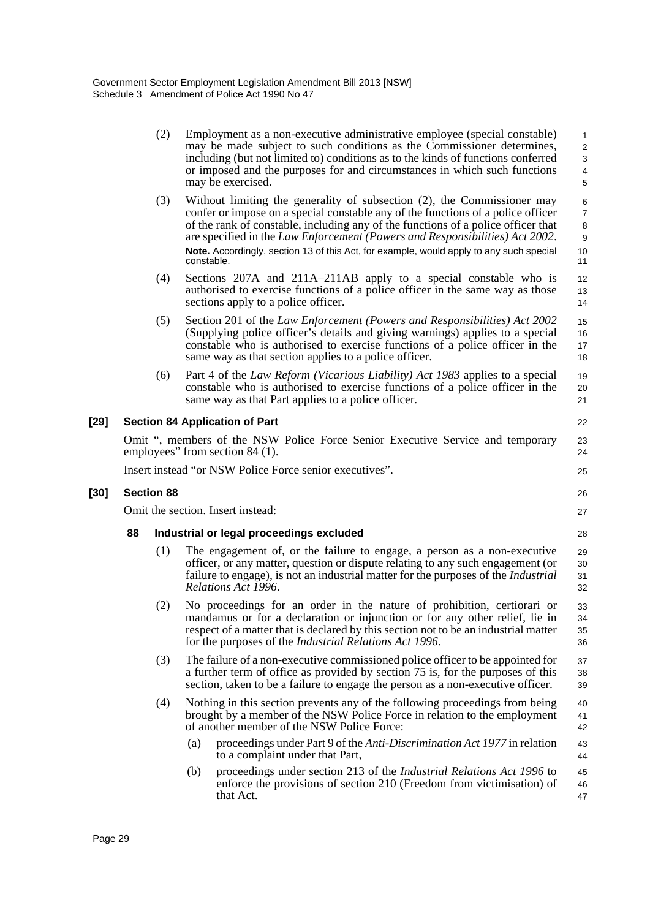|        |                                                | (2)               | Employment as a non-executive administrative employee (special constable)<br>may be made subject to such conditions as the Commissioner determines,<br>including (but not limited to) conditions as to the kinds of functions conferred<br>or imposed and the purposes for and circumstances in which such functions<br>may be exercised.                                                                                                 | 1<br>2<br>3<br>$\overline{\mathbf{4}}$<br>5   |  |
|--------|------------------------------------------------|-------------------|-------------------------------------------------------------------------------------------------------------------------------------------------------------------------------------------------------------------------------------------------------------------------------------------------------------------------------------------------------------------------------------------------------------------------------------------|-----------------------------------------------|--|
|        |                                                | (3)               | Without limiting the generality of subsection (2), the Commissioner may<br>confer or impose on a special constable any of the functions of a police officer<br>of the rank of constable, including any of the functions of a police officer that<br>are specified in the Law Enforcement (Powers and Responsibilities) Act 2002.<br>Note. Accordingly, section 13 of this Act, for example, would apply to any such special<br>constable. | $\,6$<br>$\overline{7}$<br>8<br>9<br>10<br>11 |  |
|        |                                                | (4)               | Sections 207A and 211A-211AB apply to a special constable who is<br>authorised to exercise functions of a police officer in the same way as those<br>sections apply to a police officer.                                                                                                                                                                                                                                                  | 12<br>13<br>14                                |  |
|        |                                                | (5)               | Section 201 of the <i>Law Enforcement (Powers and Responsibilities)</i> Act 2002<br>(Supplying police officer's details and giving warnings) applies to a special<br>constable who is authorised to exercise functions of a police officer in the<br>same way as that section applies to a police officer.                                                                                                                                | 15<br>16<br>17<br>18                          |  |
|        |                                                | (6)               | Part 4 of the <i>Law Reform (Vicarious Liability) Act 1983</i> applies to a special<br>constable who is authorised to exercise functions of a police officer in the<br>same way as that Part applies to a police officer.                                                                                                                                                                                                                 | 19<br>20<br>21                                |  |
| $[29]$ |                                                |                   | <b>Section 84 Application of Part</b>                                                                                                                                                                                                                                                                                                                                                                                                     | 22                                            |  |
|        |                                                |                   | Omit ", members of the NSW Police Force Senior Executive Service and temporary<br>employees" from section 84 (1).                                                                                                                                                                                                                                                                                                                         | 23<br>24                                      |  |
|        |                                                |                   | Insert instead "or NSW Police Force senior executives".                                                                                                                                                                                                                                                                                                                                                                                   | 25                                            |  |
| $[30]$ |                                                | <b>Section 88</b> |                                                                                                                                                                                                                                                                                                                                                                                                                                           | 26                                            |  |
|        | Omit the section. Insert instead:              |                   |                                                                                                                                                                                                                                                                                                                                                                                                                                           |                                               |  |
|        | 88<br>Industrial or legal proceedings excluded |                   |                                                                                                                                                                                                                                                                                                                                                                                                                                           |                                               |  |
|        |                                                | (1)               | The engagement of, or the failure to engage, a person as a non-executive<br>officer, or any matter, question or dispute relating to any such engagement (or<br>failure to engage), is not an industrial matter for the purposes of the <i>Industrial</i><br>Relations Act 1996.                                                                                                                                                           | 29<br>30<br>31<br>32                          |  |
|        |                                                | (2)               | No proceedings for an order in the nature of prohibition, certiorari or<br>mandamus or for a declaration or injunction or for any other relief, lie in<br>respect of a matter that is declared by this section not to be an industrial matter<br>for the purposes of the Industrial Relations Act 1996.                                                                                                                                   | 33<br>34<br>35<br>36                          |  |
|        |                                                | (3)               | The failure of a non-executive commissioned police officer to be appointed for<br>a further term of office as provided by section 75 is, for the purposes of this<br>section, taken to be a failure to engage the person as a non-executive officer.                                                                                                                                                                                      | 37<br>38<br>39                                |  |
|        |                                                | (4)               | Nothing in this section prevents any of the following proceedings from being<br>brought by a member of the NSW Police Force in relation to the employment<br>of another member of the NSW Police Force:                                                                                                                                                                                                                                   | 40<br>41<br>42                                |  |
|        |                                                |                   | proceedings under Part 9 of the <i>Anti-Discrimination Act 1977</i> in relation<br>(a)<br>to a complaint under that Part,                                                                                                                                                                                                                                                                                                                 | 43<br>44                                      |  |
|        |                                                |                   | proceedings under section 213 of the <i>Industrial Relations Act 1996</i> to<br>(b)<br>enforce the provisions of section 210 (Freedom from victimisation) of<br>that Act.                                                                                                                                                                                                                                                                 | 45<br>46<br>47                                |  |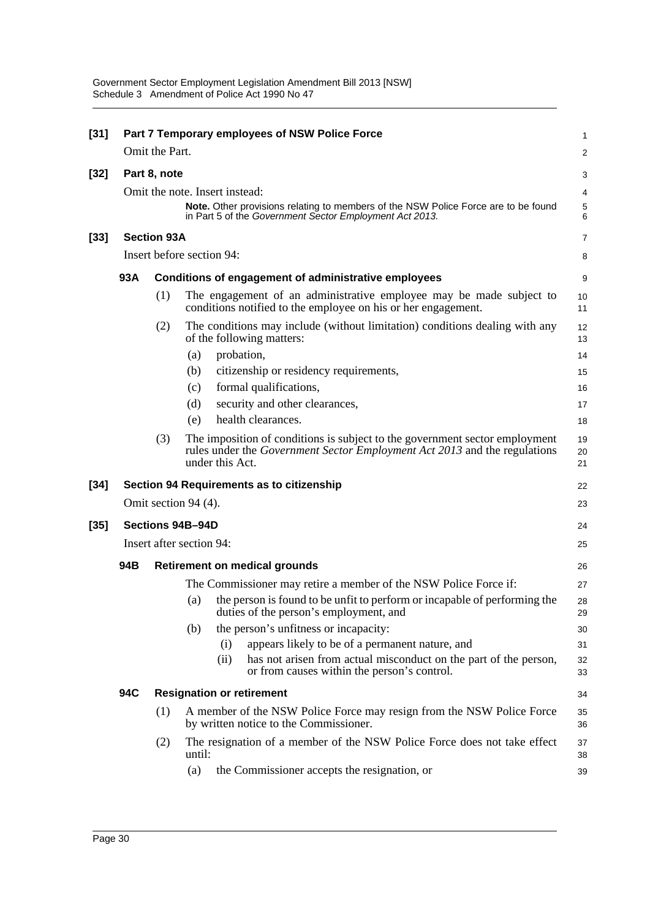| $[31]$ |                                                             |                                  | Part 7 Temporary employees of NSW Police Force                                                                                                                              | 1              |  |  |
|--------|-------------------------------------------------------------|----------------------------------|-----------------------------------------------------------------------------------------------------------------------------------------------------------------------------|----------------|--|--|
|        |                                                             | Omit the Part.                   |                                                                                                                                                                             | 2              |  |  |
| $[32]$ |                                                             | Part 8, note                     |                                                                                                                                                                             | 3              |  |  |
|        |                                                             | Omit the note. Insert instead:   |                                                                                                                                                                             |                |  |  |
|        |                                                             |                                  | Note. Other provisions relating to members of the NSW Police Force are to be found<br>in Part 5 of the Government Sector Employment Act 2013.                               | 5<br>6         |  |  |
| $[33]$ | <b>Section 93A</b>                                          |                                  |                                                                                                                                                                             |                |  |  |
|        | Insert before section 94:                                   |                                  |                                                                                                                                                                             |                |  |  |
|        | 93A<br>Conditions of engagement of administrative employees |                                  |                                                                                                                                                                             | 9              |  |  |
|        |                                                             | (1)                              | The engagement of an administrative employee may be made subject to<br>conditions notified to the employee on his or her engagement.                                        | 10<br>11       |  |  |
|        |                                                             | (2)                              | The conditions may include (without limitation) conditions dealing with any<br>of the following matters:                                                                    | 12<br>13       |  |  |
|        |                                                             |                                  | probation,<br>(a)                                                                                                                                                           | 14             |  |  |
|        |                                                             |                                  | citizenship or residency requirements,<br>(b)                                                                                                                               | 15             |  |  |
|        |                                                             |                                  | formal qualifications,<br>(c)                                                                                                                                               | 16             |  |  |
|        |                                                             |                                  | (d)<br>security and other clearances,                                                                                                                                       | 17             |  |  |
|        |                                                             |                                  | health clearances.<br>(e)                                                                                                                                                   | 18             |  |  |
|        |                                                             | (3)                              | The imposition of conditions is subject to the government sector employment<br>rules under the Government Sector Employment Act 2013 and the regulations<br>under this Act. | 19<br>20<br>21 |  |  |
| $[34]$ |                                                             |                                  | Section 94 Requirements as to citizenship                                                                                                                                   | 22             |  |  |
|        |                                                             |                                  | Omit section 94 (4).                                                                                                                                                        | 23             |  |  |
| $[35]$ | Sections 94B-94D                                            |                                  |                                                                                                                                                                             |                |  |  |
|        | Insert after section 94:                                    |                                  |                                                                                                                                                                             |                |  |  |
|        | 94B                                                         |                                  | <b>Retirement on medical grounds</b>                                                                                                                                        | 26             |  |  |
|        |                                                             |                                  | The Commissioner may retire a member of the NSW Police Force if:                                                                                                            | 27             |  |  |
|        |                                                             |                                  | the person is found to be unfit to perform or incapable of performing the<br>(a)<br>duties of the person's employment, and                                                  | 28<br>29       |  |  |
|        |                                                             |                                  | the person's unfitness or incapacity:<br>(b)                                                                                                                                | 30             |  |  |
|        |                                                             |                                  | appears likely to be of a permanent nature, and<br>(i)                                                                                                                      | 31             |  |  |
|        |                                                             |                                  | has not arisen from actual misconduct on the part of the person,<br>(ii)<br>or from causes within the person's control.                                                     | 32<br>33       |  |  |
|        | 94C                                                         | <b>Resignation or retirement</b> |                                                                                                                                                                             |                |  |  |
|        |                                                             | (1)                              | A member of the NSW Police Force may resign from the NSW Police Force<br>by written notice to the Commissioner.                                                             | 35<br>36       |  |  |
|        |                                                             | (2)                              | The resignation of a member of the NSW Police Force does not take effect<br>until:                                                                                          | 37<br>38       |  |  |
|        |                                                             |                                  | (a)<br>the Commissioner accepts the resignation, or                                                                                                                         | 39             |  |  |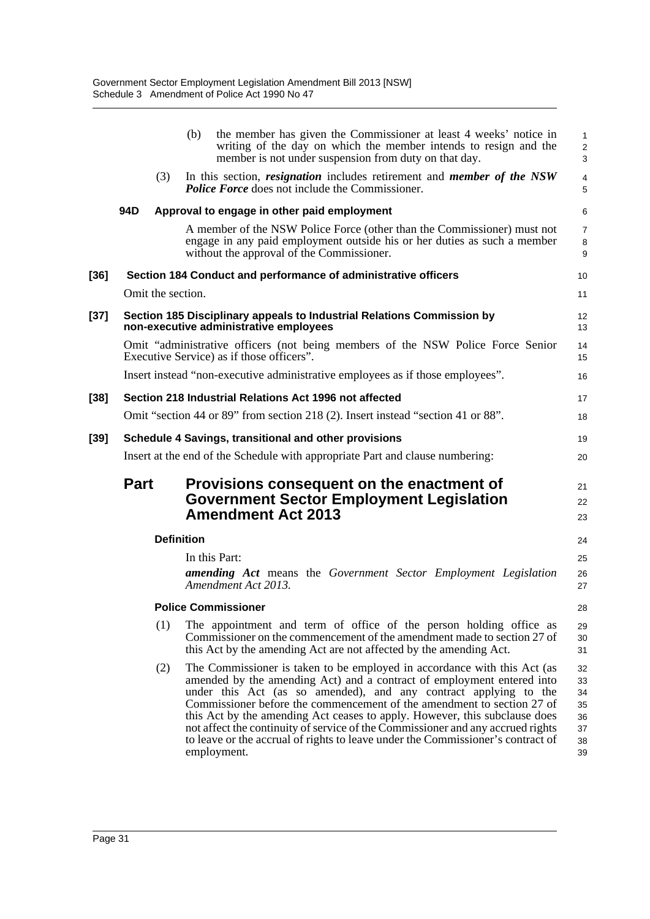|        |                            |     | the member has given the Commissioner at least 4 weeks' notice in<br>(b)<br>writing of the day on which the member intends to resign and the<br>member is not under suspension from duty on that day.                                                                                                                                                                                                                                                                                                                                                               | 1<br>$\overline{2}$<br>3                     |  |
|--------|----------------------------|-----|---------------------------------------------------------------------------------------------------------------------------------------------------------------------------------------------------------------------------------------------------------------------------------------------------------------------------------------------------------------------------------------------------------------------------------------------------------------------------------------------------------------------------------------------------------------------|----------------------------------------------|--|
|        |                            | (3) | In this section, <i>resignation</i> includes retirement and <i>member of the NSW</i><br><b>Police Force</b> does not include the Commissioner.                                                                                                                                                                                                                                                                                                                                                                                                                      | 4<br>5                                       |  |
|        | 94D                        |     | Approval to engage in other paid employment                                                                                                                                                                                                                                                                                                                                                                                                                                                                                                                         | 6                                            |  |
|        |                            |     | A member of the NSW Police Force (other than the Commissioner) must not<br>engage in any paid employment outside his or her duties as such a member<br>without the approval of the Commissioner.                                                                                                                                                                                                                                                                                                                                                                    | $\overline{7}$<br>8<br>9                     |  |
| [36]   |                            |     | Section 184 Conduct and performance of administrative officers                                                                                                                                                                                                                                                                                                                                                                                                                                                                                                      | 10                                           |  |
|        |                            |     | Omit the section.                                                                                                                                                                                                                                                                                                                                                                                                                                                                                                                                                   | 11                                           |  |
| $[37]$ |                            |     | Section 185 Disciplinary appeals to Industrial Relations Commission by<br>non-executive administrative employees                                                                                                                                                                                                                                                                                                                                                                                                                                                    | 12<br>13                                     |  |
|        |                            |     | Omit "administrative officers (not being members of the NSW Police Force Senior<br>Executive Service) as if those officers".                                                                                                                                                                                                                                                                                                                                                                                                                                        | 14<br>15                                     |  |
|        |                            |     | Insert instead "non-executive administrative employees as if those employees".                                                                                                                                                                                                                                                                                                                                                                                                                                                                                      | 16                                           |  |
| [38]   |                            |     | Section 218 Industrial Relations Act 1996 not affected                                                                                                                                                                                                                                                                                                                                                                                                                                                                                                              | 17                                           |  |
|        |                            |     | Omit "section 44 or 89" from section 218 (2). Insert instead "section 41 or 88".                                                                                                                                                                                                                                                                                                                                                                                                                                                                                    | 18                                           |  |
| [39]   |                            |     | Schedule 4 Savings, transitional and other provisions                                                                                                                                                                                                                                                                                                                                                                                                                                                                                                               | 19                                           |  |
|        |                            |     | Insert at the end of the Schedule with appropriate Part and clause numbering:                                                                                                                                                                                                                                                                                                                                                                                                                                                                                       | 20                                           |  |
|        | <b>Part</b>                |     | Provisions consequent on the enactment of<br><b>Government Sector Employment Legislation</b><br><b>Amendment Act 2013</b>                                                                                                                                                                                                                                                                                                                                                                                                                                           | 21<br>22<br>23                               |  |
|        | <b>Definition</b>          |     |                                                                                                                                                                                                                                                                                                                                                                                                                                                                                                                                                                     |                                              |  |
|        |                            |     | In this Part:<br><b>amending Act</b> means the Government Sector Employment Legislation<br>Amendment Act 2013.                                                                                                                                                                                                                                                                                                                                                                                                                                                      | 25<br>26<br>27                               |  |
|        | <b>Police Commissioner</b> |     |                                                                                                                                                                                                                                                                                                                                                                                                                                                                                                                                                                     |                                              |  |
|        |                            | (1) | The appointment and term of office of the person holding office as<br>Commissioner on the commencement of the amendment made to section 27 of<br>this Act by the amending Act are not affected by the amending Act.                                                                                                                                                                                                                                                                                                                                                 | 29<br>30<br>31                               |  |
|        |                            | (2) | The Commissioner is taken to be employed in accordance with this Act (as<br>amended by the amending Act) and a contract of employment entered into<br>under this Act (as so amended), and any contract applying to the<br>Commissioner before the commencement of the amendment to section 27 of<br>this Act by the amending Act ceases to apply. However, this subclause does<br>not affect the continuity of service of the Commissioner and any accrued rights<br>to leave or the accrual of rights to leave under the Commissioner's contract of<br>employment. | 32<br>33<br>34<br>35<br>36<br>37<br>38<br>39 |  |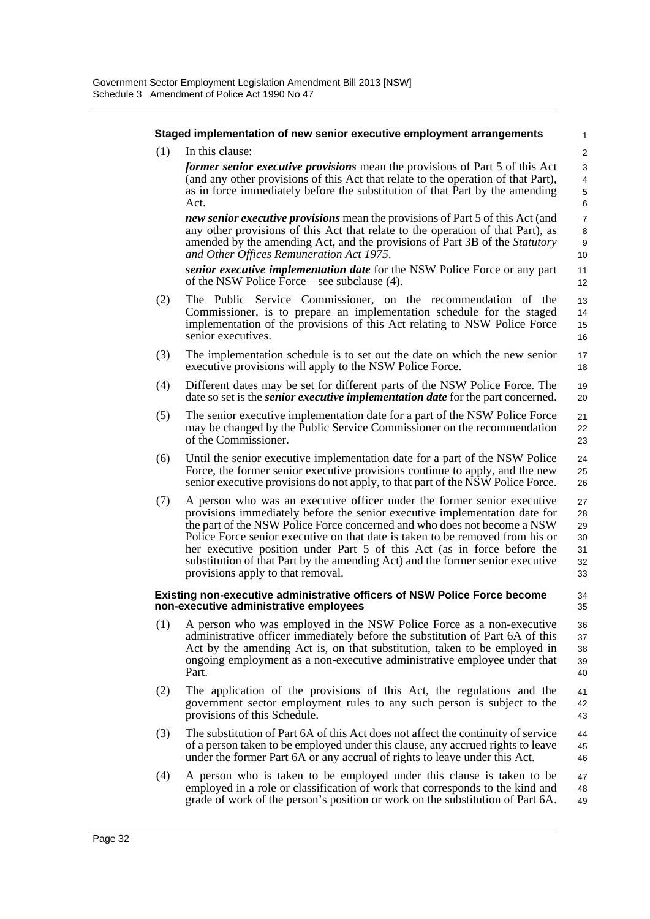(1) In this clause:

#### **Staged implementation of new senior executive employment arrangements**

1  $\overline{2}$ 3

 $34$ 35

*former senior executive provisions* mean the provisions of Part 5 of this Act (and any other provisions of this Act that relate to the operation of that Part), as in force immediately before the substitution of that Part by the amending Act.

*new senior executive provisions* mean the provisions of Part 5 of this Act (and any other provisions of this Act that relate to the operation of that Part), as amended by the amending Act, and the provisions of Part 3B of the *Statutory and Other Offices Remuneration Act 1975*.

*senior executive implementation date* for the NSW Police Force or any part of the NSW Police Force—see subclause (4).

- (2) The Public Service Commissioner, on the recommendation of the Commissioner, is to prepare an implementation schedule for the staged implementation of the provisions of this Act relating to NSW Police Force senior executives.
- (3) The implementation schedule is to set out the date on which the new senior executive provisions will apply to the NSW Police Force. 17 18
- (4) Different dates may be set for different parts of the NSW Police Force. The date so set is the *senior executive implementation date* for the part concerned. 19 20
- (5) The senior executive implementation date for a part of the NSW Police Force may be changed by the Public Service Commissioner on the recommendation of the Commissioner. 21 22 23
- (6) Until the senior executive implementation date for a part of the NSW Police Force, the former senior executive provisions continue to apply, and the new senior executive provisions do not apply, to that part of the NSW Police Force. 24 25 26
- (7) A person who was an executive officer under the former senior executive provisions immediately before the senior executive implementation date for the part of the NSW Police Force concerned and who does not become a NSW Police Force senior executive on that date is taken to be removed from his or her executive position under Part 5 of this Act (as in force before the substitution of that Part by the amending Act) and the former senior executive provisions apply to that removal. 27 28 29 30 31 32 33

#### **Existing non-executive administrative officers of NSW Police Force become non-executive administrative employees**

- (1) A person who was employed in the NSW Police Force as a non-executive administrative officer immediately before the substitution of Part 6A of this Act by the amending Act is, on that substitution, taken to be employed in ongoing employment as a non-executive administrative employee under that Part. 36 37 38 39 40
- (2) The application of the provisions of this Act, the regulations and the government sector employment rules to any such person is subject to the provisions of this Schedule. 41 42 43
- (3) The substitution of Part 6A of this Act does not affect the continuity of service of a person taken to be employed under this clause, any accrued rights to leave under the former Part 6A or any accrual of rights to leave under this Act. 44 45 46
- (4) A person who is taken to be employed under this clause is taken to be employed in a role or classification of work that corresponds to the kind and grade of work of the person's position or work on the substitution of Part 6A. 47 48 49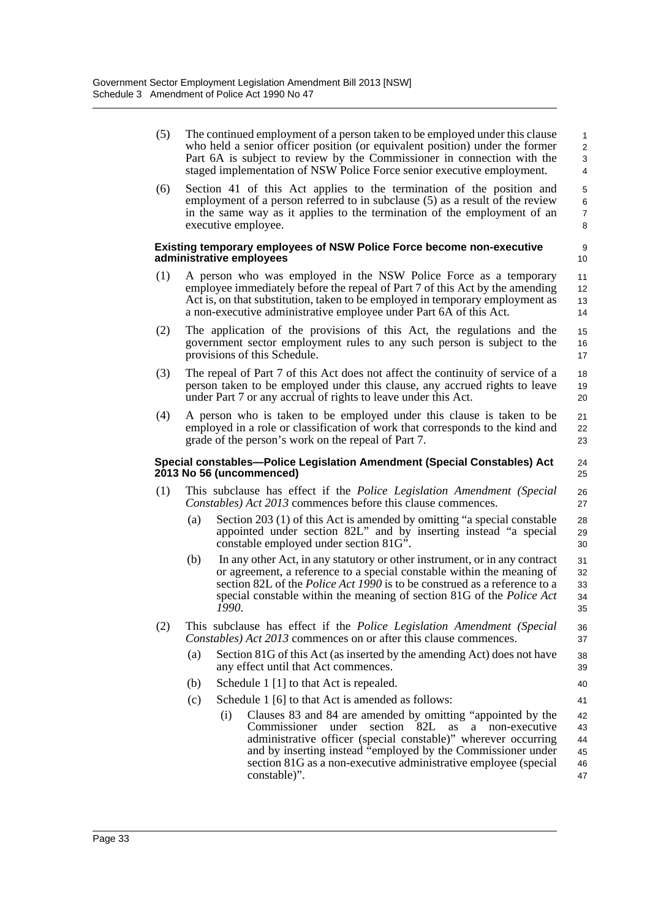(5) The continued employment of a person taken to be employed under this clause who held a senior officer position (or equivalent position) under the former Part 6A is subject to review by the Commissioner in connection with the staged implementation of NSW Police Force senior executive employment.

(6) Section 41 of this Act applies to the termination of the position and employment of a person referred to in subclause (5) as a result of the review in the same way as it applies to the termination of the employment of an executive employee.

### **Existing temporary employees of NSW Police Force become non-executive administrative employees**

- (1) A person who was employed in the NSW Police Force as a temporary employee immediately before the repeal of Part 7 of this Act by the amending Act is, on that substitution, taken to be employed in temporary employment as a non-executive administrative employee under Part 6A of this Act.
- (2) The application of the provisions of this Act, the regulations and the government sector employment rules to any such person is subject to the provisions of this Schedule. 15 16 17
- (3) The repeal of Part 7 of this Act does not affect the continuity of service of a person taken to be employed under this clause, any accrued rights to leave under Part 7 or any accrual of rights to leave under this Act. 18 19 20
- (4) A person who is taken to be employed under this clause is taken to be employed in a role or classification of work that corresponds to the kind and grade of the person's work on the repeal of Part 7.

#### **Special constables—Police Legislation Amendment (Special Constables) Act 2013 No 56 (uncommenced)**

- (1) This subclause has effect if the *Police Legislation Amendment (Special Constables) Act 2013* commences before this clause commences. 26 27
	- (a) Section 203 (1) of this Act is amended by omitting "a special constable appointed under section 82L" and by inserting instead "a special constable employed under section 81G". 28 29 30
	- (b) In any other Act, in any statutory or other instrument, or in any contract or agreement, a reference to a special constable within the meaning of section 82L of the *Police Act 1990* is to be construed as a reference to a special constable within the meaning of section 81G of the *Police Act 1990*. 31 32 33 34 35
- (2) This subclause has effect if the *Police Legislation Amendment (Special Constables) Act 2013* commences on or after this clause commences. 36 37
	- (a) Section 81G of this Act (as inserted by the amending Act) does not have any effect until that Act commences.
	- (b) Schedule 1 [1] to that Act is repealed.
	- (c) Schedule 1 [6] to that Act is amended as follows:
		- (i) Clauses 83 and 84 are amended by omitting "appointed by the Commissioner under section 82L as a non-executive administrative officer (special constable)" wherever occurring and by inserting instead "employed by the Commissioner under section 81G as a non-executive administrative employee (special constable)". 42 43 44 45 46 47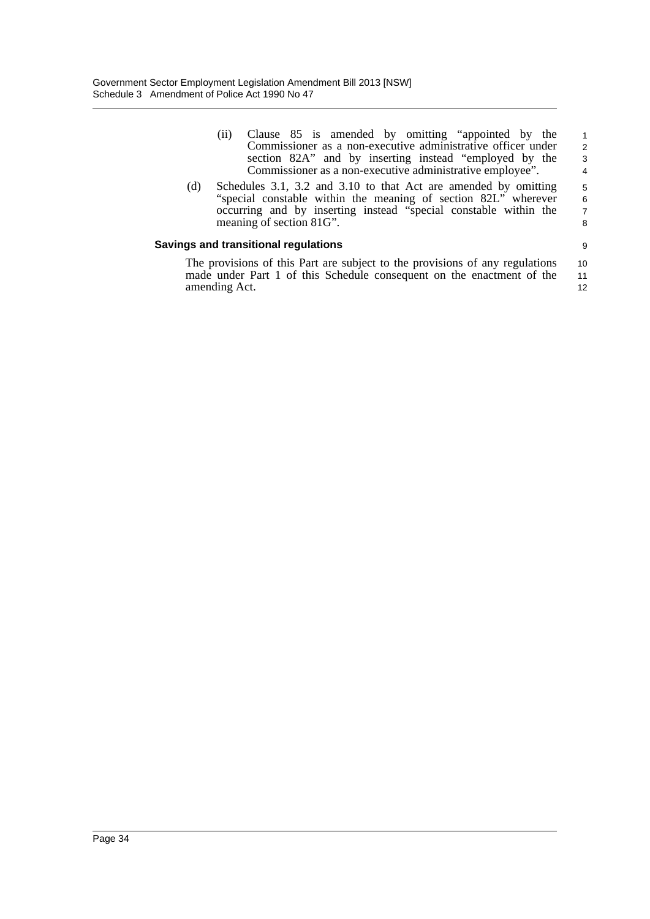| (11) | Clause 85 is amended by omitting "appointed by the           | $\overline{1}$ |
|------|--------------------------------------------------------------|----------------|
|      | Commissioner as a non-executive administrative officer under | $\mathcal{P}$  |
|      | section 82A" and by inserting instead "employed by the       | -3             |
|      | Commissioner as a non-executive administrative employee".    | 4              |

(d) Schedules 3.1, 3.2 and 3.10 to that Act are amended by omitting "special constable within the meaning of section 82L" wherever occurring and by inserting instead "special constable within the meaning of section 81G".

# **Savings and transitional regulations**

The provisions of this Part are subject to the provisions of any regulations made under Part 1 of this Schedule consequent on the enactment of the amending Act. 10 11 12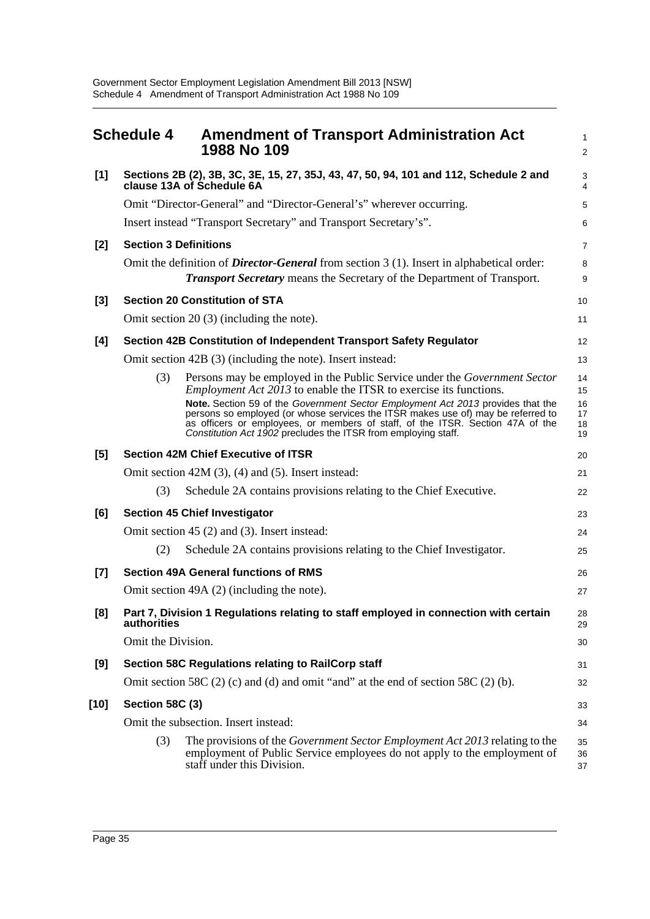|       | <b>Schedule 4</b>            | <b>Amendment of Transport Administration Act</b><br>1988 No 109                                                                                                                                                                                                                                                         | $\mathbf{1}$<br>$\overline{2}$ |
|-------|------------------------------|-------------------------------------------------------------------------------------------------------------------------------------------------------------------------------------------------------------------------------------------------------------------------------------------------------------------------|--------------------------------|
| [1]   |                              | Sections 2B (2), 3B, 3C, 3E, 15, 27, 35J, 43, 47, 50, 94, 101 and 112, Schedule 2 and<br>clause 13A of Schedule 6A                                                                                                                                                                                                      | 3<br>4                         |
|       |                              | Omit "Director-General" and "Director-General's" wherever occurring.                                                                                                                                                                                                                                                    | 5                              |
|       |                              | Insert instead "Transport Secretary" and Transport Secretary's".                                                                                                                                                                                                                                                        | 6                              |
| $[2]$ | <b>Section 3 Definitions</b> |                                                                                                                                                                                                                                                                                                                         | $\overline{7}$                 |
|       |                              | Omit the definition of <i>Director-General</i> from section $3(1)$ . Insert in alphabetical order:<br><b>Transport Secretary</b> means the Secretary of the Department of Transport.                                                                                                                                    | 8<br>9                         |
| $[3]$ |                              | <b>Section 20 Constitution of STA</b>                                                                                                                                                                                                                                                                                   | 10                             |
|       |                              | Omit section $20(3)$ (including the note).                                                                                                                                                                                                                                                                              | 11                             |
| [4]   |                              | Section 42B Constitution of Independent Transport Safety Regulator                                                                                                                                                                                                                                                      | 12                             |
|       |                              | Omit section 42B (3) (including the note). Insert instead:                                                                                                                                                                                                                                                              | 13                             |
|       | (3)                          | Persons may be employed in the Public Service under the Government Sector<br><i>Employment Act 2013</i> to enable the ITSR to exercise its functions.                                                                                                                                                                   | 14<br>15                       |
|       |                              | Note. Section 59 of the Government Sector Employment Act 2013 provides that the<br>persons so employed (or whose services the ITSR makes use of) may be referred to<br>as officers or employees, or members of staff, of the ITSR. Section 47A of the<br>Constitution Act 1902 precludes the ITSR from employing staff. | 16<br>17<br>18<br>19           |
| [5]   |                              | <b>Section 42M Chief Executive of ITSR</b>                                                                                                                                                                                                                                                                              | 20                             |
|       |                              | Omit section $42M(3)$ , $(4)$ and $(5)$ . Insert instead:                                                                                                                                                                                                                                                               | 21                             |
|       | (3)                          | Schedule 2A contains provisions relating to the Chief Executive.                                                                                                                                                                                                                                                        | 22                             |
| [6]   |                              | <b>Section 45 Chief Investigator</b>                                                                                                                                                                                                                                                                                    | 23                             |
|       |                              | Omit section 45 (2) and (3). Insert instead:                                                                                                                                                                                                                                                                            | 24                             |
|       | (2)                          | Schedule 2A contains provisions relating to the Chief Investigator.                                                                                                                                                                                                                                                     | 25                             |
| $[7]$ |                              | <b>Section 49A General functions of RMS</b>                                                                                                                                                                                                                                                                             | 26                             |
|       |                              | Omit section 49A (2) (including the note).                                                                                                                                                                                                                                                                              | 27                             |
| [8]   | authorities                  | Part 7, Division 1 Regulations relating to staff employed in connection with certain                                                                                                                                                                                                                                    | 28<br>29                       |
|       | Omit the Division.           |                                                                                                                                                                                                                                                                                                                         | 30                             |
| [9]   |                              | Section 58C Regulations relating to RailCorp staff                                                                                                                                                                                                                                                                      | 31                             |
|       |                              | Omit section 58C $(2)$ (c) and (d) and omit "and" at the end of section 58C $(2)$ (b).                                                                                                                                                                                                                                  | 32                             |
| [10]  | <b>Section 58C (3)</b>       |                                                                                                                                                                                                                                                                                                                         | 33                             |
|       |                              | Omit the subsection. Insert instead:                                                                                                                                                                                                                                                                                    | 34                             |
|       | (3)                          | The provisions of the Government Sector Employment Act 2013 relating to the<br>employment of Public Service employees do not apply to the employment of<br>staff under this Division.                                                                                                                                   | 35<br>36<br>37                 |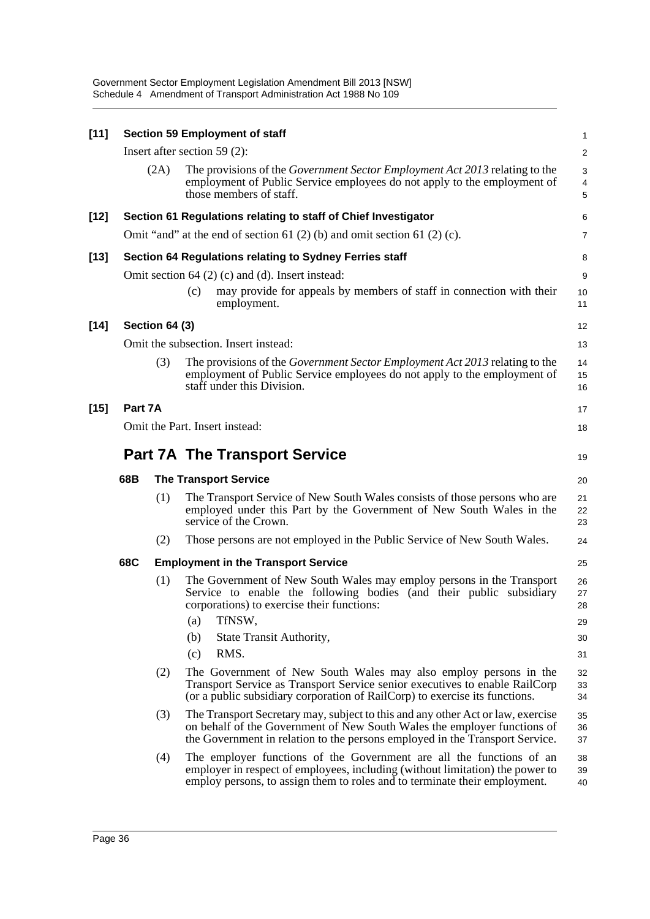Government Sector Employment Legislation Amendment Bill 2013 [NSW] Schedule 4 Amendment of Transport Administration Act 1988 No 109

| $[11]$ |                                      |                                            | <b>Section 59 Employment of staff</b>                                                                                                                                                                                                       | $\mathbf{1}$          |  |  |  |
|--------|--------------------------------------|--------------------------------------------|---------------------------------------------------------------------------------------------------------------------------------------------------------------------------------------------------------------------------------------------|-----------------------|--|--|--|
|        |                                      |                                            | Insert after section 59 $(2)$ :                                                                                                                                                                                                             | 2                     |  |  |  |
|        |                                      | (2A)                                       | The provisions of the <i>Government Sector Employment Act 2013</i> relating to the<br>employment of Public Service employees do not apply to the employment of<br>those members of staff.                                                   | 3<br>4<br>$\mathbf 5$ |  |  |  |
| $[12]$ |                                      |                                            | Section 61 Regulations relating to staff of Chief Investigator                                                                                                                                                                              | 6                     |  |  |  |
|        |                                      |                                            | Omit "and" at the end of section 61 $(2)$ (b) and omit section 61 $(2)$ (c).                                                                                                                                                                | $\overline{7}$        |  |  |  |
| $[13]$ |                                      |                                            | Section 64 Regulations relating to Sydney Ferries staff                                                                                                                                                                                     | 8                     |  |  |  |
|        |                                      |                                            | Omit section $64$ (2) (c) and (d). Insert instead:                                                                                                                                                                                          | 9                     |  |  |  |
|        |                                      |                                            | may provide for appeals by members of staff in connection with their<br>(c)<br>employment.                                                                                                                                                  | 10<br>11              |  |  |  |
| $[14]$ |                                      | Section 64 (3)                             |                                                                                                                                                                                                                                             | 12                    |  |  |  |
|        |                                      |                                            | Omit the subsection. Insert instead:                                                                                                                                                                                                        | 13                    |  |  |  |
|        |                                      | (3)                                        | The provisions of the <i>Government Sector Employment Act 2013</i> relating to the<br>employment of Public Service employees do not apply to the employment of<br>staff under this Division.                                                | 14<br>15<br>16        |  |  |  |
| $[15]$ | Part 7A                              |                                            |                                                                                                                                                                                                                                             | 17                    |  |  |  |
|        | Omit the Part. Insert instead:<br>18 |                                            |                                                                                                                                                                                                                                             |                       |  |  |  |
|        |                                      | <b>Part 7A The Transport Service</b><br>19 |                                                                                                                                                                                                                                             |                       |  |  |  |
|        | 68B                                  |                                            | <b>The Transport Service</b>                                                                                                                                                                                                                | 20                    |  |  |  |
|        |                                      | (1)                                        | The Transport Service of New South Wales consists of those persons who are<br>employed under this Part by the Government of New South Wales in the<br>service of the Crown.                                                                 | 21<br>22<br>23        |  |  |  |
|        |                                      | (2)                                        | Those persons are not employed in the Public Service of New South Wales.                                                                                                                                                                    | 24                    |  |  |  |
|        | 68C                                  |                                            | <b>Employment in the Transport Service</b>                                                                                                                                                                                                  | 25                    |  |  |  |
|        |                                      | (1)                                        | The Government of New South Wales may employ persons in the Transport<br>Service to enable the following bodies (and their public subsidiary<br>corporations) to exercise their functions:                                                  | 26<br>27<br>28        |  |  |  |
|        |                                      |                                            | TfNSW,<br>(a)<br>(b)<br>State Transit Authority,                                                                                                                                                                                            | 29                    |  |  |  |
|        |                                      |                                            | RMS.<br>(c)                                                                                                                                                                                                                                 | 30<br>31              |  |  |  |
|        |                                      | (2)                                        | The Government of New South Wales may also employ persons in the<br>Transport Service as Transport Service senior executives to enable RailCorp<br>(or a public subsidiary corporation of RailCorp) to exercise its functions.              | 32<br>33<br>34        |  |  |  |
|        |                                      | (3)                                        | The Transport Secretary may, subject to this and any other Act or law, exercise<br>on behalf of the Government of New South Wales the employer functions of<br>the Government in relation to the persons employed in the Transport Service. | 35<br>36<br>37        |  |  |  |
|        |                                      | (4)                                        | The employer functions of the Government are all the functions of an<br>employer in respect of employees, including (without limitation) the power to<br>employ persons, to assign them to roles and to terminate their employment.         | 38<br>39<br>40        |  |  |  |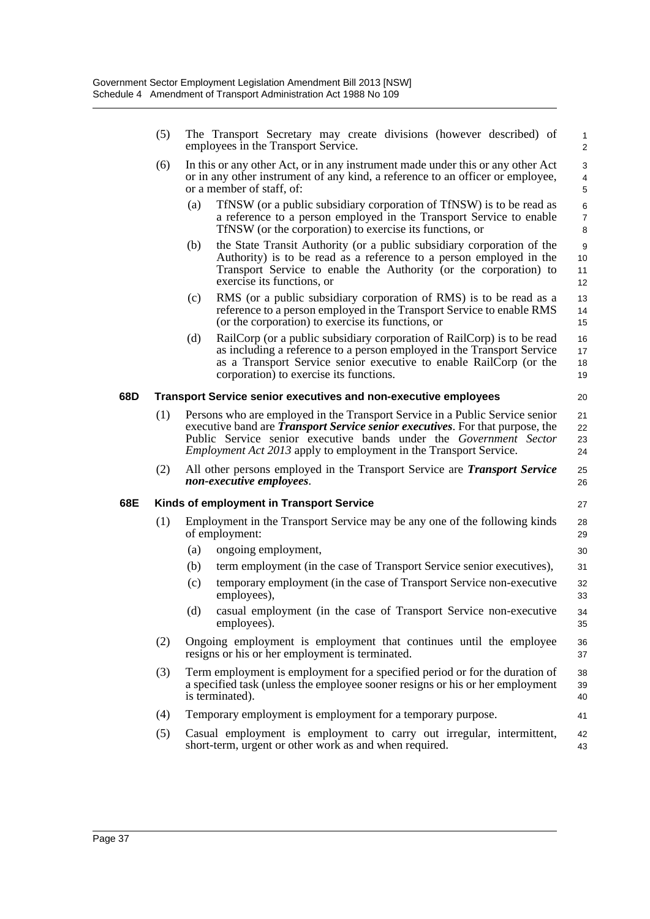|     | (5) |     | The Transport Secretary may create divisions (however described) of<br>employees in the Transport Service.                                                                                                                                                                                                             | $\mathbf{1}$<br>2        |
|-----|-----|-----|------------------------------------------------------------------------------------------------------------------------------------------------------------------------------------------------------------------------------------------------------------------------------------------------------------------------|--------------------------|
|     | (6) |     | In this or any other Act, or in any instrument made under this or any other Act<br>or in any other instrument of any kind, a reference to an officer or employee,<br>or a member of staff, of:                                                                                                                         | 3<br>4<br>5              |
|     |     | (a) | TfNSW (or a public subsidiary corporation of TfNSW) is to be read as<br>a reference to a person employed in the Transport Service to enable<br>TfNSW (or the corporation) to exercise its functions, or                                                                                                                | 6<br>$\overline{7}$<br>8 |
|     |     | (b) | the State Transit Authority (or a public subsidiary corporation of the<br>Authority) is to be read as a reference to a person employed in the<br>Transport Service to enable the Authority (or the corporation) to<br>exercise its functions, or                                                                       | 9<br>10<br>11<br>12      |
|     |     | (c) | RMS (or a public subsidiary corporation of RMS) is to be read as a<br>reference to a person employed in the Transport Service to enable RMS<br>(or the corporation) to exercise its functions, or                                                                                                                      | 13<br>14<br>15           |
|     |     | (d) | RailCorp (or a public subsidiary corporation of RailCorp) is to be read<br>as including a reference to a person employed in the Transport Service<br>as a Transport Service senior executive to enable RailCorp (or the<br>corporation) to exercise its functions.                                                     | 16<br>17<br>18<br>19     |
| 68D |     |     | <b>Transport Service senior executives and non-executive employees</b>                                                                                                                                                                                                                                                 | 20                       |
|     | (1) |     | Persons who are employed in the Transport Service in a Public Service senior<br>executive band are <i>Transport Service senior executives</i> . For that purpose, the<br>Public Service senior executive bands under the Government Sector<br><i>Employment Act 2013</i> apply to employment in the Transport Service. | 21<br>22<br>23<br>24     |
|     | (2) |     | All other persons employed in the Transport Service are Transport Service<br>non-executive employees.                                                                                                                                                                                                                  | 25<br>26                 |
| 68E |     |     | Kinds of employment in Transport Service                                                                                                                                                                                                                                                                               | 27                       |
|     | (1) |     | Employment in the Transport Service may be any one of the following kinds<br>of employment:                                                                                                                                                                                                                            | 28<br>29                 |
|     |     | (a) | ongoing employment,                                                                                                                                                                                                                                                                                                    | 30                       |
|     |     | (b) | term employment (in the case of Transport Service senior executives),                                                                                                                                                                                                                                                  | 31                       |
|     |     | (c) | temporary employment (in the case of Transport Service non-executive<br>employees),                                                                                                                                                                                                                                    | 32<br>33                 |
|     |     | (d) | casual employment (in the case of Transport Service non-executive<br>employees).                                                                                                                                                                                                                                       | 34<br>35                 |
|     | (2) |     | Ongoing employment is employment that continues until the employee<br>resigns or his or her employment is terminated.                                                                                                                                                                                                  | 36<br>37                 |
|     | (3) |     | Term employment is employment for a specified period or for the duration of<br>a specified task (unless the employee sooner resigns or his or her employment<br>is terminated).                                                                                                                                        | 38<br>39<br>40           |
|     | (4) |     | Temporary employment is employment for a temporary purpose.                                                                                                                                                                                                                                                            | 41                       |
|     | (5) |     | Casual employment is employment to carry out irregular, intermittent,<br>short-term, urgent or other work as and when required.                                                                                                                                                                                        | 42<br>43                 |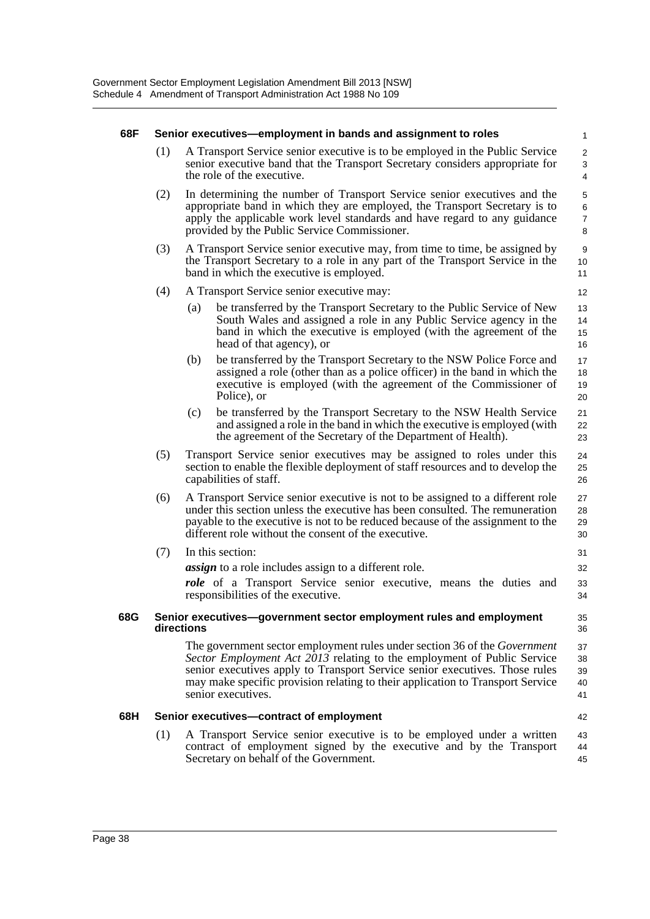| 68F |     | Senior executives—employment in bands and assignment to roles                                                                                                                                                                                                                                                                                      | $\mathbf{1}$                                |
|-----|-----|----------------------------------------------------------------------------------------------------------------------------------------------------------------------------------------------------------------------------------------------------------------------------------------------------------------------------------------------------|---------------------------------------------|
|     | (1) | A Transport Service senior executive is to be employed in the Public Service<br>senior executive band that the Transport Secretary considers appropriate for<br>the role of the executive.                                                                                                                                                         | 2<br>3<br>4                                 |
|     | (2) | In determining the number of Transport Service senior executives and the<br>appropriate band in which they are employed, the Transport Secretary is to<br>apply the applicable work level standards and have regard to any guidance<br>provided by the Public Service Commissioner.                                                                | $\mathbf 5$<br>$\,6$<br>$\overline{7}$<br>8 |
|     | (3) | A Transport Service senior executive may, from time to time, be assigned by<br>the Transport Secretary to a role in any part of the Transport Service in the<br>band in which the executive is employed.                                                                                                                                           | 9<br>10<br>11                               |
|     | (4) | A Transport Service senior executive may:                                                                                                                                                                                                                                                                                                          | 12                                          |
|     |     | be transferred by the Transport Secretary to the Public Service of New<br>(a)<br>South Wales and assigned a role in any Public Service agency in the<br>band in which the executive is employed (with the agreement of the<br>head of that agency), or                                                                                             | 13<br>14<br>15<br>16                        |
|     |     | be transferred by the Transport Secretary to the NSW Police Force and<br>(b)<br>assigned a role (other than as a police officer) in the band in which the<br>executive is employed (with the agreement of the Commissioner of<br>Police), or                                                                                                       | 17<br>18<br>19<br>20                        |
|     |     | be transferred by the Transport Secretary to the NSW Health Service<br>(c)<br>and assigned a role in the band in which the executive is employed (with<br>the agreement of the Secretary of the Department of Health).                                                                                                                             | 21<br>22<br>23                              |
|     | (5) | Transport Service senior executives may be assigned to roles under this<br>section to enable the flexible deployment of staff resources and to develop the<br>capabilities of staff.                                                                                                                                                               | 24<br>25<br>26                              |
|     | (6) | A Transport Service senior executive is not to be assigned to a different role<br>under this section unless the executive has been consulted. The remuneration<br>payable to the executive is not to be reduced because of the assignment to the<br>different role without the consent of the executive.                                           | 27<br>28<br>29<br>30                        |
|     | (7) | In this section:                                                                                                                                                                                                                                                                                                                                   | 31                                          |
|     |     | <i>assign</i> to a role includes assign to a different role.<br>role of a Transport Service senior executive, means the duties and<br>responsibilities of the executive.                                                                                                                                                                           | 32<br>33<br>34                              |
| 68G |     | Senior executives—government sector employment rules and employment<br>directions                                                                                                                                                                                                                                                                  | 35<br>36                                    |
|     |     | The government sector employment rules under section 36 of the <i>Government</i><br>Sector Employment Act 2013 relating to the employment of Public Service<br>senior executives apply to Transport Service senior executives. Those rules<br>may make specific provision relating to their application to Transport Service<br>senior executives. | 37<br>38<br>39<br>40<br>41                  |
| 68H |     | Senior executives-contract of employment                                                                                                                                                                                                                                                                                                           | 42                                          |
|     | (1) | A Transport Service senior executive is to be employed under a written<br>contract of employment signed by the executive and by the Transport<br>Secretary on behalf of the Government.                                                                                                                                                            | 43<br>44<br>45                              |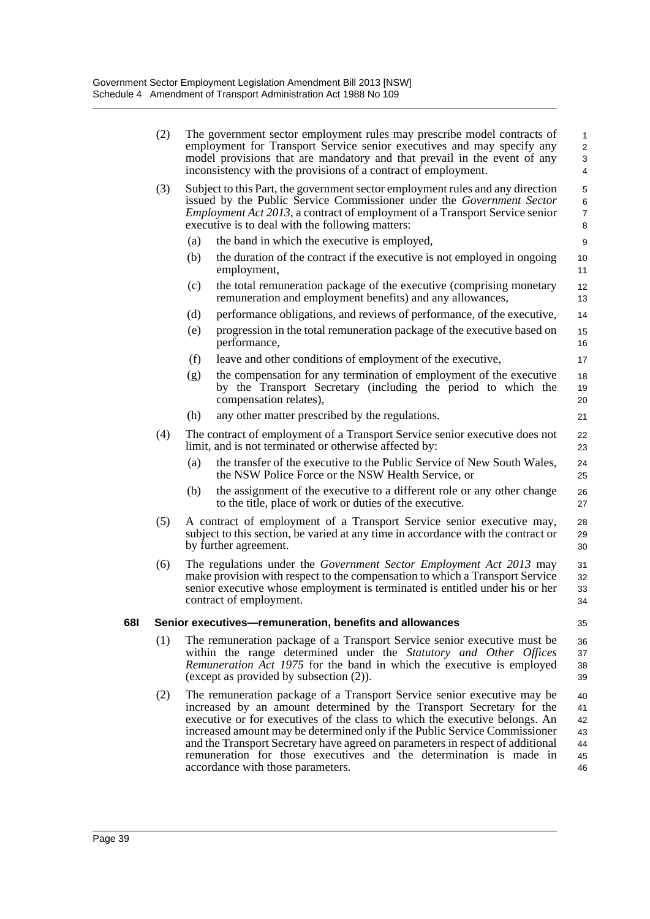|     | (2) |     | The remuneration package of a Transport Service senior executive may be<br>increased by an amount determined by the Transport Secretary for the<br>executive or for executives of the class to which the executive belongs. An<br>increased amount may be determined only if the Public Service Commissioner<br>and the Transport Secretary have agreed on parameters in respect of additional<br>remuneration for those executives and the determination is made in<br>accordance with those parameters. | 40<br>41<br>42<br>43<br>44<br>45<br>46   |
|-----|-----|-----|-----------------------------------------------------------------------------------------------------------------------------------------------------------------------------------------------------------------------------------------------------------------------------------------------------------------------------------------------------------------------------------------------------------------------------------------------------------------------------------------------------------|------------------------------------------|
|     | (1) |     | The remuneration package of a Transport Service senior executive must be<br>within the range determined under the Statutory and Other Offices<br>Remuneration Act 1975 for the band in which the executive is employed<br>(except as provided by subsection (2)).                                                                                                                                                                                                                                         | 36<br>37<br>38<br>39                     |
|     |     |     |                                                                                                                                                                                                                                                                                                                                                                                                                                                                                                           |                                          |
| 681 |     |     | contract of employment.<br>Senior executives-remuneration, benefits and allowances                                                                                                                                                                                                                                                                                                                                                                                                                        | 34<br>35                                 |
|     | (6) |     | The regulations under the Government Sector Employment Act 2013 may<br>make provision with respect to the compensation to which a Transport Service<br>senior executive whose employment is terminated is entitled under his or her                                                                                                                                                                                                                                                                       | 31<br>32<br>33                           |
|     | (5) |     | A contract of employment of a Transport Service senior executive may,<br>subject to this section, be varied at any time in accordance with the contract or<br>by further agreement.                                                                                                                                                                                                                                                                                                                       | 28<br>29<br>30                           |
|     |     | (b) | the assignment of the executive to a different role or any other change<br>to the title, place of work or duties of the executive.                                                                                                                                                                                                                                                                                                                                                                        | 26<br>27                                 |
|     |     | (a) | the transfer of the executive to the Public Service of New South Wales,<br>the NSW Police Force or the NSW Health Service, or                                                                                                                                                                                                                                                                                                                                                                             | 24<br>25                                 |
|     | (4) |     | The contract of employment of a Transport Service senior executive does not<br>limit, and is not terminated or otherwise affected by:                                                                                                                                                                                                                                                                                                                                                                     | 22<br>23                                 |
|     |     | (h) | any other matter prescribed by the regulations.                                                                                                                                                                                                                                                                                                                                                                                                                                                           | 21                                       |
|     |     | (g) | the compensation for any termination of employment of the executive<br>by the Transport Secretary (including the period to which the<br>compensation relates),                                                                                                                                                                                                                                                                                                                                            | 18<br>19<br>20                           |
|     |     | (f) | leave and other conditions of employment of the executive,                                                                                                                                                                                                                                                                                                                                                                                                                                                | 17                                       |
|     |     | (e) | progression in the total remuneration package of the executive based on<br>performance,                                                                                                                                                                                                                                                                                                                                                                                                                   | 15<br>16                                 |
|     |     | (d) | performance obligations, and reviews of performance, of the executive,                                                                                                                                                                                                                                                                                                                                                                                                                                    | 14                                       |
|     |     | (c) | the total remuneration package of the executive (comprising monetary<br>remuneration and employment benefits) and any allowances,                                                                                                                                                                                                                                                                                                                                                                         | 12<br>13                                 |
|     |     | (b) | the duration of the contract if the executive is not employed in ongoing<br>employment,                                                                                                                                                                                                                                                                                                                                                                                                                   | 10<br>11                                 |
|     |     | (a) | executive is to deal with the following matters:<br>the band in which the executive is employed,                                                                                                                                                                                                                                                                                                                                                                                                          | 8<br>9                                   |
|     | (3) |     | Subject to this Part, the government sector employment rules and any direction<br>issued by the Public Service Commissioner under the Government Sector<br><i>Employment Act 2013</i> , a contract of employment of a Transport Service senior                                                                                                                                                                                                                                                            | 5<br>6<br>$\overline{7}$                 |
|     | (2) |     | The government sector employment rules may prescribe model contracts of<br>employment for Transport Service senior executives and may specify any<br>model provisions that are mandatory and that prevail in the event of any<br>inconsistency with the provisions of a contract of employment.                                                                                                                                                                                                           | $\mathbf{1}$<br>$\overline{c}$<br>3<br>4 |
|     |     |     |                                                                                                                                                                                                                                                                                                                                                                                                                                                                                                           |                                          |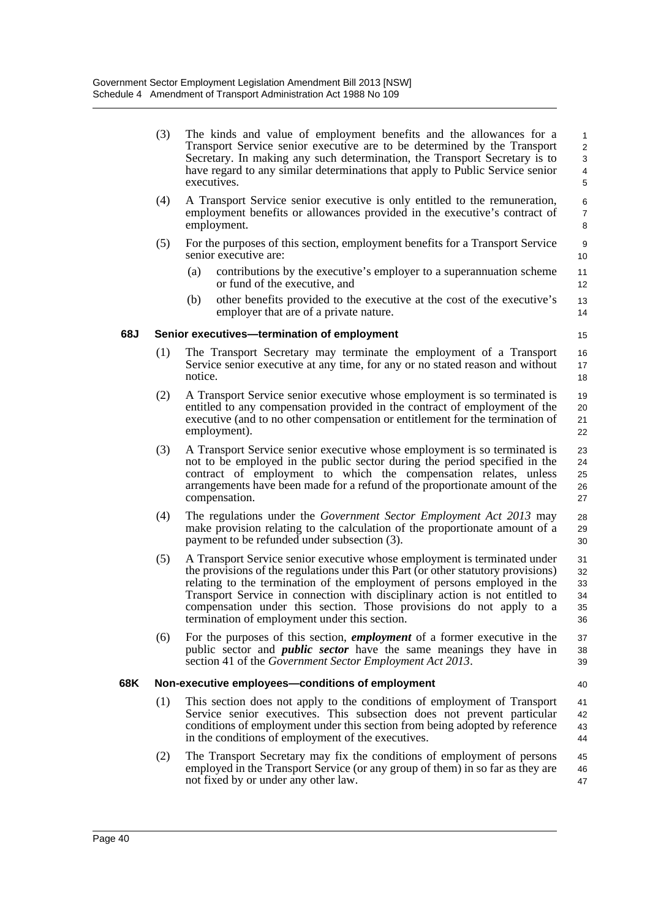|     | (3) | The kinds and value of employment benefits and the allowances for a<br>Transport Service senior executive are to be determined by the Transport<br>Secretary. In making any such determination, the Transport Secretary is to<br>have regard to any similar determinations that apply to Public Service senior<br>executives.                                                                                                                     | $\mathbf{1}$<br>$\overline{2}$<br>3<br>4<br>5 |
|-----|-----|---------------------------------------------------------------------------------------------------------------------------------------------------------------------------------------------------------------------------------------------------------------------------------------------------------------------------------------------------------------------------------------------------------------------------------------------------|-----------------------------------------------|
|     | (4) | A Transport Service senior executive is only entitled to the remuneration,<br>employment benefits or allowances provided in the executive's contract of<br>employment.                                                                                                                                                                                                                                                                            | 6<br>$\overline{7}$<br>8                      |
|     | (5) | For the purposes of this section, employment benefits for a Transport Service<br>senior executive are:                                                                                                                                                                                                                                                                                                                                            | 9<br>10                                       |
|     |     | contributions by the executive's employer to a superannuation scheme<br>(a)<br>or fund of the executive, and                                                                                                                                                                                                                                                                                                                                      | 11<br>12                                      |
|     |     | (b)<br>other benefits provided to the executive at the cost of the executive's<br>employer that are of a private nature.                                                                                                                                                                                                                                                                                                                          | 13<br>14                                      |
| 68J |     | Senior executives-termination of employment                                                                                                                                                                                                                                                                                                                                                                                                       | 15                                            |
|     | (1) | The Transport Secretary may terminate the employment of a Transport<br>Service senior executive at any time, for any or no stated reason and without<br>notice.                                                                                                                                                                                                                                                                                   | 16<br>17<br>18                                |
|     | (2) | A Transport Service senior executive whose employment is so terminated is<br>entitled to any compensation provided in the contract of employment of the<br>executive (and to no other compensation or entitlement for the termination of<br>employment).                                                                                                                                                                                          | 19<br>20<br>21<br>22                          |
|     | (3) | A Transport Service senior executive whose employment is so terminated is<br>not to be employed in the public sector during the period specified in the<br>contract of employment to which the compensation relates, unless<br>arrangements have been made for a refund of the proportionate amount of the<br>compensation.                                                                                                                       | 23<br>24<br>25<br>26<br>27                    |
|     | (4) | The regulations under the Government Sector Employment Act 2013 may<br>make provision relating to the calculation of the proportionate amount of a<br>payment to be refunded under subsection (3).                                                                                                                                                                                                                                                | 28<br>29<br>30                                |
|     | (5) | A Transport Service senior executive whose employment is terminated under<br>the provisions of the regulations under this Part (or other statutory provisions)<br>relating to the termination of the employment of persons employed in the<br>Transport Service in connection with disciplinary action is not entitled to<br>compensation under this section. Those provisions do not apply to a<br>termination of employment under this section. | 31<br>32<br>33<br>34<br>35<br>36              |
|     | (6) | For the purposes of this section, <i>employment</i> of a former executive in the<br>public sector and <i>public sector</i> have the same meanings they have in<br>section 41 of the <i>Government Sector Employment Act 2013</i> .                                                                                                                                                                                                                | 37<br>38<br>39                                |
| 68K |     | Non-executive employees-conditions of employment                                                                                                                                                                                                                                                                                                                                                                                                  | 40                                            |
|     | (1) | This section does not apply to the conditions of employment of Transport<br>Service senior executives. This subsection does not prevent particular<br>conditions of employment under this section from being adopted by reference<br>in the conditions of employment of the executives.                                                                                                                                                           | 41<br>42<br>43<br>44                          |
|     | (2) | The Transport Secretary may fix the conditions of employment of persons<br>employed in the Transport Service (or any group of them) in so far as they are<br>not fixed by or under any other law.                                                                                                                                                                                                                                                 | 45<br>46<br>47                                |
|     |     |                                                                                                                                                                                                                                                                                                                                                                                                                                                   |                                               |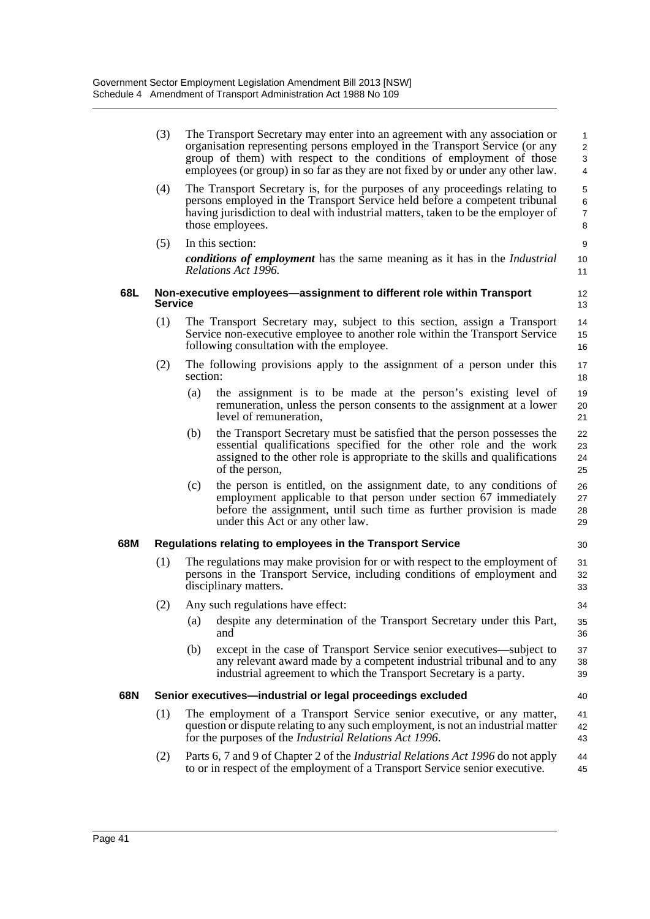|     | (3)            |          | The Transport Secretary may enter into an agreement with any association or<br>organisation representing persons employed in the Transport Service (or any<br>group of them) with respect to the conditions of employment of those<br>employees (or group) in so far as they are not fixed by or under any other law. | 1<br>$\overline{\mathbf{c}}$<br>3<br>4 |
|-----|----------------|----------|-----------------------------------------------------------------------------------------------------------------------------------------------------------------------------------------------------------------------------------------------------------------------------------------------------------------------|----------------------------------------|
|     | (4)            |          | The Transport Secretary is, for the purposes of any proceedings relating to<br>persons employed in the Transport Service held before a competent tribunal<br>having jurisdiction to deal with industrial matters, taken to be the employer of<br>those employees.                                                     | 5<br>6<br>7<br>8                       |
|     | (5)            |          | In this section:<br><b>conditions of employment</b> has the same meaning as it has in the <i>Industrial</i><br>Relations Act 1996.                                                                                                                                                                                    | 9<br>10<br>11                          |
| 68L | <b>Service</b> |          | Non-executive employees—assignment to different role within Transport                                                                                                                                                                                                                                                 | 12<br>13                               |
|     | (1)            |          | The Transport Secretary may, subject to this section, assign a Transport<br>Service non-executive employee to another role within the Transport Service<br>following consultation with the employee.                                                                                                                  | 14<br>15<br>16                         |
|     | (2)            | section: | The following provisions apply to the assignment of a person under this                                                                                                                                                                                                                                               | 17<br>18                               |
|     |                | (a)      | the assignment is to be made at the person's existing level of<br>remuneration, unless the person consents to the assignment at a lower<br>level of remuneration,                                                                                                                                                     | 19<br>20<br>21                         |
|     |                | (b)      | the Transport Secretary must be satisfied that the person possesses the<br>essential qualifications specified for the other role and the work<br>assigned to the other role is appropriate to the skills and qualifications<br>of the person,                                                                         | 22<br>23<br>24<br>25                   |
|     |                | (c)      | the person is entitled, on the assignment date, to any conditions of<br>employment applicable to that person under section 67 immediately<br>before the assignment, until such time as further provision is made<br>under this Act or any other law.                                                                  | 26<br>27<br>28<br>29                   |
| 68M |                |          | Regulations relating to employees in the Transport Service                                                                                                                                                                                                                                                            | 30                                     |
|     | (1)            |          | The regulations may make provision for or with respect to the employment of<br>persons in the Transport Service, including conditions of employment and<br>disciplinary matters.                                                                                                                                      | 31<br>32<br>33                         |
|     | (2)            |          | Any such regulations have effect:                                                                                                                                                                                                                                                                                     | 34                                     |
|     |                | (a)      | despite any determination of the Transport Secretary under this Part,<br>and                                                                                                                                                                                                                                          | 35<br>36                               |
|     |                | (b)      | except in the case of Transport Service senior executives—subject to<br>any relevant award made by a competent industrial tribunal and to any<br>industrial agreement to which the Transport Secretary is a party.                                                                                                    | 37<br>38<br>39                         |
| 68N |                |          | Senior executives-industrial or legal proceedings excluded                                                                                                                                                                                                                                                            | 40                                     |
|     | (1)            |          | The employment of a Transport Service senior executive, or any matter,<br>question or dispute relating to any such employment, is not an industrial matter<br>for the purposes of the <i>Industrial Relations Act 1996</i> .                                                                                          | 41<br>42<br>43                         |
|     | (2)            |          | Parts 6, 7 and 9 of Chapter 2 of the <i>Industrial Relations Act 1996</i> do not apply<br>to or in respect of the employment of a Transport Service senior executive.                                                                                                                                                 | 44<br>45                               |
|     |                |          |                                                                                                                                                                                                                                                                                                                       |                                        |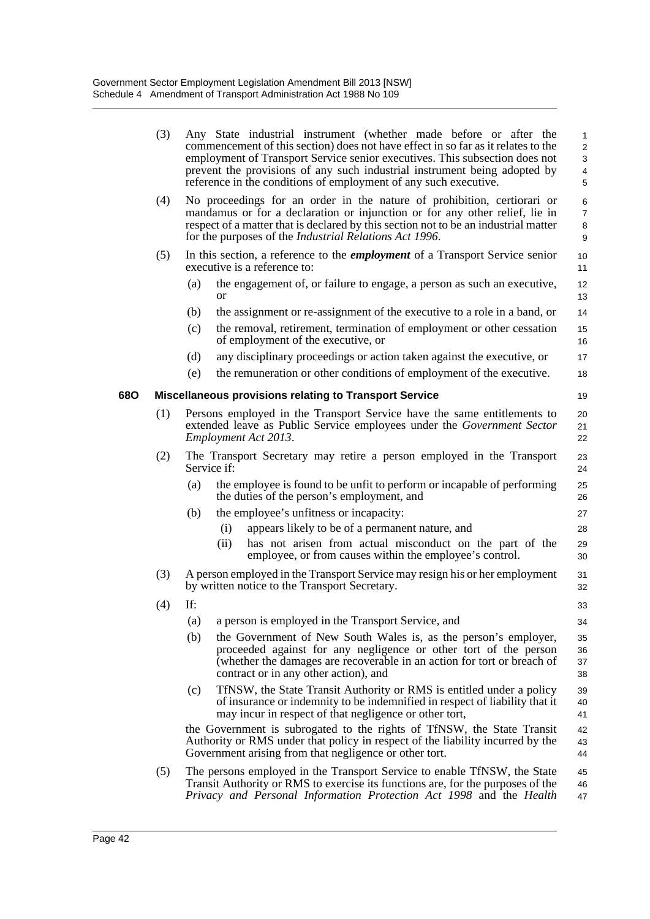|     | (3) | Any State industrial instrument (whether made before or after the<br>commencement of this section) does not have effect in so far as it relates to the<br>employment of Transport Service senior executives. This subsection does not<br>prevent the provisions of any such industrial instrument being adopted by<br>reference in the conditions of employment of any such executive. | $\mathbf{1}$<br>2<br>3<br>$\overline{4}$<br>5 |
|-----|-----|----------------------------------------------------------------------------------------------------------------------------------------------------------------------------------------------------------------------------------------------------------------------------------------------------------------------------------------------------------------------------------------|-----------------------------------------------|
|     | (4) | No proceedings for an order in the nature of prohibition, certiorari or<br>mandamus or for a declaration or injunction or for any other relief, lie in<br>respect of a matter that is declared by this section not to be an industrial matter<br>for the purposes of the <i>Industrial Relations Act 1996</i> .                                                                        | 6<br>$\overline{7}$<br>8<br>9                 |
|     | (5) | In this section, a reference to the <i>employment</i> of a Transport Service senior<br>executive is a reference to:                                                                                                                                                                                                                                                                    | 10<br>11                                      |
|     |     | (a)<br>the engagement of, or failure to engage, a person as such an executive,<br>or                                                                                                                                                                                                                                                                                                   | 12<br>13                                      |
|     |     | the assignment or re-assignment of the executive to a role in a band, or<br>(b)                                                                                                                                                                                                                                                                                                        | 14                                            |
|     |     | (c)<br>the removal, retirement, termination of employment or other cessation<br>of employment of the executive, or                                                                                                                                                                                                                                                                     | 15<br>16                                      |
|     |     | (d)<br>any disciplinary proceedings or action taken against the executive, or                                                                                                                                                                                                                                                                                                          | 17                                            |
|     |     | the remuneration or other conditions of employment of the executive.<br>(e)                                                                                                                                                                                                                                                                                                            | 18                                            |
| 680 |     | <b>Miscellaneous provisions relating to Transport Service</b>                                                                                                                                                                                                                                                                                                                          | 19                                            |
|     | (1) | Persons employed in the Transport Service have the same entitlements to<br>extended leave as Public Service employees under the Government Sector<br>Employment Act 2013.                                                                                                                                                                                                              | 20<br>21<br>22                                |
|     | (2) | The Transport Secretary may retire a person employed in the Transport<br>Service if:                                                                                                                                                                                                                                                                                                   | 23<br>24                                      |
|     |     | (a)<br>the employee is found to be unfit to perform or incapable of performing<br>the duties of the person's employment, and                                                                                                                                                                                                                                                           | 25<br>26                                      |
|     |     | the employee's unfitness or incapacity:<br>(b)                                                                                                                                                                                                                                                                                                                                         | 27                                            |
|     |     | appears likely to be of a permanent nature, and<br>(i)                                                                                                                                                                                                                                                                                                                                 | 28                                            |
|     |     | has not arisen from actual misconduct on the part of the<br>(ii)<br>employee, or from causes within the employee's control.                                                                                                                                                                                                                                                            | 29<br>30                                      |
|     | (3) | A person employed in the Transport Service may resign his or her employment<br>by written notice to the Transport Secretary.                                                                                                                                                                                                                                                           | 31<br>32                                      |
|     | (4) | If:                                                                                                                                                                                                                                                                                                                                                                                    | 33                                            |
|     |     | a person is employed in the Transport Service, and<br>(a)                                                                                                                                                                                                                                                                                                                              | 34                                            |
|     |     | (b)<br>the Government of New South Wales is, as the person's employer,<br>proceeded against for any negligence or other tort of the person<br>(whether the damages are recoverable in an action for tort or breach of<br>contract or in any other action), and                                                                                                                         | 35<br>36<br>37<br>38                          |
|     |     | TfNSW, the State Transit Authority or RMS is entitled under a policy<br>(c)<br>of insurance or indemnity to be indemnified in respect of liability that it<br>may incur in respect of that negligence or other tort,                                                                                                                                                                   | 39<br>40<br>41                                |
|     |     | the Government is subrogated to the rights of TfNSW, the State Transit<br>Authority or RMS under that policy in respect of the liability incurred by the<br>Government arising from that negligence or other tort.                                                                                                                                                                     | 42<br>43<br>44                                |
|     | (5) | The persons employed in the Transport Service to enable TfNSW, the State<br>Transit Authority or RMS to exercise its functions are, for the purposes of the<br>Privacy and Personal Information Protection Act 1998 and the Health                                                                                                                                                     | 45<br>46<br>47                                |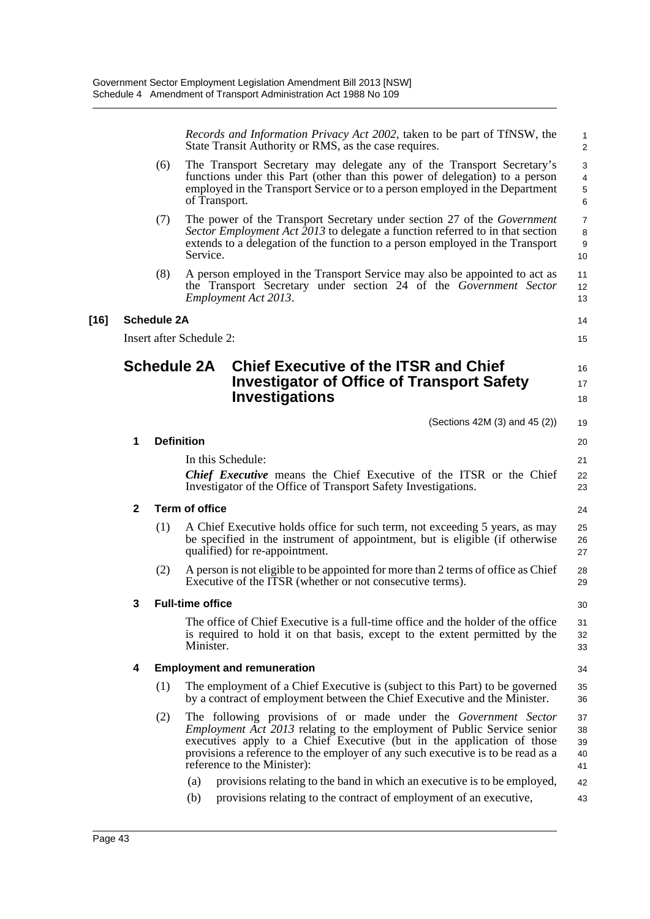*Records and Information Privacy Act 2002*, taken to be part of TfNSW, the State Transit Authority or RMS, as the case requires.

1

(6) The Transport Secretary may delegate any of the Transport Secretary's functions under this Part (other than this power of delegation) to a person employed in the Transport Service or to a person employed in the Department of Transport. (7) The power of the Transport Secretary under section 27 of the *Government Sector Employment Act 2013* to delegate a function referred to in that section extends to a delegation of the function to a person employed in the Transport Service. (8) A person employed in the Transport Service may also be appointed to act as the Transport Secretary under section 24 of the *Government Sector Employment Act 2013*. **[16] Schedule 2A** Insert after Schedule 2: **Schedule 2A Chief Executive of the ITSR and Chief Investigator of Office of Transport Safety Investigations** (Sections 42M (3) and 45 (2)) **1 Definition** In this Schedule: *Chief Executive* means the Chief Executive of the ITSR or the Chief Investigator of the Office of Transport Safety Investigations. **2 Term of office** (1) A Chief Executive holds office for such term, not exceeding 5 years, as may be specified in the instrument of appointment, but is eligible (if otherwise qualified) for re-appointment. (2) A person is not eligible to be appointed for more than 2 terms of office as Chief Executive of the ITSR (whether or not consecutive terms). **3 Full-time office** The office of Chief Executive is a full-time office and the holder of the office is required to hold it on that basis, except to the extent permitted by the Minister. **4 Employment and remuneration** (1) The employment of a Chief Executive is (subject to this Part) to be governed by a contract of employment between the Chief Executive and the Minister. (2) The following provisions of or made under the *Government Sector Employment Act 2013* relating to the employment of Public Service senior executives apply to a Chief Executive (but in the application of those provisions a reference to the employer of any such executive is to be read as a reference to the Minister): (a) provisions relating to the band in which an executive is to be employed, (b) provisions relating to the contract of employment of an executive,  $\mathfrak{p}$ 3 4 5 6 7 8 9 10 11 12 13 14 15 16 17 18 19 20 21  $22$ 23 24 25 26 27 28 29 30 31 32 33 34 35 36 37 38 39 40 41 42 43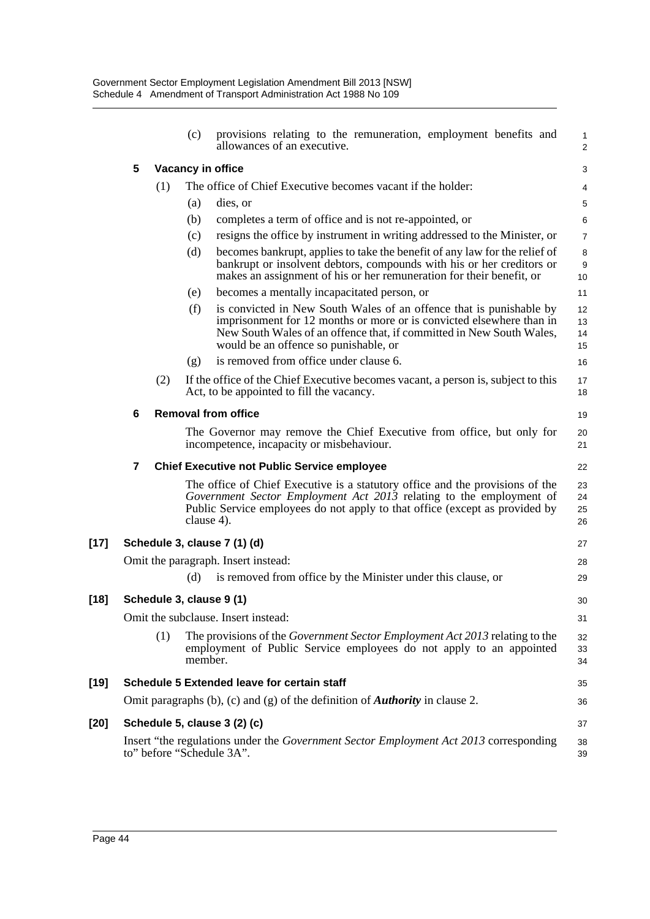|        |   |     | (c)        | provisions relating to the remuneration, employment benefits and<br>allowances of an executive.                                                                                                                                                              | 1<br>$\overline{a}$  |
|--------|---|-----|------------|--------------------------------------------------------------------------------------------------------------------------------------------------------------------------------------------------------------------------------------------------------------|----------------------|
|        | 5 |     |            | Vacancy in office                                                                                                                                                                                                                                            | 3                    |
|        |   | (1) |            | The office of Chief Executive becomes vacant if the holder:                                                                                                                                                                                                  | 4                    |
|        |   |     | (a)        | dies, or                                                                                                                                                                                                                                                     | 5                    |
|        |   |     | (b)        | completes a term of office and is not re-appointed, or                                                                                                                                                                                                       | 6                    |
|        |   |     | (c)        | resigns the office by instrument in writing addressed to the Minister, or                                                                                                                                                                                    | 7                    |
|        |   |     | (d)        | becomes bankrupt, applies to take the benefit of any law for the relief of<br>bankrupt or insolvent debtors, compounds with his or her creditors or<br>makes an assignment of his or her remuneration for their benefit, or                                  | 8<br>9<br>10         |
|        |   |     | (e)        | becomes a mentally incapacitated person, or                                                                                                                                                                                                                  | 11                   |
|        |   |     | (f)        | is convicted in New South Wales of an offence that is punishable by<br>imprisonment for 12 months or more or is convicted elsewhere than in<br>New South Wales of an offence that, if committed in New South Wales,<br>would be an offence so punishable, or | 12<br>13<br>14<br>15 |
|        |   |     | (g)        | is removed from office under clause 6.                                                                                                                                                                                                                       | 16                   |
|        |   | (2) |            | If the office of the Chief Executive becomes vacant, a person is, subject to this<br>Act, to be appointed to fill the vacancy.                                                                                                                               | 17<br>18             |
|        | 6 |     |            | <b>Removal from office</b>                                                                                                                                                                                                                                   | 19                   |
|        |   |     |            | The Governor may remove the Chief Executive from office, but only for<br>incompetence, incapacity or misbehaviour.                                                                                                                                           | 20<br>21             |
|        | 7 |     |            | <b>Chief Executive not Public Service employee</b>                                                                                                                                                                                                           | 22                   |
|        |   |     | clause 4). | The office of Chief Executive is a statutory office and the provisions of the<br>Government Sector Employment Act 2013 relating to the employment of<br>Public Service employees do not apply to that office (except as provided by                          | 23<br>24<br>25<br>26 |
| $[17]$ |   |     |            | Schedule 3, clause 7 (1) (d)                                                                                                                                                                                                                                 | 27                   |
|        |   |     |            | Omit the paragraph. Insert instead:                                                                                                                                                                                                                          | 28                   |
|        |   |     | (d)        | is removed from office by the Minister under this clause, or                                                                                                                                                                                                 | 29                   |
| $[18]$ |   |     |            | Schedule 3, clause 9 (1)                                                                                                                                                                                                                                     | 30                   |
|        |   |     |            | Omit the subclause. Insert instead:                                                                                                                                                                                                                          | 31                   |
|        |   | (1) | member.    | The provisions of the <i>Government Sector Employment Act 2013</i> relating to the<br>employment of Public Service employees do not apply to an appointed                                                                                                    | 32<br>33<br>34       |
| [19]   |   |     |            | Schedule 5 Extended leave for certain staff                                                                                                                                                                                                                  | 35                   |
|        |   |     |            | Omit paragraphs (b), (c) and (g) of the definition of <b>Authority</b> in clause 2.                                                                                                                                                                          | 36                   |
| [20]   |   |     |            | Schedule 5, clause 3 (2) (c)                                                                                                                                                                                                                                 | 37                   |
|        |   |     |            | Insert "the regulations under the <i>Government Sector Employment Act 2013</i> corresponding<br>to" before "Schedule 3A".                                                                                                                                    | 38<br>39             |
|        |   |     |            |                                                                                                                                                                                                                                                              |                      |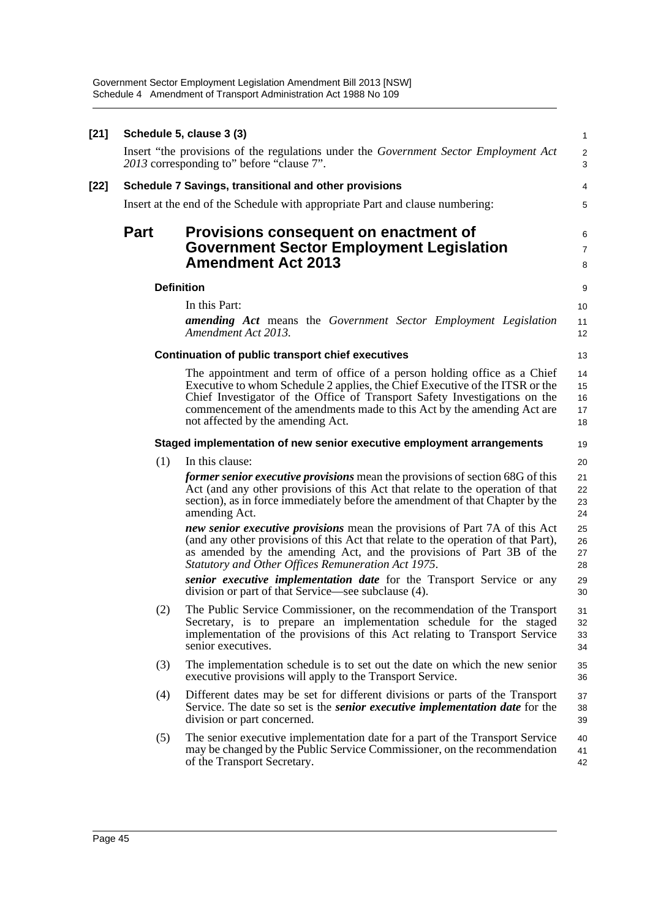Government Sector Employment Legislation Amendment Bill 2013 [NSW] Schedule 4 Amendment of Transport Administration Act 1988 No 109

| [21] |             | Schedule 5, clause 3 (3)                                                                                                                                                                                                                                                                                                                               | $\mathbf{1}$               |
|------|-------------|--------------------------------------------------------------------------------------------------------------------------------------------------------------------------------------------------------------------------------------------------------------------------------------------------------------------------------------------------------|----------------------------|
|      |             | Insert "the provisions of the regulations under the Government Sector Employment Act<br>2013 corresponding to" before "clause 7".                                                                                                                                                                                                                      | $\overline{2}$<br>3        |
| [22] |             | Schedule 7 Savings, transitional and other provisions                                                                                                                                                                                                                                                                                                  | 4                          |
|      |             | Insert at the end of the Schedule with appropriate Part and clause numbering:                                                                                                                                                                                                                                                                          | 5                          |
|      | <b>Part</b> | Provisions consequent on enactment of<br><b>Government Sector Employment Legislation</b><br><b>Amendment Act 2013</b>                                                                                                                                                                                                                                  | 6<br>$\overline{7}$<br>8   |
|      |             | <b>Definition</b>                                                                                                                                                                                                                                                                                                                                      | 9                          |
|      |             | In this Part:<br>amending Act means the Government Sector Employment Legislation<br>Amendment Act 2013.                                                                                                                                                                                                                                                | 10<br>11<br>12             |
|      |             | <b>Continuation of public transport chief executives</b>                                                                                                                                                                                                                                                                                               | 13                         |
|      |             | The appointment and term of office of a person holding office as a Chief<br>Executive to whom Schedule 2 applies, the Chief Executive of the ITSR or the<br>Chief Investigator of the Office of Transport Safety Investigations on the<br>commencement of the amendments made to this Act by the amending Act are<br>not affected by the amending Act. | 14<br>15<br>16<br>17<br>18 |
|      |             | Staged implementation of new senior executive employment arrangements                                                                                                                                                                                                                                                                                  | 19                         |
|      | (1)         | In this clause:                                                                                                                                                                                                                                                                                                                                        | 20                         |
|      |             | former senior executive provisions mean the provisions of section 68G of this<br>Act (and any other provisions of this Act that relate to the operation of that<br>section), as in force immediately before the amendment of that Chapter by the<br>amending Act.                                                                                      | 21<br>22<br>23<br>24       |
|      |             | new senior executive provisions mean the provisions of Part 7A of this Act<br>(and any other provisions of this Act that relate to the operation of that Part),<br>as amended by the amending Act, and the provisions of Part 3B of the<br>Statutory and Other Offices Remuneration Act 1975.                                                          | 25<br>26<br>27<br>28       |
|      |             | senior executive <i>implementation</i> date for the Transport Service or any<br>division or part of that Service—see subclause (4).                                                                                                                                                                                                                    | 29<br>30                   |
|      | (2)         | The Public Service Commissioner, on the recommendation of the Transport<br>Secretary, is to prepare an implementation schedule for the staged<br>implementation of the provisions of this Act relating to Transport Service<br>senior executives.                                                                                                      | 31<br>32<br>33<br>34       |
|      | (3)         | The implementation schedule is to set out the date on which the new senior<br>executive provisions will apply to the Transport Service.                                                                                                                                                                                                                | 35<br>36                   |
|      | (4)         | Different dates may be set for different divisions or parts of the Transport<br>Service. The date so set is the <i>senior executive implementation date</i> for the<br>division or part concerned.                                                                                                                                                     | 37<br>38<br>39             |
|      | (5)         | The senior executive implementation date for a part of the Transport Service<br>may be changed by the Public Service Commissioner, on the recommendation<br>of the Transport Secretary.                                                                                                                                                                | 40<br>41<br>42             |
|      |             |                                                                                                                                                                                                                                                                                                                                                        |                            |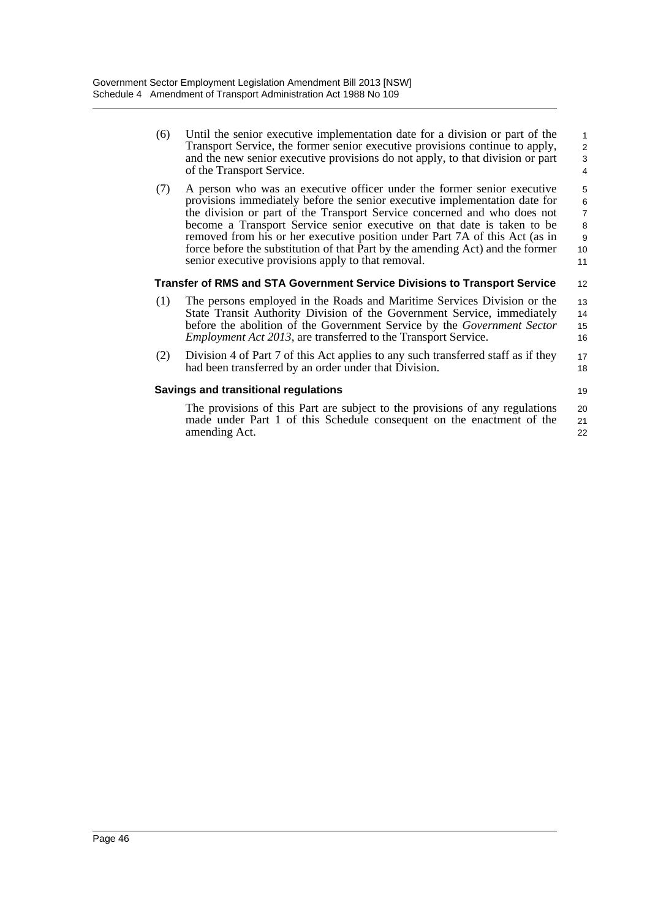(6) Until the senior executive implementation date for a division or part of the Transport Service, the former senior executive provisions continue to apply, and the new senior executive provisions do not apply, to that division or part of the Transport Service.

12

19

(7) A person who was an executive officer under the former senior executive provisions immediately before the senior executive implementation date for the division or part of the Transport Service concerned and who does not become a Transport Service senior executive on that date is taken to be removed from his or her executive position under Part 7A of this Act (as in force before the substitution of that Part by the amending Act) and the former senior executive provisions apply to that removal. 5 6 7 8 9 10 11

# **Transfer of RMS and STA Government Service Divisions to Transport Service**

- (1) The persons employed in the Roads and Maritime Services Division or the State Transit Authority Division of the Government Service, immediately before the abolition of the Government Service by the *Government Sector Employment Act 2013*, are transferred to the Transport Service. 13 14 15 16
- (2) Division 4 of Part 7 of this Act applies to any such transferred staff as if they had been transferred by an order under that Division. 17 18

# **Savings and transitional regulations**

The provisions of this Part are subject to the provisions of any regulations made under Part 1 of this Schedule consequent on the enactment of the amending Act. 20 21 22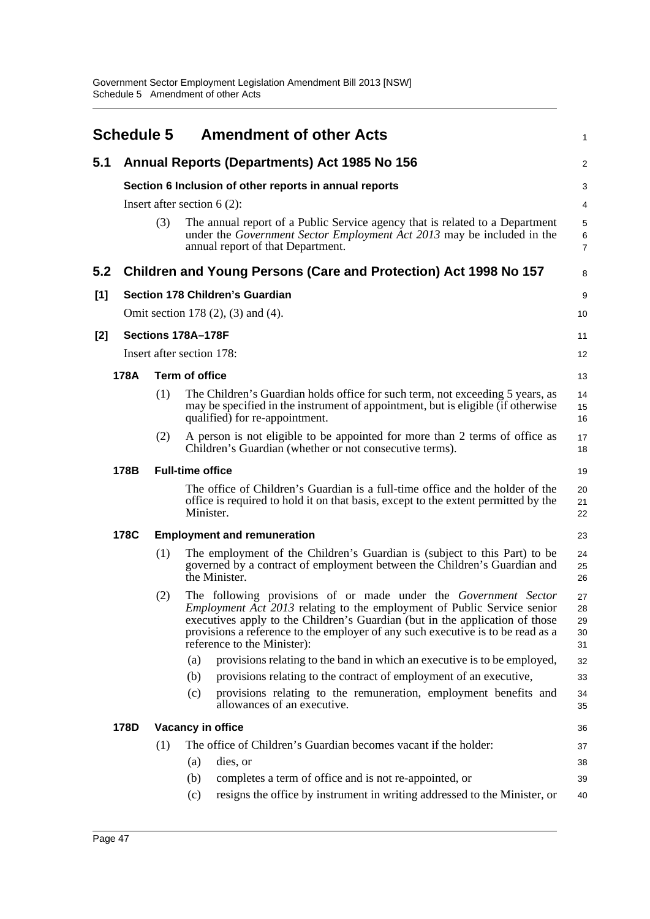|       | <b>Schedule 5</b>               |                                                        | <b>Amendment of other Acts</b>                                                                                                                                                                                                                                                                                                                      | $\mathbf{1}$                   |  |  |  |
|-------|---------------------------------|--------------------------------------------------------|-----------------------------------------------------------------------------------------------------------------------------------------------------------------------------------------------------------------------------------------------------------------------------------------------------------------------------------------------------|--------------------------------|--|--|--|
| 5.1   |                                 |                                                        | Annual Reports (Departments) Act 1985 No 156                                                                                                                                                                                                                                                                                                        | $\overline{c}$                 |  |  |  |
|       |                                 | Section 6 Inclusion of other reports in annual reports |                                                                                                                                                                                                                                                                                                                                                     |                                |  |  |  |
|       |                                 |                                                        | Insert after section $6(2)$ :                                                                                                                                                                                                                                                                                                                       | $\overline{4}$                 |  |  |  |
|       |                                 | (3)                                                    | The annual report of a Public Service agency that is related to a Department<br>under the Government Sector Employment Act 2013 may be included in the<br>annual report of that Department.                                                                                                                                                         | 5<br>$\,6\,$<br>$\overline{7}$ |  |  |  |
| 5.2   |                                 |                                                        | Children and Young Persons (Care and Protection) Act 1998 No 157                                                                                                                                                                                                                                                                                    | 8                              |  |  |  |
| [1]   |                                 |                                                        | Section 178 Children's Guardian                                                                                                                                                                                                                                                                                                                     | 9                              |  |  |  |
|       |                                 |                                                        | Omit section 178 (2), (3) and (4).                                                                                                                                                                                                                                                                                                                  | 10                             |  |  |  |
| $[2]$ |                                 |                                                        | Sections 178A-178F                                                                                                                                                                                                                                                                                                                                  | 11                             |  |  |  |
|       |                                 |                                                        | Insert after section 178:                                                                                                                                                                                                                                                                                                                           | 12                             |  |  |  |
|       | 178A                            |                                                        | <b>Term of office</b>                                                                                                                                                                                                                                                                                                                               | 13                             |  |  |  |
|       |                                 | (1)                                                    | The Children's Guardian holds office for such term, not exceeding 5 years, as<br>may be specified in the instrument of appointment, but is eligible (if otherwise<br>qualified) for re-appointment.                                                                                                                                                 | 14<br>15<br>16                 |  |  |  |
|       |                                 | (2)                                                    | A person is not eligible to be appointed for more than 2 terms of office as<br>Children's Guardian (whether or not consecutive terms).                                                                                                                                                                                                              | 17<br>18                       |  |  |  |
|       | 178B<br><b>Full-time office</b> |                                                        |                                                                                                                                                                                                                                                                                                                                                     |                                |  |  |  |
|       |                                 |                                                        | The office of Children's Guardian is a full-time office and the holder of the<br>office is required to hold it on that basis, except to the extent permitted by the<br>Minister.                                                                                                                                                                    | 20<br>21<br>22                 |  |  |  |
|       | 178C                            |                                                        | <b>Employment and remuneration</b>                                                                                                                                                                                                                                                                                                                  | 23                             |  |  |  |
|       |                                 | (1)                                                    | The employment of the Children's Guardian is (subject to this Part) to be<br>governed by a contract of employment between the Children's Guardian and<br>the Minister.                                                                                                                                                                              | 24<br>25<br>26                 |  |  |  |
|       |                                 | (2)                                                    | The following provisions of or made under the Government Sector<br><i>Employment Act 2013</i> relating to the employment of Public Service senior<br>executives apply to the Children's Guardian (but in the application of those<br>provisions a reference to the employer of any such executive is to be read as a<br>reference to the Minister): | 27<br>28<br>29<br>30<br>31     |  |  |  |
|       |                                 |                                                        | provisions relating to the band in which an executive is to be employed,<br>(a)                                                                                                                                                                                                                                                                     | 32                             |  |  |  |
|       |                                 |                                                        | provisions relating to the contract of employment of an executive,<br>(b)                                                                                                                                                                                                                                                                           | 33                             |  |  |  |
|       |                                 |                                                        | provisions relating to the remuneration, employment benefits and<br>(c)<br>allowances of an executive.                                                                                                                                                                                                                                              | 34<br>35                       |  |  |  |
|       | 178D                            |                                                        | Vacancy in office                                                                                                                                                                                                                                                                                                                                   | 36                             |  |  |  |
|       |                                 | (1)                                                    | The office of Children's Guardian becomes vacant if the holder:                                                                                                                                                                                                                                                                                     | 37                             |  |  |  |
|       |                                 |                                                        | dies, or<br>(a)                                                                                                                                                                                                                                                                                                                                     | 38                             |  |  |  |
|       |                                 |                                                        | completes a term of office and is not re-appointed, or<br>(b)                                                                                                                                                                                                                                                                                       | 39                             |  |  |  |
|       |                                 |                                                        | resigns the office by instrument in writing addressed to the Minister, or<br>(c)                                                                                                                                                                                                                                                                    | 40                             |  |  |  |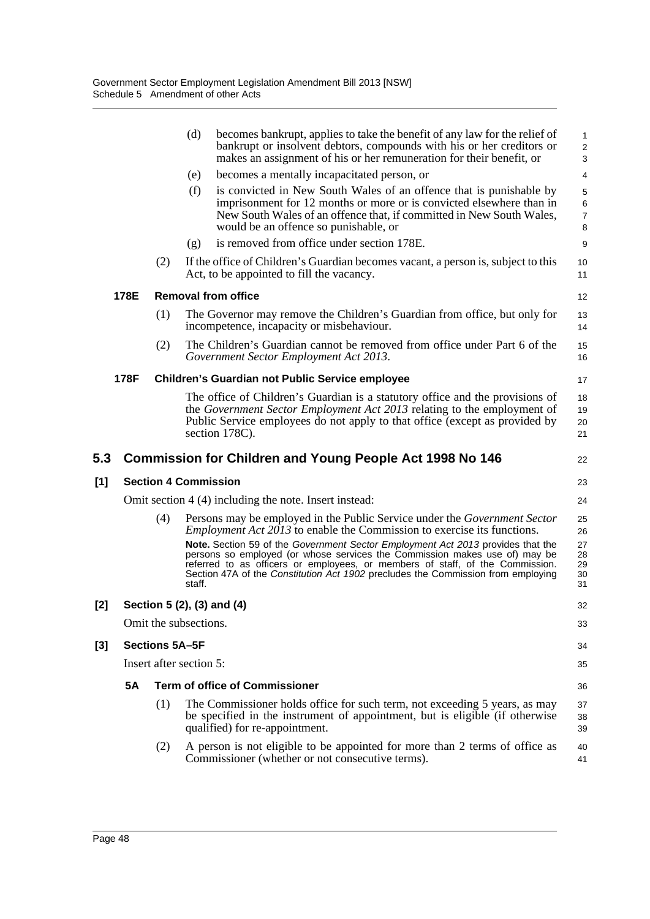|     |                                                        |                         | (d)                                                    | becomes bankrupt, applies to take the benefit of any law for the relief of<br>bankrupt or insolvent debtors, compounds with his or her creditors or<br>makes an assignment of his or her remuneration for their benefit, or                                                                                                         | $\mathbf{1}$<br>$\overline{2}$<br>3 |  |  |
|-----|--------------------------------------------------------|-------------------------|--------------------------------------------------------|-------------------------------------------------------------------------------------------------------------------------------------------------------------------------------------------------------------------------------------------------------------------------------------------------------------------------------------|-------------------------------------|--|--|
|     |                                                        |                         | (e)                                                    | becomes a mentally incapacitated person, or                                                                                                                                                                                                                                                                                         | 4                                   |  |  |
|     |                                                        |                         | (f)                                                    | is convicted in New South Wales of an offence that is punishable by<br>imprisonment for 12 months or more or is convicted elsewhere than in<br>New South Wales of an offence that, if committed in New South Wales,<br>would be an offence so punishable, or                                                                        | 5<br>$\,6$<br>$\boldsymbol{7}$<br>8 |  |  |
|     |                                                        |                         | (g)                                                    | is removed from office under section 178E.                                                                                                                                                                                                                                                                                          | 9                                   |  |  |
|     |                                                        | (2)                     |                                                        | If the office of Children's Guardian becomes vacant, a person is, subject to this<br>Act, to be appointed to fill the vacancy.                                                                                                                                                                                                      | 10<br>11                            |  |  |
|     | 178E                                                   |                         |                                                        | <b>Removal from office</b>                                                                                                                                                                                                                                                                                                          | 12                                  |  |  |
|     |                                                        | (1)                     |                                                        | The Governor may remove the Children's Guardian from office, but only for<br>incompetence, incapacity or misbehaviour.                                                                                                                                                                                                              | 13<br>14                            |  |  |
|     |                                                        | (2)                     |                                                        | The Children's Guardian cannot be removed from office under Part 6 of the<br>Government Sector Employment Act 2013.                                                                                                                                                                                                                 | 15<br>16                            |  |  |
|     | 178F                                                   |                         | <b>Children's Guardian not Public Service employee</b> |                                                                                                                                                                                                                                                                                                                                     |                                     |  |  |
|     |                                                        |                         |                                                        | The office of Children's Guardian is a statutory office and the provisions of<br>the Government Sector Employment Act 2013 relating to the employment of<br>Public Service employees do not apply to that office (except as provided by<br>section 178C).                                                                           | 18<br>19<br>20<br>21                |  |  |
| 5.3 |                                                        |                         |                                                        | <b>Commission for Children and Young People Act 1998 No 146</b>                                                                                                                                                                                                                                                                     | 22                                  |  |  |
| [1] | <b>Section 4 Commission</b><br>23                      |                         |                                                        |                                                                                                                                                                                                                                                                                                                                     |                                     |  |  |
|     | Omit section 4 (4) including the note. Insert instead: |                         |                                                        |                                                                                                                                                                                                                                                                                                                                     |                                     |  |  |
|     |                                                        | (4)                     |                                                        | Persons may be employed in the Public Service under the <i>Government Sector</i><br><i>Employment Act 2013</i> to enable the Commission to exercise its functions.<br>Note. Section 59 of the Government Sector Employment Act 2013 provides that the<br>persons so employed (or whose services the Commission makes use of) may be | 25<br>26<br>27<br>28<br>29          |  |  |
|     |                                                        |                         | staff.                                                 | referred to as officers or employees, or members of staff, of the Commission.<br>Section 47A of the Constitution Act 1902 precludes the Commission from employing                                                                                                                                                                   | 30<br>31                            |  |  |
| [2] |                                                        |                         |                                                        | Section 5 (2), (3) and (4)                                                                                                                                                                                                                                                                                                          | 32                                  |  |  |
|     |                                                        | Omit the subsections.   |                                                        |                                                                                                                                                                                                                                                                                                                                     | 33                                  |  |  |
| [3] |                                                        | Sections 5A-5F          |                                                        |                                                                                                                                                                                                                                                                                                                                     | 34                                  |  |  |
|     |                                                        | Insert after section 5: |                                                        |                                                                                                                                                                                                                                                                                                                                     | 35                                  |  |  |
|     | <b>5A</b>                                              |                         |                                                        | <b>Term of office of Commissioner</b>                                                                                                                                                                                                                                                                                               | 36                                  |  |  |
|     |                                                        | (1)                     |                                                        | The Commissioner holds office for such term, not exceeding 5 years, as may<br>be specified in the instrument of appointment, but is eligible (if otherwise<br>qualified) for re-appointment.                                                                                                                                        | 37<br>38<br>39                      |  |  |

 $[1]$ 

 $[2]$ 

**[3]**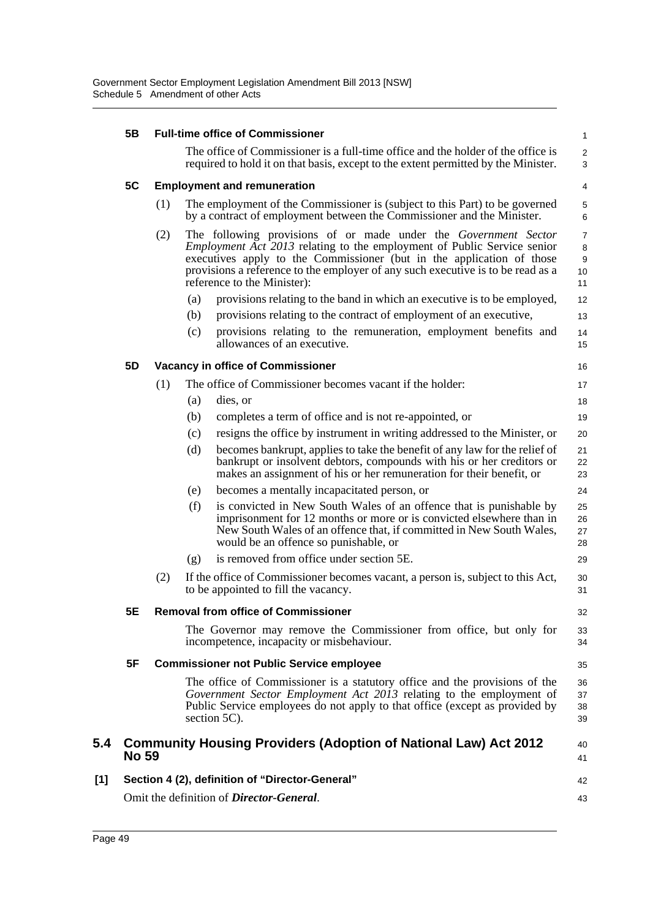|       | 5B           | <b>Full-time office of Commissioner</b> |                                                 |                                                                                                                                                                                                                                                                                                                                              |                                      |  |  |  |
|-------|--------------|-----------------------------------------|-------------------------------------------------|----------------------------------------------------------------------------------------------------------------------------------------------------------------------------------------------------------------------------------------------------------------------------------------------------------------------------------------------|--------------------------------------|--|--|--|
|       |              |                                         |                                                 | The office of Commissioner is a full-time office and the holder of the office is<br>required to hold it on that basis, except to the extent permitted by the Minister.                                                                                                                                                                       | $\overline{2}$<br>3                  |  |  |  |
|       | 5C           | <b>Employment and remuneration</b>      |                                                 |                                                                                                                                                                                                                                                                                                                                              |                                      |  |  |  |
|       |              | (1)                                     |                                                 | The employment of the Commissioner is (subject to this Part) to be governed<br>by a contract of employment between the Commissioner and the Minister.                                                                                                                                                                                        | 5<br>6                               |  |  |  |
|       |              | (2)                                     |                                                 | The following provisions of or made under the Government Sector<br><i>Employment Act 2013</i> relating to the employment of Public Service senior<br>executives apply to the Commissioner (but in the application of those<br>provisions a reference to the employer of any such executive is to be read as a<br>reference to the Minister): | $\overline{7}$<br>8<br>9<br>10<br>11 |  |  |  |
|       |              |                                         | (a)                                             | provisions relating to the band in which an executive is to be employed,                                                                                                                                                                                                                                                                     | 12                                   |  |  |  |
|       |              |                                         | (b)                                             | provisions relating to the contract of employment of an executive,                                                                                                                                                                                                                                                                           | 13                                   |  |  |  |
|       |              |                                         | (c)                                             | provisions relating to the remuneration, employment benefits and<br>allowances of an executive.                                                                                                                                                                                                                                              | 14<br>15                             |  |  |  |
|       | 5D           |                                         |                                                 | <b>Vacancy in office of Commissioner</b>                                                                                                                                                                                                                                                                                                     | 16                                   |  |  |  |
|       |              | (1)                                     |                                                 | The office of Commissioner becomes vacant if the holder:                                                                                                                                                                                                                                                                                     | 17                                   |  |  |  |
|       |              |                                         | (a)                                             | dies, or                                                                                                                                                                                                                                                                                                                                     | 18                                   |  |  |  |
|       |              |                                         | (b)                                             | completes a term of office and is not re-appointed, or                                                                                                                                                                                                                                                                                       | 19                                   |  |  |  |
|       |              |                                         | (c)                                             | resigns the office by instrument in writing addressed to the Minister, or                                                                                                                                                                                                                                                                    | 20                                   |  |  |  |
|       |              |                                         | (d)                                             | becomes bankrupt, applies to take the benefit of any law for the relief of<br>bankrupt or insolvent debtors, compounds with his or her creditors or<br>makes an assignment of his or her remuneration for their benefit, or                                                                                                                  | 21<br>22<br>23                       |  |  |  |
|       |              |                                         | (e)                                             | becomes a mentally incapacitated person, or                                                                                                                                                                                                                                                                                                  | 24                                   |  |  |  |
|       |              |                                         | (f)                                             | is convicted in New South Wales of an offence that is punishable by<br>imprisonment for 12 months or more or is convicted elsewhere than in<br>New South Wales of an offence that, if committed in New South Wales,<br>would be an offence so punishable, or                                                                                 | 25<br>26<br>27<br>28                 |  |  |  |
|       |              |                                         | (g)                                             | is removed from office under section 5E.                                                                                                                                                                                                                                                                                                     | 29                                   |  |  |  |
|       |              | (2)                                     |                                                 | If the office of Commissioner becomes vacant, a person is, subject to this Act,<br>to be appointed to fill the vacancy.                                                                                                                                                                                                                      | 30<br>31                             |  |  |  |
|       | 5Ε           |                                         |                                                 | <b>Removal from office of Commissioner</b>                                                                                                                                                                                                                                                                                                   | 32                                   |  |  |  |
|       |              |                                         |                                                 | The Governor may remove the Commissioner from office, but only for<br>incompetence, incapacity or misbehaviour.                                                                                                                                                                                                                              | 33<br>34                             |  |  |  |
|       | 5F           |                                         | <b>Commissioner not Public Service employee</b> |                                                                                                                                                                                                                                                                                                                                              |                                      |  |  |  |
|       |              |                                         |                                                 | The office of Commissioner is a statutory office and the provisions of the<br>Government Sector Employment Act 2013 relating to the employment of<br>Public Service employees do not apply to that office (except as provided by<br>section 5C).                                                                                             | 36<br>37<br>38<br>39                 |  |  |  |
| 5.4   | <b>No 59</b> |                                         |                                                 | <b>Community Housing Providers (Adoption of National Law) Act 2012</b>                                                                                                                                                                                                                                                                       | 40<br>41                             |  |  |  |
| $[1]$ |              |                                         |                                                 | Section 4 (2), definition of "Director-General"                                                                                                                                                                                                                                                                                              | 42                                   |  |  |  |
|       |              |                                         |                                                 | Omit the definition of <i>Director-General</i> .                                                                                                                                                                                                                                                                                             | 43                                   |  |  |  |
|       |              |                                         |                                                 |                                                                                                                                                                                                                                                                                                                                              |                                      |  |  |  |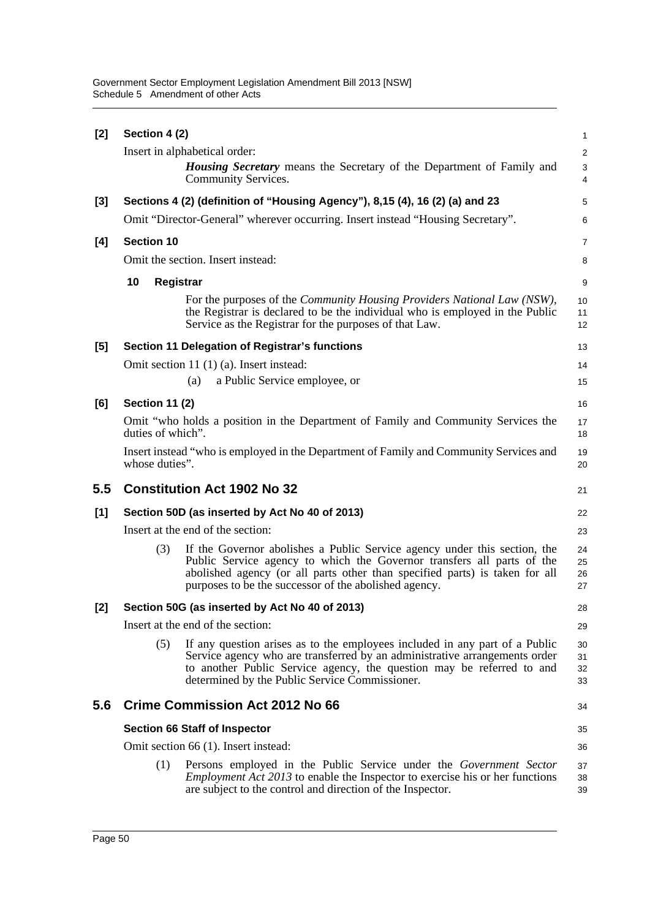| $[2]$ | Section 4 (2)                                  |                                                                                                                                                                                                                                                                                             | 1                       |  |  |  |  |
|-------|------------------------------------------------|---------------------------------------------------------------------------------------------------------------------------------------------------------------------------------------------------------------------------------------------------------------------------------------------|-------------------------|--|--|--|--|
|       |                                                | Insert in alphabetical order:                                                                                                                                                                                                                                                               | $\overline{\mathbf{c}}$ |  |  |  |  |
|       |                                                | <b>Housing Secretary</b> means the Secretary of the Department of Family and<br>Community Services.                                                                                                                                                                                         | 3<br>4                  |  |  |  |  |
| [3]   |                                                | Sections 4 (2) (definition of "Housing Agency"), 8,15 (4), 16 (2) (a) and 23                                                                                                                                                                                                                | 5                       |  |  |  |  |
|       |                                                | Omit "Director-General" wherever occurring. Insert instead "Housing Secretary".                                                                                                                                                                                                             | 6                       |  |  |  |  |
| [4]   | <b>Section 10</b>                              |                                                                                                                                                                                                                                                                                             | 7                       |  |  |  |  |
|       |                                                | Omit the section. Insert instead:                                                                                                                                                                                                                                                           | 8                       |  |  |  |  |
|       | 10                                             | Registrar                                                                                                                                                                                                                                                                                   | 9                       |  |  |  |  |
|       |                                                | For the purposes of the <i>Community Housing Providers National Law</i> (NSW),<br>the Registrar is declared to be the individual who is employed in the Public<br>Service as the Registrar for the purposes of that Law.                                                                    | 10<br>11<br>12          |  |  |  |  |
| [5]   |                                                | Section 11 Delegation of Registrar's functions                                                                                                                                                                                                                                              | 13                      |  |  |  |  |
|       |                                                | Omit section 11 (1) (a). Insert instead:                                                                                                                                                                                                                                                    | 14                      |  |  |  |  |
|       |                                                | a Public Service employee, or<br>(a)                                                                                                                                                                                                                                                        | 15                      |  |  |  |  |
| [6]   | <b>Section 11 (2)</b>                          |                                                                                                                                                                                                                                                                                             | 16                      |  |  |  |  |
|       | duties of which".                              | Omit "who holds a position in the Department of Family and Community Services the                                                                                                                                                                                                           | 17<br>18                |  |  |  |  |
|       | whose duties".                                 | Insert instead "who is employed in the Department of Family and Community Services and                                                                                                                                                                                                      | 19<br>20                |  |  |  |  |
| 5.5   |                                                | <b>Constitution Act 1902 No 32</b>                                                                                                                                                                                                                                                          | 21                      |  |  |  |  |
| [1]   | Section 50D (as inserted by Act No 40 of 2013) |                                                                                                                                                                                                                                                                                             |                         |  |  |  |  |
|       |                                                | Insert at the end of the section:                                                                                                                                                                                                                                                           | 23                      |  |  |  |  |
|       | (3)                                            | If the Governor abolishes a Public Service agency under this section, the<br>Public Service agency to which the Governor transfers all parts of the<br>abolished agency (or all parts other than specified parts) is taken for all<br>purposes to be the successor of the abolished agency. | 24<br>25<br>26<br>27    |  |  |  |  |
| [2]   |                                                | Section 50G (as inserted by Act No 40 of 2013)                                                                                                                                                                                                                                              | 28                      |  |  |  |  |
|       |                                                | Insert at the end of the section:                                                                                                                                                                                                                                                           | 29                      |  |  |  |  |
|       | (5)                                            | If any question arises as to the employees included in any part of a Public<br>Service agency who are transferred by an administrative arrangements order<br>to another Public Service agency, the question may be referred to and<br>determined by the Public Service Commissioner.        | 30<br>31<br>32<br>33    |  |  |  |  |
| 5.6   |                                                | <b>Crime Commission Act 2012 No 66</b>                                                                                                                                                                                                                                                      | 34                      |  |  |  |  |
|       |                                                | <b>Section 66 Staff of Inspector</b>                                                                                                                                                                                                                                                        | 35                      |  |  |  |  |
|       |                                                | Omit section 66 (1). Insert instead:                                                                                                                                                                                                                                                        | 36                      |  |  |  |  |
|       | (1)                                            | Persons employed in the Public Service under the <i>Government Sector</i><br><i>Employment Act 2013</i> to enable the Inspector to exercise his or her functions<br>are subject to the control and direction of the Inspector.                                                              | 37<br>38<br>39          |  |  |  |  |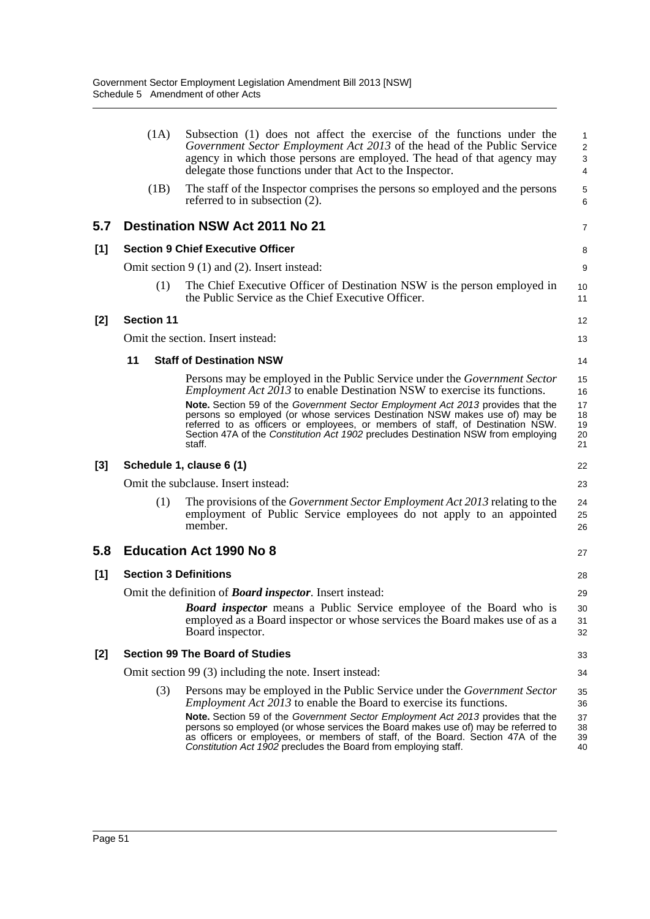|     | (1A)                                      | Subsection (1) does not affect the exercise of the functions under the<br>Government Sector Employment Act 2013 of the head of the Public Service<br>agency in which those persons are employed. The head of that agency may<br>delegate those functions under that Act to the Inspector.                                                       | 1<br>$\overline{\mathbf{c}}$<br>3<br>4 |  |  |  |  |
|-----|-------------------------------------------|-------------------------------------------------------------------------------------------------------------------------------------------------------------------------------------------------------------------------------------------------------------------------------------------------------------------------------------------------|----------------------------------------|--|--|--|--|
|     | (1B)                                      | The staff of the Inspector comprises the persons so employed and the persons<br>referred to in subsection (2).                                                                                                                                                                                                                                  | 5<br>6                                 |  |  |  |  |
| 5.7 |                                           | <b>Destination NSW Act 2011 No 21</b>                                                                                                                                                                                                                                                                                                           | 7                                      |  |  |  |  |
| [1] |                                           | <b>Section 9 Chief Executive Officer</b>                                                                                                                                                                                                                                                                                                        | 8                                      |  |  |  |  |
|     |                                           | Omit section $9(1)$ and (2). Insert instead:                                                                                                                                                                                                                                                                                                    | 9                                      |  |  |  |  |
|     | (1)                                       | The Chief Executive Officer of Destination NSW is the person employed in<br>the Public Service as the Chief Executive Officer.                                                                                                                                                                                                                  | 10<br>11                               |  |  |  |  |
| [2] | <b>Section 11</b>                         |                                                                                                                                                                                                                                                                                                                                                 | 12                                     |  |  |  |  |
|     |                                           | Omit the section. Insert instead:                                                                                                                                                                                                                                                                                                               | 13                                     |  |  |  |  |
|     | 11                                        | <b>Staff of Destination NSW</b>                                                                                                                                                                                                                                                                                                                 | 14                                     |  |  |  |  |
|     |                                           | Persons may be employed in the Public Service under the <i>Government Sector</i><br><i>Employment Act 2013</i> to enable Destination NSW to exercise its functions.                                                                                                                                                                             | 15<br>16                               |  |  |  |  |
|     |                                           | Note. Section 59 of the Government Sector Employment Act 2013 provides that the<br>persons so employed (or whose services Destination NSW makes use of) may be<br>referred to as officers or employees, or members of staff, of Destination NSW.<br>Section 47A of the Constitution Act 1902 precludes Destination NSW from employing<br>staff. | 17<br>18<br>19<br>20<br>21             |  |  |  |  |
| [3] |                                           | Schedule 1, clause 6 (1)                                                                                                                                                                                                                                                                                                                        | 22                                     |  |  |  |  |
|     | Omit the subclause. Insert instead:<br>23 |                                                                                                                                                                                                                                                                                                                                                 |                                        |  |  |  |  |
|     | (1)                                       | The provisions of the <i>Government Sector Employment Act 2013</i> relating to the<br>employment of Public Service employees do not apply to an appointed<br>member.                                                                                                                                                                            | 24<br>25<br>26                         |  |  |  |  |
| 5.8 |                                           | <b>Education Act 1990 No 8</b>                                                                                                                                                                                                                                                                                                                  | 27                                     |  |  |  |  |
| [1] | <b>Section 3 Definitions</b>              |                                                                                                                                                                                                                                                                                                                                                 | 28                                     |  |  |  |  |
|     |                                           | Omit the definition of <b>Board inspector</b> . Insert instead:                                                                                                                                                                                                                                                                                 | 29                                     |  |  |  |  |
|     |                                           | <b>Board inspector</b> means a Public Service employee of the Board who is<br>employed as a Board inspector or whose services the Board makes use of as a<br>Board inspector.                                                                                                                                                                   | 30<br>31<br>32                         |  |  |  |  |
| [2] |                                           | <b>Section 99 The Board of Studies</b>                                                                                                                                                                                                                                                                                                          | 33                                     |  |  |  |  |
|     |                                           | Omit section 99 (3) including the note. Insert instead:                                                                                                                                                                                                                                                                                         | 34                                     |  |  |  |  |
|     | (3)                                       | Persons may be employed in the Public Service under the <i>Government Sector</i><br><i>Employment Act 2013</i> to enable the Board to exercise its functions.                                                                                                                                                                                   | 35<br>36                               |  |  |  |  |
|     |                                           | <b>Note.</b> Section 59 of the Government Sector Employment Act 2013 provides that the<br>persons so employed (or whose services the Board makes use of) may be referred to<br>as officers or employees, or members of staff, of the Board. Section 47A of the<br>Constitution Act 1902 precludes the Board from employing staff.               | 37<br>38<br>39<br>40                   |  |  |  |  |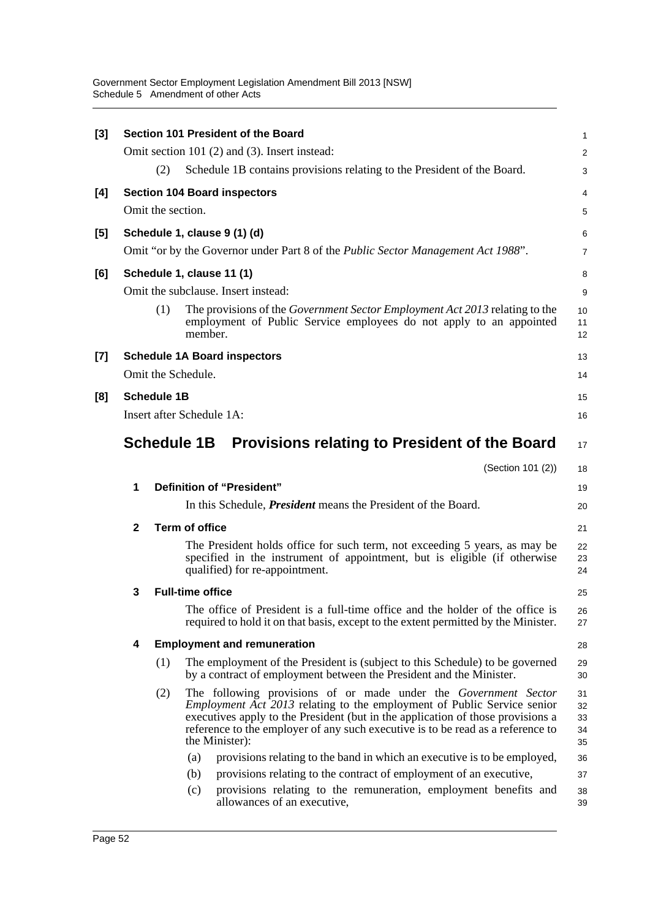Government Sector Employment Legislation Amendment Bill 2013 [NSW] Schedule 5 Amendment of other Acts

| [3]   |                                 |                    |                         | Section 101 President of the Board                                                                                                                                                                                                                                                                                                        | 1                          |  |  |
|-------|---------------------------------|--------------------|-------------------------|-------------------------------------------------------------------------------------------------------------------------------------------------------------------------------------------------------------------------------------------------------------------------------------------------------------------------------------------|----------------------------|--|--|
|       |                                 |                    |                         | Omit section 101 (2) and (3). Insert instead:                                                                                                                                                                                                                                                                                             | $\overline{c}$             |  |  |
|       |                                 | (2)                |                         | Schedule 1B contains provisions relating to the President of the Board.                                                                                                                                                                                                                                                                   | 3                          |  |  |
| [4]   |                                 |                    |                         | <b>Section 104 Board inspectors</b>                                                                                                                                                                                                                                                                                                       | 4                          |  |  |
|       |                                 | Omit the section.  |                         |                                                                                                                                                                                                                                                                                                                                           | 5                          |  |  |
| [5]   |                                 |                    |                         | Schedule 1, clause 9 (1) (d)                                                                                                                                                                                                                                                                                                              | 6                          |  |  |
|       |                                 |                    |                         | Omit "or by the Governor under Part 8 of the <i>Public Sector Management Act 1988</i> ".                                                                                                                                                                                                                                                  | 7                          |  |  |
| [6]   |                                 |                    |                         | Schedule 1, clause 11 (1)                                                                                                                                                                                                                                                                                                                 | 8                          |  |  |
|       |                                 |                    |                         | Omit the subclause. Insert instead:                                                                                                                                                                                                                                                                                                       | 9                          |  |  |
|       |                                 | (1)                | member.                 | The provisions of the <i>Government Sector Employment Act 2013</i> relating to the<br>employment of Public Service employees do not apply to an appointed                                                                                                                                                                                 | 10<br>11<br>12             |  |  |
| $[7]$ |                                 |                    |                         | <b>Schedule 1A Board inspectors</b>                                                                                                                                                                                                                                                                                                       | 13                         |  |  |
|       |                                 | Omit the Schedule. |                         |                                                                                                                                                                                                                                                                                                                                           | 14                         |  |  |
| [8]   |                                 | <b>Schedule 1B</b> |                         |                                                                                                                                                                                                                                                                                                                                           | 15                         |  |  |
|       | Insert after Schedule 1A:<br>16 |                    |                         |                                                                                                                                                                                                                                                                                                                                           |                            |  |  |
|       |                                 | <b>Schedule 1B</b> |                         | <b>Provisions relating to President of the Board</b>                                                                                                                                                                                                                                                                                      | 17                         |  |  |
|       |                                 |                    |                         | (Section 101 (2))                                                                                                                                                                                                                                                                                                                         | 18                         |  |  |
|       | 1                               |                    |                         | Definition of "President"                                                                                                                                                                                                                                                                                                                 | 19                         |  |  |
|       |                                 |                    |                         | In this Schedule, <i>President</i> means the President of the Board.                                                                                                                                                                                                                                                                      | 20                         |  |  |
|       | $\mathbf{2}$                    |                    | <b>Term of office</b>   |                                                                                                                                                                                                                                                                                                                                           | 21                         |  |  |
|       |                                 |                    |                         | The President holds office for such term, not exceeding 5 years, as may be<br>specified in the instrument of appointment, but is eligible (if otherwise<br>qualified) for re-appointment.                                                                                                                                                 | 22<br>23<br>24             |  |  |
|       | 3                               |                    | <b>Full-time office</b> |                                                                                                                                                                                                                                                                                                                                           | 25                         |  |  |
|       |                                 |                    |                         | The office of President is a full-time office and the holder of the office is<br>required to hold it on that basis, except to the extent permitted by the Minister.                                                                                                                                                                       | 26<br>27                   |  |  |
|       | 4                               |                    |                         | <b>Employment and remuneration</b>                                                                                                                                                                                                                                                                                                        | 28                         |  |  |
|       |                                 | (1)                |                         | The employment of the President is (subject to this Schedule) to be governed<br>by a contract of employment between the President and the Minister.                                                                                                                                                                                       | 29<br>30                   |  |  |
|       |                                 | (2)                |                         | The following provisions of or made under the Government Sector<br><i>Employment Act 2013</i> relating to the employment of Public Service senior<br>executives apply to the President (but in the application of those provisions a<br>reference to the employer of any such executive is to be read as a reference to<br>the Minister): | 31<br>32<br>33<br>34<br>35 |  |  |
|       |                                 |                    | (a)                     | provisions relating to the band in which an executive is to be employed,                                                                                                                                                                                                                                                                  | 36                         |  |  |
|       |                                 |                    | (b)                     | provisions relating to the contract of employment of an executive,                                                                                                                                                                                                                                                                        | 37                         |  |  |
|       |                                 |                    | (c)                     | provisions relating to the remuneration, employment benefits and<br>allowances of an executive,                                                                                                                                                                                                                                           | 38<br>39                   |  |  |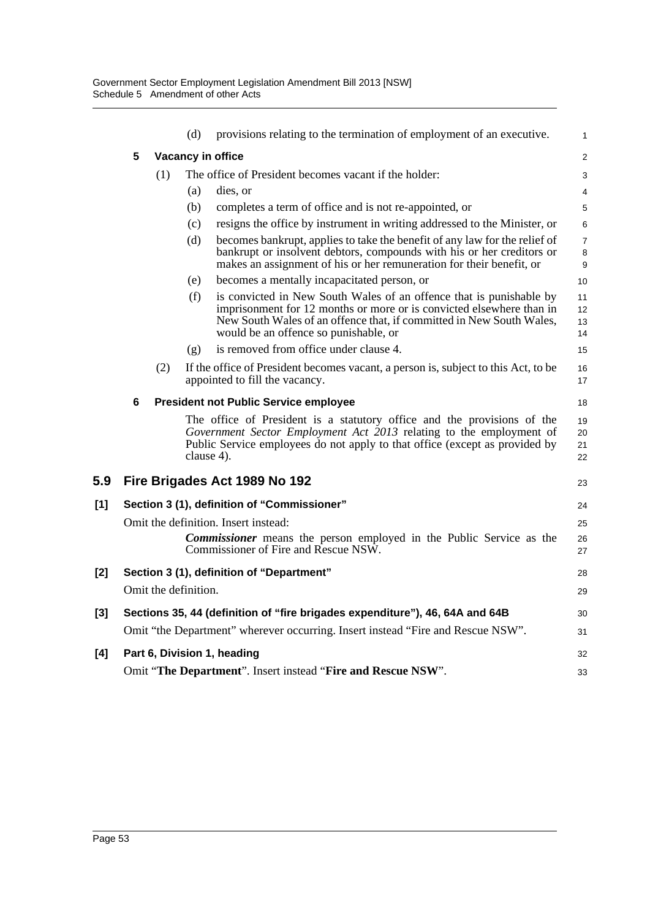|     |   |     | (d)                  | provisions relating to the termination of employment of an executive.                                                                                                                                                                                        | $\mathbf{1}$             |
|-----|---|-----|----------------------|--------------------------------------------------------------------------------------------------------------------------------------------------------------------------------------------------------------------------------------------------------------|--------------------------|
|     | 5 |     |                      | Vacancy in office                                                                                                                                                                                                                                            | $\overline{2}$           |
|     |   | (1) |                      | The office of President becomes vacant if the holder:                                                                                                                                                                                                        | 3                        |
|     |   |     | (a)                  | dies, or                                                                                                                                                                                                                                                     | 4                        |
|     |   |     | (b)                  | completes a term of office and is not re-appointed, or                                                                                                                                                                                                       | 5                        |
|     |   |     | (c)                  | resigns the office by instrument in writing addressed to the Minister, or                                                                                                                                                                                    | 6                        |
|     |   |     | (d)                  | becomes bankrupt, applies to take the benefit of any law for the relief of<br>bankrupt or insolvent debtors, compounds with his or her creditors or<br>makes an assignment of his or her remuneration for their benefit, or                                  | $\overline{7}$<br>8<br>9 |
|     |   |     | (e)                  | becomes a mentally incapacitated person, or                                                                                                                                                                                                                  | 10                       |
|     |   |     | (f)                  | is convicted in New South Wales of an offence that is punishable by<br>imprisonment for 12 months or more or is convicted elsewhere than in<br>New South Wales of an offence that, if committed in New South Wales,<br>would be an offence so punishable, or | 11<br>12<br>13<br>14     |
|     |   |     | (g)                  | is removed from office under clause 4.                                                                                                                                                                                                                       | 15                       |
|     |   | (2) |                      | If the office of President becomes vacant, a person is, subject to this Act, to be<br>appointed to fill the vacancy.                                                                                                                                         | 16<br>17                 |
|     | 6 |     |                      | <b>President not Public Service employee</b>                                                                                                                                                                                                                 | 18                       |
|     |   |     | clause 4).           | The office of President is a statutory office and the provisions of the<br>Government Sector Employment Act 2013 relating to the employment of<br>Public Service employees do not apply to that office (except as provided by                                | 19<br>20<br>21<br>22     |
| 5.9 |   |     |                      | Fire Brigades Act 1989 No 192                                                                                                                                                                                                                                | 23                       |
| [1] |   |     |                      | Section 3 (1), definition of "Commissioner"                                                                                                                                                                                                                  | 24                       |
|     |   |     |                      | Omit the definition. Insert instead:                                                                                                                                                                                                                         | 25                       |
|     |   |     |                      | <b>Commissioner</b> means the person employed in the Public Service as the<br>Commissioner of Fire and Rescue NSW.                                                                                                                                           | 26<br>27                 |
| [2] |   |     |                      | Section 3 (1), definition of "Department"                                                                                                                                                                                                                    | 28                       |
|     |   |     | Omit the definition. |                                                                                                                                                                                                                                                              | 29                       |
| [3] |   |     |                      | Sections 35, 44 (definition of "fire brigades expenditure"), 46, 64A and 64B                                                                                                                                                                                 | 30                       |
|     |   |     |                      | Omit "the Department" wherever occurring. Insert instead "Fire and Rescue NSW".                                                                                                                                                                              | 31                       |
| [4] |   |     |                      | Part 6, Division 1, heading                                                                                                                                                                                                                                  | 32                       |
|     |   |     |                      | Omit "The Department". Insert instead "Fire and Rescue NSW".                                                                                                                                                                                                 | 33                       |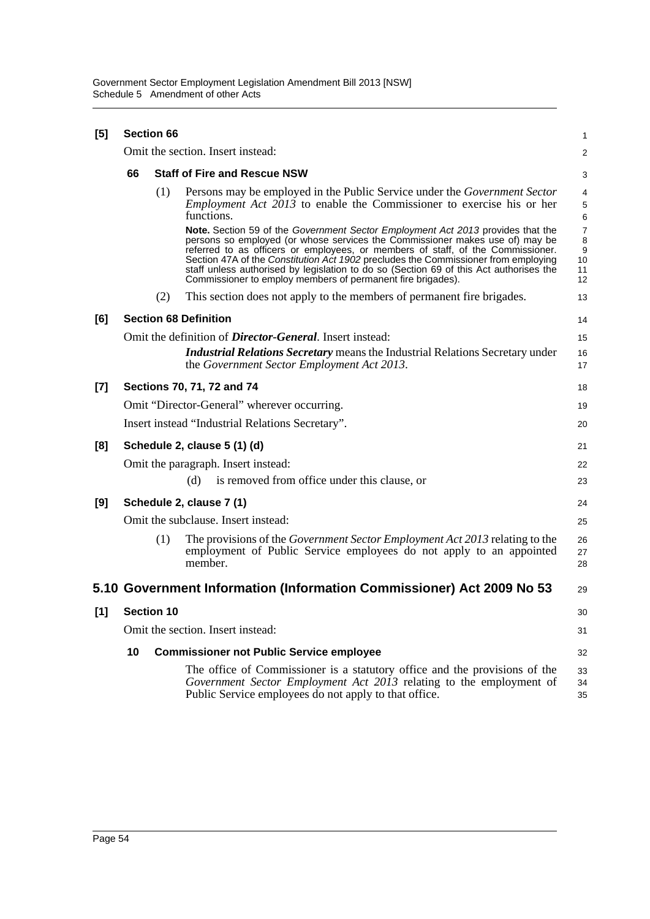| [5]   | <b>Section 66</b>                                 |                   |                                                                                                                                                                                                                                                                                                                                                                                                                                                                                                          |                               |  |  |  |  |
|-------|---------------------------------------------------|-------------------|----------------------------------------------------------------------------------------------------------------------------------------------------------------------------------------------------------------------------------------------------------------------------------------------------------------------------------------------------------------------------------------------------------------------------------------------------------------------------------------------------------|-------------------------------|--|--|--|--|
|       |                                                   |                   | Omit the section. Insert instead:                                                                                                                                                                                                                                                                                                                                                                                                                                                                        | $\overline{a}$                |  |  |  |  |
|       | 66                                                |                   | <b>Staff of Fire and Rescue NSW</b>                                                                                                                                                                                                                                                                                                                                                                                                                                                                      | 3                             |  |  |  |  |
|       |                                                   | (1)               | Persons may be employed in the Public Service under the <i>Government Sector</i><br><i>Employment Act 2013</i> to enable the Commissioner to exercise his or her<br>functions.                                                                                                                                                                                                                                                                                                                           | 4<br>5<br>6                   |  |  |  |  |
|       |                                                   |                   | <b>Note.</b> Section 59 of the Government Sector Employment Act 2013 provides that the<br>persons so employed (or whose services the Commissioner makes use of) may be<br>referred to as officers or employees, or members of staff, of the Commissioner.<br>Section 47A of the Constitution Act 1902 precludes the Commissioner from employing<br>staff unless authorised by legislation to do so (Section 69 of this Act authorises the<br>Commissioner to employ members of permanent fire brigades). | 7<br>8<br>9<br>10<br>11<br>12 |  |  |  |  |
|       |                                                   | (2)               | This section does not apply to the members of permanent fire brigades.                                                                                                                                                                                                                                                                                                                                                                                                                                   | 13                            |  |  |  |  |
| [6]   |                                                   |                   | <b>Section 68 Definition</b>                                                                                                                                                                                                                                                                                                                                                                                                                                                                             | 14                            |  |  |  |  |
|       |                                                   |                   | Omit the definition of <i>Director-General</i> . Insert instead:                                                                                                                                                                                                                                                                                                                                                                                                                                         | 15                            |  |  |  |  |
|       |                                                   |                   | <b>Industrial Relations Secretary means the Industrial Relations Secretary under</b><br>the Government Sector Employment Act 2013.                                                                                                                                                                                                                                                                                                                                                                       | 16<br>17                      |  |  |  |  |
| $[7]$ |                                                   |                   | Sections 70, 71, 72 and 74                                                                                                                                                                                                                                                                                                                                                                                                                                                                               | 18                            |  |  |  |  |
|       | Omit "Director-General" wherever occurring.<br>19 |                   |                                                                                                                                                                                                                                                                                                                                                                                                                                                                                                          |                               |  |  |  |  |
|       |                                                   |                   | Insert instead "Industrial Relations Secretary".                                                                                                                                                                                                                                                                                                                                                                                                                                                         | 20                            |  |  |  |  |
| [8]   |                                                   |                   | Schedule 2, clause 5 (1) (d)                                                                                                                                                                                                                                                                                                                                                                                                                                                                             | 21                            |  |  |  |  |
|       |                                                   |                   | Omit the paragraph. Insert instead:                                                                                                                                                                                                                                                                                                                                                                                                                                                                      | 22                            |  |  |  |  |
|       |                                                   |                   | is removed from office under this clause, or<br>(d)                                                                                                                                                                                                                                                                                                                                                                                                                                                      | 23                            |  |  |  |  |
| [9]   |                                                   |                   | Schedule 2, clause 7 (1)                                                                                                                                                                                                                                                                                                                                                                                                                                                                                 | 24                            |  |  |  |  |
|       |                                                   |                   | Omit the subclause. Insert instead:                                                                                                                                                                                                                                                                                                                                                                                                                                                                      | 25                            |  |  |  |  |
|       |                                                   | (1)               | The provisions of the <i>Government Sector Employment Act 2013</i> relating to the<br>employment of Public Service employees do not apply to an appointed<br>member.                                                                                                                                                                                                                                                                                                                                     | 26<br>27<br>28                |  |  |  |  |
|       |                                                   |                   | 5.10 Government Information (Information Commissioner) Act 2009 No 53                                                                                                                                                                                                                                                                                                                                                                                                                                    | 29                            |  |  |  |  |
| $[1]$ |                                                   | <b>Section 10</b> |                                                                                                                                                                                                                                                                                                                                                                                                                                                                                                          | 30                            |  |  |  |  |
|       |                                                   |                   | Omit the section. Insert instead:                                                                                                                                                                                                                                                                                                                                                                                                                                                                        | 31                            |  |  |  |  |
|       | 10                                                |                   | <b>Commissioner not Public Service employee</b>                                                                                                                                                                                                                                                                                                                                                                                                                                                          | 32                            |  |  |  |  |
|       |                                                   |                   | The office of Commissioner is a statutory office and the provisions of the<br>Government Sector Employment Act 2013 relating to the employment of<br>Public Service employees do not apply to that office.                                                                                                                                                                                                                                                                                               | 33<br>34<br>35                |  |  |  |  |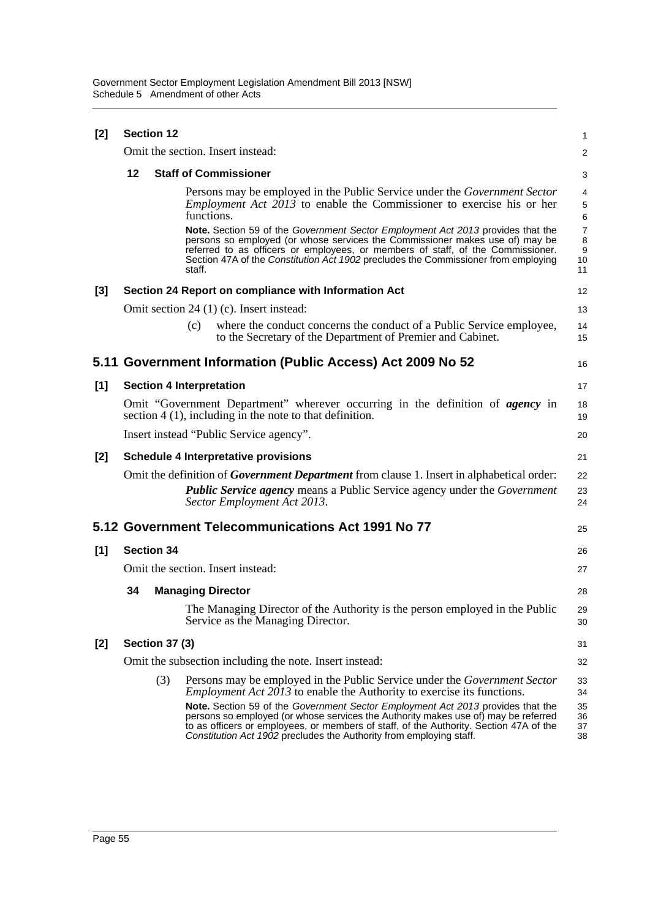| $[2]$ | <b>Section 12</b>                                                                                                                                   |                       |                                                                                                                                                                                                                                                                                                                                                    |                                                     |  |  |  |
|-------|-----------------------------------------------------------------------------------------------------------------------------------------------------|-----------------------|----------------------------------------------------------------------------------------------------------------------------------------------------------------------------------------------------------------------------------------------------------------------------------------------------------------------------------------------------|-----------------------------------------------------|--|--|--|
|       |                                                                                                                                                     |                       | Omit the section. Insert instead:                                                                                                                                                                                                                                                                                                                  | 2                                                   |  |  |  |
|       | $12 \,$                                                                                                                                             |                       | <b>Staff of Commissioner</b>                                                                                                                                                                                                                                                                                                                       | 3                                                   |  |  |  |
|       |                                                                                                                                                     |                       | Persons may be employed in the Public Service under the Government Sector<br><i>Employment Act <math>2013</math> to enable the Commissioner to exercise his or her</i><br>functions.                                                                                                                                                               | 4<br>$\,$ 5 $\,$<br>6                               |  |  |  |
|       |                                                                                                                                                     |                       | Note. Section 59 of the Government Sector Employment Act 2013 provides that the<br>persons so employed (or whose services the Commissioner makes use of) may be<br>referred to as officers or employees, or members of staff, of the Commissioner.<br>Section 47A of the Constitution Act 1902 precludes the Commissioner from employing<br>staff. | $\overline{7}$<br>8<br>$\boldsymbol{9}$<br>10<br>11 |  |  |  |
| $[3]$ |                                                                                                                                                     |                       | Section 24 Report on compliance with Information Act                                                                                                                                                                                                                                                                                               | 12                                                  |  |  |  |
|       |                                                                                                                                                     |                       | Omit section 24 (1) (c). Insert instead:                                                                                                                                                                                                                                                                                                           | 13                                                  |  |  |  |
|       |                                                                                                                                                     |                       | where the conduct concerns the conduct of a Public Service employee,<br>(c)<br>to the Secretary of the Department of Premier and Cabinet.                                                                                                                                                                                                          | 14<br>15                                            |  |  |  |
|       |                                                                                                                                                     |                       | 5.11 Government Information (Public Access) Act 2009 No 52                                                                                                                                                                                                                                                                                         | 16                                                  |  |  |  |
| [1]   |                                                                                                                                                     |                       | <b>Section 4 Interpretation</b>                                                                                                                                                                                                                                                                                                                    | 17                                                  |  |  |  |
|       | Omit "Government Department" wherever occurring in the definition of <i>agency</i> in<br>section $4(1)$ , including in the note to that definition. |                       |                                                                                                                                                                                                                                                                                                                                                    |                                                     |  |  |  |
|       |                                                                                                                                                     |                       | Insert instead "Public Service agency".                                                                                                                                                                                                                                                                                                            | 20                                                  |  |  |  |
| [2]   | <b>Schedule 4 Interpretative provisions</b>                                                                                                         |                       |                                                                                                                                                                                                                                                                                                                                                    |                                                     |  |  |  |
|       |                                                                                                                                                     |                       | Omit the definition of <i>Government Department</i> from clause 1. Insert in alphabetical order:<br><b>Public Service agency means a Public Service agency under the Government</b><br>Sector Employment Act 2013.                                                                                                                                 | 22<br>23<br>24                                      |  |  |  |
|       |                                                                                                                                                     |                       | 5.12 Government Telecommunications Act 1991 No 77                                                                                                                                                                                                                                                                                                  | 25                                                  |  |  |  |
| [1]   | <b>Section 34</b>                                                                                                                                   |                       |                                                                                                                                                                                                                                                                                                                                                    | 26                                                  |  |  |  |
|       |                                                                                                                                                     |                       | Omit the section. Insert instead:                                                                                                                                                                                                                                                                                                                  | 27                                                  |  |  |  |
|       | 34                                                                                                                                                  |                       | <b>Managing Director</b>                                                                                                                                                                                                                                                                                                                           | 28                                                  |  |  |  |
|       |                                                                                                                                                     |                       | The Managing Director of the Authority is the person employed in the Public<br>Service as the Managing Director.                                                                                                                                                                                                                                   | 29<br>30                                            |  |  |  |
| [2]   |                                                                                                                                                     | <b>Section 37 (3)</b> |                                                                                                                                                                                                                                                                                                                                                    | 31                                                  |  |  |  |
|       |                                                                                                                                                     |                       | Omit the subsection including the note. Insert instead:                                                                                                                                                                                                                                                                                            | 32                                                  |  |  |  |
|       |                                                                                                                                                     | (3)                   | Persons may be employed in the Public Service under the <i>Government Sector</i><br><i>Employment Act 2013</i> to enable the Authority to exercise its functions.                                                                                                                                                                                  | 33<br>34                                            |  |  |  |
|       |                                                                                                                                                     |                       | Note. Section 59 of the Government Sector Employment Act 2013 provides that the<br>persons so employed (or whose services the Authority makes use of) may be referred<br>to as officers or employees, or members of staff, of the Authority. Section 47A of the<br>Constitution Act 1902 precludes the Authority from employing staff.             | 35<br>36<br>37<br>38                                |  |  |  |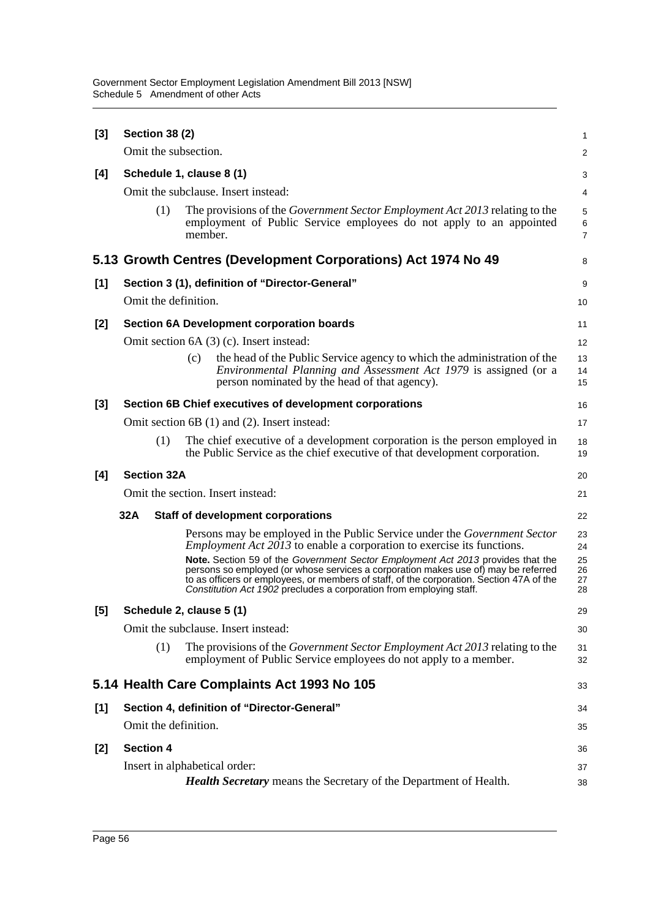| [3]   | <b>Section 38 (2)</b>                        |                                                                                                                                                                                                                                                                                                                                                                                                                                                                                                        | 1                                |  |  |  |  |
|-------|----------------------------------------------|--------------------------------------------------------------------------------------------------------------------------------------------------------------------------------------------------------------------------------------------------------------------------------------------------------------------------------------------------------------------------------------------------------------------------------------------------------------------------------------------------------|----------------------------------|--|--|--|--|
|       | Omit the subsection.                         |                                                                                                                                                                                                                                                                                                                                                                                                                                                                                                        | $\overline{c}$                   |  |  |  |  |
| [4]   |                                              | Schedule 1, clause 8 (1)                                                                                                                                                                                                                                                                                                                                                                                                                                                                               | 3                                |  |  |  |  |
|       |                                              | Omit the subclause. Insert instead:                                                                                                                                                                                                                                                                                                                                                                                                                                                                    | 4                                |  |  |  |  |
|       | (1)                                          | The provisions of the Government Sector Employment Act 2013 relating to the<br>employment of Public Service employees do not apply to an appointed<br>member.                                                                                                                                                                                                                                                                                                                                          | 5<br>6<br>7                      |  |  |  |  |
|       |                                              | 5.13 Growth Centres (Development Corporations) Act 1974 No 49                                                                                                                                                                                                                                                                                                                                                                                                                                          | 8                                |  |  |  |  |
| [1]   |                                              | Section 3 (1), definition of "Director-General"                                                                                                                                                                                                                                                                                                                                                                                                                                                        | 9                                |  |  |  |  |
|       | Omit the definition.                         |                                                                                                                                                                                                                                                                                                                                                                                                                                                                                                        | 10                               |  |  |  |  |
| [2]   |                                              | <b>Section 6A Development corporation boards</b>                                                                                                                                                                                                                                                                                                                                                                                                                                                       | 11                               |  |  |  |  |
|       |                                              | Omit section 6A (3) (c). Insert instead:                                                                                                                                                                                                                                                                                                                                                                                                                                                               | 12                               |  |  |  |  |
|       |                                              | the head of the Public Service agency to which the administration of the<br>(c)<br><i>Environmental Planning and Assessment Act 1979</i> is assigned (or a<br>person nominated by the head of that agency).                                                                                                                                                                                                                                                                                            | 13<br>14<br>15                   |  |  |  |  |
| $[3]$ |                                              | Section 6B Chief executives of development corporations                                                                                                                                                                                                                                                                                                                                                                                                                                                | 16                               |  |  |  |  |
|       | Omit section 6B (1) and (2). Insert instead: |                                                                                                                                                                                                                                                                                                                                                                                                                                                                                                        |                                  |  |  |  |  |
|       | (1)                                          | The chief executive of a development corporation is the person employed in<br>the Public Service as the chief executive of that development corporation.                                                                                                                                                                                                                                                                                                                                               | 18<br>19                         |  |  |  |  |
| [4]   | <b>Section 32A</b>                           |                                                                                                                                                                                                                                                                                                                                                                                                                                                                                                        |                                  |  |  |  |  |
|       | Omit the section. Insert instead:<br>21      |                                                                                                                                                                                                                                                                                                                                                                                                                                                                                                        |                                  |  |  |  |  |
|       | 32A                                          | <b>Staff of development corporations</b>                                                                                                                                                                                                                                                                                                                                                                                                                                                               | 22                               |  |  |  |  |
|       |                                              | Persons may be employed in the Public Service under the Government Sector<br><i>Employment Act 2013</i> to enable a corporation to exercise its functions.<br>Note. Section 59 of the Government Sector Employment Act 2013 provides that the<br>persons so employed (or whose services a corporation makes use of) may be referred<br>to as officers or employees, or members of staff, of the corporation. Section 47A of the<br>Constitution Act 1902 precludes a corporation from employing staff. | 23<br>24<br>25<br>26<br>27<br>28 |  |  |  |  |
| [5]   |                                              | Schedule 2, clause 5 (1)                                                                                                                                                                                                                                                                                                                                                                                                                                                                               | 29                               |  |  |  |  |
|       |                                              | Omit the subclause. Insert instead:                                                                                                                                                                                                                                                                                                                                                                                                                                                                    | 30                               |  |  |  |  |
|       | (1)                                          | The provisions of the <i>Government Sector Employment Act 2013</i> relating to the<br>employment of Public Service employees do not apply to a member.                                                                                                                                                                                                                                                                                                                                                 | 31<br>32                         |  |  |  |  |
|       |                                              | 5.14 Health Care Complaints Act 1993 No 105                                                                                                                                                                                                                                                                                                                                                                                                                                                            | 33                               |  |  |  |  |
| [1]   |                                              | Section 4, definition of "Director-General"                                                                                                                                                                                                                                                                                                                                                                                                                                                            | 34                               |  |  |  |  |
|       | Omit the definition.                         |                                                                                                                                                                                                                                                                                                                                                                                                                                                                                                        | 35                               |  |  |  |  |
| [2]   | <b>Section 4</b>                             |                                                                                                                                                                                                                                                                                                                                                                                                                                                                                                        | 36                               |  |  |  |  |
|       |                                              | Insert in alphabetical order:                                                                                                                                                                                                                                                                                                                                                                                                                                                                          | 37                               |  |  |  |  |
|       |                                              | <b>Health Secretary</b> means the Secretary of the Department of Health.                                                                                                                                                                                                                                                                                                                                                                                                                               | 38                               |  |  |  |  |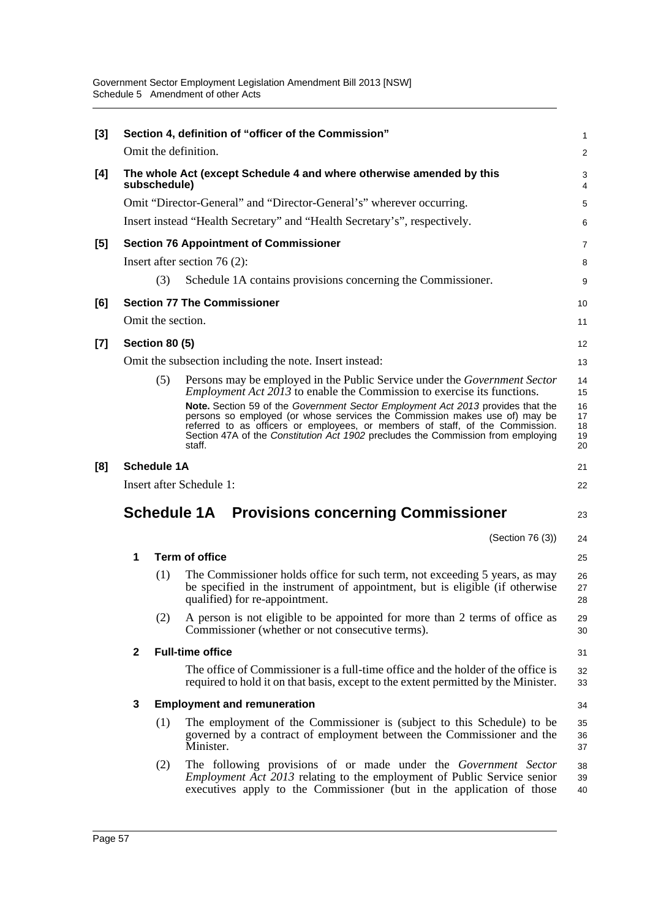| [3]   |                                                                      |                       | Section 4, definition of "officer of the Commission"                                                                                                                                                                                                      | 1                    |  |  |  |
|-------|----------------------------------------------------------------------|-----------------------|-----------------------------------------------------------------------------------------------------------------------------------------------------------------------------------------------------------------------------------------------------------|----------------------|--|--|--|
|       |                                                                      |                       | Omit the definition.                                                                                                                                                                                                                                      | $\overline{c}$       |  |  |  |
| [4]   |                                                                      | subschedule)          | The whole Act (except Schedule 4 and where otherwise amended by this                                                                                                                                                                                      | 3<br>4               |  |  |  |
|       | Omit "Director-General" and "Director-General's" wherever occurring. |                       |                                                                                                                                                                                                                                                           |                      |  |  |  |
|       |                                                                      |                       | Insert instead "Health Secretary" and "Health Secretary's", respectively.                                                                                                                                                                                 | 6                    |  |  |  |
| [5]   |                                                                      |                       | <b>Section 76 Appointment of Commissioner</b>                                                                                                                                                                                                             | 7                    |  |  |  |
|       |                                                                      |                       | Insert after section $76(2)$ :                                                                                                                                                                                                                            | 8                    |  |  |  |
|       |                                                                      | (3)                   | Schedule 1A contains provisions concerning the Commissioner.                                                                                                                                                                                              | 9                    |  |  |  |
| [6]   |                                                                      |                       | <b>Section 77 The Commissioner</b>                                                                                                                                                                                                                        | 10                   |  |  |  |
|       |                                                                      | Omit the section.     |                                                                                                                                                                                                                                                           | 11                   |  |  |  |
| $[7]$ |                                                                      | <b>Section 80 (5)</b> |                                                                                                                                                                                                                                                           | 12                   |  |  |  |
|       |                                                                      |                       | Omit the subsection including the note. Insert instead:                                                                                                                                                                                                   | 13                   |  |  |  |
|       |                                                                      | (5)                   | Persons may be employed in the Public Service under the Government Sector<br><i>Employment Act 2013</i> to enable the Commission to exercise its functions.<br>Note. Section 59 of the Government Sector Employment Act 2013 provides that the            | 14<br>15<br>16       |  |  |  |
|       |                                                                      |                       | persons so employed (or whose services the Commission makes use of) may be<br>referred to as officers or employees, or members of staff, of the Commission.<br>Section 47A of the Constitution Act 1902 precludes the Commission from employing<br>staff. | 17<br>18<br>19<br>20 |  |  |  |
| [8]   |                                                                      | <b>Schedule 1A</b>    |                                                                                                                                                                                                                                                           | 21                   |  |  |  |
|       |                                                                      |                       | Insert after Schedule 1:                                                                                                                                                                                                                                  | 22                   |  |  |  |
|       | <b>Schedule 1A Provisions concerning Commissioner</b><br>23          |                       |                                                                                                                                                                                                                                                           |                      |  |  |  |
|       |                                                                      |                       | (Section 76 (3))                                                                                                                                                                                                                                          | 24                   |  |  |  |
|       | 1                                                                    |                       | <b>Term of office</b>                                                                                                                                                                                                                                     | 25                   |  |  |  |
|       |                                                                      | (1)                   | The Commissioner holds office for such term, not exceeding 5 years, as may<br>be specified in the instrument of appointment, but is eligible (if otherwise<br>qualified) for re-appointment.                                                              | 26<br>27<br>28       |  |  |  |
|       |                                                                      | (2)                   | A person is not eligible to be appointed for more than 2 terms of office as<br>Commissioner (whether or not consecutive terms).                                                                                                                           | 29<br>30             |  |  |  |
|       | $\mathbf{2}$                                                         |                       | <b>Full-time office</b>                                                                                                                                                                                                                                   | 31                   |  |  |  |
|       |                                                                      |                       | The office of Commissioner is a full-time office and the holder of the office is<br>required to hold it on that basis, except to the extent permitted by the Minister.                                                                                    | 32<br>33             |  |  |  |
|       | 3                                                                    |                       | <b>Employment and remuneration</b>                                                                                                                                                                                                                        | 34                   |  |  |  |
|       |                                                                      | (1)                   | The employment of the Commissioner is (subject to this Schedule) to be<br>governed by a contract of employment between the Commissioner and the<br>Minister.                                                                                              | 35<br>36<br>37       |  |  |  |
|       |                                                                      | (2)                   | The following provisions of or made under the <i>Government Sector</i><br><i>Employment Act 2013</i> relating to the employment of Public Service senior<br>executives apply to the Commissioner (but in the application of those                         | 38<br>39<br>40       |  |  |  |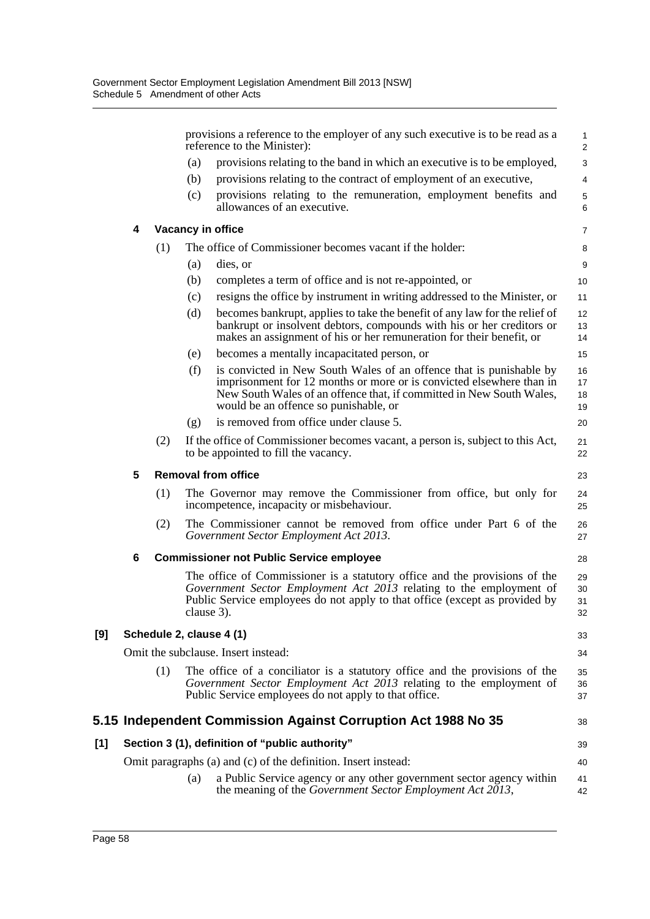|     |   |     | provisions a reference to the employer of any such executive is to be read as a<br>reference to the Minister):                                                                                                                                                      | $\mathbf{1}$<br>$\overline{2}$ |  |  |  |
|-----|---|-----|---------------------------------------------------------------------------------------------------------------------------------------------------------------------------------------------------------------------------------------------------------------------|--------------------------------|--|--|--|
|     |   |     | provisions relating to the band in which an executive is to be employed,<br>(a)                                                                                                                                                                                     | 3                              |  |  |  |
|     |   |     | provisions relating to the contract of employment of an executive,<br>(b)                                                                                                                                                                                           | 4                              |  |  |  |
|     |   |     | provisions relating to the remuneration, employment benefits and<br>(c)<br>allowances of an executive.                                                                                                                                                              | $\mathbf 5$<br>6               |  |  |  |
|     | 4 |     | Vacancy in office                                                                                                                                                                                                                                                   | 7                              |  |  |  |
|     |   | (1) | The office of Commissioner becomes vacant if the holder:                                                                                                                                                                                                            | 8                              |  |  |  |
|     |   |     | (a)<br>dies, or                                                                                                                                                                                                                                                     | 9                              |  |  |  |
|     |   |     | completes a term of office and is not re-appointed, or<br>(b)                                                                                                                                                                                                       | 10                             |  |  |  |
|     |   |     | resigns the office by instrument in writing addressed to the Minister, or<br>(c)                                                                                                                                                                                    | 11                             |  |  |  |
|     |   |     | (d)<br>becomes bankrupt, applies to take the benefit of any law for the relief of<br>bankrupt or insolvent debtors, compounds with his or her creditors or<br>makes an assignment of his or her remuneration for their benefit, or                                  | 12<br>13<br>14                 |  |  |  |
|     |   |     | becomes a mentally incapacitated person, or<br>(e)                                                                                                                                                                                                                  | 15                             |  |  |  |
|     |   |     | is convicted in New South Wales of an offence that is punishable by<br>(f)<br>imprisonment for 12 months or more or is convicted elsewhere than in<br>New South Wales of an offence that, if committed in New South Wales,<br>would be an offence so punishable, or | 16<br>17<br>18<br>19           |  |  |  |
|     |   |     | is removed from office under clause 5.<br>(g)                                                                                                                                                                                                                       | 20                             |  |  |  |
|     |   | (2) | If the office of Commissioner becomes vacant, a person is, subject to this Act,<br>to be appointed to fill the vacancy.                                                                                                                                             | 21<br>22                       |  |  |  |
|     | 5 |     | <b>Removal from office</b>                                                                                                                                                                                                                                          |                                |  |  |  |
|     |   | (1) | The Governor may remove the Commissioner from office, but only for<br>incompetence, incapacity or misbehaviour.                                                                                                                                                     | 24<br>25                       |  |  |  |
|     |   | (2) | The Commissioner cannot be removed from office under Part 6 of the<br>Government Sector Employment Act 2013.                                                                                                                                                        | 26<br>27                       |  |  |  |
|     | 6 |     | <b>Commissioner not Public Service employee</b>                                                                                                                                                                                                                     |                                |  |  |  |
|     |   |     | The office of Commissioner is a statutory office and the provisions of the<br>Government Sector Employment Act 2013 relating to the employment of<br>Public Service employees do not apply to that office (except as provided by<br>clause 3).                      | 29<br>30<br>31<br>32           |  |  |  |
| [9] |   |     | Schedule 2, clause 4 (1)                                                                                                                                                                                                                                            | 33                             |  |  |  |
|     |   |     | Omit the subclause. Insert instead:                                                                                                                                                                                                                                 | 34                             |  |  |  |
|     |   | (1) | The office of a conciliator is a statutory office and the provisions of the<br>Government Sector Employment Act 2013 relating to the employment of<br>Public Service employees do not apply to that office.                                                         | 35<br>36<br>37                 |  |  |  |
|     |   |     | 5.15 Independent Commission Against Corruption Act 1988 No 35                                                                                                                                                                                                       | 38                             |  |  |  |
| [1] |   |     | Section 3 (1), definition of "public authority"                                                                                                                                                                                                                     | 39                             |  |  |  |
|     |   |     | Omit paragraphs (a) and (c) of the definition. Insert instead:                                                                                                                                                                                                      | 40                             |  |  |  |
|     |   |     | a Public Service agency or any other government sector agency within<br>(a)<br>the meaning of the Government Sector Employment Act 2013,                                                                                                                            | 41<br>42                       |  |  |  |

**[9]**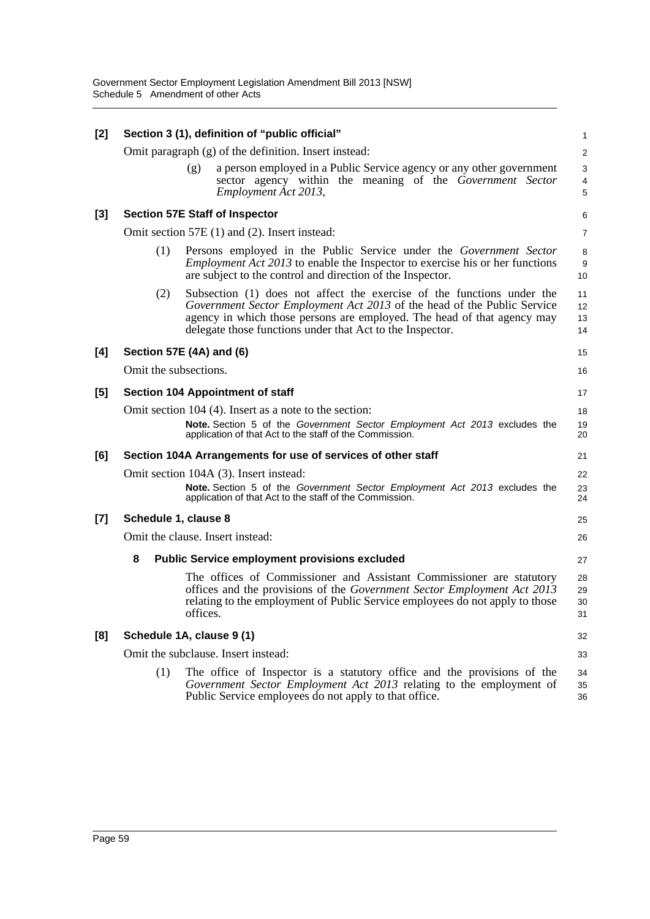| [2]   | Section 3 (1), definition of "public official" |          |                                                                                                                                                                                                                                                                                           |                          |  |  |  |
|-------|------------------------------------------------|----------|-------------------------------------------------------------------------------------------------------------------------------------------------------------------------------------------------------------------------------------------------------------------------------------------|--------------------------|--|--|--|
|       |                                                |          | Omit paragraph $(g)$ of the definition. Insert instead:                                                                                                                                                                                                                                   | 2                        |  |  |  |
|       |                                                | (g)      | a person employed in a Public Service agency or any other government<br>sector agency within the meaning of the Government Sector<br>Employment Act 2013,                                                                                                                                 | 3<br>$\overline{4}$<br>5 |  |  |  |
| [3]   |                                                |          | <b>Section 57E Staff of Inspector</b>                                                                                                                                                                                                                                                     | 6                        |  |  |  |
|       |                                                |          | Omit section 57E (1) and (2). Insert instead:                                                                                                                                                                                                                                             | 7                        |  |  |  |
|       | (1)                                            |          | Persons employed in the Public Service under the Government Sector<br><i>Employment Act 2013</i> to enable the Inspector to exercise his or her functions<br>are subject to the control and direction of the Inspector.                                                                   | 8<br>9<br>10             |  |  |  |
|       | (2)                                            |          | Subsection (1) does not affect the exercise of the functions under the<br>Government Sector Employment Act 2013 of the head of the Public Service<br>agency in which those persons are employed. The head of that agency may<br>delegate those functions under that Act to the Inspector. | 11<br>12<br>13<br>14     |  |  |  |
| [4]   | Section 57E (4A) and (6)                       |          |                                                                                                                                                                                                                                                                                           | 15                       |  |  |  |
|       | Omit the subsections.                          |          |                                                                                                                                                                                                                                                                                           | 16                       |  |  |  |
| $[5]$ | Section 104 Appointment of staff               |          |                                                                                                                                                                                                                                                                                           |                          |  |  |  |
|       |                                                |          | Omit section 104 (4). Insert as a note to the section:<br>Note. Section 5 of the Government Sector Employment Act 2013 excludes the<br>application of that Act to the staff of the Commission.                                                                                            | 18<br>19<br>20           |  |  |  |
| [6]   |                                                |          | Section 104A Arrangements for use of services of other staff                                                                                                                                                                                                                              | 21                       |  |  |  |
|       | Omit section 104A (3). Insert instead:         |          |                                                                                                                                                                                                                                                                                           |                          |  |  |  |
|       |                                                |          | Note. Section 5 of the Government Sector Employment Act 2013 excludes the<br>application of that Act to the staff of the Commission.                                                                                                                                                      | 23<br>24                 |  |  |  |
| $[7]$ | Schedule 1, clause 8                           |          |                                                                                                                                                                                                                                                                                           | 25                       |  |  |  |
|       |                                                |          | Omit the clause. Insert instead:                                                                                                                                                                                                                                                          | 26                       |  |  |  |
|       | 8                                              |          | <b>Public Service employment provisions excluded</b>                                                                                                                                                                                                                                      | 27                       |  |  |  |
|       |                                                | offices. | The offices of Commissioner and Assistant Commissioner are statutory<br>offices and the provisions of the Government Sector Employment Act 2013<br>relating to the employment of Public Service employees do not apply to those                                                           | 28<br>29<br>30<br>31     |  |  |  |
| [8]   | Schedule 1A, clause 9 (1)                      |          |                                                                                                                                                                                                                                                                                           | 32                       |  |  |  |
|       |                                                |          | Omit the subclause. Insert instead:                                                                                                                                                                                                                                                       | 33                       |  |  |  |
|       | (1)                                            |          | The office of Inspector is a statutory office and the provisions of the<br>Government Sector Employment Act 2013 relating to the employment of<br>Public Service employees do not apply to that office.                                                                                   | 34<br>35<br>36           |  |  |  |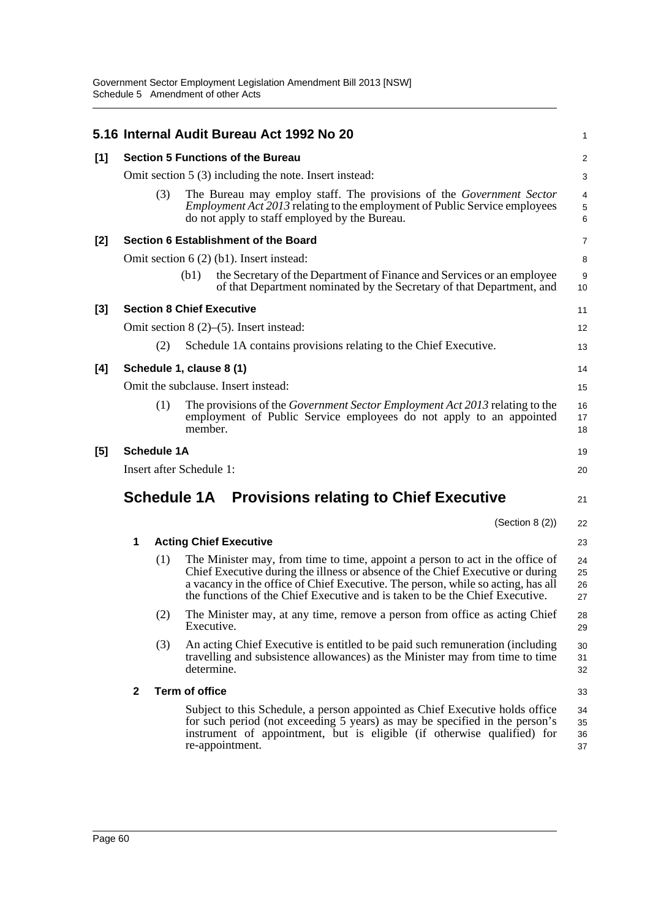|       |                                                        |                    | 5.16 Internal Audit Bureau Act 1992 No 20                                                                                                                                                                                                                                                                                           | 1                    |  |  |  |
|-------|--------------------------------------------------------|--------------------|-------------------------------------------------------------------------------------------------------------------------------------------------------------------------------------------------------------------------------------------------------------------------------------------------------------------------------------|----------------------|--|--|--|
| $[1]$ | <b>Section 5 Functions of the Bureau</b>               |                    |                                                                                                                                                                                                                                                                                                                                     |                      |  |  |  |
|       | Omit section 5 (3) including the note. Insert instead: |                    |                                                                                                                                                                                                                                                                                                                                     |                      |  |  |  |
|       |                                                        | (3)                | The Bureau may employ staff. The provisions of the Government Sector<br><i>Employment Act 2013</i> relating to the employment of Public Service employees<br>do not apply to staff employed by the Bureau.                                                                                                                          | 4<br>5<br>6          |  |  |  |
| $[2]$ |                                                        |                    | Section 6 Establishment of the Board                                                                                                                                                                                                                                                                                                | $\overline{7}$       |  |  |  |
|       |                                                        |                    | Omit section $6(2)$ (b1). Insert instead:                                                                                                                                                                                                                                                                                           | 8                    |  |  |  |
|       |                                                        |                    | the Secretary of the Department of Finance and Services or an employee<br>(b1)<br>of that Department nominated by the Secretary of that Department, and                                                                                                                                                                             | 9<br>10              |  |  |  |
| $[3]$ |                                                        |                    | <b>Section 8 Chief Executive</b>                                                                                                                                                                                                                                                                                                    | 11                   |  |  |  |
|       |                                                        |                    | Omit section $8(2)$ –(5). Insert instead:                                                                                                                                                                                                                                                                                           | 12                   |  |  |  |
|       |                                                        | (2)                | Schedule 1A contains provisions relating to the Chief Executive.                                                                                                                                                                                                                                                                    | 13                   |  |  |  |
| [4]   |                                                        |                    | Schedule 1, clause 8 (1)                                                                                                                                                                                                                                                                                                            | 14                   |  |  |  |
|       |                                                        |                    | Omit the subclause. Insert instead:                                                                                                                                                                                                                                                                                                 | 15                   |  |  |  |
|       |                                                        | (1)                | The provisions of the <i>Government Sector Employment Act 2013</i> relating to the<br>employment of Public Service employees do not apply to an appointed<br>member.                                                                                                                                                                | 16<br>17<br>18       |  |  |  |
| [5]   |                                                        | <b>Schedule 1A</b> |                                                                                                                                                                                                                                                                                                                                     | 19                   |  |  |  |
|       |                                                        |                    | Insert after Schedule 1:                                                                                                                                                                                                                                                                                                            | 20                   |  |  |  |
|       |                                                        |                    | <b>Schedule 1A</b> Provisions relating to Chief Executive                                                                                                                                                                                                                                                                           | 21                   |  |  |  |
|       |                                                        |                    | (Section 8 (2))                                                                                                                                                                                                                                                                                                                     | 22                   |  |  |  |
|       | 1                                                      |                    | <b>Acting Chief Executive</b>                                                                                                                                                                                                                                                                                                       | 23                   |  |  |  |
|       |                                                        | (1)                | The Minister may, from time to time, appoint a person to act in the office of<br>Chief Executive during the illness or absence of the Chief Executive or during<br>a vacancy in the office of Chief Executive. The person, while so acting, has all<br>the functions of the Chief Executive and is taken to be the Chief Executive. | 24<br>25<br>26<br>27 |  |  |  |
|       |                                                        | (2)                | The Minister may, at any time, remove a person from office as acting Chief<br>Executive.                                                                                                                                                                                                                                            | 28<br>29             |  |  |  |
|       |                                                        | (3)                | An acting Chief Executive is entitled to be paid such remuneration (including<br>travelling and subsistence allowances) as the Minister may from time to time<br>determine.                                                                                                                                                         | 30<br>31<br>32       |  |  |  |
|       | $\mathbf{2}$                                           |                    | <b>Term of office</b>                                                                                                                                                                                                                                                                                                               | 33                   |  |  |  |
|       |                                                        |                    | Subject to this Schedule, a person appointed as Chief Executive holds office<br>for such period (not exceeding 5 years) as may be specified in the person's<br>instrument of appointment, but is eligible (if otherwise qualified) for<br>re-appointment.                                                                           | 34<br>35<br>36<br>37 |  |  |  |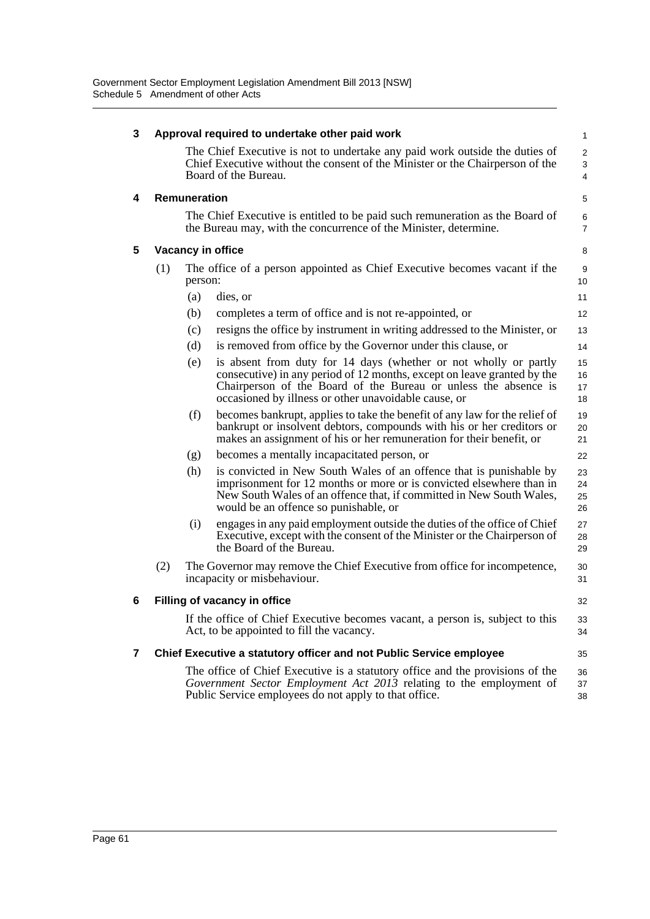| 3 | Approval required to undertake other paid work |                                                                                                                                                                                                                                 |                                                                                                                                                                                                                                                                        |                          |  |
|---|------------------------------------------------|---------------------------------------------------------------------------------------------------------------------------------------------------------------------------------------------------------------------------------|------------------------------------------------------------------------------------------------------------------------------------------------------------------------------------------------------------------------------------------------------------------------|--------------------------|--|
|   |                                                |                                                                                                                                                                                                                                 | The Chief Executive is not to undertake any paid work outside the duties of<br>Chief Executive without the consent of the Minister or the Chairperson of the<br>Board of the Bureau.                                                                                   | $\overline{2}$<br>3<br>4 |  |
| 4 |                                                | Remuneration                                                                                                                                                                                                                    |                                                                                                                                                                                                                                                                        | 5                        |  |
|   |                                                |                                                                                                                                                                                                                                 | The Chief Executive is entitled to be paid such remuneration as the Board of<br>the Bureau may, with the concurrence of the Minister, determine.                                                                                                                       | 6<br>$\overline{7}$      |  |
| 5 |                                                |                                                                                                                                                                                                                                 | Vacancy in office                                                                                                                                                                                                                                                      | 8                        |  |
|   | (1)                                            | person:                                                                                                                                                                                                                         | The office of a person appointed as Chief Executive becomes vacant if the                                                                                                                                                                                              | 9<br>10 <sup>10</sup>    |  |
|   |                                                | (a)                                                                                                                                                                                                                             | dies, or                                                                                                                                                                                                                                                               | 11                       |  |
|   |                                                | (b)                                                                                                                                                                                                                             | completes a term of office and is not re-appointed, or                                                                                                                                                                                                                 | 12                       |  |
|   |                                                | (c)                                                                                                                                                                                                                             | resigns the office by instrument in writing addressed to the Minister, or                                                                                                                                                                                              | 13                       |  |
|   |                                                | (d)                                                                                                                                                                                                                             | is removed from office by the Governor under this clause, or                                                                                                                                                                                                           | 14                       |  |
|   |                                                | (e)                                                                                                                                                                                                                             | is absent from duty for 14 days (whether or not wholly or partly<br>consecutive) in any period of 12 months, except on leave granted by the<br>Chairperson of the Board of the Bureau or unless the absence is<br>occasioned by illness or other unavoidable cause, or | 15<br>16<br>17<br>18     |  |
|   |                                                | (f)                                                                                                                                                                                                                             | becomes bankrupt, applies to take the benefit of any law for the relief of<br>bankrupt or insolvent debtors, compounds with his or her creditors or<br>makes an assignment of his or her remuneration for their benefit, or                                            | 19<br>20<br>21           |  |
|   |                                                | (g)                                                                                                                                                                                                                             | becomes a mentally incapacitated person, or                                                                                                                                                                                                                            | 22                       |  |
|   |                                                | (h)                                                                                                                                                                                                                             | is convicted in New South Wales of an offence that is punishable by<br>imprisonment for 12 months or more or is convicted elsewhere than in<br>New South Wales of an offence that, if committed in New South Wales,<br>would be an offence so punishable, or           | 23<br>24<br>25<br>26     |  |
|   |                                                | (i)                                                                                                                                                                                                                             | engages in any paid employment outside the duties of the office of Chief<br>Executive, except with the consent of the Minister or the Chairperson of<br>the Board of the Bureau.                                                                                       | 27<br>28<br>29           |  |
|   | (2)                                            |                                                                                                                                                                                                                                 | The Governor may remove the Chief Executive from office for incompetence,<br>incapacity or misbehaviour.                                                                                                                                                               | 30<br>31                 |  |
| 6 |                                                |                                                                                                                                                                                                                                 | Filling of vacancy in office                                                                                                                                                                                                                                           | 32                       |  |
|   |                                                |                                                                                                                                                                                                                                 | If the office of Chief Executive becomes vacant, a person is, subject to this<br>Act, to be appointed to fill the vacancy.                                                                                                                                             | 33<br>34                 |  |
| 7 |                                                |                                                                                                                                                                                                                                 | Chief Executive a statutory officer and not Public Service employee                                                                                                                                                                                                    | 35                       |  |
|   |                                                | The office of Chief Executive is a statutory office and the provisions of the<br>36<br>Government Sector Employment Act 2013 relating to the employment of<br>37<br>Public Service employees do not apply to that office.<br>38 |                                                                                                                                                                                                                                                                        |                          |  |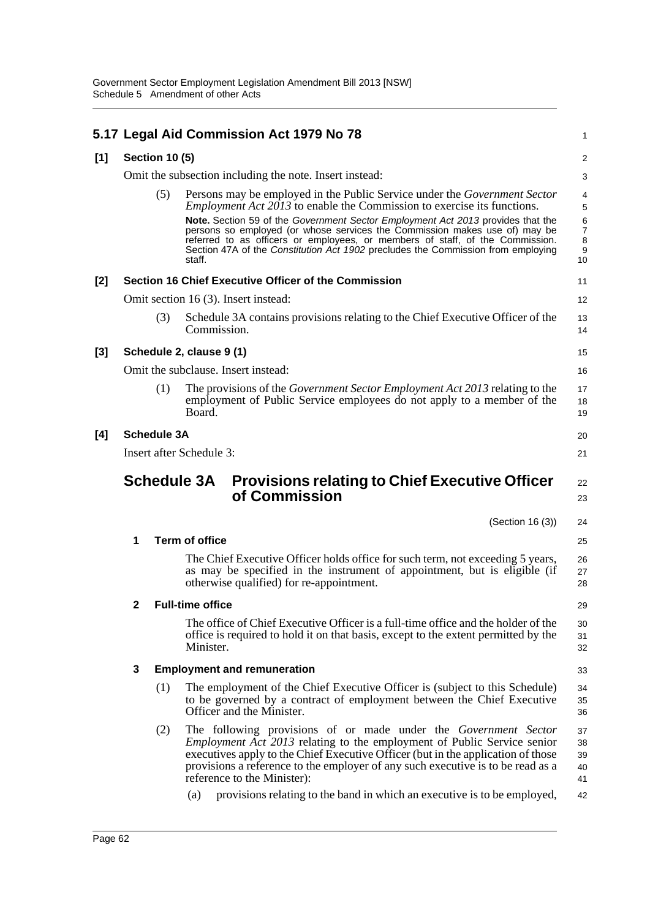|       |                                                      |                       | 5.17 Legal Aid Commission Act 1979 No 78                                                                                                                                                                                                                                                                                                                | 1                          |  |  |  |
|-------|------------------------------------------------------|-----------------------|---------------------------------------------------------------------------------------------------------------------------------------------------------------------------------------------------------------------------------------------------------------------------------------------------------------------------------------------------------|----------------------------|--|--|--|
| [1]   |                                                      | <b>Section 10 (5)</b> |                                                                                                                                                                                                                                                                                                                                                         | $\overline{\mathbf{c}}$    |  |  |  |
|       |                                                      |                       | Omit the subsection including the note. Insert instead:                                                                                                                                                                                                                                                                                                 | 3                          |  |  |  |
|       |                                                      | (5)                   | Persons may be employed in the Public Service under the <i>Government Sector</i><br><i>Employment Act 2013</i> to enable the Commission to exercise its functions.<br>Note. Section 59 of the Government Sector Employment Act 2013 provides that the                                                                                                   | 4<br>5                     |  |  |  |
|       |                                                      |                       | persons so employed (or whose services the Commission makes use of) may be<br>referred to as officers or employees, or members of staff, of the Commission.<br>Section 47A of the Constitution Act 1902 precludes the Commission from employing<br>staff.                                                                                               | 6<br>7<br>8<br>9<br>10     |  |  |  |
| [2]   | Section 16 Chief Executive Officer of the Commission |                       |                                                                                                                                                                                                                                                                                                                                                         |                            |  |  |  |
|       |                                                      |                       | Omit section 16 (3). Insert instead:                                                                                                                                                                                                                                                                                                                    | 12                         |  |  |  |
|       |                                                      | (3)                   | Schedule 3A contains provisions relating to the Chief Executive Officer of the<br>Commission.                                                                                                                                                                                                                                                           | 13<br>14                   |  |  |  |
| $[3]$ |                                                      |                       | Schedule 2, clause 9 (1)                                                                                                                                                                                                                                                                                                                                | 15                         |  |  |  |
|       |                                                      |                       | Omit the subclause. Insert instead:                                                                                                                                                                                                                                                                                                                     | 16                         |  |  |  |
|       |                                                      | (1)                   | The provisions of the <i>Government Sector Employment Act 2013</i> relating to the<br>employment of Public Service employees do not apply to a member of the<br>Board.                                                                                                                                                                                  | 17<br>18<br>19             |  |  |  |
| [4]   | <b>Schedule 3A</b>                                   |                       |                                                                                                                                                                                                                                                                                                                                                         |                            |  |  |  |
|       |                                                      |                       | Insert after Schedule 3:                                                                                                                                                                                                                                                                                                                                | 21                         |  |  |  |
|       |                                                      |                       | <b>Schedule 3A</b><br><b>Provisions relating to Chief Executive Officer</b>                                                                                                                                                                                                                                                                             | 22                         |  |  |  |
|       |                                                      |                       | of Commission                                                                                                                                                                                                                                                                                                                                           | 23                         |  |  |  |
|       |                                                      |                       | (Section 16 (3))                                                                                                                                                                                                                                                                                                                                        | 24                         |  |  |  |
|       | 1                                                    |                       | <b>Term of office</b>                                                                                                                                                                                                                                                                                                                                   | 25                         |  |  |  |
|       |                                                      |                       | The Chief Executive Officer holds office for such term, not exceeding 5 years,<br>as may be specified in the instrument of appointment, but is eligible (if<br>otherwise qualified) for re-appointment.                                                                                                                                                 | 26<br>27<br>28             |  |  |  |
|       | $\mathbf{2}$                                         |                       | <b>Full-time office</b>                                                                                                                                                                                                                                                                                                                                 | 29                         |  |  |  |
|       |                                                      |                       | The office of Chief Executive Officer is a full-time office and the holder of the<br>office is required to hold it on that basis, except to the extent permitted by the<br>Minister.                                                                                                                                                                    | 30<br>31<br>32             |  |  |  |
|       | 3                                                    |                       | <b>Employment and remuneration</b>                                                                                                                                                                                                                                                                                                                      | 33                         |  |  |  |
|       |                                                      | (1)                   | The employment of the Chief Executive Officer is (subject to this Schedule)<br>to be governed by a contract of employment between the Chief Executive<br>Officer and the Minister.                                                                                                                                                                      | 34<br>35<br>36             |  |  |  |
|       |                                                      | (2)                   | The following provisions of or made under the Government Sector<br><i>Employment Act 2013</i> relating to the employment of Public Service senior<br>executives apply to the Chief Executive Officer (but in the application of those<br>provisions a reference to the employer of any such executive is to be read as a<br>reference to the Minister): | 37<br>38<br>39<br>40<br>41 |  |  |  |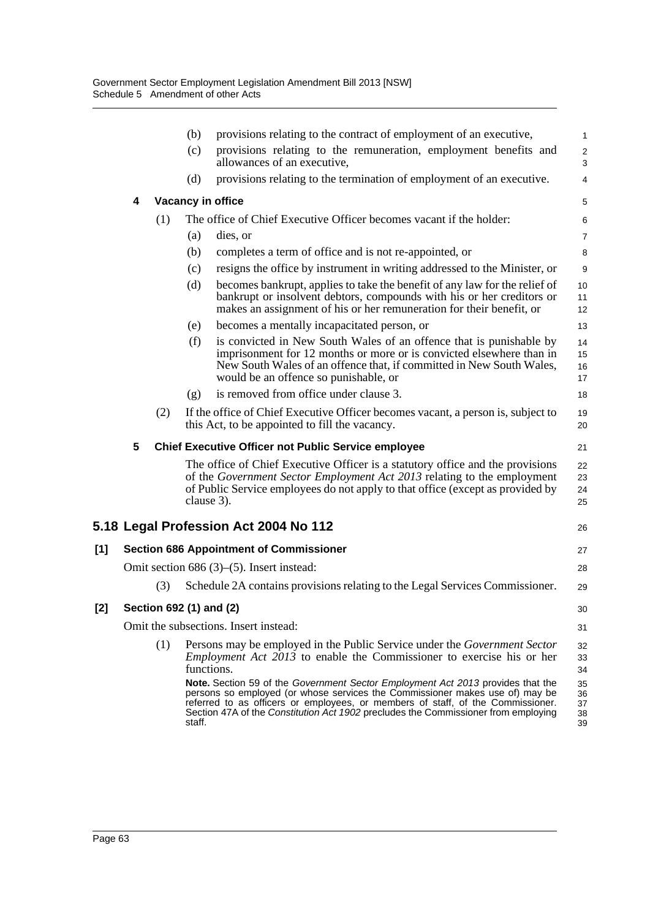|     |   |                         | (b)        | provisions relating to the contract of employment of an executive,                                                                                                                                                                                                                                                                              | $\mathbf{1}$                    |
|-----|---|-------------------------|------------|-------------------------------------------------------------------------------------------------------------------------------------------------------------------------------------------------------------------------------------------------------------------------------------------------------------------------------------------------|---------------------------------|
|     |   |                         | (c)        | provisions relating to the remuneration, employment benefits and<br>allowances of an executive,                                                                                                                                                                                                                                                 | $\boldsymbol{2}$<br>$\mathsf 3$ |
|     |   |                         | (d)        | provisions relating to the termination of employment of an executive.                                                                                                                                                                                                                                                                           | $\overline{4}$                  |
|     | 4 |                         |            | <b>Vacancy in office</b>                                                                                                                                                                                                                                                                                                                        | $\mathbf 5$                     |
|     |   | (1)                     |            | The office of Chief Executive Officer becomes vacant if the holder:                                                                                                                                                                                                                                                                             | 6                               |
|     |   |                         | (a)        | dies, or                                                                                                                                                                                                                                                                                                                                        | 7                               |
|     |   |                         | (b)        | completes a term of office and is not re-appointed, or                                                                                                                                                                                                                                                                                          | 8                               |
|     |   |                         | (c)        | resigns the office by instrument in writing addressed to the Minister, or                                                                                                                                                                                                                                                                       | 9                               |
|     |   |                         | (d)        | becomes bankrupt, applies to take the benefit of any law for the relief of<br>bankrupt or insolvent debtors, compounds with his or her creditors or<br>makes an assignment of his or her remuneration for their benefit, or                                                                                                                     | 10<br>11<br>12                  |
|     |   |                         | (e)        | becomes a mentally incapacitated person, or                                                                                                                                                                                                                                                                                                     | 13                              |
|     |   |                         | (f)        | is convicted in New South Wales of an offence that is punishable by<br>imprisonment for 12 months or more or is convicted elsewhere than in<br>New South Wales of an offence that, if committed in New South Wales,<br>would be an offence so punishable, or                                                                                    | 14<br>15<br>16<br>17            |
|     |   |                         | (g)        | is removed from office under clause 3.                                                                                                                                                                                                                                                                                                          | 18                              |
|     |   | (2)                     |            | If the office of Chief Executive Officer becomes vacant, a person is, subject to<br>this Act, to be appointed to fill the vacancy.                                                                                                                                                                                                              | 19<br>20                        |
|     | 5 |                         |            | <b>Chief Executive Officer not Public Service employee</b>                                                                                                                                                                                                                                                                                      | 21                              |
|     |   |                         | clause 3). | The office of Chief Executive Officer is a statutory office and the provisions<br>of the Government Sector Employment Act 2013 relating to the employment<br>of Public Service employees do not apply to that office (except as provided by                                                                                                     | 22<br>23<br>24<br>25            |
|     |   |                         |            | 5.18 Legal Profession Act 2004 No 112                                                                                                                                                                                                                                                                                                           | 26                              |
| [1] |   |                         |            | <b>Section 686 Appointment of Commissioner</b>                                                                                                                                                                                                                                                                                                  | 27                              |
|     |   |                         |            | Omit section $686(3)$ – $(5)$ . Insert instead:                                                                                                                                                                                                                                                                                                 | 28                              |
|     |   | (3)                     |            | Schedule 2A contains provisions relating to the Legal Services Commissioner.                                                                                                                                                                                                                                                                    | 29                              |
| [2] |   | Section 692 (1) and (2) |            |                                                                                                                                                                                                                                                                                                                                                 | 30                              |
|     |   |                         |            | Omit the subsections. Insert instead:                                                                                                                                                                                                                                                                                                           | 31                              |
|     |   | (1)                     | functions. | Persons may be employed in the Public Service under the <i>Government Sector</i><br><i>Employment Act 2013</i> to enable the Commissioner to exercise his or her                                                                                                                                                                                | 32<br>33<br>34                  |
|     |   |                         | staff.     | <b>Note.</b> Section 59 of the Government Sector Employment Act 2013 provides that the<br>persons so employed (or whose services the Commissioner makes use of) may be<br>referred to as officers or employees, or members of staff, of the Commissioner.<br>Section 47A of the Constitution Act 1902 precludes the Commissioner from employing | 35<br>36<br>37<br>38<br>39      |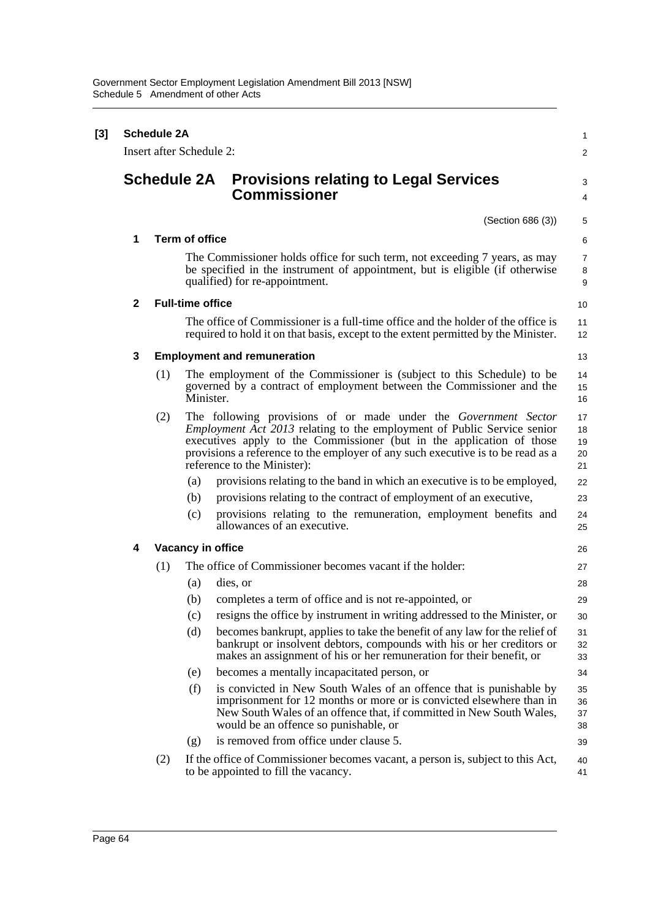| [3] | <b>Schedule 2A</b><br>Insert after Schedule 2: |                    |                         |                                                                                                                                                                                                                                                                                                                                              |                            |  |  |
|-----|------------------------------------------------|--------------------|-------------------------|----------------------------------------------------------------------------------------------------------------------------------------------------------------------------------------------------------------------------------------------------------------------------------------------------------------------------------------------|----------------------------|--|--|
|     |                                                |                    |                         |                                                                                                                                                                                                                                                                                                                                              | $\overline{\mathbf{c}}$    |  |  |
|     |                                                | <b>Schedule 2A</b> |                         | <b>Provisions relating to Legal Services</b><br><b>Commissioner</b>                                                                                                                                                                                                                                                                          | 3<br>4                     |  |  |
|     |                                                |                    |                         | (Section 686 (3))                                                                                                                                                                                                                                                                                                                            | 5                          |  |  |
|     | 1                                              |                    | <b>Term of office</b>   |                                                                                                                                                                                                                                                                                                                                              | 6                          |  |  |
|     |                                                |                    |                         | The Commissioner holds office for such term, not exceeding 7 years, as may<br>be specified in the instrument of appointment, but is eligible (if otherwise<br>qualified) for re-appointment.                                                                                                                                                 | 7<br>8<br>9                |  |  |
|     | $\mathbf{2}$                                   |                    | <b>Full-time office</b> |                                                                                                                                                                                                                                                                                                                                              | 10                         |  |  |
|     |                                                |                    |                         | The office of Commissioner is a full-time office and the holder of the office is<br>required to hold it on that basis, except to the extent permitted by the Minister.                                                                                                                                                                       | 11<br>12                   |  |  |
|     | 3                                              |                    |                         | <b>Employment and remuneration</b>                                                                                                                                                                                                                                                                                                           | 13                         |  |  |
|     |                                                | (1)                | Minister.               | The employment of the Commissioner is (subject to this Schedule) to be<br>governed by a contract of employment between the Commissioner and the                                                                                                                                                                                              | 14<br>15<br>16             |  |  |
|     |                                                | (2)                |                         | The following provisions of or made under the Government Sector<br><i>Employment Act 2013</i> relating to the employment of Public Service senior<br>executives apply to the Commissioner (but in the application of those<br>provisions a reference to the employer of any such executive is to be read as a<br>reference to the Minister): | 17<br>18<br>19<br>20<br>21 |  |  |
|     |                                                |                    | (a)                     | provisions relating to the band in which an executive is to be employed,                                                                                                                                                                                                                                                                     | 22                         |  |  |
|     |                                                |                    | (b)                     | provisions relating to the contract of employment of an executive,                                                                                                                                                                                                                                                                           | 23                         |  |  |
|     |                                                |                    | (c)                     | provisions relating to the remuneration, employment benefits and<br>allowances of an executive.                                                                                                                                                                                                                                              | 24<br>25                   |  |  |
|     | 4                                              |                    |                         | Vacancy in office                                                                                                                                                                                                                                                                                                                            | 26                         |  |  |
|     |                                                | (1)                |                         | The office of Commissioner becomes vacant if the holder:                                                                                                                                                                                                                                                                                     | 27                         |  |  |
|     |                                                |                    | (a)                     | dies, or                                                                                                                                                                                                                                                                                                                                     | 28                         |  |  |
|     |                                                |                    | (b)                     | completes a term of office and is not re-appointed, or                                                                                                                                                                                                                                                                                       | 29                         |  |  |
|     |                                                |                    | (c)                     | resigns the office by instrument in writing addressed to the Minister, or                                                                                                                                                                                                                                                                    | 30                         |  |  |
|     |                                                |                    | (d)                     | becomes bankrupt, applies to take the benefit of any law for the relief of<br>bankrupt or insolvent debtors, compounds with his or her creditors or<br>makes an assignment of his or her remuneration for their benefit, or                                                                                                                  | 31<br>32<br>33             |  |  |
|     |                                                |                    | (e)                     | becomes a mentally incapacitated person, or                                                                                                                                                                                                                                                                                                  | 34                         |  |  |
|     |                                                |                    | (f)                     | is convicted in New South Wales of an offence that is punishable by<br>imprisonment for 12 months or more or is convicted elsewhere than in<br>New South Wales of an offence that, if committed in New South Wales,<br>would be an offence so punishable, or                                                                                 | 35<br>36<br>37<br>38       |  |  |
|     |                                                |                    | (g)                     | is removed from office under clause 5.                                                                                                                                                                                                                                                                                                       | 39                         |  |  |
|     |                                                | (2)                |                         | If the office of Commissioner becomes vacant, a person is, subject to this Act,<br>to be appointed to fill the vacancy.                                                                                                                                                                                                                      | 40<br>41                   |  |  |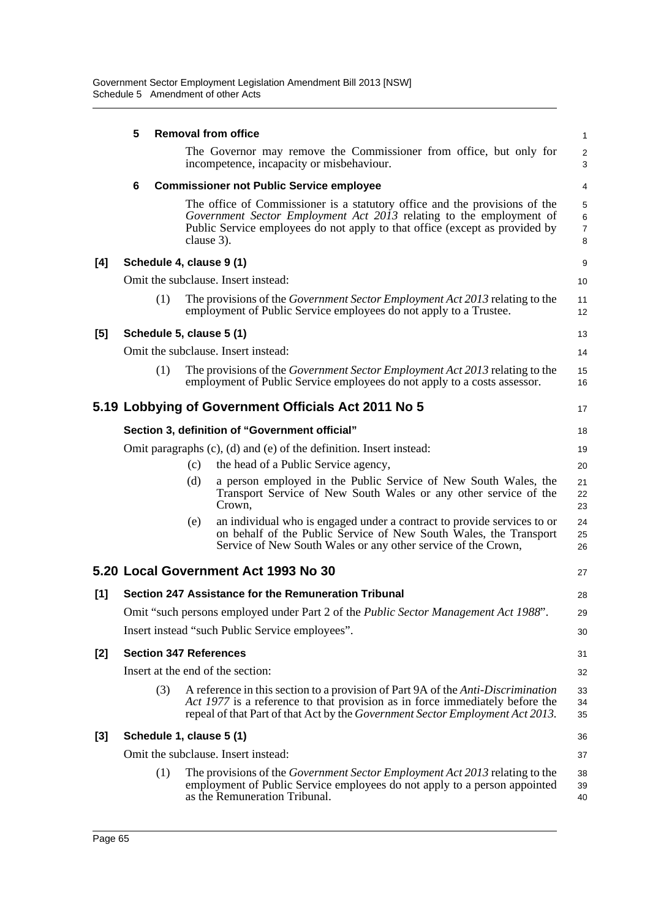|       | 5 |     |            | <b>Removal from office</b>                                                                                                                                                                                                                               | $\mathbf{1}$                               |
|-------|---|-----|------------|----------------------------------------------------------------------------------------------------------------------------------------------------------------------------------------------------------------------------------------------------------|--------------------------------------------|
|       |   |     |            | The Governor may remove the Commissioner from office, but only for<br>incompetence, incapacity or misbehaviour.                                                                                                                                          | $\overline{2}$<br>3                        |
|       | 6 |     |            | <b>Commissioner not Public Service employee</b>                                                                                                                                                                                                          | 4                                          |
|       |   |     | clause 3). | The office of Commissioner is a statutory office and the provisions of the<br>Government Sector Employment Act 2013 relating to the employment of<br>Public Service employees do not apply to that office (except as provided by                         | 5<br>$\overline{6}$<br>$\overline{7}$<br>8 |
| [4]   |   |     |            | Schedule 4, clause 9 (1)                                                                                                                                                                                                                                 | 9                                          |
|       |   |     |            | Omit the subclause. Insert instead:                                                                                                                                                                                                                      | 10                                         |
|       |   | (1) |            | The provisions of the <i>Government Sector Employment Act 2013</i> relating to the<br>employment of Public Service employees do not apply to a Trustee.                                                                                                  | 11<br>12                                   |
| [5]   |   |     |            | Schedule 5, clause 5 (1)                                                                                                                                                                                                                                 | 13                                         |
|       |   |     |            | Omit the subclause. Insert instead:                                                                                                                                                                                                                      | 14                                         |
|       |   | (1) |            | The provisions of the Government Sector Employment Act 2013 relating to the<br>employment of Public Service employees do not apply to a costs assessor.                                                                                                  | 15<br>16                                   |
|       |   |     |            | 5.19 Lobbying of Government Officials Act 2011 No 5                                                                                                                                                                                                      | 17                                         |
|       |   |     |            | Section 3, definition of "Government official"                                                                                                                                                                                                           | 18                                         |
|       |   |     |            | Omit paragraphs (c), (d) and (e) of the definition. Insert instead:                                                                                                                                                                                      | 19                                         |
|       |   |     | (c)        | the head of a Public Service agency,                                                                                                                                                                                                                     | 20                                         |
|       |   |     | (d)        | a person employed in the Public Service of New South Wales, the<br>Transport Service of New South Wales or any other service of the<br>Crown,                                                                                                            | 21<br>22<br>23                             |
|       |   |     | (e)        | an individual who is engaged under a contract to provide services to or<br>on behalf of the Public Service of New South Wales, the Transport<br>Service of New South Wales or any other service of the Crown,                                            | 24<br>25<br>26                             |
|       |   |     |            | 5.20 Local Government Act 1993 No 30                                                                                                                                                                                                                     | 27                                         |
| [1]   |   |     |            | Section 247 Assistance for the Remuneration Tribunal                                                                                                                                                                                                     | 28                                         |
|       |   |     |            | Omit "such persons employed under Part 2 of the Public Sector Management Act 1988".                                                                                                                                                                      | 29                                         |
|       |   |     |            | Insert instead "such Public Service employees".                                                                                                                                                                                                          | 30                                         |
| [2]   |   |     |            | <b>Section 347 References</b>                                                                                                                                                                                                                            | 31                                         |
|       |   |     |            | Insert at the end of the section:                                                                                                                                                                                                                        | 32                                         |
|       |   | (3) |            | A reference in this section to a provision of Part 9A of the <i>Anti-Discrimination</i><br>Act 1977 is a reference to that provision as in force immediately before the<br>repeal of that Part of that Act by the Government Sector Employment Act 2013. | 33<br>34<br>35                             |
| $[3]$ |   |     |            | Schedule 1, clause 5 (1)                                                                                                                                                                                                                                 | 36                                         |
|       |   |     |            | Omit the subclause. Insert instead:                                                                                                                                                                                                                      | 37                                         |
|       |   | (1) |            | The provisions of the <i>Government Sector Employment Act 2013</i> relating to the<br>employment of Public Service employees do not apply to a person appointed<br>as the Remuneration Tribunal.                                                         | 38<br>39<br>40                             |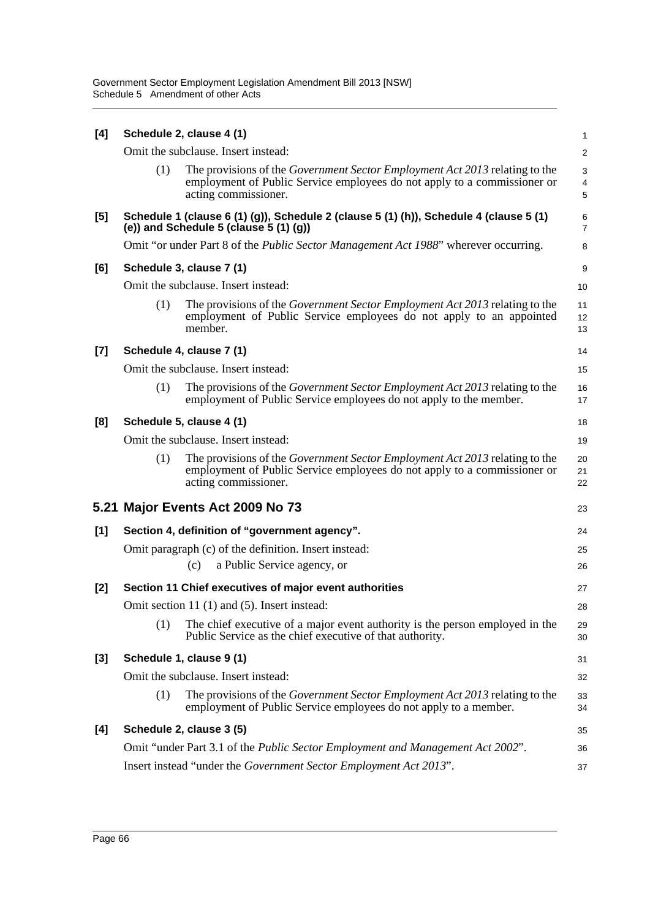| [4]   |     | Schedule 2, clause 4 (1)                                                                                                                                                               | $\mathbf{1}$                      |
|-------|-----|----------------------------------------------------------------------------------------------------------------------------------------------------------------------------------------|-----------------------------------|
|       |     | Omit the subclause. Insert instead:                                                                                                                                                    | $\overline{c}$                    |
|       | (1) | The provisions of the Government Sector Employment Act 2013 relating to the<br>employment of Public Service employees do not apply to a commissioner or<br>acting commissioner.        | 3<br>$\overline{\mathbf{4}}$<br>5 |
| $[5]$ |     | Schedule 1 (clause 6 (1) (g)), Schedule 2 (clause 5 (1) (h)), Schedule 4 (clause 5 (1)<br>(e)) and Schedule 5 (clause $5(1)(g)$ )                                                      | 6<br>$\overline{7}$               |
|       |     | Omit "or under Part 8 of the <i>Public Sector Management Act 1988</i> " wherever occurring.                                                                                            | 8                                 |
| [6]   |     | Schedule 3, clause 7 (1)                                                                                                                                                               | 9                                 |
|       |     | Omit the subclause. Insert instead:                                                                                                                                                    | 10                                |
|       | (1) | The provisions of the <i>Government Sector Employment Act 2013</i> relating to the<br>employment of Public Service employees do not apply to an appointed<br>member.                   | 11<br>12<br>13                    |
| $[7]$ |     | Schedule 4, clause 7 (1)                                                                                                                                                               | 14                                |
|       |     | Omit the subclause. Insert instead:                                                                                                                                                    | 15                                |
|       | (1) | The provisions of the Government Sector Employment Act 2013 relating to the<br>employment of Public Service employees do not apply to the member.                                      | 16<br>17                          |
| [8]   |     | Schedule 5, clause 4 (1)                                                                                                                                                               | 18                                |
|       |     | Omit the subclause. Insert instead:                                                                                                                                                    | 19                                |
|       | (1) | The provisions of the <i>Government Sector Employment Act 2013</i> relating to the<br>employment of Public Service employees do not apply to a commissioner or<br>acting commissioner. | 20<br>21<br>22                    |
|       |     | 5.21 Major Events Act 2009 No 73                                                                                                                                                       | 23                                |
| [1]   |     | Section 4, definition of "government agency".                                                                                                                                          | 24                                |
|       |     | Omit paragraph (c) of the definition. Insert instead:                                                                                                                                  | 25                                |
|       |     | a Public Service agency, or<br>(c)                                                                                                                                                     | 26                                |
| [2]   |     | Section 11 Chief executives of major event authorities                                                                                                                                 | 27                                |
|       |     | Omit section 11 (1) and (5). Insert instead:                                                                                                                                           | 28                                |
|       | (1) | The chief executive of a major event authority is the person employed in the<br>Public Service as the chief executive of that authority.                                               | 29<br>30                          |
| [3]   |     | Schedule 1, clause 9 (1)                                                                                                                                                               | 31                                |
|       |     | Omit the subclause. Insert instead:                                                                                                                                                    | 32                                |
|       | (1) | The provisions of the <i>Government Sector Employment Act 2013</i> relating to the<br>employment of Public Service employees do not apply to a member.                                 | 33<br>34                          |
| [4]   |     | Schedule 2, clause 3 (5)                                                                                                                                                               | 35                                |
|       |     | Omit "under Part 3.1 of the <i>Public Sector Employment and Management Act 2002"</i> .                                                                                                 | 36                                |
|       |     | Insert instead "under the Government Sector Employment Act 2013".                                                                                                                      | 37                                |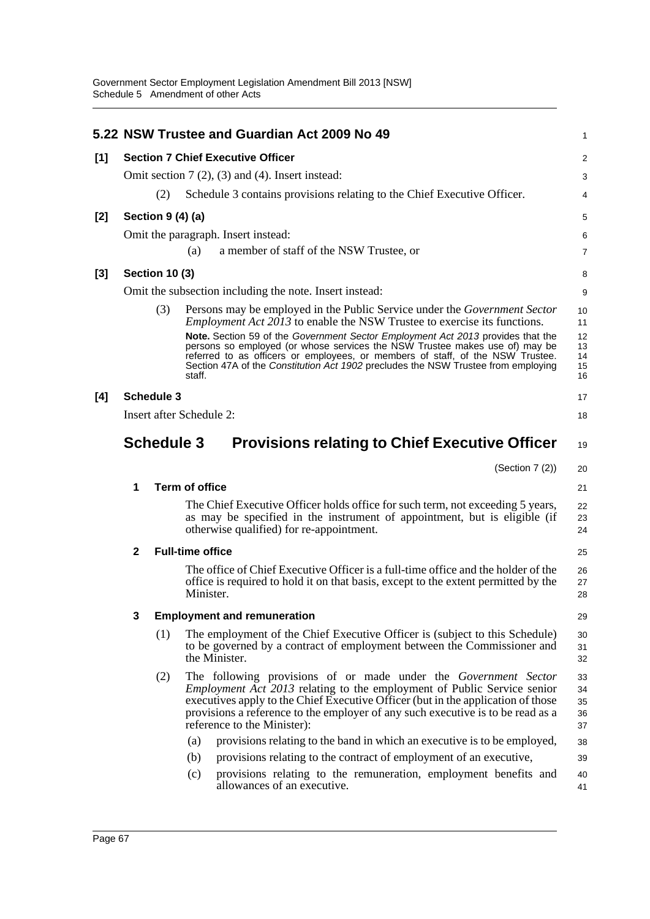|       |                                                         |                       | 5.22 NSW Trustee and Guardian Act 2009 No 49                                                                                                                                                                                                                                                                                                                                                                                                                                                                           | 1                                      |
|-------|---------------------------------------------------------|-----------------------|------------------------------------------------------------------------------------------------------------------------------------------------------------------------------------------------------------------------------------------------------------------------------------------------------------------------------------------------------------------------------------------------------------------------------------------------------------------------------------------------------------------------|----------------------------------------|
| [1]   |                                                         |                       | <b>Section 7 Chief Executive Officer</b>                                                                                                                                                                                                                                                                                                                                                                                                                                                                               | 2                                      |
|       | Omit section $7(2)$ , $(3)$ and $(4)$ . Insert instead: |                       |                                                                                                                                                                                                                                                                                                                                                                                                                                                                                                                        |                                        |
|       |                                                         | (2)                   | Schedule 3 contains provisions relating to the Chief Executive Officer.                                                                                                                                                                                                                                                                                                                                                                                                                                                | 4                                      |
| [2]   |                                                         | Section 9 (4) (a)     |                                                                                                                                                                                                                                                                                                                                                                                                                                                                                                                        | 5                                      |
|       |                                                         |                       | Omit the paragraph. Insert instead:                                                                                                                                                                                                                                                                                                                                                                                                                                                                                    | 6                                      |
|       |                                                         |                       | a member of staff of the NSW Trustee, or<br>(a)                                                                                                                                                                                                                                                                                                                                                                                                                                                                        | $\overline{7}$                         |
| $[3]$ |                                                         | <b>Section 10 (3)</b> |                                                                                                                                                                                                                                                                                                                                                                                                                                                                                                                        | 8                                      |
|       |                                                         |                       | Omit the subsection including the note. Insert instead:                                                                                                                                                                                                                                                                                                                                                                                                                                                                | 9                                      |
|       |                                                         | (3)                   | Persons may be employed in the Public Service under the <i>Government Sector</i><br><i>Employment Act 2013</i> to enable the NSW Trustee to exercise its functions.<br>Note. Section 59 of the Government Sector Employment Act 2013 provides that the<br>persons so employed (or whose services the NSW Trustee makes use of) may be<br>referred to as officers or employees, or members of staff, of the NSW Trustee.<br>Section 47A of the Constitution Act 1902 precludes the NSW Trustee from employing<br>staff. | 10<br>11<br>12<br>13<br>14<br>15<br>16 |
| [4]   |                                                         | <b>Schedule 3</b>     |                                                                                                                                                                                                                                                                                                                                                                                                                                                                                                                        | 17                                     |
|       |                                                         |                       | Insert after Schedule 2:                                                                                                                                                                                                                                                                                                                                                                                                                                                                                               | 18                                     |
|       |                                                         | <b>Schedule 3</b>     | <b>Provisions relating to Chief Executive Officer</b>                                                                                                                                                                                                                                                                                                                                                                                                                                                                  | 19                                     |
|       |                                                         |                       | (Section $7(2)$ )                                                                                                                                                                                                                                                                                                                                                                                                                                                                                                      | 20                                     |
|       | 1                                                       |                       | <b>Term of office</b>                                                                                                                                                                                                                                                                                                                                                                                                                                                                                                  | 21                                     |
|       |                                                         |                       | The Chief Executive Officer holds office for such term, not exceeding 5 years,<br>as may be specified in the instrument of appointment, but is eligible (if<br>otherwise qualified) for re-appointment.                                                                                                                                                                                                                                                                                                                | 22<br>23<br>24                         |
|       | $\mathbf{2}$                                            |                       | <b>Full-time office</b>                                                                                                                                                                                                                                                                                                                                                                                                                                                                                                | 25                                     |
|       |                                                         |                       | The office of Chief Executive Officer is a full-time office and the holder of the<br>office is required to hold it on that basis, except to the extent permitted by the<br>Minister.                                                                                                                                                                                                                                                                                                                                   | 26<br>27<br>28                         |
|       | 3                                                       |                       | <b>Employment and remuneration</b>                                                                                                                                                                                                                                                                                                                                                                                                                                                                                     | 29                                     |
|       |                                                         | (1)                   | The employment of the Chief Executive Officer is (subject to this Schedule)<br>to be governed by a contract of employment between the Commissioner and<br>the Minister.                                                                                                                                                                                                                                                                                                                                                | 30<br>31<br>32                         |
|       |                                                         | (2)                   | The following provisions of or made under the <i>Government Sector</i><br><i>Employment Act 2013</i> relating to the employment of Public Service senior<br>executives apply to the Chief Executive Officer (but in the application of those<br>provisions a reference to the employer of any such executive is to be read as a<br>reference to the Minister):                                                                                                                                                         | 33<br>34<br>35<br>36<br>37             |
|       |                                                         |                       | provisions relating to the band in which an executive is to be employed,<br>(a)                                                                                                                                                                                                                                                                                                                                                                                                                                        | 38                                     |
|       |                                                         |                       | provisions relating to the contract of employment of an executive,<br>(b)                                                                                                                                                                                                                                                                                                                                                                                                                                              | 39                                     |
|       |                                                         |                       | (c)<br>provisions relating to the remuneration, employment benefits and<br>allowances of an executive.                                                                                                                                                                                                                                                                                                                                                                                                                 | 40<br>41                               |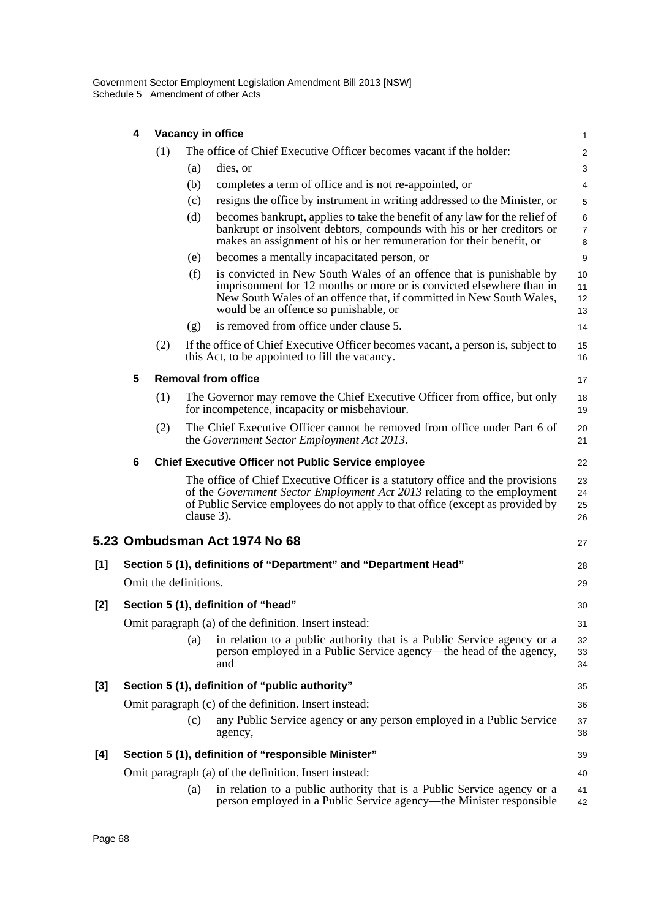|     | 4 | Vacancy in office     |            |                                                                                                                                                                                                                                                              |                      |  |  |
|-----|---|-----------------------|------------|--------------------------------------------------------------------------------------------------------------------------------------------------------------------------------------------------------------------------------------------------------------|----------------------|--|--|
|     |   | (1)                   |            | The office of Chief Executive Officer becomes vacant if the holder:                                                                                                                                                                                          | $\overline{a}$       |  |  |
|     |   |                       | (a)        | dies, or                                                                                                                                                                                                                                                     | 3                    |  |  |
|     |   |                       | (b)        | completes a term of office and is not re-appointed, or                                                                                                                                                                                                       | 4                    |  |  |
|     |   |                       | (c)        | resigns the office by instrument in writing addressed to the Minister, or                                                                                                                                                                                    | 5                    |  |  |
|     |   |                       | (d)        | becomes bankrupt, applies to take the benefit of any law for the relief of<br>bankrupt or insolvent debtors, compounds with his or her creditors or<br>makes an assignment of his or her remuneration for their benefit, or                                  | 6<br>7<br>8          |  |  |
|     |   |                       | (e)        | becomes a mentally incapacitated person, or                                                                                                                                                                                                                  | 9                    |  |  |
|     |   |                       | (f)        | is convicted in New South Wales of an offence that is punishable by<br>imprisonment for 12 months or more or is convicted elsewhere than in<br>New South Wales of an offence that, if committed in New South Wales,<br>would be an offence so punishable, or | 10<br>11<br>12<br>13 |  |  |
|     |   |                       | (g)        | is removed from office under clause 5.                                                                                                                                                                                                                       | 14                   |  |  |
|     |   | (2)                   |            | If the office of Chief Executive Officer becomes vacant, a person is, subject to<br>this Act, to be appointed to fill the vacancy.                                                                                                                           | 15<br>16             |  |  |
|     | 5 |                       |            | <b>Removal from office</b>                                                                                                                                                                                                                                   | 17                   |  |  |
|     |   | (1)                   |            | The Governor may remove the Chief Executive Officer from office, but only<br>for incompetence, incapacity or misbehaviour.                                                                                                                                   | 18<br>19             |  |  |
|     |   | (2)                   |            | The Chief Executive Officer cannot be removed from office under Part 6 of<br>the Government Sector Employment Act 2013.                                                                                                                                      | 20<br>21             |  |  |
|     | 6 |                       |            | <b>Chief Executive Officer not Public Service employee</b>                                                                                                                                                                                                   | 22                   |  |  |
|     |   |                       | clause 3). | The office of Chief Executive Officer is a statutory office and the provisions<br>of the Government Sector Employment Act 2013 relating to the employment<br>of Public Service employees do not apply to that office (except as provided by                  | 23<br>24<br>25<br>26 |  |  |
|     |   |                       |            | 5.23 Ombudsman Act 1974 No 68                                                                                                                                                                                                                                | 27                   |  |  |
| [1] |   |                       |            | Section 5 (1), definitions of "Department" and "Department Head"                                                                                                                                                                                             | 28                   |  |  |
|     |   | Omit the definitions. |            |                                                                                                                                                                                                                                                              | 29                   |  |  |
| [2] |   |                       |            | Section 5 (1), definition of "head"                                                                                                                                                                                                                          | 30                   |  |  |
|     |   |                       |            | Omit paragraph (a) of the definition. Insert instead:                                                                                                                                                                                                        | 31                   |  |  |
|     |   |                       | (a)        | in relation to a public authority that is a Public Service agency or a<br>person employed in a Public Service agency—the head of the agency,<br>and                                                                                                          | 32<br>33<br>34       |  |  |
| [3] |   |                       |            | Section 5 (1), definition of "public authority"                                                                                                                                                                                                              | 35                   |  |  |
|     |   |                       |            | Omit paragraph (c) of the definition. Insert instead:                                                                                                                                                                                                        | 36                   |  |  |
|     |   |                       | (c)        | any Public Service agency or any person employed in a Public Service<br>agency,                                                                                                                                                                              | 37<br>38             |  |  |
| [4] |   |                       |            | Section 5 (1), definition of "responsible Minister"                                                                                                                                                                                                          | 39                   |  |  |
|     |   |                       |            | Omit paragraph (a) of the definition. Insert instead:                                                                                                                                                                                                        | 40                   |  |  |
|     |   |                       | (a)        | in relation to a public authority that is a Public Service agency or a<br>person employed in a Public Service agency—the Minister responsible                                                                                                                | 41<br>42             |  |  |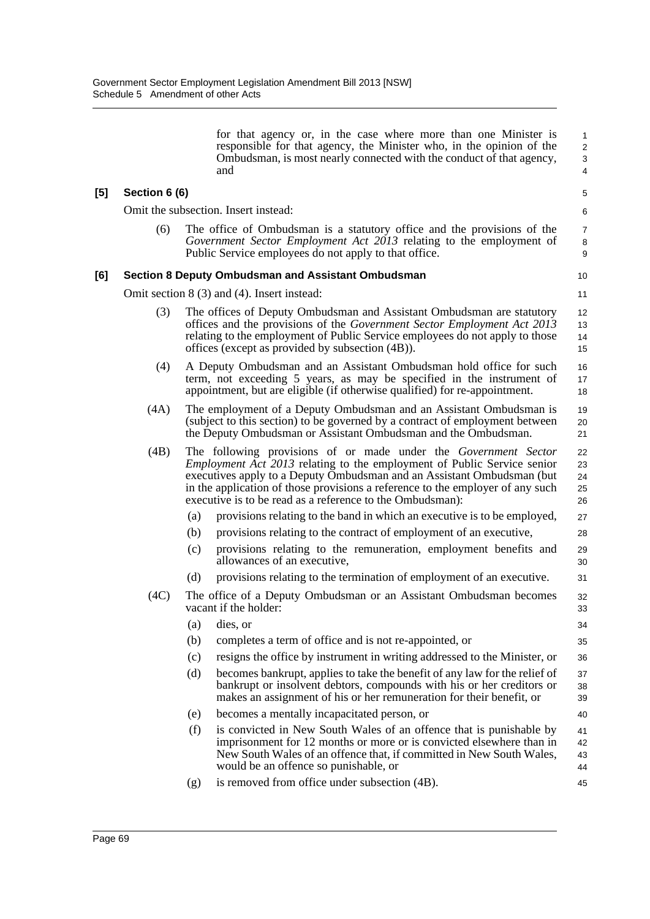|     |               |     | responsible for that agency, the Minister who, in the opinion of the<br>Ombudsman, is most nearly connected with the conduct of that agency,<br>and                                                                                                                                                                                                                               | $\overline{c}$<br>3<br>4   |
|-----|---------------|-----|-----------------------------------------------------------------------------------------------------------------------------------------------------------------------------------------------------------------------------------------------------------------------------------------------------------------------------------------------------------------------------------|----------------------------|
| [5] | Section 6 (6) |     |                                                                                                                                                                                                                                                                                                                                                                                   | $\mathbf 5$                |
|     |               |     | Omit the subsection. Insert instead:                                                                                                                                                                                                                                                                                                                                              | 6                          |
|     | (6)           |     | The office of Ombudsman is a statutory office and the provisions of the<br>Government Sector Employment Act 2013 relating to the employment of<br>Public Service employees do not apply to that office.                                                                                                                                                                           | 7<br>8<br>9                |
| [6] |               |     | <b>Section 8 Deputy Ombudsman and Assistant Ombudsman</b>                                                                                                                                                                                                                                                                                                                         | 10                         |
|     |               |     | Omit section $8(3)$ and $(4)$ . Insert instead:                                                                                                                                                                                                                                                                                                                                   | 11                         |
|     | (3)           |     | The offices of Deputy Ombudsman and Assistant Ombudsman are statutory<br>offices and the provisions of the <i>Government Sector Employment Act 2013</i><br>relating to the employment of Public Service employees do not apply to those<br>offices (except as provided by subsection (4B)).                                                                                       | 12<br>13<br>14<br>15       |
|     | (4)           |     | A Deputy Ombudsman and an Assistant Ombudsman hold office for such<br>term, not exceeding 5 years, as may be specified in the instrument of<br>appointment, but are eligible (if otherwise qualified) for re-appointment.                                                                                                                                                         | 16<br>17<br>18             |
|     | (4A)          |     | The employment of a Deputy Ombudsman and an Assistant Ombudsman is<br>(subject to this section) to be governed by a contract of employment between<br>the Deputy Ombudsman or Assistant Ombudsman and the Ombudsman.                                                                                                                                                              | 19<br>20<br>21             |
|     | (4B)          |     | The following provisions of or made under the <i>Government Sector</i><br><i>Employment Act 2013</i> relating to the employment of Public Service senior<br>executives apply to a Deputy Ombudsman and an Assistant Ombudsman (but<br>in the application of those provisions a reference to the employer of any such<br>executive is to be read as a reference to the Ombudsman): | 22<br>23<br>24<br>25<br>26 |
|     |               | (a) | provisions relating to the band in which an executive is to be employed,                                                                                                                                                                                                                                                                                                          | 27                         |
|     |               | (b) | provisions relating to the contract of employment of an executive,                                                                                                                                                                                                                                                                                                                | 28                         |
|     |               | (c) | provisions relating to the remuneration, employment benefits and<br>allowances of an executive,                                                                                                                                                                                                                                                                                   | 29<br>30                   |
|     |               | (d) | provisions relating to the termination of employment of an executive.                                                                                                                                                                                                                                                                                                             | 31                         |
|     | (4C)          |     | The office of a Deputy Ombudsman or an Assistant Ombudsman becomes<br>vacant if the holder:                                                                                                                                                                                                                                                                                       | 32<br>33                   |
|     |               | (a) | dies, or                                                                                                                                                                                                                                                                                                                                                                          | 34                         |
|     |               | (b) | completes a term of office and is not re-appointed, or                                                                                                                                                                                                                                                                                                                            | 35                         |
|     |               | (c) | resigns the office by instrument in writing addressed to the Minister, or                                                                                                                                                                                                                                                                                                         | 36                         |
|     |               | (d) | becomes bankrupt, applies to take the benefit of any law for the relief of<br>bankrupt or insolvent debtors, compounds with his or her creditors or<br>makes an assignment of his or her remuneration for their benefit, or                                                                                                                                                       | 37<br>38<br>39             |
|     |               | (e) | becomes a mentally incapacitated person, or                                                                                                                                                                                                                                                                                                                                       | 40                         |
|     |               | (f) | is convicted in New South Wales of an offence that is punishable by<br>imprisonment for 12 months or more or is convicted elsewhere than in<br>New South Wales of an offence that, if committed in New South Wales,<br>would be an offence so punishable, or                                                                                                                      | 41<br>42<br>43<br>44       |
|     |               | (g) | is removed from office under subsection (4B).                                                                                                                                                                                                                                                                                                                                     | 45                         |

for that agency or, in the case where more than one Minister is

1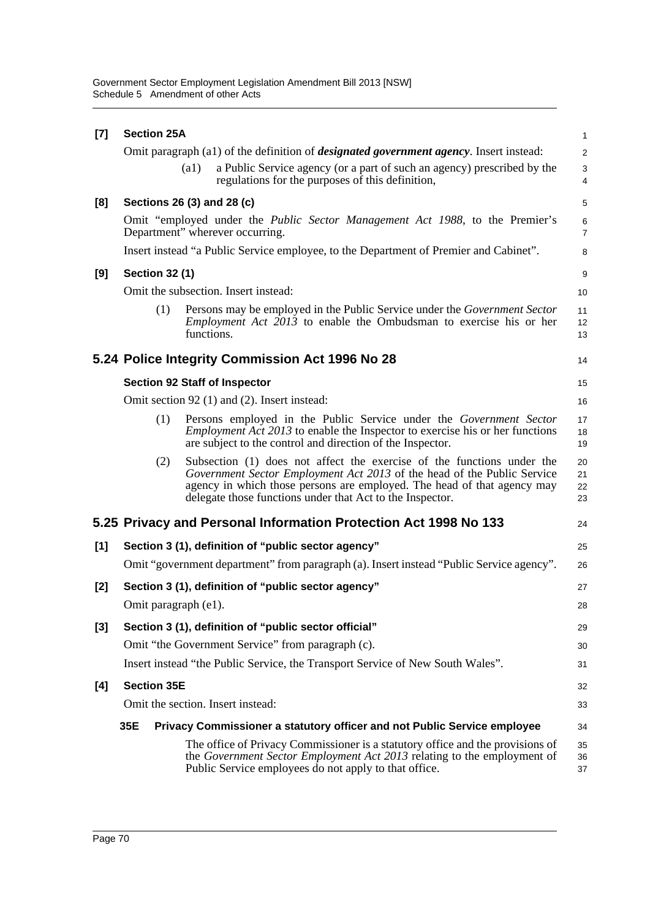| $[7]$ | <b>Section 25A</b><br>$\mathbf{1}$ |                    |                                                                                                                                                                                                                                                                                           |                              |  |
|-------|------------------------------------|--------------------|-------------------------------------------------------------------------------------------------------------------------------------------------------------------------------------------------------------------------------------------------------------------------------------------|------------------------------|--|
|       |                                    |                    | Omit paragraph (a1) of the definition of <i>designated government agency</i> . Insert instead:                                                                                                                                                                                            | $\overline{2}$               |  |
|       |                                    | $\left( a1\right)$ | a Public Service agency (or a part of such an agency) prescribed by the<br>regulations for the purposes of this definition,                                                                                                                                                               | $\sqrt{3}$<br>$\overline{4}$ |  |
| [8]   | Sections 26 (3) and 28 (c)         |                    |                                                                                                                                                                                                                                                                                           | $\mathbf 5$                  |  |
|       |                                    |                    | Omit "employed under the <i>Public Sector Management Act 1988</i> , to the Premier's<br>Department" wherever occurring.                                                                                                                                                                   | 6<br>$\overline{7}$          |  |
|       |                                    |                    | Insert instead "a Public Service employee, to the Department of Premier and Cabinet".                                                                                                                                                                                                     | 8                            |  |
| [9]   | <b>Section 32 (1)</b>              |                    |                                                                                                                                                                                                                                                                                           | 9                            |  |
|       |                                    |                    | Omit the subsection. Insert instead:                                                                                                                                                                                                                                                      | 10                           |  |
|       | (1)                                | functions.         | Persons may be employed in the Public Service under the Government Sector<br><i>Employment Act 2013</i> to enable the Ombudsman to exercise his or her                                                                                                                                    | 11<br>12<br>13               |  |
|       |                                    |                    | 5.24 Police Integrity Commission Act 1996 No 28                                                                                                                                                                                                                                           | 14                           |  |
|       |                                    |                    | <b>Section 92 Staff of Inspector</b>                                                                                                                                                                                                                                                      | 15                           |  |
|       |                                    |                    | Omit section 92 (1) and (2). Insert instead:                                                                                                                                                                                                                                              | 16                           |  |
|       | (1)                                |                    | Persons employed in the Public Service under the Government Sector<br><i>Employment Act 2013</i> to enable the Inspector to exercise his or her functions<br>are subject to the control and direction of the Inspector.                                                                   | 17<br>18<br>19               |  |
|       | (2)                                |                    | Subsection (1) does not affect the exercise of the functions under the<br>Government Sector Employment Act 2013 of the head of the Public Service<br>agency in which those persons are employed. The head of that agency may<br>delegate those functions under that Act to the Inspector. | 20<br>21<br>22<br>23         |  |
|       |                                    |                    | 5.25 Privacy and Personal Information Protection Act 1998 No 133                                                                                                                                                                                                                          | 24                           |  |
| [1]   |                                    |                    | Section 3 (1), definition of "public sector agency"                                                                                                                                                                                                                                       | 25                           |  |
|       |                                    |                    | Omit "government department" from paragraph (a). Insert instead "Public Service agency".                                                                                                                                                                                                  | 26                           |  |
| [2]   |                                    |                    | Section 3 (1), definition of "public sector agency"                                                                                                                                                                                                                                       | 27                           |  |
|       | Omit paragraph (e1).               |                    |                                                                                                                                                                                                                                                                                           | 28                           |  |
| $[3]$ |                                    |                    | Section 3 (1), definition of "public sector official"                                                                                                                                                                                                                                     | 29                           |  |
|       |                                    |                    | Omit "the Government Service" from paragraph (c).                                                                                                                                                                                                                                         | 30                           |  |
|       |                                    |                    | Insert instead "the Public Service, the Transport Service of New South Wales".                                                                                                                                                                                                            | 31                           |  |
| [4]   | <b>Section 35E</b>                 |                    |                                                                                                                                                                                                                                                                                           | 32                           |  |
|       |                                    |                    | Omit the section. Insert instead:                                                                                                                                                                                                                                                         | 33                           |  |
|       | 35E                                |                    | Privacy Commissioner a statutory officer and not Public Service employee                                                                                                                                                                                                                  | 34                           |  |
|       |                                    |                    | The office of Privacy Commissioner is a statutory office and the provisions of<br>the Government Sector Employment Act 2013 relating to the employment of<br>Public Service employees do not apply to that office.                                                                        | 35<br>36<br>37               |  |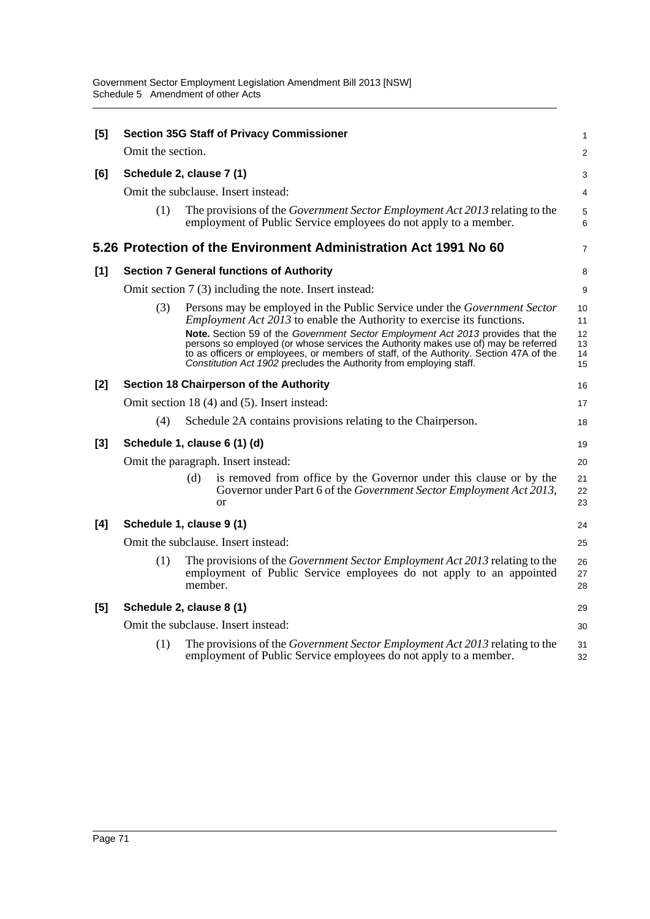| [5]   |                   | <b>Section 35G Staff of Privacy Commissioner</b>                                                                                                                                                                                                                                                                                                                                                                                                                                                     | 1                                |
|-------|-------------------|------------------------------------------------------------------------------------------------------------------------------------------------------------------------------------------------------------------------------------------------------------------------------------------------------------------------------------------------------------------------------------------------------------------------------------------------------------------------------------------------------|----------------------------------|
|       | Omit the section. |                                                                                                                                                                                                                                                                                                                                                                                                                                                                                                      | $\overline{a}$                   |
| [6]   |                   | Schedule 2, clause 7 (1)                                                                                                                                                                                                                                                                                                                                                                                                                                                                             | 3                                |
|       |                   | Omit the subclause. Insert instead:                                                                                                                                                                                                                                                                                                                                                                                                                                                                  | 4                                |
|       | (1)               | The provisions of the Government Sector Employment Act 2013 relating to the<br>employment of Public Service employees do not apply to a member.                                                                                                                                                                                                                                                                                                                                                      | 5<br>6                           |
|       |                   | 5.26 Protection of the Environment Administration Act 1991 No 60                                                                                                                                                                                                                                                                                                                                                                                                                                     | 7                                |
| [1]   |                   | <b>Section 7 General functions of Authority</b>                                                                                                                                                                                                                                                                                                                                                                                                                                                      | 8                                |
|       |                   | Omit section 7 (3) including the note. Insert instead:                                                                                                                                                                                                                                                                                                                                                                                                                                               | 9                                |
|       | (3)               | Persons may be employed in the Public Service under the Government Sector<br><i>Employment Act 2013</i> to enable the Authority to exercise its functions.<br>Note. Section 59 of the Government Sector Employment Act 2013 provides that the<br>persons so employed (or whose services the Authority makes use of) may be referred<br>to as officers or employees, or members of staff, of the Authority. Section 47A of the<br>Constitution Act 1902 precludes the Authority from employing staff. | 10<br>11<br>12<br>13<br>14<br>15 |
| $[2]$ |                   | Section 18 Chairperson of the Authority                                                                                                                                                                                                                                                                                                                                                                                                                                                              | 16                               |
|       |                   | Omit section 18 (4) and (5). Insert instead:                                                                                                                                                                                                                                                                                                                                                                                                                                                         | 17                               |
|       | (4)               | Schedule 2A contains provisions relating to the Chairperson.                                                                                                                                                                                                                                                                                                                                                                                                                                         | 18                               |
| $[3]$ |                   | Schedule 1, clause 6 (1) (d)                                                                                                                                                                                                                                                                                                                                                                                                                                                                         | 19                               |
|       |                   | Omit the paragraph. Insert instead:                                                                                                                                                                                                                                                                                                                                                                                                                                                                  | 20                               |
|       |                   | is removed from office by the Governor under this clause or by the<br>(d)<br>Governor under Part 6 of the Government Sector Employment Act 2013,<br>or                                                                                                                                                                                                                                                                                                                                               | 21<br>22<br>23                   |
| [4]   |                   | Schedule 1, clause 9 (1)                                                                                                                                                                                                                                                                                                                                                                                                                                                                             | 24                               |
|       |                   | Omit the subclause. Insert instead:                                                                                                                                                                                                                                                                                                                                                                                                                                                                  | 25                               |
|       | (1)               | The provisions of the <i>Government Sector Employment Act 2013</i> relating to the<br>employment of Public Service employees do not apply to an appointed<br>member.                                                                                                                                                                                                                                                                                                                                 | 26<br>27<br>28                   |
| [5]   |                   | Schedule 2, clause 8 (1)                                                                                                                                                                                                                                                                                                                                                                                                                                                                             | 29                               |
|       |                   | Omit the subclause. Insert instead:                                                                                                                                                                                                                                                                                                                                                                                                                                                                  | 30                               |
|       | (1)               | The provisions of the <i>Government Sector Employment Act 2013</i> relating to the<br>employment of Public Service employees do not apply to a member.                                                                                                                                                                                                                                                                                                                                               | 31<br>32                         |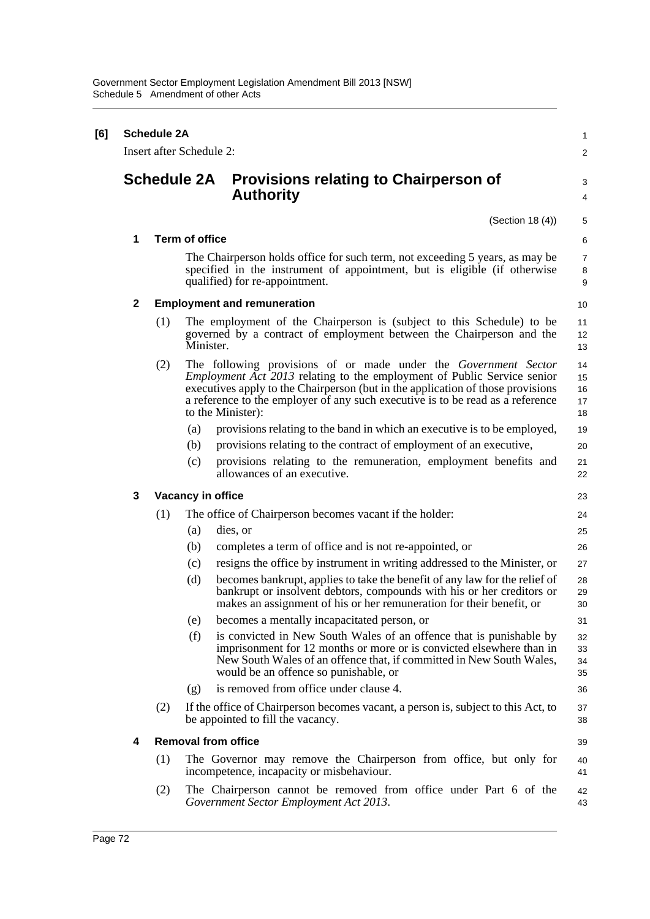| [6] | <b>Schedule 2A</b><br>Insert after Schedule 2: |            |                                                                                                                                                                                                                                                                                                                                                                                                                                                                                                                                                                                                                                                                                                                                                                                                                                                                                                                                          |                                                                                  |  |  |
|-----|------------------------------------------------|------------|------------------------------------------------------------------------------------------------------------------------------------------------------------------------------------------------------------------------------------------------------------------------------------------------------------------------------------------------------------------------------------------------------------------------------------------------------------------------------------------------------------------------------------------------------------------------------------------------------------------------------------------------------------------------------------------------------------------------------------------------------------------------------------------------------------------------------------------------------------------------------------------------------------------------------------------|----------------------------------------------------------------------------------|--|--|
|     |                                                |            | <b>Schedule 2A</b><br><b>Provisions relating to Chairperson of</b><br><b>Authority</b>                                                                                                                                                                                                                                                                                                                                                                                                                                                                                                                                                                                                                                                                                                                                                                                                                                                   | 3<br>4                                                                           |  |  |
|     |                                                |            | (Section 18(4))                                                                                                                                                                                                                                                                                                                                                                                                                                                                                                                                                                                                                                                                                                                                                                                                                                                                                                                          | 5                                                                                |  |  |
|     | 1                                              |            | <b>Term of office</b>                                                                                                                                                                                                                                                                                                                                                                                                                                                                                                                                                                                                                                                                                                                                                                                                                                                                                                                    | 6                                                                                |  |  |
|     |                                                |            | The Chairperson holds office for such term, not exceeding 5 years, as may be<br>specified in the instrument of appointment, but is eligible (if otherwise<br>qualified) for re-appointment.                                                                                                                                                                                                                                                                                                                                                                                                                                                                                                                                                                                                                                                                                                                                              | 7<br>8<br>9                                                                      |  |  |
|     | $\mathbf{2}$                                   |            | <b>Employment and remuneration</b>                                                                                                                                                                                                                                                                                                                                                                                                                                                                                                                                                                                                                                                                                                                                                                                                                                                                                                       | 10                                                                               |  |  |
|     |                                                | (1)        | The employment of the Chairperson is (subject to this Schedule) to be<br>governed by a contract of employment between the Chairperson and the<br>Minister.                                                                                                                                                                                                                                                                                                                                                                                                                                                                                                                                                                                                                                                                                                                                                                               | 11<br>12<br>13                                                                   |  |  |
|     |                                                | (2)        | The following provisions of or made under the Government Sector<br><i>Employment Act 2013</i> relating to the employment of Public Service senior<br>executives apply to the Chairperson (but in the application of those provisions<br>a reference to the employer of any such executive is to be read as a reference<br>to the Minister):                                                                                                                                                                                                                                                                                                                                                                                                                                                                                                                                                                                              | 14<br>15<br>16<br>17<br>18                                                       |  |  |
|     |                                                |            | provisions relating to the band in which an executive is to be employed,<br>(a)<br>(b)<br>provisions relating to the contract of employment of an executive,<br>provisions relating to the remuneration, employment benefits and<br>(c)<br>allowances of an executive.                                                                                                                                                                                                                                                                                                                                                                                                                                                                                                                                                                                                                                                                   | 19<br>20<br>21<br>22                                                             |  |  |
|     | 3                                              |            | Vacancy in office                                                                                                                                                                                                                                                                                                                                                                                                                                                                                                                                                                                                                                                                                                                                                                                                                                                                                                                        | 23                                                                               |  |  |
|     |                                                | (1)<br>(2) | The office of Chairperson becomes vacant if the holder:<br>dies, or<br>(a)<br>completes a term of office and is not re-appointed, or<br>(b)<br>resigns the office by instrument in writing addressed to the Minister, or<br>(c)<br>(d)<br>becomes bankrupt, applies to take the benefit of any law for the relief of<br>bankrupt or insolvent debtors, compounds with his or her creditors or<br>makes an assignment of his or her remuneration for their benefit, or<br>(e)<br>becomes a mentally incapacitated person, or<br>(f)<br>is convicted in New South Wales of an offence that is punishable by<br>imprisonment for 12 months or more or is convicted elsewhere than in<br>New South Wales of an offence that, if committed in New South Wales,<br>would be an offence so punishable, or<br>is removed from office under clause 4.<br>(g)<br>If the office of Chairperson becomes vacant, a person is, subject to this Act, to | 24<br>25<br>26<br>27<br>28<br>29<br>30<br>31<br>32<br>33<br>34<br>35<br>36<br>37 |  |  |
|     |                                                |            | be appointed to fill the vacancy.                                                                                                                                                                                                                                                                                                                                                                                                                                                                                                                                                                                                                                                                                                                                                                                                                                                                                                        | 38                                                                               |  |  |
|     | 4                                              |            | <b>Removal from office</b>                                                                                                                                                                                                                                                                                                                                                                                                                                                                                                                                                                                                                                                                                                                                                                                                                                                                                                               | 39                                                                               |  |  |
|     |                                                | (1)        | The Governor may remove the Chairperson from office, but only for<br>incompetence, incapacity or misbehaviour.                                                                                                                                                                                                                                                                                                                                                                                                                                                                                                                                                                                                                                                                                                                                                                                                                           | 40<br>41                                                                         |  |  |
|     |                                                | (2)        | The Chairperson cannot be removed from office under Part 6 of the<br>Government Sector Employment Act 2013.                                                                                                                                                                                                                                                                                                                                                                                                                                                                                                                                                                                                                                                                                                                                                                                                                              | 42<br>43                                                                         |  |  |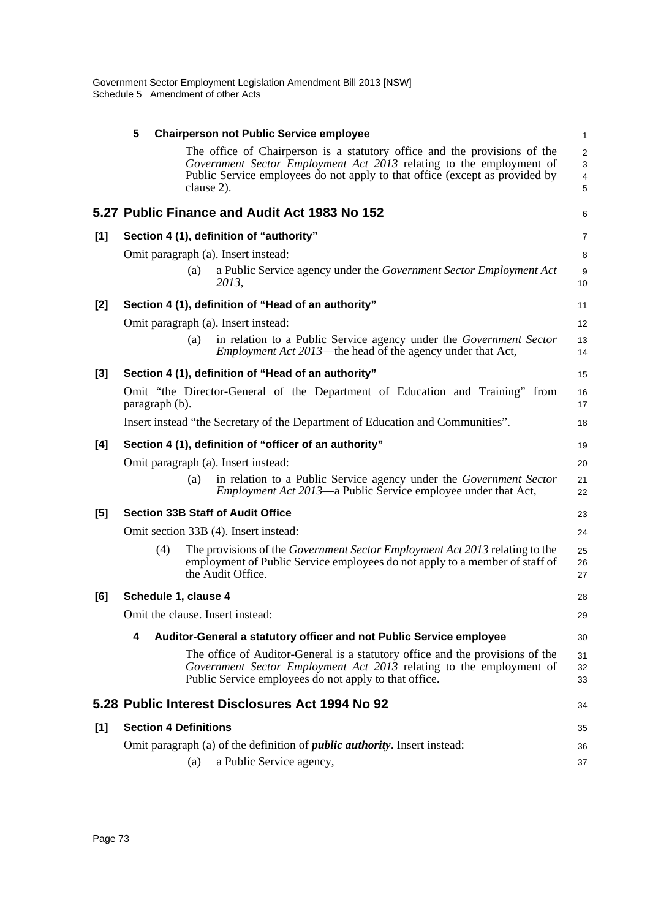|       | 5                                | <b>Chairperson not Public Service employee</b>                                                                                                                                                                                                | 1                                      |
|-------|----------------------------------|-----------------------------------------------------------------------------------------------------------------------------------------------------------------------------------------------------------------------------------------------|----------------------------------------|
|       |                                  | The office of Chairperson is a statutory office and the provisions of the<br>Government Sector Employment Act 2013 relating to the employment of<br>Public Service employees do not apply to that office (except as provided by<br>clause 2). | $\overline{\mathbf{c}}$<br>3<br>4<br>5 |
|       |                                  | 5.27 Public Finance and Audit Act 1983 No 152                                                                                                                                                                                                 | 6                                      |
| [1]   |                                  | Section 4 (1), definition of "authority"                                                                                                                                                                                                      | 7                                      |
|       |                                  | Omit paragraph (a). Insert instead:                                                                                                                                                                                                           | 8                                      |
|       | (a)                              | a Public Service agency under the Government Sector Employment Act<br>2013,                                                                                                                                                                   | 9<br>10                                |
| [2]   |                                  | Section 4 (1), definition of "Head of an authority"                                                                                                                                                                                           | 11                                     |
|       |                                  | Omit paragraph (a). Insert instead:                                                                                                                                                                                                           | 12                                     |
|       | (a)                              | in relation to a Public Service agency under the Government Sector<br><i>Employment Act 2013</i> —the head of the agency under that Act,                                                                                                      | 13<br>14                               |
| $[3]$ |                                  | Section 4 (1), definition of "Head of an authority"                                                                                                                                                                                           | 15                                     |
|       | paragraph (b).                   | Omit "the Director-General of the Department of Education and Training" from                                                                                                                                                                  | 16<br>17                               |
|       |                                  | Insert instead "the Secretary of the Department of Education and Communities".                                                                                                                                                                | 18                                     |
| [4]   |                                  | Section 4 (1), definition of "officer of an authority"                                                                                                                                                                                        | 19                                     |
|       |                                  | Omit paragraph (a). Insert instead:                                                                                                                                                                                                           | 20                                     |
|       | (a)                              | in relation to a Public Service agency under the Government Sector<br><i>Employment Act 2013</i> —a Public Service employee under that Act,                                                                                                   | 21<br>22                               |
| [5]   |                                  | <b>Section 33B Staff of Audit Office</b>                                                                                                                                                                                                      | 23                                     |
|       |                                  | Omit section 33B (4). Insert instead:                                                                                                                                                                                                         | 24                                     |
|       | (4)                              | The provisions of the <i>Government Sector Employment Act 2013</i> relating to the<br>employment of Public Service employees do not apply to a member of staff of<br>the Audit Office.                                                        | 25<br>26<br>27                         |
| [6]   | Schedule 1, clause 4             |                                                                                                                                                                                                                                               | 28                                     |
|       | Omit the clause. Insert instead: |                                                                                                                                                                                                                                               | 29                                     |
|       | 4                                | Auditor-General a statutory officer and not Public Service employee                                                                                                                                                                           | 30                                     |
|       |                                  | The office of Auditor-General is a statutory office and the provisions of the<br>Government Sector Employment Act 2013 relating to the employment of<br>Public Service employees do not apply to that office.                                 | 31<br>32<br>33                         |
|       |                                  | 5.28 Public Interest Disclosures Act 1994 No 92                                                                                                                                                                                               | 34                                     |
| [1]   | <b>Section 4 Definitions</b>     |                                                                                                                                                                                                                                               | 35                                     |
|       |                                  | Omit paragraph (a) of the definition of <i>public authority</i> . Insert instead:                                                                                                                                                             | 36                                     |
|       | (a)                              | a Public Service agency,                                                                                                                                                                                                                      | 37                                     |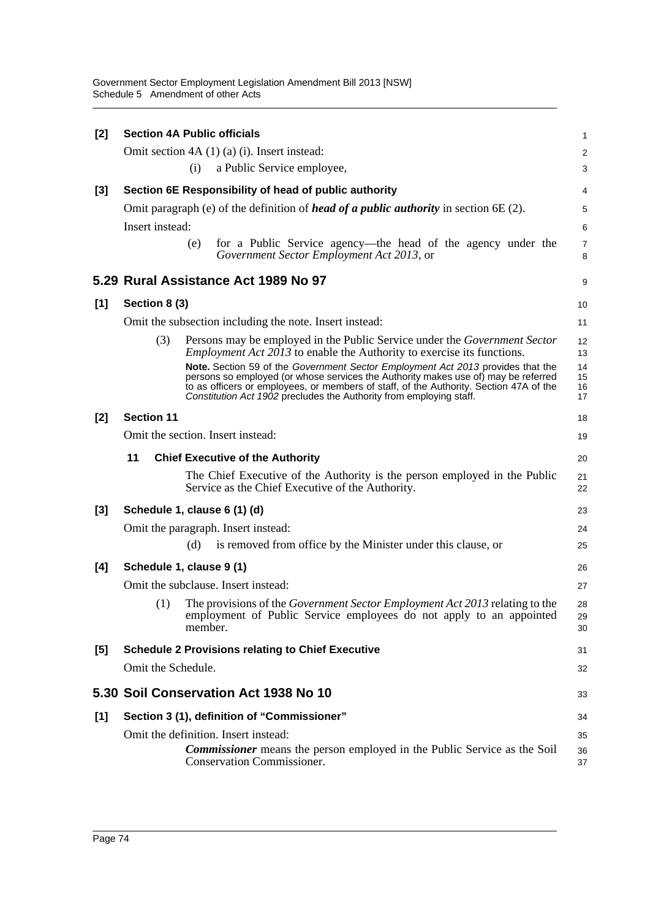Government Sector Employment Legislation Amendment Bill 2013 [NSW] Schedule 5 Amendment of other Acts

| $[2]$ | <b>Section 4A Public officials</b> |         |                                                                                                                                                                                                                                                                                                                                        | 1                    |
|-------|------------------------------------|---------|----------------------------------------------------------------------------------------------------------------------------------------------------------------------------------------------------------------------------------------------------------------------------------------------------------------------------------------|----------------------|
|       |                                    |         | Omit section $4A(1)(a)(i)$ . Insert instead:                                                                                                                                                                                                                                                                                           | $\overline{c}$       |
|       |                                    | (i)     | a Public Service employee,                                                                                                                                                                                                                                                                                                             | 3                    |
| [3]   |                                    |         | Section 6E Responsibility of head of public authority                                                                                                                                                                                                                                                                                  | 4                    |
|       |                                    |         | Omit paragraph (e) of the definition of <i>head of a public authority</i> in section $6E(2)$ .                                                                                                                                                                                                                                         | 5                    |
|       | Insert instead:                    |         |                                                                                                                                                                                                                                                                                                                                        | 6                    |
|       |                                    | (e)     | for a Public Service agency—the head of the agency under the<br>Government Sector Employment Act 2013, or                                                                                                                                                                                                                              | 7<br>8               |
|       |                                    |         | 5.29 Rural Assistance Act 1989 No 97                                                                                                                                                                                                                                                                                                   | 9                    |
| [1]   | Section 8 (3)                      |         |                                                                                                                                                                                                                                                                                                                                        | 10                   |
|       |                                    |         | Omit the subsection including the note. Insert instead:                                                                                                                                                                                                                                                                                | 11                   |
|       | (3)                                |         | Persons may be employed in the Public Service under the Government Sector<br><i>Employment Act 2013</i> to enable the Authority to exercise its functions.                                                                                                                                                                             | 12<br>13             |
|       |                                    |         | Note. Section 59 of the Government Sector Employment Act 2013 provides that the<br>persons so employed (or whose services the Authority makes use of) may be referred<br>to as officers or employees, or members of staff, of the Authority. Section 47A of the<br>Constitution Act 1902 precludes the Authority from employing staff. | 14<br>15<br>16<br>17 |
| [2]   | <b>Section 11</b>                  |         |                                                                                                                                                                                                                                                                                                                                        | 18                   |
|       |                                    |         | Omit the section. Insert instead:                                                                                                                                                                                                                                                                                                      | 19                   |
|       | 11                                 |         | <b>Chief Executive of the Authority</b>                                                                                                                                                                                                                                                                                                | 20                   |
|       |                                    |         | The Chief Executive of the Authority is the person employed in the Public<br>Service as the Chief Executive of the Authority.                                                                                                                                                                                                          | 21<br>22             |
| [3]   | Schedule 1, clause 6 (1) (d)       |         |                                                                                                                                                                                                                                                                                                                                        | 23                   |
|       |                                    |         | Omit the paragraph. Insert instead:                                                                                                                                                                                                                                                                                                    | 24                   |
|       |                                    | (d)     | is removed from office by the Minister under this clause, or                                                                                                                                                                                                                                                                           | 25                   |
| [4]   | Schedule 1, clause 9 (1)           |         |                                                                                                                                                                                                                                                                                                                                        | 26                   |
|       |                                    |         | Omit the subclause. Insert instead:                                                                                                                                                                                                                                                                                                    | 27                   |
|       | (1)                                | member. | The provisions of the <i>Government Sector Employment Act 2013</i> relating to the<br>employment of Public Service employees do not apply to an appointed                                                                                                                                                                              | 28<br>29<br>30       |
| [5]   |                                    |         | <b>Schedule 2 Provisions relating to Chief Executive</b>                                                                                                                                                                                                                                                                               | 31                   |
|       |                                    |         |                                                                                                                                                                                                                                                                                                                                        |                      |
|       | Omit the Schedule.                 |         |                                                                                                                                                                                                                                                                                                                                        | 32                   |
|       |                                    |         | 5.30 Soil Conservation Act 1938 No 10                                                                                                                                                                                                                                                                                                  | 33                   |
| $[1]$ |                                    |         | Section 3 (1), definition of "Commissioner"                                                                                                                                                                                                                                                                                            | 34                   |
|       |                                    |         | Omit the definition. Insert instead:                                                                                                                                                                                                                                                                                                   | 35                   |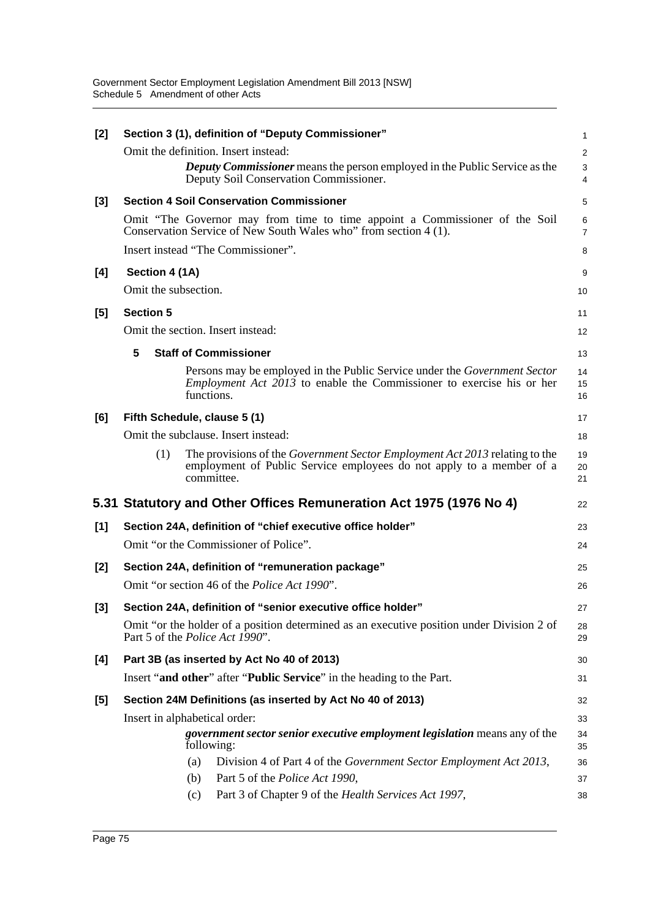| [2]   |                               |            | Section 3 (1), definition of "Deputy Commissioner"                                                                                                                       | 1                   |
|-------|-------------------------------|------------|--------------------------------------------------------------------------------------------------------------------------------------------------------------------------|---------------------|
|       |                               |            | Omit the definition. Insert instead:                                                                                                                                     | $\overline{c}$      |
|       |                               |            | <b>Deputy Commissioner</b> means the person employed in the Public Service as the<br>Deputy Soil Conservation Commissioner.                                              | 3<br>4              |
| [3]   |                               |            | <b>Section 4 Soil Conservation Commissioner</b>                                                                                                                          | 5                   |
|       |                               |            | Omit "The Governor may from time to time appoint a Commissioner of the Soil<br>Conservation Service of New South Wales who" from section 4 (1).                          | 6<br>$\overline{7}$ |
|       |                               |            | Insert instead "The Commissioner".                                                                                                                                       | 8                   |
| [4]   | Section 4 (1A)                |            |                                                                                                                                                                          | 9                   |
|       | Omit the subsection.          |            |                                                                                                                                                                          | 10                  |
| [5]   | <b>Section 5</b>              |            |                                                                                                                                                                          | 11                  |
|       |                               |            | Omit the section. Insert instead:                                                                                                                                        | 12                  |
|       | 5                             |            | <b>Staff of Commissioner</b>                                                                                                                                             | 13                  |
|       |                               | functions. | Persons may be employed in the Public Service under the Government Sector<br><i>Employment Act 2013</i> to enable the Commissioner to exercise his or her                | 14<br>15<br>16      |
| [6]   | Fifth Schedule, clause 5 (1)  |            |                                                                                                                                                                          | 17                  |
|       |                               |            | Omit the subclause. Insert instead:                                                                                                                                      | 18                  |
|       | (1)                           |            | The provisions of the <i>Government Sector Employment Act 2013</i> relating to the<br>employment of Public Service employees do not apply to a member of a<br>committee. | 19<br>20<br>21      |
|       |                               |            | 5.31 Statutory and Other Offices Remuneration Act 1975 (1976 No 4)                                                                                                       | 22                  |
| [1]   |                               |            | Section 24A, definition of "chief executive office holder"                                                                                                               | 23                  |
|       |                               |            | Omit "or the Commissioner of Police".                                                                                                                                    | 24                  |
| [2]   |                               |            | Section 24A, definition of "remuneration package"                                                                                                                        | 25                  |
|       |                               |            | Omit "or section 46 of the <i>Police Act 1990"</i> .                                                                                                                     | 26                  |
| [3]   |                               |            | Section 24A, definition of "senior executive office holder"                                                                                                              | 27                  |
|       |                               |            | Omit "or the holder of a position determined as an executive position under Division 2 of<br>Part 5 of the <i>Police Act 1990</i> ".                                     | 28<br>29            |
| [4]   |                               |            | Part 3B (as inserted by Act No 40 of 2013)                                                                                                                               | 30                  |
|       |                               |            | Insert "and other" after "Public Service" in the heading to the Part.                                                                                                    | 31                  |
| $[5]$ |                               |            | Section 24M Definitions (as inserted by Act No 40 of 2013)                                                                                                               | 32                  |
|       | Insert in alphabetical order: |            |                                                                                                                                                                          | 33                  |
|       |                               | following: | government sector senior executive employment legislation means any of the                                                                                               | 34<br>35            |
|       |                               | (a)        | Division 4 of Part 4 of the Government Sector Employment Act 2013,                                                                                                       | 36                  |
|       |                               | (b)        | Part 5 of the Police Act 1990,                                                                                                                                           | 37                  |
|       |                               | (c)        | Part 3 of Chapter 9 of the Health Services Act 1997,                                                                                                                     | 38                  |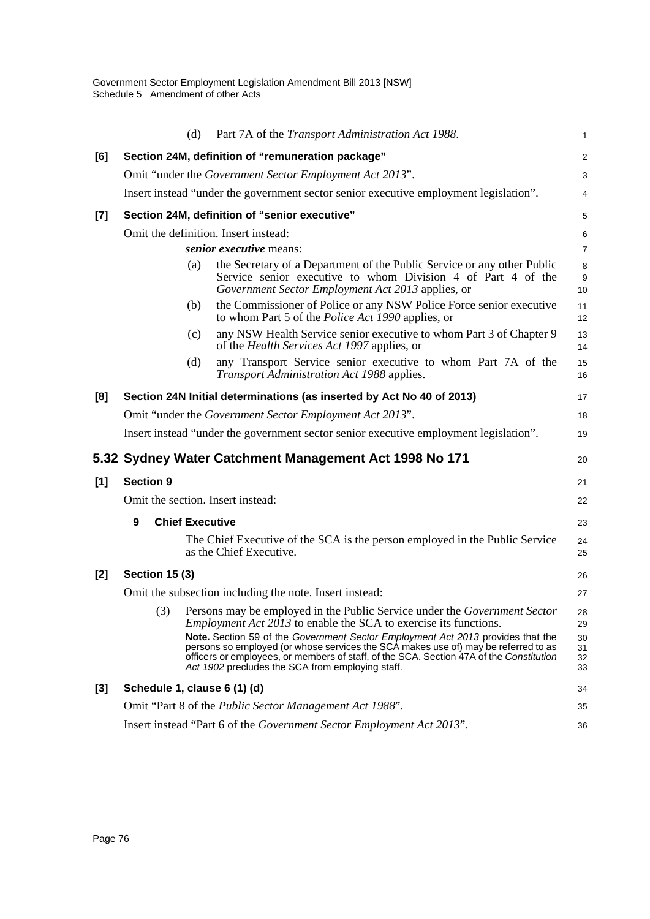|       |                       | (d)                    | Part 7A of the Transport Administration Act 1988.                                                                                                                                                                                                                                                                           | 1                    |
|-------|-----------------------|------------------------|-----------------------------------------------------------------------------------------------------------------------------------------------------------------------------------------------------------------------------------------------------------------------------------------------------------------------------|----------------------|
| [6]   |                       |                        | Section 24M, definition of "remuneration package"                                                                                                                                                                                                                                                                           | 2                    |
|       |                       |                        | Omit "under the Government Sector Employment Act 2013".                                                                                                                                                                                                                                                                     | 3                    |
|       |                       |                        | Insert instead "under the government sector senior executive employment legislation".                                                                                                                                                                                                                                       | $\overline{4}$       |
| $[7]$ |                       |                        | Section 24M, definition of "senior executive"                                                                                                                                                                                                                                                                               | 5                    |
|       |                       |                        | Omit the definition. Insert instead:                                                                                                                                                                                                                                                                                        | 6                    |
|       |                       |                        | senior executive means:                                                                                                                                                                                                                                                                                                     | $\overline{7}$       |
|       |                       | (a)                    | the Secretary of a Department of the Public Service or any other Public<br>Service senior executive to whom Division 4 of Part 4 of the<br>Government Sector Employment Act 2013 applies, or                                                                                                                                | 8<br>9<br>10         |
|       |                       | (b)                    | the Commissioner of Police or any NSW Police Force senior executive<br>to whom Part 5 of the <i>Police Act 1990</i> applies, or                                                                                                                                                                                             | 11<br>12             |
|       |                       | (c)                    | any NSW Health Service senior executive to whom Part 3 of Chapter 9<br>of the Health Services Act 1997 applies, or                                                                                                                                                                                                          | 13<br>14             |
|       |                       | (d)                    | any Transport Service senior executive to whom Part 7A of the<br>Transport Administration Act 1988 applies.                                                                                                                                                                                                                 | 15<br>16             |
| [8]   |                       |                        | Section 24N Initial determinations (as inserted by Act No 40 of 2013)                                                                                                                                                                                                                                                       | 17                   |
|       |                       |                        | Omit "under the Government Sector Employment Act 2013".                                                                                                                                                                                                                                                                     | 18                   |
|       |                       |                        | Insert instead "under the government sector senior executive employment legislation".                                                                                                                                                                                                                                       | 19                   |
|       |                       |                        | 5.32 Sydney Water Catchment Management Act 1998 No 171                                                                                                                                                                                                                                                                      | 20                   |
| [1]   | <b>Section 9</b>      |                        |                                                                                                                                                                                                                                                                                                                             | 21                   |
|       |                       |                        | Omit the section. Insert instead:                                                                                                                                                                                                                                                                                           | 22                   |
|       | 9                     | <b>Chief Executive</b> |                                                                                                                                                                                                                                                                                                                             | 23                   |
|       |                       |                        | The Chief Executive of the SCA is the person employed in the Public Service<br>as the Chief Executive.                                                                                                                                                                                                                      | 24<br>25             |
| $[2]$ | <b>Section 15 (3)</b> |                        |                                                                                                                                                                                                                                                                                                                             | 26                   |
|       |                       |                        | Omit the subsection including the note. Insert instead:                                                                                                                                                                                                                                                                     | 27                   |
|       |                       |                        | (3) Persons may be employed in the Public Service under the Government Sector<br><i>Employment Act 2013</i> to enable the SCA to exercise its functions.                                                                                                                                                                    | 28<br>29             |
|       |                       |                        | <b>Note.</b> Section 59 of the Government Sector Employment Act 2013 provides that the<br>persons so employed (or whose services the SCA makes use of) may be referred to as<br>officers or employees, or members of staff, of the SCA. Section 47A of the Constitution<br>Act 1902 precludes the SCA from employing staff. | 30<br>31<br>32<br>33 |
| [3]   |                       |                        | Schedule 1, clause 6 (1) (d)                                                                                                                                                                                                                                                                                                | 34                   |
|       |                       |                        | Omit "Part 8 of the <i>Public Sector Management Act 1988"</i> .                                                                                                                                                                                                                                                             | 35                   |
|       |                       |                        | Insert instead "Part 6 of the <i>Government Sector Employment Act 2013</i> ".                                                                                                                                                                                                                                               | 36                   |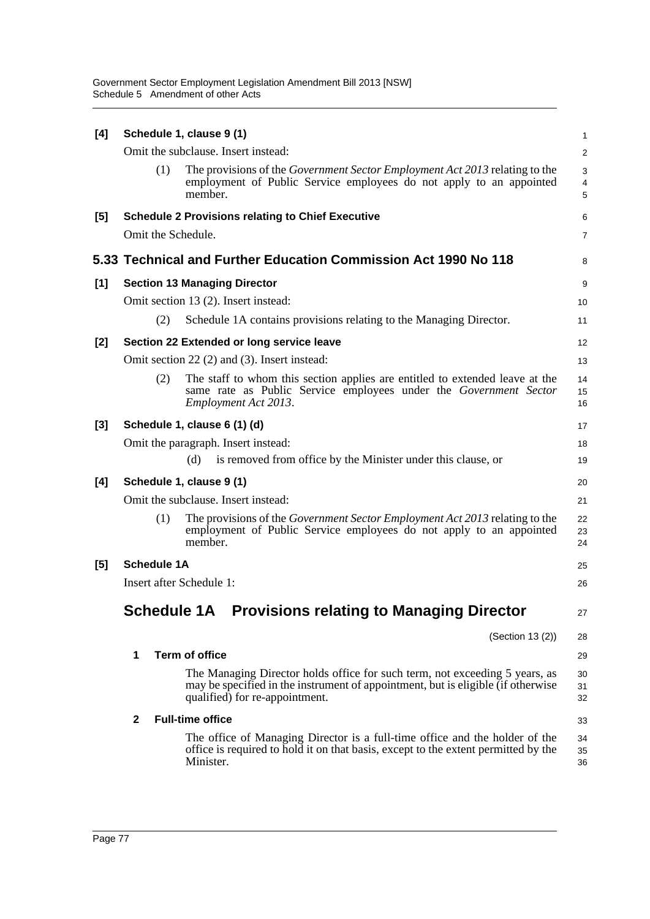| [4]   |                          | Schedule 1, clause 9 (1)                                                                                                                                                                          | 1                       |
|-------|--------------------------|---------------------------------------------------------------------------------------------------------------------------------------------------------------------------------------------------|-------------------------|
|       |                          | Omit the subclause. Insert instead:                                                                                                                                                               | $\overline{\mathbf{c}}$ |
|       | (1)                      | The provisions of the <i>Government Sector Employment Act 2013</i> relating to the<br>employment of Public Service employees do not apply to an appointed<br>member.                              | 3<br>4<br>5             |
| [5]   |                          | <b>Schedule 2 Provisions relating to Chief Executive</b>                                                                                                                                          | 6                       |
|       | Omit the Schedule.       |                                                                                                                                                                                                   | 7                       |
|       |                          | 5.33 Technical and Further Education Commission Act 1990 No 118                                                                                                                                   | 8                       |
| $[1]$ |                          | <b>Section 13 Managing Director</b>                                                                                                                                                               | 9                       |
|       |                          | Omit section 13 (2). Insert instead:                                                                                                                                                              | 10                      |
|       | (2)                      | Schedule 1A contains provisions relating to the Managing Director.                                                                                                                                | 11                      |
| [2]   |                          | Section 22 Extended or long service leave                                                                                                                                                         | 12                      |
|       |                          | Omit section 22 (2) and (3). Insert instead:                                                                                                                                                      | 13                      |
|       | (2)                      | The staff to whom this section applies are entitled to extended leave at the<br>same rate as Public Service employees under the Government Sector<br>Employment Act 2013.                         | 14<br>15<br>16          |
| $[3]$ |                          | Schedule 1, clause 6 (1) (d)                                                                                                                                                                      | 17                      |
|       |                          | Omit the paragraph. Insert instead:                                                                                                                                                               | 18                      |
|       |                          | is removed from office by the Minister under this clause, or<br>(d)                                                                                                                               | 19                      |
| [4]   |                          | Schedule 1, clause 9 (1)                                                                                                                                                                          | 20                      |
|       |                          | Omit the subclause. Insert instead:                                                                                                                                                               | 21                      |
|       | (1)                      | The provisions of the <i>Government Sector Employment Act 2013</i> relating to the<br>employment of Public Service employees do not apply to an appointed<br>member.                              | 22<br>23<br>24          |
| [5]   | <b>Schedule 1A</b>       |                                                                                                                                                                                                   | 25                      |
|       | Insert after Schedule 1: |                                                                                                                                                                                                   | 26                      |
|       | <b>Schedule 1A</b>       | <b>Provisions relating to Managing Director</b>                                                                                                                                                   | 27                      |
|       |                          | (Section 13 (2))                                                                                                                                                                                  | 28                      |
|       | 1                        | <b>Term of office</b>                                                                                                                                                                             | 29                      |
|       |                          | The Managing Director holds office for such term, not exceeding 5 years, as<br>may be specified in the instrument of appointment, but is eligible (if otherwise<br>qualified) for re-appointment. | 30<br>31<br>32          |
|       | $\mathbf{2}$             | <b>Full-time office</b>                                                                                                                                                                           | 33                      |
|       |                          | The office of Managing Director is a full-time office and the holder of the<br>office is required to hold it on that basis, except to the extent permitted by the<br>Minister.                    | 34<br>35<br>36          |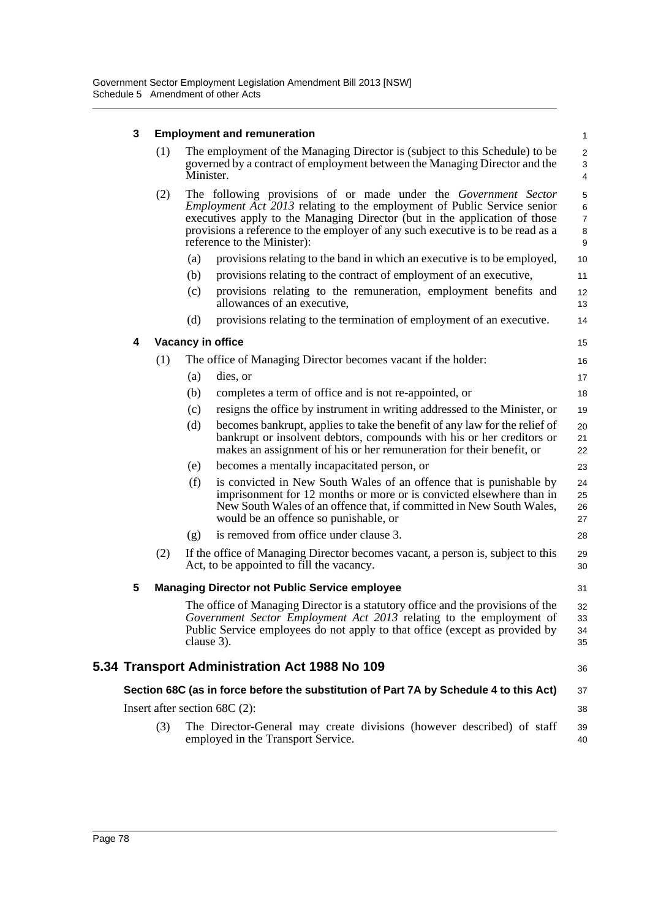## **3 Employment and remuneration**

| 3 |     |           | <b>Employment and remuneration</b>                                                                                                                                                                                                                                                                                                                | $\mathbf{1}$                                 |
|---|-----|-----------|---------------------------------------------------------------------------------------------------------------------------------------------------------------------------------------------------------------------------------------------------------------------------------------------------------------------------------------------------|----------------------------------------------|
|   | (1) | Minister. | The employment of the Managing Director is (subject to this Schedule) to be<br>governed by a contract of employment between the Managing Director and the                                                                                                                                                                                         | $\overline{c}$<br>3<br>$\overline{4}$        |
|   | (2) |           | The following provisions of or made under the Government Sector<br><i>Employment Act 2013</i> relating to the employment of Public Service senior<br>executives apply to the Managing Director (but in the application of those<br>provisions a reference to the employer of any such executive is to be read as a<br>reference to the Minister): | 5<br>$\,6$<br>$\overline{7}$<br>$\bf 8$<br>9 |
|   |     | (a)       | provisions relating to the band in which an executive is to be employed,                                                                                                                                                                                                                                                                          | 10                                           |
|   |     | (b)       | provisions relating to the contract of employment of an executive,                                                                                                                                                                                                                                                                                | 11                                           |
|   |     | (c)       | provisions relating to the remuneration, employment benefits and<br>allowances of an executive,                                                                                                                                                                                                                                                   | 12<br>13                                     |
|   |     | (d)       | provisions relating to the termination of employment of an executive.                                                                                                                                                                                                                                                                             | 14                                           |
| 4 |     |           | <b>Vacancy in office</b>                                                                                                                                                                                                                                                                                                                          | 15                                           |
|   | (1) |           | The office of Managing Director becomes vacant if the holder:                                                                                                                                                                                                                                                                                     | 16                                           |
|   |     | (a)       | dies, or                                                                                                                                                                                                                                                                                                                                          | 17                                           |
|   |     | (b)       | completes a term of office and is not re-appointed, or                                                                                                                                                                                                                                                                                            | 18                                           |
|   |     | (c)       | resigns the office by instrument in writing addressed to the Minister, or                                                                                                                                                                                                                                                                         | 19                                           |
|   |     | (d)       | becomes bankrupt, applies to take the benefit of any law for the relief of<br>bankrupt or insolvent debtors, compounds with his or her creditors or<br>makes an assignment of his or her remuneration for their benefit, or                                                                                                                       | 20<br>21<br>22                               |
|   |     | (e)       | becomes a mentally incapacitated person, or                                                                                                                                                                                                                                                                                                       | 23                                           |
|   |     | (f)       | is convicted in New South Wales of an offence that is punishable by<br>imprisonment for 12 months or more or is convicted elsewhere than in<br>New South Wales of an offence that, if committed in New South Wales,<br>would be an offence so punishable, or                                                                                      | 24<br>25<br>26<br>27                         |
|   |     | (g)       | is removed from office under clause 3.                                                                                                                                                                                                                                                                                                            | 28                                           |
|   | (2) |           | If the office of Managing Director becomes vacant, a person is, subject to this<br>Act, to be appointed to fill the vacancy.                                                                                                                                                                                                                      | 29<br>30                                     |
| 5 |     |           | <b>Managing Director not Public Service employee</b>                                                                                                                                                                                                                                                                                              | 31                                           |
|   |     |           | The office of Managing Director is a statutory office and the provisions of the<br>Government Sector Employment Act 2013 relating to the employment of<br>Public Service employees do not apply to that office (except as provided by<br>clause 3).                                                                                               | 32<br>33<br>34<br>35                         |
|   |     |           | 5.34 Transport Administration Act 1988 No 109                                                                                                                                                                                                                                                                                                     | 36                                           |
|   |     |           | Section 68C (as in force before the substitution of Part 7A by Schedule 4 to this Act)                                                                                                                                                                                                                                                            | 37                                           |
|   |     |           | Insert after section $68C(2)$ :                                                                                                                                                                                                                                                                                                                   | 38                                           |
|   | (3) |           | The Director-General may create divisions (however described) of staff<br>employed in the Transport Service.                                                                                                                                                                                                                                      | 39<br>40                                     |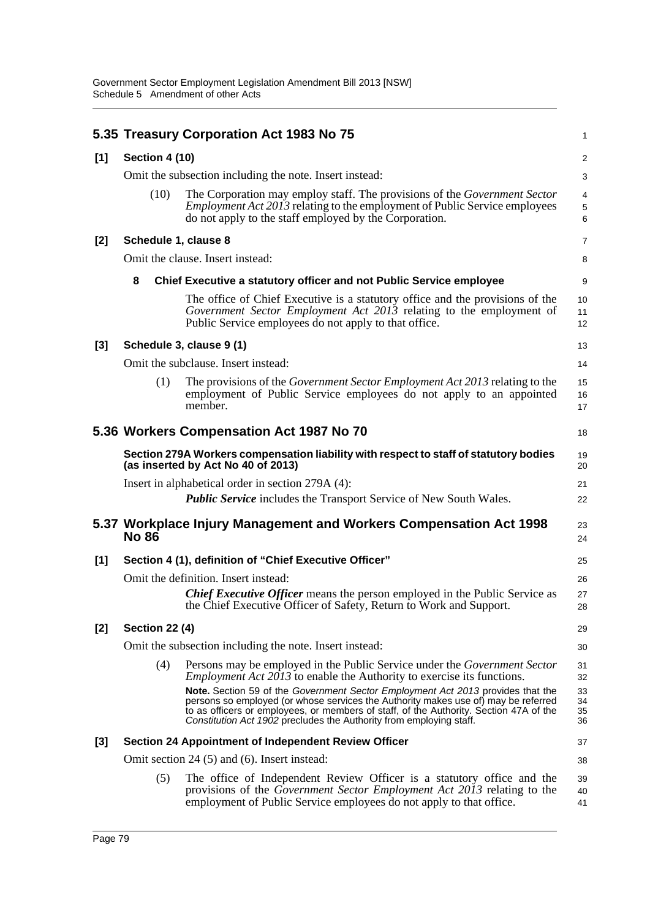|       |                       | 5.35 Treasury Corporation Act 1983 No 75                                                                                                                                                                                                                                                                                                                                                                                                                                                                           | 1                                |
|-------|-----------------------|--------------------------------------------------------------------------------------------------------------------------------------------------------------------------------------------------------------------------------------------------------------------------------------------------------------------------------------------------------------------------------------------------------------------------------------------------------------------------------------------------------------------|----------------------------------|
| [1]   | <b>Section 4 (10)</b> |                                                                                                                                                                                                                                                                                                                                                                                                                                                                                                                    | $\overline{\mathbf{c}}$          |
|       |                       | Omit the subsection including the note. Insert instead:                                                                                                                                                                                                                                                                                                                                                                                                                                                            | 3                                |
|       | (10)                  | The Corporation may employ staff. The provisions of the Government Sector<br><i>Employment Act 2013</i> relating to the employment of Public Service employees<br>do not apply to the staff employed by the Corporation.                                                                                                                                                                                                                                                                                           | 4<br>5<br>6                      |
| [2]   | Schedule 1, clause 8  |                                                                                                                                                                                                                                                                                                                                                                                                                                                                                                                    | 7                                |
|       |                       | Omit the clause. Insert instead:                                                                                                                                                                                                                                                                                                                                                                                                                                                                                   | 8                                |
|       | 8                     | Chief Executive a statutory officer and not Public Service employee                                                                                                                                                                                                                                                                                                                                                                                                                                                | 9                                |
|       |                       | The office of Chief Executive is a statutory office and the provisions of the<br>Government Sector Employment Act 2013 relating to the employment of<br>Public Service employees do not apply to that office.                                                                                                                                                                                                                                                                                                      | 10<br>11<br>12                   |
| [3]   |                       | Schedule 3, clause 9 (1)                                                                                                                                                                                                                                                                                                                                                                                                                                                                                           | 13                               |
|       |                       | Omit the subclause. Insert instead:                                                                                                                                                                                                                                                                                                                                                                                                                                                                                | 14                               |
|       | (1)                   | The provisions of the <i>Government Sector Employment Act 2013</i> relating to the<br>employment of Public Service employees do not apply to an appointed<br>member.                                                                                                                                                                                                                                                                                                                                               | 15<br>16<br>17                   |
|       |                       | 5.36 Workers Compensation Act 1987 No 70                                                                                                                                                                                                                                                                                                                                                                                                                                                                           | 18                               |
|       |                       | Section 279A Workers compensation liability with respect to staff of statutory bodies<br>(as inserted by Act No 40 of 2013)                                                                                                                                                                                                                                                                                                                                                                                        | 19<br>20                         |
|       |                       | Insert in alphabetical order in section 279A (4):                                                                                                                                                                                                                                                                                                                                                                                                                                                                  | 21                               |
|       |                       | <b>Public Service</b> includes the Transport Service of New South Wales.                                                                                                                                                                                                                                                                                                                                                                                                                                           | 22                               |
|       | <b>No 86</b>          | 5.37 Workplace Injury Management and Workers Compensation Act 1998                                                                                                                                                                                                                                                                                                                                                                                                                                                 | 23<br>24                         |
| [1]   |                       | Section 4 (1), definition of "Chief Executive Officer"                                                                                                                                                                                                                                                                                                                                                                                                                                                             | 25                               |
|       |                       | Omit the definition. Insert instead:                                                                                                                                                                                                                                                                                                                                                                                                                                                                               | 26                               |
|       |                       | <b>Chief Executive Officer</b> means the person employed in the Public Service as<br>the Chief Executive Officer of Safety, Return to Work and Support.                                                                                                                                                                                                                                                                                                                                                            | 27<br>28                         |
| [2]   | <b>Section 22 (4)</b> |                                                                                                                                                                                                                                                                                                                                                                                                                                                                                                                    | 29                               |
|       |                       | Omit the subsection including the note. Insert instead:                                                                                                                                                                                                                                                                                                                                                                                                                                                            | 30                               |
|       | (4)                   | Persons may be employed in the Public Service under the <i>Government Sector</i><br><i>Employment Act 2013</i> to enable the Authority to exercise its functions.<br><b>Note.</b> Section 59 of the Government Sector Employment Act 2013 provides that the<br>persons so employed (or whose services the Authority makes use of) may be referred<br>to as officers or employees, or members of staff, of the Authority. Section 47A of the<br>Constitution Act 1902 precludes the Authority from employing staff. | 31<br>32<br>33<br>34<br>35<br>36 |
| $[3]$ |                       | <b>Section 24 Appointment of Independent Review Officer</b>                                                                                                                                                                                                                                                                                                                                                                                                                                                        | 37                               |
|       |                       | Omit section 24 (5) and (6). Insert instead:                                                                                                                                                                                                                                                                                                                                                                                                                                                                       | 38                               |
|       | (5)                   | The office of Independent Review Officer is a statutory office and the<br>provisions of the Government Sector Employment Act 2013 relating to the<br>employment of Public Service employees do not apply to that office.                                                                                                                                                                                                                                                                                           | 39<br>40<br>41                   |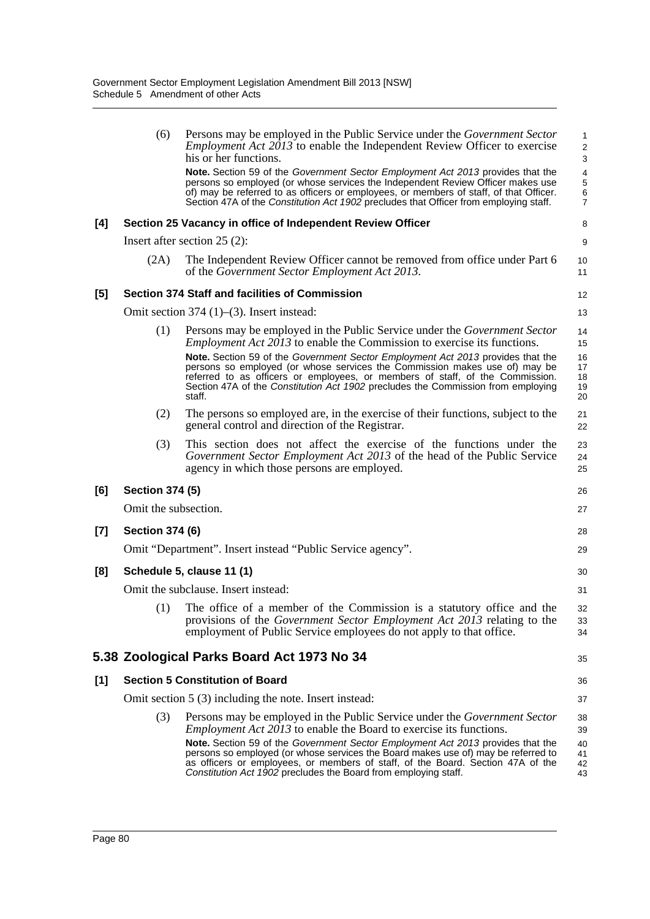|       | (6)                    | Persons may be employed in the Public Service under the <i>Government Sector</i><br><i>Employment Act 2013</i> to enable the Independent Review Officer to exercise<br>his or her functions.                                                                                                                                                          | 1<br>$\overline{\mathbf{c}}$<br>3 |
|-------|------------------------|-------------------------------------------------------------------------------------------------------------------------------------------------------------------------------------------------------------------------------------------------------------------------------------------------------------------------------------------------------|-----------------------------------|
|       |                        | Note. Section 59 of the Government Sector Employment Act 2013 provides that the<br>persons so employed (or whose services the Independent Review Officer makes use<br>of) may be referred to as officers or employees, or members of staff, of that Officer.<br>Section 47A of the Constitution Act 1902 precludes that Officer from employing staff. | 4<br>5<br>6<br>7                  |
| [4]   |                        | Section 25 Vacancy in office of Independent Review Officer                                                                                                                                                                                                                                                                                            | 8                                 |
|       |                        | Insert after section $25(2)$ :                                                                                                                                                                                                                                                                                                                        | 9                                 |
|       | (2A)                   | The Independent Review Officer cannot be removed from office under Part 6<br>of the Government Sector Employment Act 2013.                                                                                                                                                                                                                            | 10<br>11                          |
| [5]   |                        | <b>Section 374 Staff and facilities of Commission</b>                                                                                                                                                                                                                                                                                                 | 12                                |
|       |                        | Omit section 374 $(1)$ – $(3)$ . Insert instead:                                                                                                                                                                                                                                                                                                      | 13                                |
|       | (1)                    | Persons may be employed in the Public Service under the <i>Government Sector</i><br><i>Employment Act 2013</i> to enable the Commission to exercise its functions.                                                                                                                                                                                    | 14<br>15                          |
|       |                        | Note. Section 59 of the Government Sector Employment Act 2013 provides that the<br>persons so employed (or whose services the Commission makes use of) may be<br>referred to as officers or employees, or members of staff, of the Commission.<br>Section 47A of the Constitution Act 1902 precludes the Commission from employing<br>staff.          | 16<br>17<br>18<br>19<br>20        |
|       | (2)                    | The persons so employed are, in the exercise of their functions, subject to the<br>general control and direction of the Registrar.                                                                                                                                                                                                                    | 21<br>22                          |
|       | (3)                    | This section does not affect the exercise of the functions under the<br>Government Sector Employment Act 2013 of the head of the Public Service<br>agency in which those persons are employed.                                                                                                                                                        | 23<br>24<br>25                    |
| [6]   | <b>Section 374 (5)</b> |                                                                                                                                                                                                                                                                                                                                                       | 26                                |
|       | Omit the subsection.   |                                                                                                                                                                                                                                                                                                                                                       | 27                                |
| $[7]$ | <b>Section 374 (6)</b> |                                                                                                                                                                                                                                                                                                                                                       | 28                                |
|       |                        | Omit "Department". Insert instead "Public Service agency".                                                                                                                                                                                                                                                                                            | 29                                |
| [8]   |                        | Schedule 5, clause 11 (1)                                                                                                                                                                                                                                                                                                                             | 30                                |
|       |                        | Omit the subclause. Insert instead:                                                                                                                                                                                                                                                                                                                   | 31                                |
|       | (1)                    | The office of a member of the Commission is a statutory office and the<br>provisions of the Government Sector Employment Act 2013 relating to the<br>employment of Public Service employees do not apply to that office.                                                                                                                              | 32<br>33<br>34                    |
|       |                        | 5.38 Zoological Parks Board Act 1973 No 34                                                                                                                                                                                                                                                                                                            | 35                                |
| $[1]$ |                        | <b>Section 5 Constitution of Board</b>                                                                                                                                                                                                                                                                                                                | 36                                |
|       |                        | Omit section 5 (3) including the note. Insert instead:                                                                                                                                                                                                                                                                                                | 37                                |
|       | (3)                    | Persons may be employed in the Public Service under the <i>Government Sector</i><br><i>Employment Act 2013</i> to enable the Board to exercise its functions.                                                                                                                                                                                         | 38<br>39                          |
|       |                        | <b>Note.</b> Section 59 of the Government Sector Employment Act 2013 provides that the<br>persons so employed (or whose services the Board makes use of) may be referred to<br>as officers or employees, or members of staff, of the Board. Section 47A of the<br>Constitution Act 1902 precludes the Board from employing staff.                     | 40<br>41<br>42<br>43              |